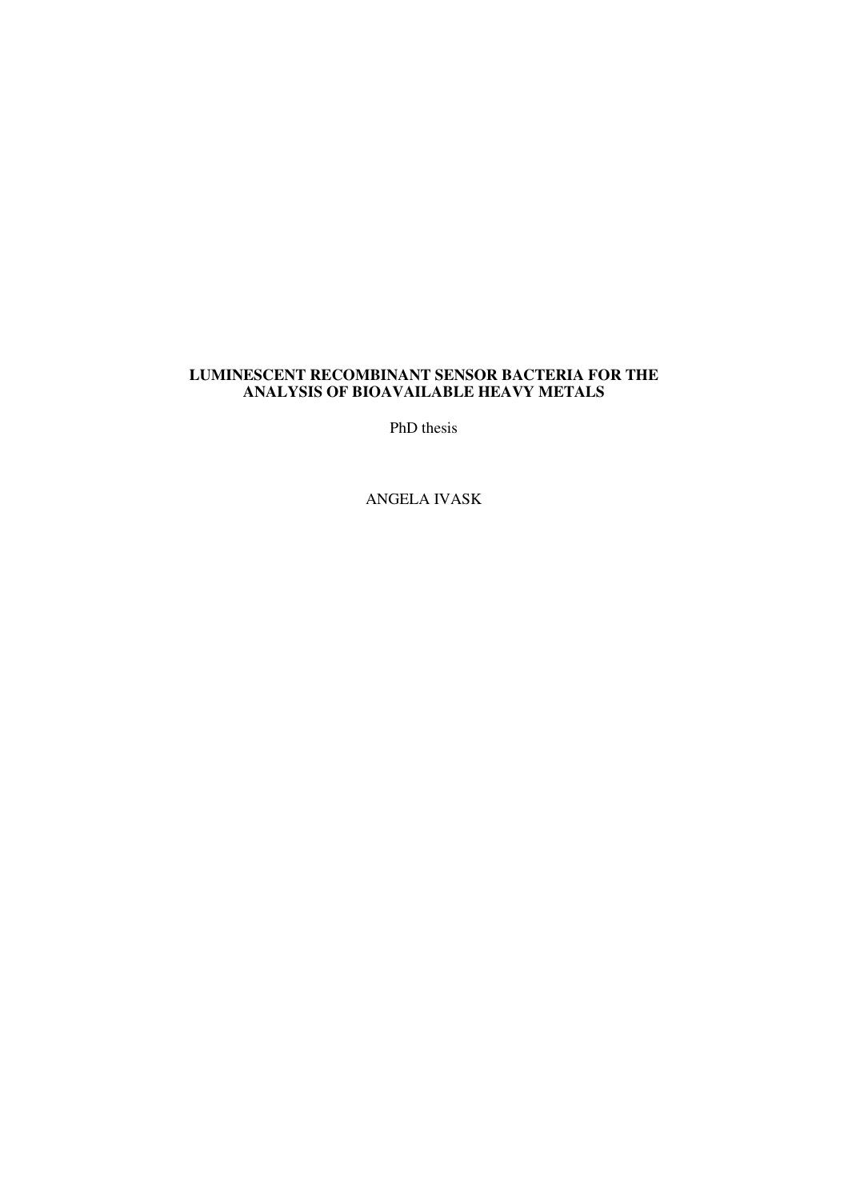## **LUMINESCENT RECOMBINANT SENSOR BACTERIA FOR THE ANALYSIS OF BIOAVAILABLE HEAVY METALS**

PhD thesis

ANGELA IVASK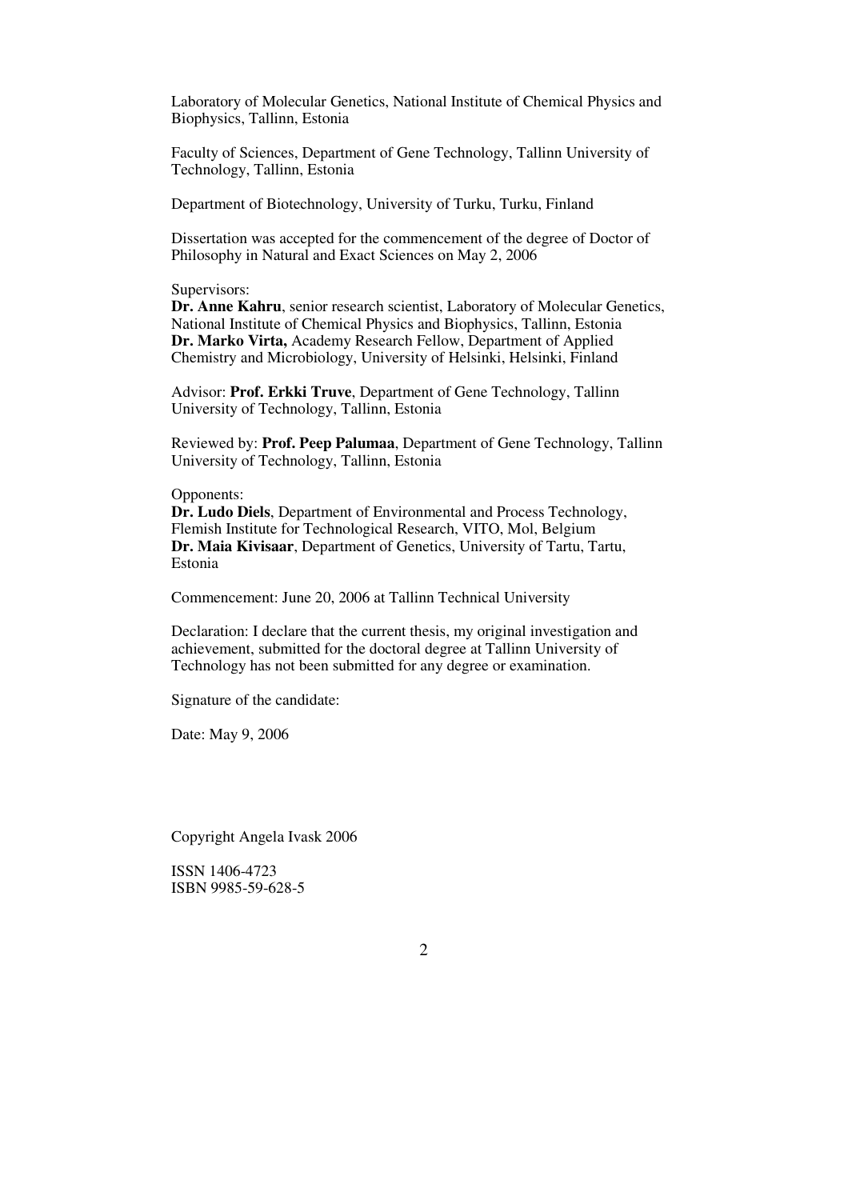Laboratory of Molecular Genetics, National Institute of Chemical Physics and Biophysics, Tallinn, Estonia

Faculty of Sciences, Department of Gene Technology, Tallinn University of Technology, Tallinn, Estonia

Department of Biotechnology, University of Turku, Turku, Finland

Dissertation was accepted for the commencement of the degree of Doctor of Philosophy in Natural and Exact Sciences on May 2, 2006

#### Supervisors:

**Dr. Anne Kahru**, senior research scientist, Laboratory of Molecular Genetics, National Institute of Chemical Physics and Biophysics, Tallinn, Estonia **Dr. Marko Virta,** Academy Research Fellow, Department of Applied Chemistry and Microbiology, University of Helsinki, Helsinki, Finland

Advisor: **Prof. Erkki Truve**, Department of Gene Technology, Tallinn University of Technology, Tallinn, Estonia

Reviewed by: **Prof. Peep Palumaa**, Department of Gene Technology, Tallinn University of Technology, Tallinn, Estonia

### Opponents:

**Dr. Ludo Diels**, Department of Environmental and Process Technology, Flemish Institute for Technological Research, VITO, Mol, Belgium **Dr. Maia Kivisaar**, Department of Genetics, University of Tartu, Tartu, Estonia

Commencement: June 20, 2006 at Tallinn Technical University

Declaration: I declare that the current thesis, my original investigation and achievement, submitted for the doctoral degree at Tallinn University of Technology has not been submitted for any degree or examination.

Signature of the candidate:

Date: May 9, 2006

Copyright Angela Ivask 2006

ISSN 1406-4723 ISBN 9985-59-628-5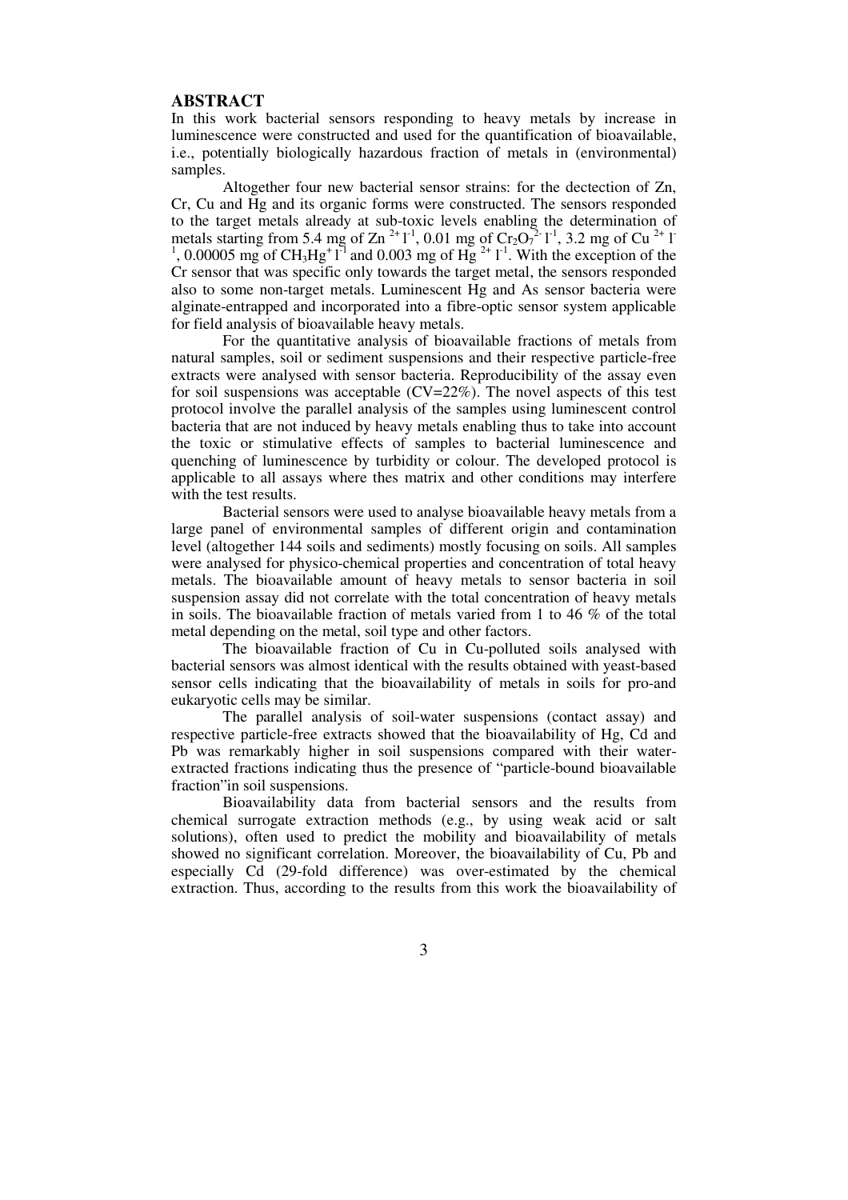### **ABSTRACT**

In this work bacterial sensors responding to heavy metals by increase in luminescence were constructed and used for the quantification of bioavailable, i.e., potentially biologically hazardous fraction of metals in (environmental) samples.

Altogether four new bacterial sensor strains: for the dectection of Zn, Cr, Cu and Hg and its organic forms were constructed. The sensors responded to the target metals already at sub-toxic levels enabling the determination of metals starting from 5.4 mg of  $\text{Zn}$  <sup>2+</sup> l<sup>-1</sup>, 0.01 mg of  $\text{Cr}_2\text{O}_7^2$ <sup>-</sup> l<sup>-1</sup>, 3.2 mg of  $\text{Cu}$  <sup>2+</sup> l<sup>-1</sup>, 0.00005 mg of  $\text{CH}_3\text{Hg}$ <sup>+</sup> l<sup>-1</sup> and 0.003 mg of Hg<sup>2+</sup> l<sup>-1</sup>. With the exception of the Cr sensor that was specific only towards the target metal, the sensors responded also to some non-target metals. Luminescent Hg and As sensor bacteria were alginate-entrapped and incorporated into a fibre-optic sensor system applicable for field analysis of bioavailable heavy metals.

For the quantitative analysis of bioavailable fractions of metals from natural samples, soil or sediment suspensions and their respective particle-free extracts were analysed with sensor bacteria. Reproducibility of the assay even for soil suspensions was acceptable  $(CV=22\%)$ . The novel aspects of this test protocol involve the parallel analysis of the samples using luminescent control bacteria that are not induced by heavy metals enabling thus to take into account the toxic or stimulative effects of samples to bacterial luminescence and quenching of luminescence by turbidity or colour. The developed protocol is applicable to all assays where thes matrix and other conditions may interfere with the test results.

Bacterial sensors were used to analyse bioavailable heavy metals from a large panel of environmental samples of different origin and contamination level (altogether 144 soils and sediments) mostly focusing on soils. All samples were analysed for physico-chemical properties and concentration of total heavy metals. The bioavailable amount of heavy metals to sensor bacteria in soil suspension assay did not correlate with the total concentration of heavy metals in soils. The bioavailable fraction of metals varied from 1 to 46 % of the total metal depending on the metal, soil type and other factors.

The bioavailable fraction of Cu in Cu-polluted soils analysed with bacterial sensors was almost identical with the results obtained with yeast-based sensor cells indicating that the bioavailability of metals in soils for pro-and eukaryotic cells may be similar.

The parallel analysis of soil-water suspensions (contact assay) and respective particle-free extracts showed that the bioavailability of Hg, Cd and Pb was remarkably higher in soil suspensions compared with their waterextracted fractions indicating thus the presence of "particle-bound bioavailable fraction"in soil suspensions.

Bioavailability data from bacterial sensors and the results from chemical surrogate extraction methods (e.g., by using weak acid or salt solutions), often used to predict the mobility and bioavailability of metals showed no significant correlation. Moreover, the bioavailability of Cu, Pb and especially Cd (29-fold difference) was over-estimated by the chemical extraction. Thus, according to the results from this work the bioavailability of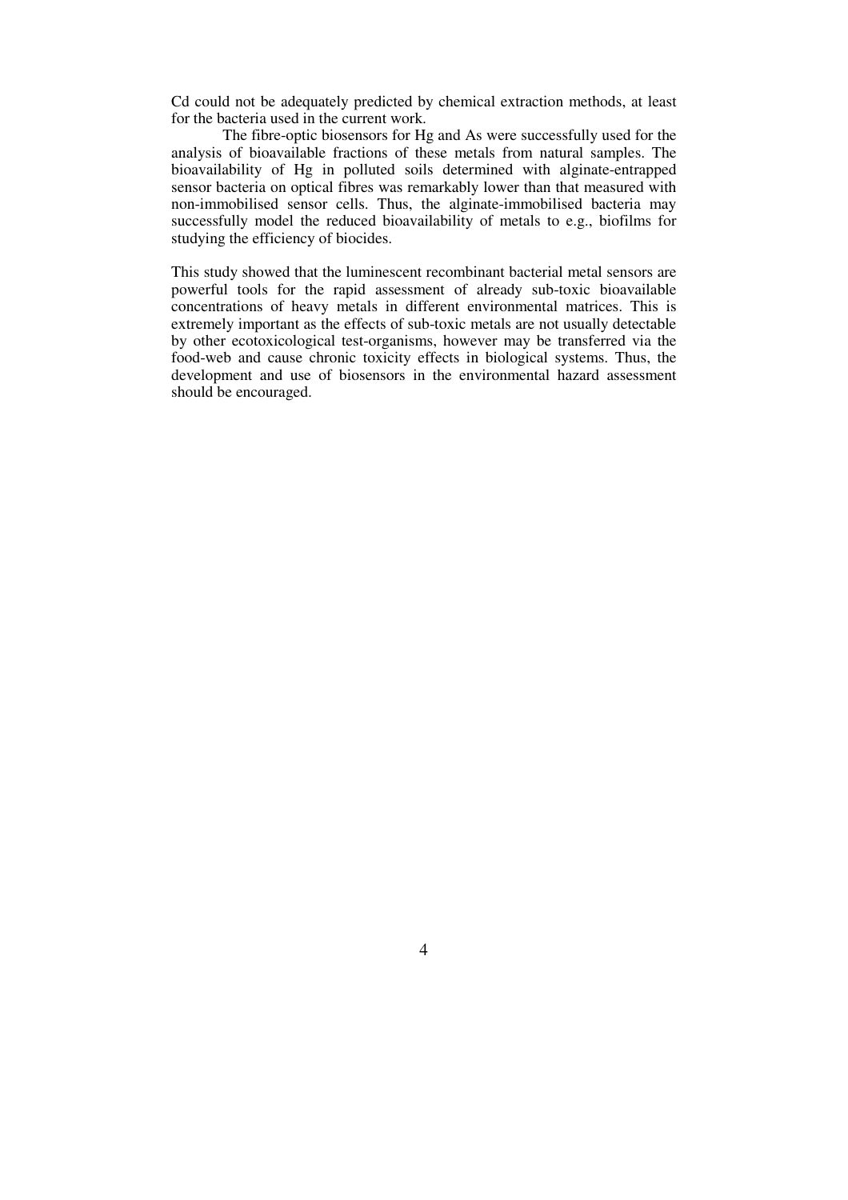Cd could not be adequately predicted by chemical extraction methods, at least for the bacteria used in the current work.

The fibre-optic biosensors for Hg and As were successfully used for the analysis of bioavailable fractions of these metals from natural samples. The bioavailability of Hg in polluted soils determined with alginate-entrapped sensor bacteria on optical fibres was remarkably lower than that measured with non-immobilised sensor cells. Thus, the alginate-immobilised bacteria may successfully model the reduced bioavailability of metals to e.g., biofilms for studying the efficiency of biocides.

This study showed that the luminescent recombinant bacterial metal sensors are powerful tools for the rapid assessment of already sub-toxic bioavailable concentrations of heavy metals in different environmental matrices. This is extremely important as the effects of sub-toxic metals are not usually detectable by other ecotoxicological test-organisms, however may be transferred via the food-web and cause chronic toxicity effects in biological systems. Thus, the development and use of biosensors in the environmental hazard assessment should be encouraged.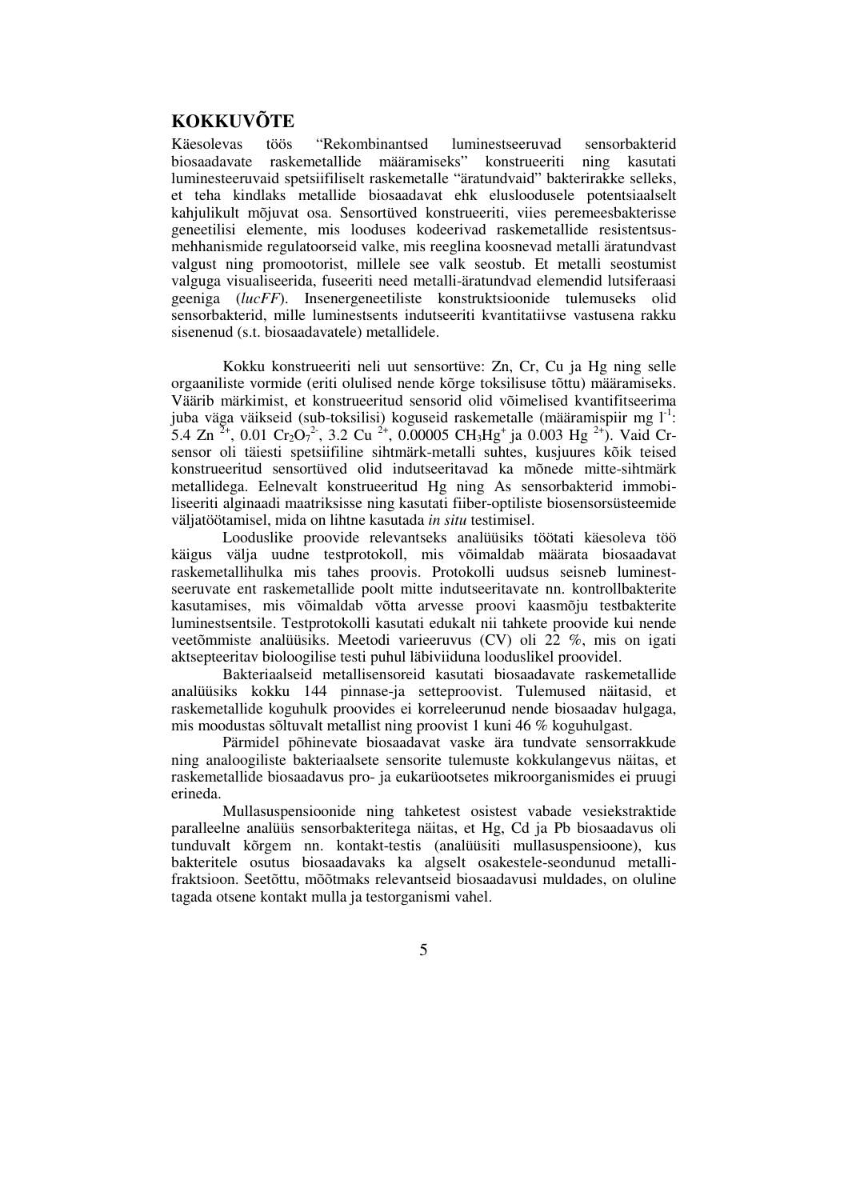## **KOKKUVÕTE**

Käesolevas töös "Rekombinantsed luminestseeruvad sensorbakterid biosaadavate raskemetallide määramiseks" konstrueeriti ning kasutati luminesteeruvaid spetsiifiliselt raskemetalle "äratundvaid" bakterirakke selleks, et teha kindlaks metallide biosaadavat ehk elusloodusele potentsiaalselt kahjulikult mõjuvat osa. Sensortüved konstrueeriti, viies peremeesbakterisse geneetilisi elemente, mis looduses kodeerivad raskemetallide resistentsusmehhanismide regulatoorseid valke, mis reeglina koosnevad metalli äratundvast valgust ning promootorist, millele see valk seostub. Et metalli seostumist valguga visualiseerida, fuseeriti need metalli-äratundvad elemendid lutsiferaasi geeniga (*lucFF*). Insenergeneetiliste konstruktsioonide tulemuseks olid sensorbakterid, mille luminestsents indutseeriti kvantitatiivse vastusena rakku sisenenud (s.t. biosaadavatele) metallidele.

Kokku konstrueeriti neli uut sensortüve: Zn, Cr, Cu ja Hg ning selle orgaaniliste vormide (eriti olulised nende kõrge toksilisuse tõttu) määramiseks. Väärib märkimist, et konstrueeritud sensorid olid võimelised kvantifitseerima juba väga väikseid (sub-toksilisi) koguseid raskemetalle (määramispiir mg  $I^{-1}$ : 5.4 Zn<sup>2+</sup>, 0.01 Cr<sub>2</sub>O<sub>7</sub><sup>2</sup>, 3.2 Cu<sup>2+</sup>, 0.00005 CH<sub>3</sub>Hg<sup>+</sup> ja 0.003 Hg<sup>2+</sup>). Vaid Crsensor oli täiesti spetsiifiline sihtmärk-metalli suhtes, kusjuures kõik teised konstrueeritud sensortüved olid indutseeritavad ka mõnede mitte-sihtmärk metallidega. Eelnevalt konstrueeritud Hg ning As sensorbakterid immobiliseeriti alginaadi maatriksisse ning kasutati fiiber-optiliste biosensorsüsteemide väljatöötamisel, mida on lihtne kasutada *in situ* testimisel.

Looduslike proovide relevantseks analüüsiks töötati käesoleva töö käigus välja uudne testprotokoll, mis võimaldab määrata biosaadavat raskemetallihulka mis tahes proovis. Protokolli uudsus seisneb luminestseeruvate ent raskemetallide poolt mitte indutseeritavate nn. kontrollbakterite kasutamises, mis võimaldab võtta arvesse proovi kaasmõju testbakterite luminestsentsile. Testprotokolli kasutati edukalt nii tahkete proovide kui nende veetõmmiste analüüsiks. Meetodi varieeruvus (CV) oli 22 %, mis on igati aktsepteeritav bioloogilise testi puhul läbiviiduna looduslikel proovidel.

 Bakteriaalseid metallisensoreid kasutati biosaadavate raskemetallide analüüsiks kokku 144 pinnase-ja setteproovist. Tulemused näitasid, et raskemetallide koguhulk proovides ei korreleerunud nende biosaadav hulgaga, mis moodustas sõltuvalt metallist ning proovist 1 kuni 46 % koguhulgast.

Pärmidel põhinevate biosaadavat vaske ära tundvate sensorrakkude ning analoogiliste bakteriaalsete sensorite tulemuste kokkulangevus näitas, et raskemetallide biosaadavus pro- ja eukarüootsetes mikroorganismides ei pruugi erineda.

 Mullasuspensioonide ning tahketest osistest vabade vesiekstraktide paralleelne analüüs sensorbakteritega näitas, et Hg, Cd ja Pb biosaadavus oli tunduvalt kõrgem nn. kontakt-testis (analüüsiti mullasuspensioone), kus bakteritele osutus biosaadavaks ka algselt osakestele-seondunud metallifraktsioon. Seetõttu, mõõtmaks relevantseid biosaadavusi muldades, on oluline tagada otsene kontakt mulla ja testorganismi vahel.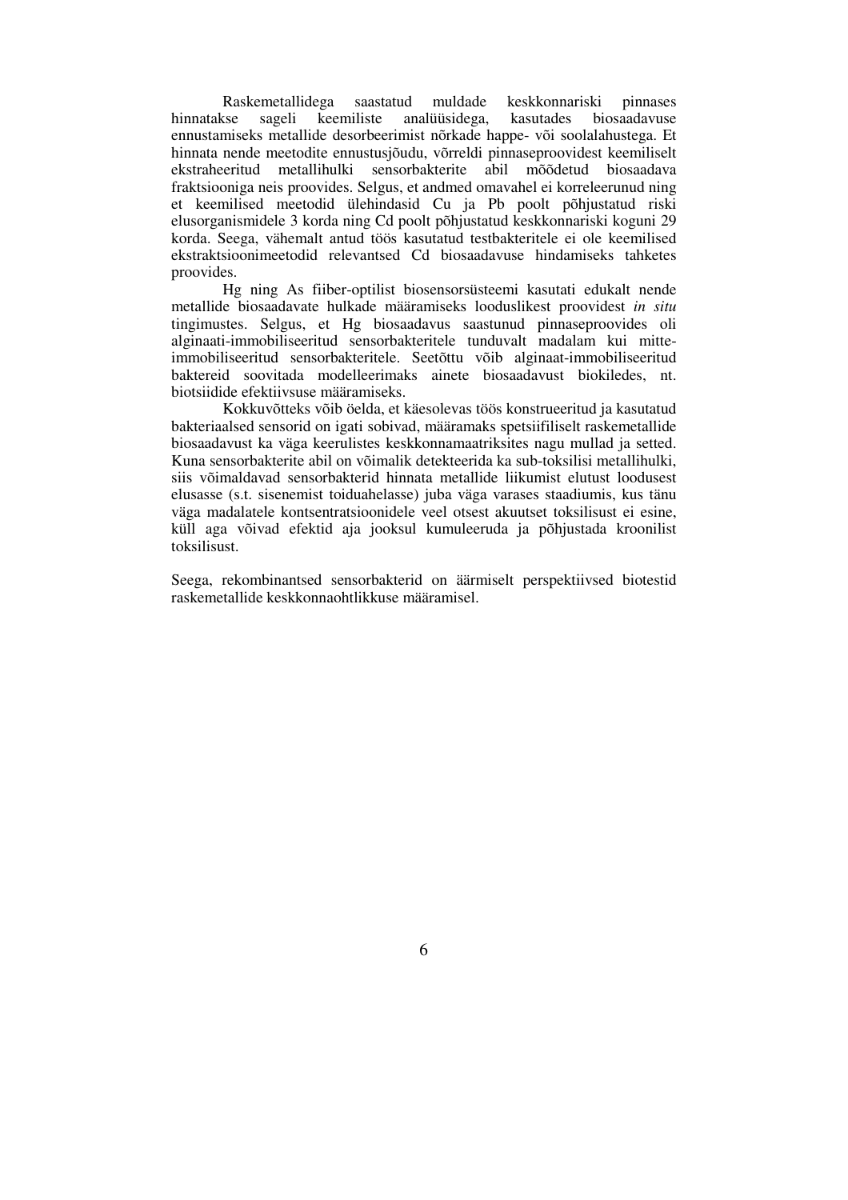Raskemetallidega saastatud muldade keskkonnariski pinnases hinnatakse sageli keemiliste analüüsidega, kasutades biosaadavuse ennustamiseks metallide desorbeerimist nõrkade happe- või soolalahustega. Et hinnata nende meetodite ennustusjõudu, võrreldi pinnaseproovidest keemiliselt ekstraheeritud metallihulki sensorbakterite abil mõõdetud biosaadava fraktsiooniga neis proovides. Selgus, et andmed omavahel ei korreleerunud ning et keemilised meetodid ülehindasid Cu ja Pb poolt põhjustatud riski elusorganismidele 3 korda ning Cd poolt põhjustatud keskkonnariski koguni 29 korda. Seega, vähemalt antud töös kasutatud testbakteritele ei ole keemilised ekstraktsioonimeetodid relevantsed Cd biosaadavuse hindamiseks tahketes proovides.

 Hg ning As fiiber-optilist biosensorsüsteemi kasutati edukalt nende metallide biosaadavate hulkade määramiseks looduslikest proovidest *in situ*  tingimustes. Selgus, et Hg biosaadavus saastunud pinnaseproovides oli alginaati-immobiliseeritud sensorbakteritele tunduvalt madalam kui mitteimmobiliseeritud sensorbakteritele. Seetõttu võib alginaat-immobiliseeritud baktereid soovitada modelleerimaks ainete biosaadavust biokiledes, nt. biotsiidide efektiivsuse määramiseks.

 Kokkuvõtteks võib öelda, et käesolevas töös konstrueeritud ja kasutatud bakteriaalsed sensorid on igati sobivad, määramaks spetsiifiliselt raskemetallide biosaadavust ka väga keerulistes keskkonnamaatriksites nagu mullad ja setted. Kuna sensorbakterite abil on võimalik detekteerida ka sub-toksilisi metallihulki, siis võimaldavad sensorbakterid hinnata metallide liikumist elutust loodusest elusasse (s.t. sisenemist toiduahelasse) juba väga varases staadiumis, kus tänu väga madalatele kontsentratsioonidele veel otsest akuutset toksilisust ei esine, küll aga võivad efektid aja jooksul kumuleeruda ja põhjustada kroonilist toksilisust.

Seega, rekombinantsed sensorbakterid on äärmiselt perspektiivsed biotestid raskemetallide keskkonnaohtlikkuse määramisel.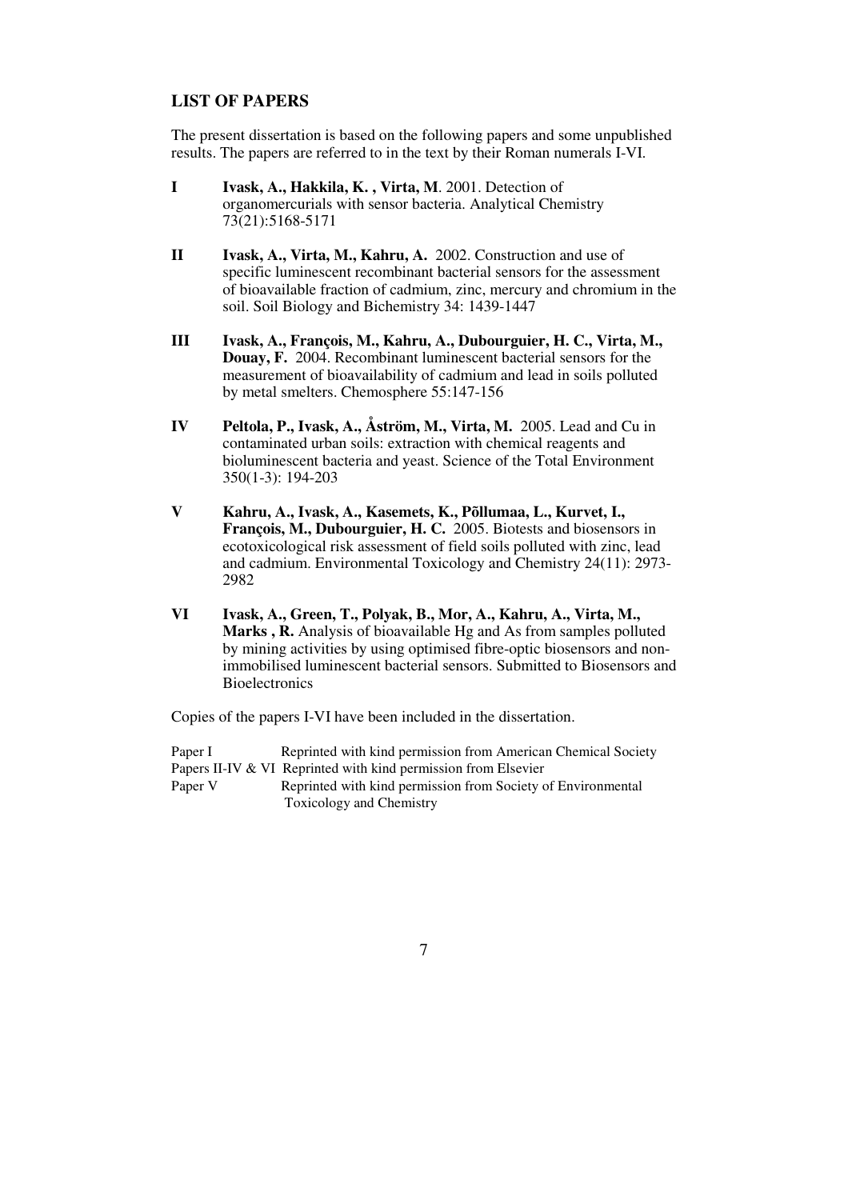## **LIST OF PAPERS**

The present dissertation is based on the following papers and some unpublished results. The papers are referred to in the text by their Roman numerals I-VI.

- **I Ivask, A., Hakkila, K. , Virta, M**. 2001. Detection of organomercurials with sensor bacteria. Analytical Chemistry 73(21):5168-5171
- **II Ivask, A., Virta, M., Kahru, A.** 2002. Construction and use of specific luminescent recombinant bacterial sensors for the assessment of bioavailable fraction of cadmium, zinc, mercury and chromium in the soil. Soil Biology and Bichemistry 34: 1439-1447
- **III Ivask, A., François, M., Kahru, A., Dubourguier, H. C., Virta, M., Douay, F.** 2004. Recombinant luminescent bacterial sensors for the measurement of bioavailability of cadmium and lead in soils polluted by metal smelters. Chemosphere 55:147-156
- **IV Peltola, P., Ivask, A., Åström, M., Virta, M.** 2005. Lead and Cu in contaminated urban soils: extraction with chemical reagents and bioluminescent bacteria and yeast. Science of the Total Environment 350(1-3): 194-203
- **V Kahru, A., Ivask, A., Kasemets, K., Põllumaa, L., Kurvet, I., François, M., Dubourguier, H. C.** 2005. Biotests and biosensors in ecotoxicological risk assessment of field soils polluted with zinc, lead and cadmium. Environmental Toxicology and Chemistry 24(11): 2973- 2982
- **VI Ivask, A., Green, T., Polyak, B., Mor, A., Kahru, A., Virta, M.,**  Marks, R. Analysis of bioavailable Hg and As from samples polluted by mining activities by using optimised fibre-optic biosensors and nonimmobilised luminescent bacterial sensors. Submitted to Biosensors and **Bioelectronics**

Copies of the papers I-VI have been included in the dissertation.

| Paper I | Reprinted with kind permission from American Chemical Society  |
|---------|----------------------------------------------------------------|
|         | Papers II-IV & VI Reprinted with kind permission from Elsevier |
| Paper V | Reprinted with kind permission from Society of Environmental   |
|         | Toxicology and Chemistry                                       |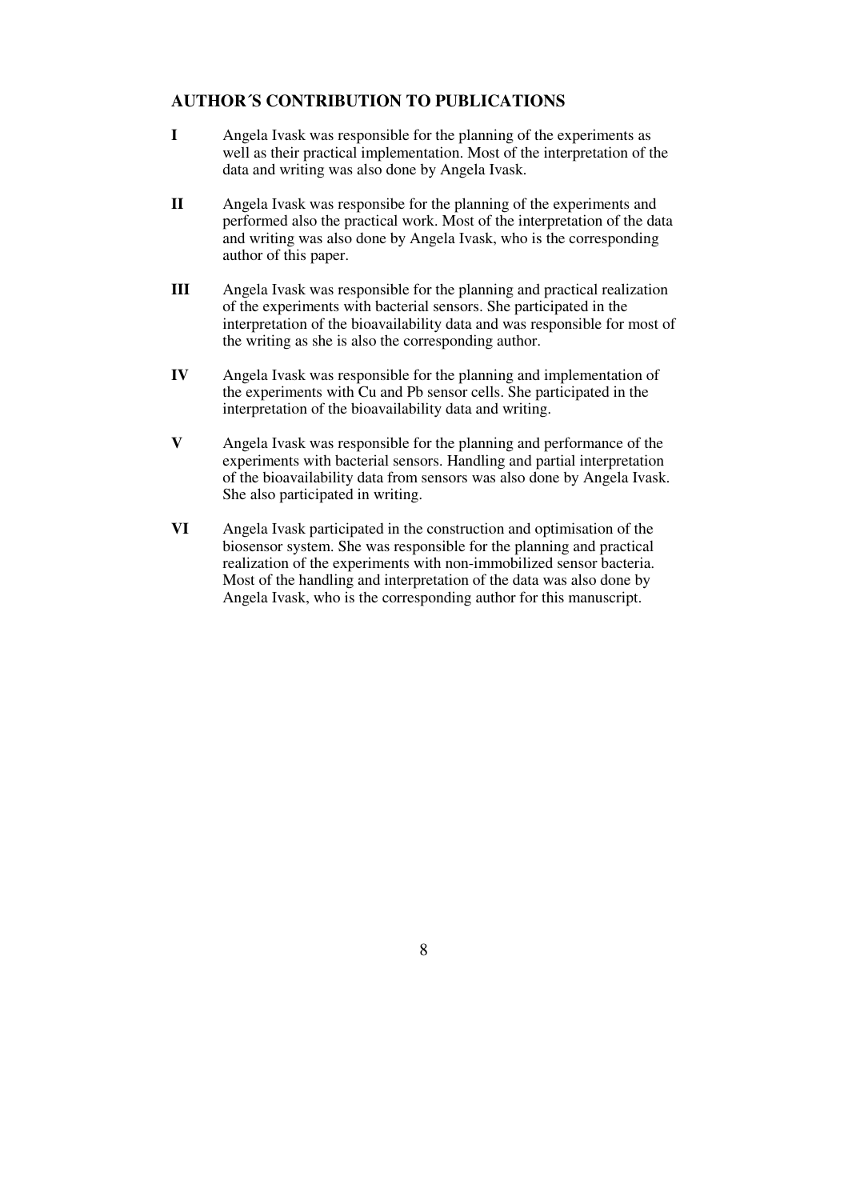## **AUTHOR´S CONTRIBUTION TO PUBLICATIONS**

- **I** Angela Ivask was responsible for the planning of the experiments as well as their practical implementation. Most of the interpretation of the data and writing was also done by Angela Ivask.
- **II** Angela Ivask was responsibe for the planning of the experiments and performed also the practical work. Most of the interpretation of the data and writing was also done by Angela Ivask, who is the corresponding author of this paper.
- **III** Angela Ivask was responsible for the planning and practical realization of the experiments with bacterial sensors. She participated in the interpretation of the bioavailability data and was responsible for most of the writing as she is also the corresponding author.
- **IV** Angela Ivask was responsible for the planning and implementation of the experiments with Cu and Pb sensor cells. She participated in the interpretation of the bioavailability data and writing.
- **V** Angela Ivask was responsible for the planning and performance of the experiments with bacterial sensors. Handling and partial interpretation of the bioavailability data from sensors was also done by Angela Ivask. She also participated in writing.
- **VI** Angela Ivask participated in the construction and optimisation of the biosensor system. She was responsible for the planning and practical realization of the experiments with non-immobilized sensor bacteria. Most of the handling and interpretation of the data was also done by Angela Ivask, who is the corresponding author for this manuscript.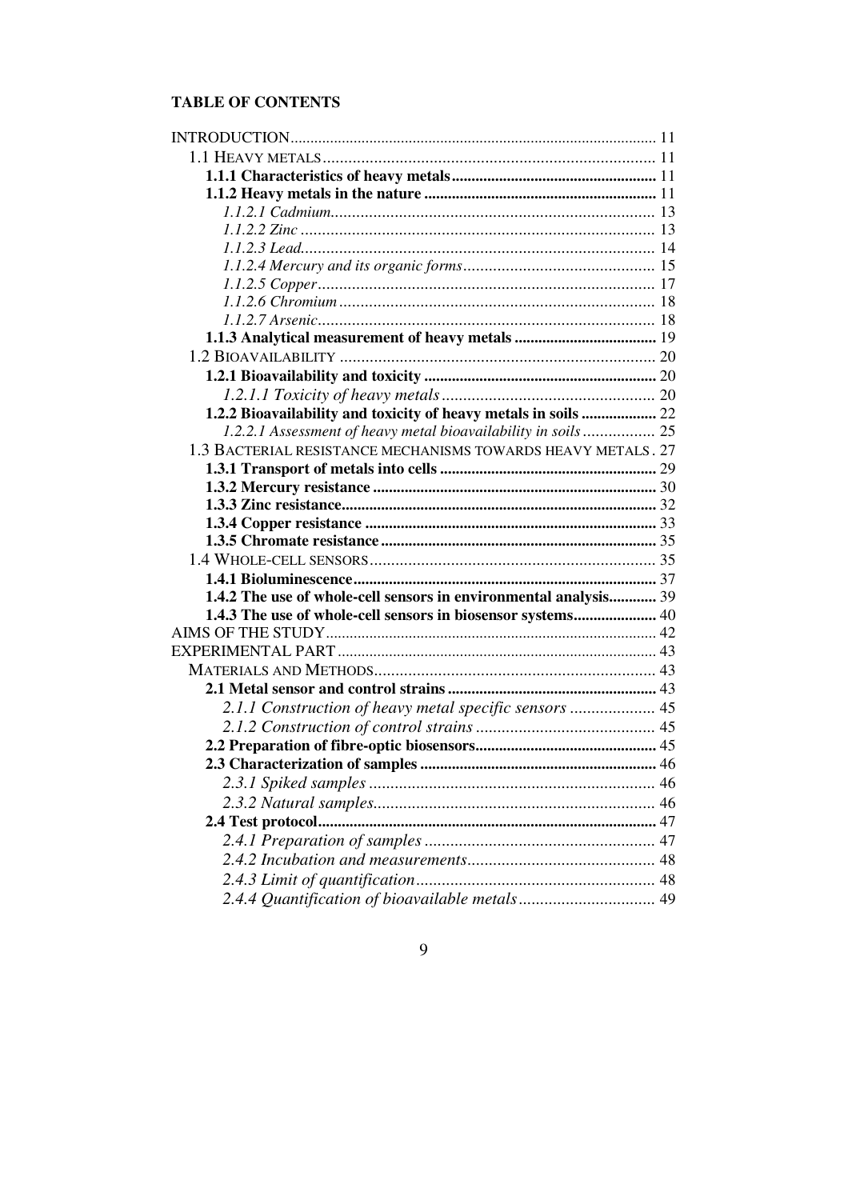# **TABLE OF CONTENTS**

| 1.2.2 Bioavailability and toxicity of heavy metals in soils  22  |  |
|------------------------------------------------------------------|--|
| 1.2.2.1 Assessment of heavy metal bioavailability in soils 25    |  |
| 1.3 BACTERIAL RESISTANCE MECHANISMS TOWARDS HEAVY METALS. 27     |  |
|                                                                  |  |
|                                                                  |  |
|                                                                  |  |
|                                                                  |  |
|                                                                  |  |
|                                                                  |  |
|                                                                  |  |
| 1.4.2 The use of whole-cell sensors in environmental analysis 39 |  |
| 1.4.3 The use of whole-cell sensors in biosensor systems 40      |  |
|                                                                  |  |
|                                                                  |  |
|                                                                  |  |
|                                                                  |  |
| 2.1.1 Construction of heavy metal specific sensors  45           |  |
|                                                                  |  |
|                                                                  |  |
|                                                                  |  |
|                                                                  |  |
|                                                                  |  |
|                                                                  |  |
|                                                                  |  |
|                                                                  |  |
|                                                                  |  |
|                                                                  |  |
|                                                                  |  |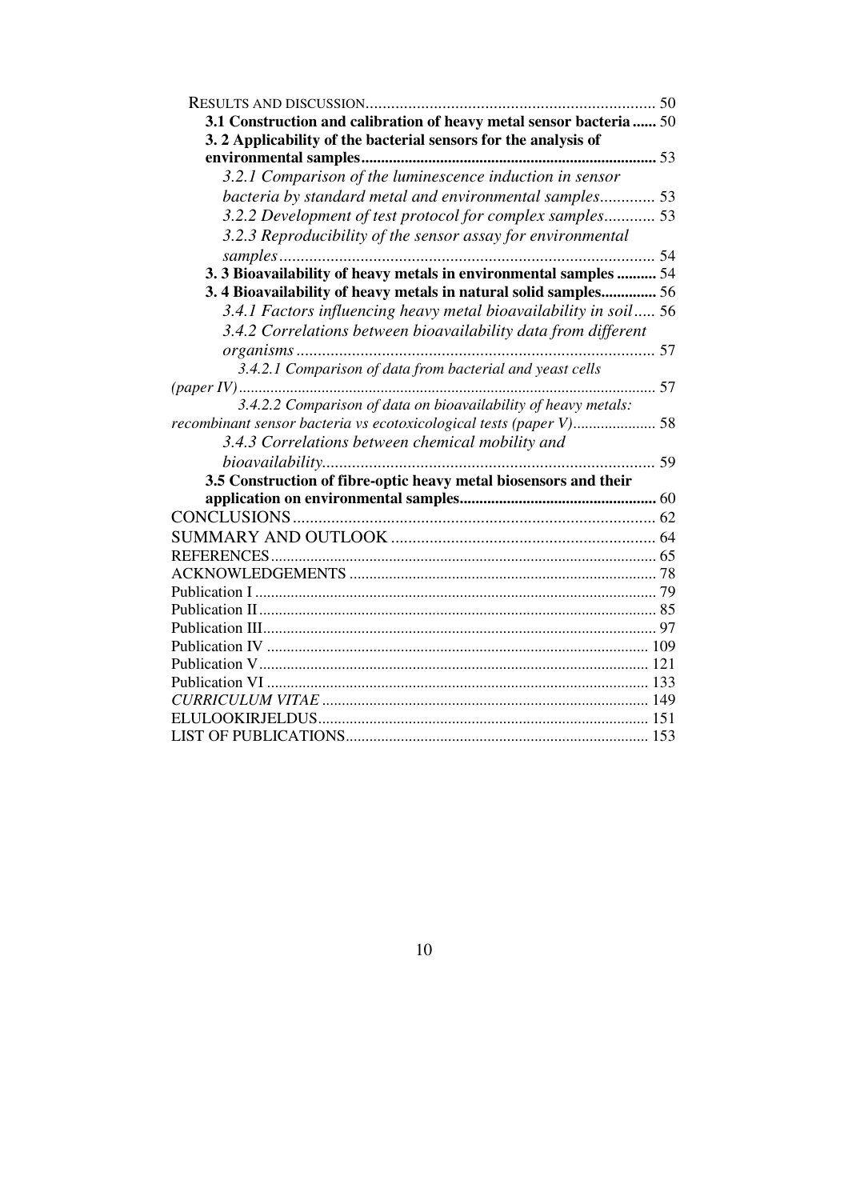| 3.1 Construction and calibration of heavy metal sensor bacteria  50 |  |
|---------------------------------------------------------------------|--|
| 3. 2 Applicability of the bacterial sensors for the analysis of     |  |
|                                                                     |  |
| 3.2.1 Comparison of the luminescence induction in sensor            |  |
| bacteria by standard metal and environmental samples 53             |  |
| 3.2.2 Development of test protocol for complex samples 53           |  |
| 3.2.3 Reproducibility of the sensor assay for environmental         |  |
|                                                                     |  |
| 3. 3 Bioavailability of heavy metals in environmental samples  54   |  |
| 3.4 Bioavailability of heavy metals in natural solid samples 56     |  |
| 3.4.1 Factors influencing heavy metal bioavailability in soil 56    |  |
| 3.4.2 Correlations between bioavailability data from different      |  |
|                                                                     |  |
| 3.4.2.1 Comparison of data from bacterial and yeast cells           |  |
|                                                                     |  |
| 3.4.2.2 Comparison of data on bioavailability of heavy metals:      |  |
| recombinant sensor bacteria vs ecotoxicological tests (paper V) 58  |  |
| 3.4.3 Correlations between chemical mobility and                    |  |
|                                                                     |  |
| 3.5 Construction of fibre-optic heavy metal biosensors and their    |  |
|                                                                     |  |
|                                                                     |  |
|                                                                     |  |
|                                                                     |  |
|                                                                     |  |
|                                                                     |  |
|                                                                     |  |
|                                                                     |  |
|                                                                     |  |
|                                                                     |  |
|                                                                     |  |
|                                                                     |  |
|                                                                     |  |
|                                                                     |  |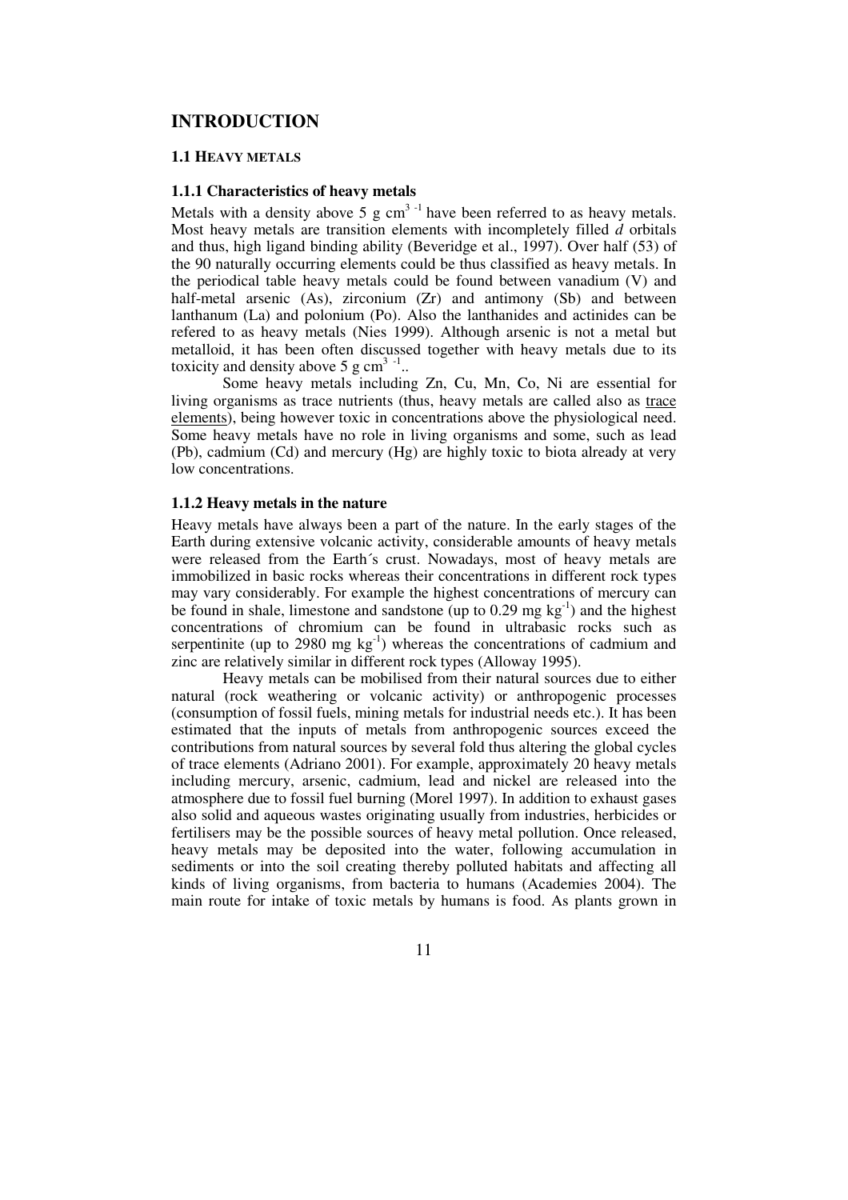## **INTRODUCTION**

### **1.1 HEAVY METALS**

#### **1.1.1 Characteristics of heavy metals**

Metals with a density above 5 g  $cm<sup>3-1</sup>$  have been referred to as heavy metals. Most heavy metals are transition elements with incompletely filled *d* orbitals and thus, high ligand binding ability (Beveridge et al., 1997). Over half (53) of the 90 naturally occurring elements could be thus classified as heavy metals. In the periodical table heavy metals could be found between vanadium (V) and half-metal arsenic (As), zirconium (Zr) and antimony (Sb) and between lanthanum (La) and polonium (Po). Also the lanthanides and actinides can be refered to as heavy metals (Nies 1999). Although arsenic is not a metal but metalloid, it has been often discussed together with heavy metals due to its toxicity and density above 5 g cm<sup>3-1</sup>..

Some heavy metals including Zn, Cu, Mn, Co, Ni are essential for living organisms as trace nutrients (thus, heavy metals are called also as trace elements), being however toxic in concentrations above the physiological need. Some heavy metals have no role in living organisms and some, such as lead (Pb), cadmium (Cd) and mercury (Hg) are highly toxic to biota already at very low concentrations.

#### **1.1.2 Heavy metals in the nature**

Heavy metals have always been a part of the nature. In the early stages of the Earth during extensive volcanic activity, considerable amounts of heavy metals were released from the Earth´s crust. Nowadays, most of heavy metals are immobilized in basic rocks whereas their concentrations in different rock types may vary considerably. For example the highest concentrations of mercury can be found in shale, limestone and sandstone (up to  $0.29 \text{ mg kg}^{-1}$ ) and the highest concentrations of chromium can be found in ultrabasic rocks such as serpentinite (up to 2980 mg  $kg^{-1}$ ) whereas the concentrations of cadmium and zinc are relatively similar in different rock types (Alloway 1995).

Heavy metals can be mobilised from their natural sources due to either natural (rock weathering or volcanic activity) or anthropogenic processes (consumption of fossil fuels, mining metals for industrial needs etc.). It has been estimated that the inputs of metals from anthropogenic sources exceed the contributions from natural sources by several fold thus altering the global cycles of trace elements (Adriano 2001). For example, approximately 20 heavy metals including mercury, arsenic, cadmium, lead and nickel are released into the atmosphere due to fossil fuel burning (Morel 1997). In addition to exhaust gases also solid and aqueous wastes originating usually from industries, herbicides or fertilisers may be the possible sources of heavy metal pollution. Once released, heavy metals may be deposited into the water, following accumulation in sediments or into the soil creating thereby polluted habitats and affecting all kinds of living organisms, from bacteria to humans (Academies 2004). The main route for intake of toxic metals by humans is food. As plants grown in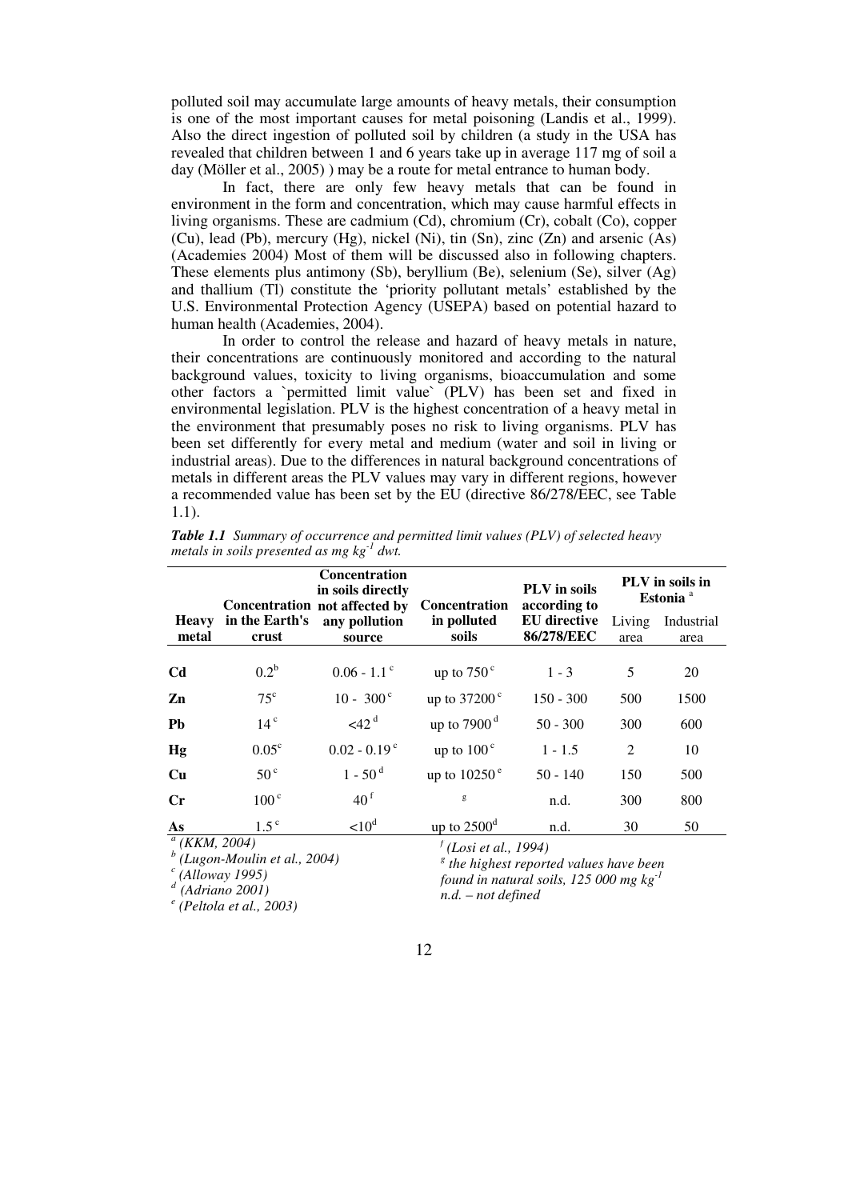polluted soil may accumulate large amounts of heavy metals, their consumption is one of the most important causes for metal poisoning (Landis et al., 1999). Also the direct ingestion of polluted soil by children (a study in the USA has revealed that children between 1 and 6 years take up in average 117 mg of soil a day (Möller et al., 2005) ) may be a route for metal entrance to human body.

In fact, there are only few heavy metals that can be found in environment in the form and concentration, which may cause harmful effects in living organisms. These are cadmium (Cd), chromium (Cr), cobalt (Co), copper (Cu), lead (Pb), mercury (Hg), nickel (Ni), tin (Sn), zinc (Zn) and arsenic (As) (Academies 2004) Most of them will be discussed also in following chapters. These elements plus antimony (Sb), beryllium (Be), selenium (Se), silver (Ag) and thallium (Tl) constitute the 'priority pollutant metals' established by the U.S. Environmental Protection Agency (USEPA) based on potential hazard to human health (Academies, 2004).

In order to control the release and hazard of heavy metals in nature, their concentrations are continuously monitored and according to the natural background values, toxicity to living organisms, bioaccumulation and some other factors a `permitted limit value` (PLV) has been set and fixed in environmental legislation. PLV is the highest concentration of a heavy metal in the environment that presumably poses no risk to living organisms. PLV has been set differently for every metal and medium (water and soil in living or industrial areas). Due to the differences in natural background concentrations of metals in different areas the PLV values may vary in different regions, however a recommended value has been set by the EU (directive 86/278/EEC, see Table 1.1).

|                           |                         | <b>Concentration</b><br>in soils directly<br>Concentration not affected by | <b>Concentration</b>             | PLV in soils<br>according to      | PLV in soils in<br>Estonia <sup>a</sup> |                    |
|---------------------------|-------------------------|----------------------------------------------------------------------------|----------------------------------|-----------------------------------|-----------------------------------------|--------------------|
| <b>Heavy</b><br>metal     | in the Earth's<br>crust | any pollution<br>source                                                    | in polluted<br>soils             | <b>EU</b> directive<br>86/278/EEC | Living<br>area                          | Industrial<br>area |
| C <sub>d</sub>            | $0.2^{\rm b}$           | $0.06 - 1.1$ <sup>c</sup>                                                  | up to $750^{\circ}$              | $1 - 3$                           | 5                                       | 20                 |
| Zn                        | $75^{\circ}$            | $10 - 300^{\circ}$                                                         | up to $37200^{\circ}$            | $150 - 300$                       | 500                                     | 1500               |
| Pb                        | 14 <sup>c</sup>         | $<$ 42 $d$                                                                 | up to $7900d$                    | $50 - 300$                        | 300                                     | 600                |
| Hg                        | $0.05^{\circ}$          | $0.02 - 0.19$ <sup>c</sup>                                                 | up to $100^{\circ}$              | $1 - 1.5$                         | 2                                       | 10                 |
| Cu                        | $50^{\circ}$            | $1 - 50^{d}$                                                               | up to $10250^{\circ}$            | $50 - 140$                        | 150                                     | 500                |
| Cr                        | 100 <sup>c</sup>        | 40 <sup>f</sup>                                                            | g                                | n.d.                              | 300                                     | 800                |
| As                        | $1.5^\circ$             | < 10 <sup>d</sup>                                                          | up to $2500^d$                   | n.d.                              | 30                                      | 50                 |
| $\frac{a}{a}$ (KKM, 2004) |                         |                                                                            | <sup>†</sup> (Losi et al. 1994). |                                   |                                         |                    |

*Table 1.1 Summary of occurrence and permitted limit values (PLV) of selected heavy metals in soils presented as mg kg-1 dwt.* 

*b (Lugon-Moulin et al., 2004)* 

*c (Alloway 1995)* 

*<sup>d</sup>(Adriano 2001)* 

*e (Peltola et al., 2003)* 

*f (Losi et al., 1994)*

*g the highest reported values have been found in natural soils, 125 000 mg kg*<sup>-1</sup> *n.d. – not defined*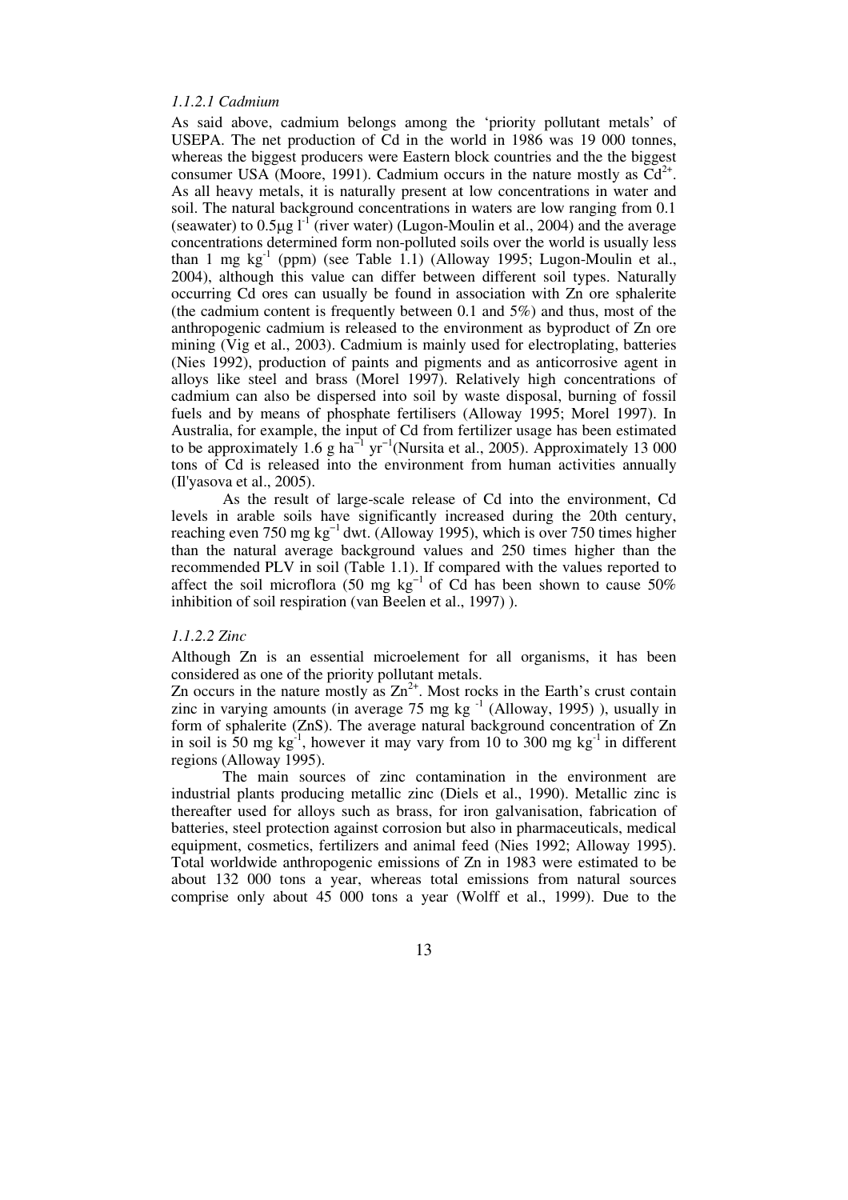#### *1.1.2.1 Cadmium*

As said above, cadmium belongs among the 'priority pollutant metals' of USEPA. The net production of Cd in the world in 1986 was 19 000 tonnes, whereas the biggest producers were Eastern block countries and the the biggest consumer USA (Moore, 1991). Cadmium occurs in the nature mostly as  $Cd^{2+}$ . As all heavy metals, it is naturally present at low concentrations in water and soil. The natural background concentrations in waters are low ranging from 0.1 (seawater) to  $0.5\mu g I^{-1}$  (river water) (Lugon-Moulin et al., 2004) and the average concentrations determined form non-polluted soils over the world is usually less than 1 mg  $kg^{-1}$  (ppm) (see Table 1.1) (Alloway 1995; Lugon-Moulin et al., 2004), although this value can differ between different soil types. Naturally occurring Cd ores can usually be found in association with Zn ore sphalerite (the cadmium content is frequently between 0.1 and 5%) and thus, most of the anthropogenic cadmium is released to the environment as byproduct of Zn ore mining (Vig et al., 2003). Cadmium is mainly used for electroplating, batteries (Nies 1992), production of paints and pigments and as anticorrosive agent in alloys like steel and brass (Morel 1997). Relatively high concentrations of cadmium can also be dispersed into soil by waste disposal, burning of fossil fuels and by means of phosphate fertilisers (Alloway 1995; Morel 1997). In Australia, for example, the input of Cd from fertilizer usage has been estimated to be approximately 1.6 g ha<sup> $-1$ </sup> yr<sup> $-1$ </sup>(Nursita et al., 2005). Approximately 13 000 tons of Cd is released into the environment from human activities annually (Il'yasova et al., 2005).

As the result of large-scale release of Cd into the environment, Cd levels in arable soils have significantly increased during the 20th century, reaching even 750 mg kg<sup>-1</sup> dwt. (Alloway 1995), which is over 750 times higher than the natural average background values and 250 times higher than the recommended PLV in soil (Table 1.1). If compared with the values reported to affect the soil microflora (50 mg kg<sup>-1</sup> of Cd has been shown to cause 50% inhibition of soil respiration (van Beelen et al., 1997) ).

#### *1.1.2.2 Zinc*

Although Zn is an essential microelement for all organisms, it has been considered as one of the priority pollutant metals.

Zn occurs in the nature mostly as  $\text{Zn}^{2+}$ . Most rocks in the Earth's crust contain zinc in varying amounts (in average 75 mg kg $^{-1}$  (Alloway, 1995)), usually in form of sphalerite (ZnS). The average natural background concentration of Zn in soil is 50 mg kg<sup>-1</sup>, however it may vary from 10 to 300 mg kg<sup>-1</sup> in different regions (Alloway 1995).

The main sources of zinc contamination in the environment are industrial plants producing metallic zinc (Diels et al., 1990). Metallic zinc is thereafter used for alloys such as brass, for iron galvanisation, fabrication of batteries, steel protection against corrosion but also in pharmaceuticals, medical equipment, cosmetics, fertilizers and animal feed (Nies 1992; Alloway 1995). Total worldwide anthropogenic emissions of Zn in 1983 were estimated to be about 132 000 tons a year, whereas total emissions from natural sources comprise only about 45 000 tons a year (Wolff et al., 1999). Due to the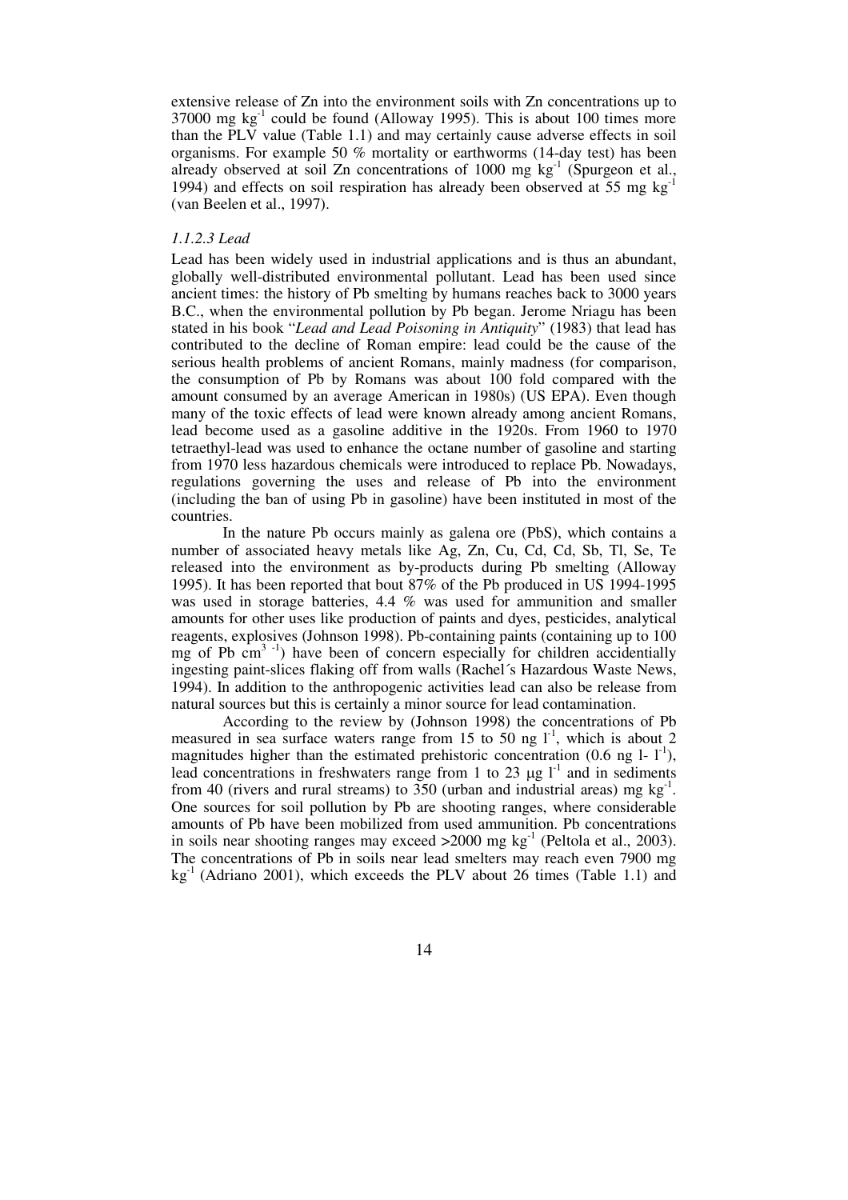extensive release of Zn into the environment soils with Zn concentrations up to  $37000$  mg kg<sup>-1</sup> could be found (Alloway 1995). This is about 100 times more than the PLV value (Table 1.1) and may certainly cause adverse effects in soil organisms. For example 50 % mortality or earthworms (14-day test) has been already observed at soil Zn concentrations of 1000 mg  $kg^{-1}$  (Spurgeon et al., 1994) and effects on soil respiration has already been observed at 55 mg kg-1 (van Beelen et al., 1997).

#### *1.1.2.3 Lead*

Lead has been widely used in industrial applications and is thus an abundant, globally well-distributed environmental pollutant. Lead has been used since ancient times: the history of Pb smelting by humans reaches back to 3000 years B.C., when the environmental pollution by Pb began. Jerome Nriagu has been stated in his book "*Lead and Lead Poisoning in Antiquity*" (1983) that lead has contributed to the decline of Roman empire: lead could be the cause of the serious health problems of ancient Romans, mainly madness (for comparison, the consumption of Pb by Romans was about 100 fold compared with the amount consumed by an average American in 1980s) (US EPA). Even though many of the toxic effects of lead were known already among ancient Romans, lead become used as a gasoline additive in the 1920s. From 1960 to 1970 tetraethyl-lead was used to enhance the octane number of gasoline and starting from 1970 less hazardous chemicals were introduced to replace Pb. Nowadays, regulations governing the uses and release of Pb into the environment (including the ban of using Pb in gasoline) have been instituted in most of the countries.

In the nature Pb occurs mainly as galena ore (PbS), which contains a number of associated heavy metals like Ag, Zn, Cu, Cd, Cd, Sb, Tl, Se, Te released into the environment as by-products during Pb smelting (Alloway 1995). It has been reported that bout 87% of the Pb produced in US 1994-1995 was used in storage batteries, 4.4 % was used for ammunition and smaller amounts for other uses like production of paints and dyes, pesticides, analytical reagents, explosives (Johnson 1998). Pb-containing paints (containing up to 100 mg of Pb  $\text{cm}^{3}$ <sup>-1</sup>) have been of concern especially for children accidentially ingesting paint-slices flaking off from walls (Rachel´s Hazardous Waste News, 1994). In addition to the anthropogenic activities lead can also be release from natural sources but this is certainly a minor source for lead contamination.

According to the review by (Johnson 1998) the concentrations of Pb measured in sea surface waters range from 15 to 50 ng  $1^{-1}$ , which is about 2 magnitudes higher than the estimated prehistoric concentration (0.6 ng l- $1^{-1}$ ), lead concentrations in freshwaters range from 1 to 23  $\mu$ g l<sup>-1</sup> and in sediments from 40 (rivers and rural streams) to  $350$  (urban and industrial areas) mg kg<sup>-1</sup>. One sources for soil pollution by Pb are shooting ranges, where considerable amounts of Pb have been mobilized from used ammunition. Pb concentrations in soils near shooting ranges may exceed  $>2000$  mg kg<sup>-1</sup> (Peltola et al., 2003). The concentrations of Pb in soils near lead smelters may reach even 7900 mg  $kg<sup>-1</sup>$  (Adriano 2001), which exceeds the PLV about 26 times (Table 1.1) and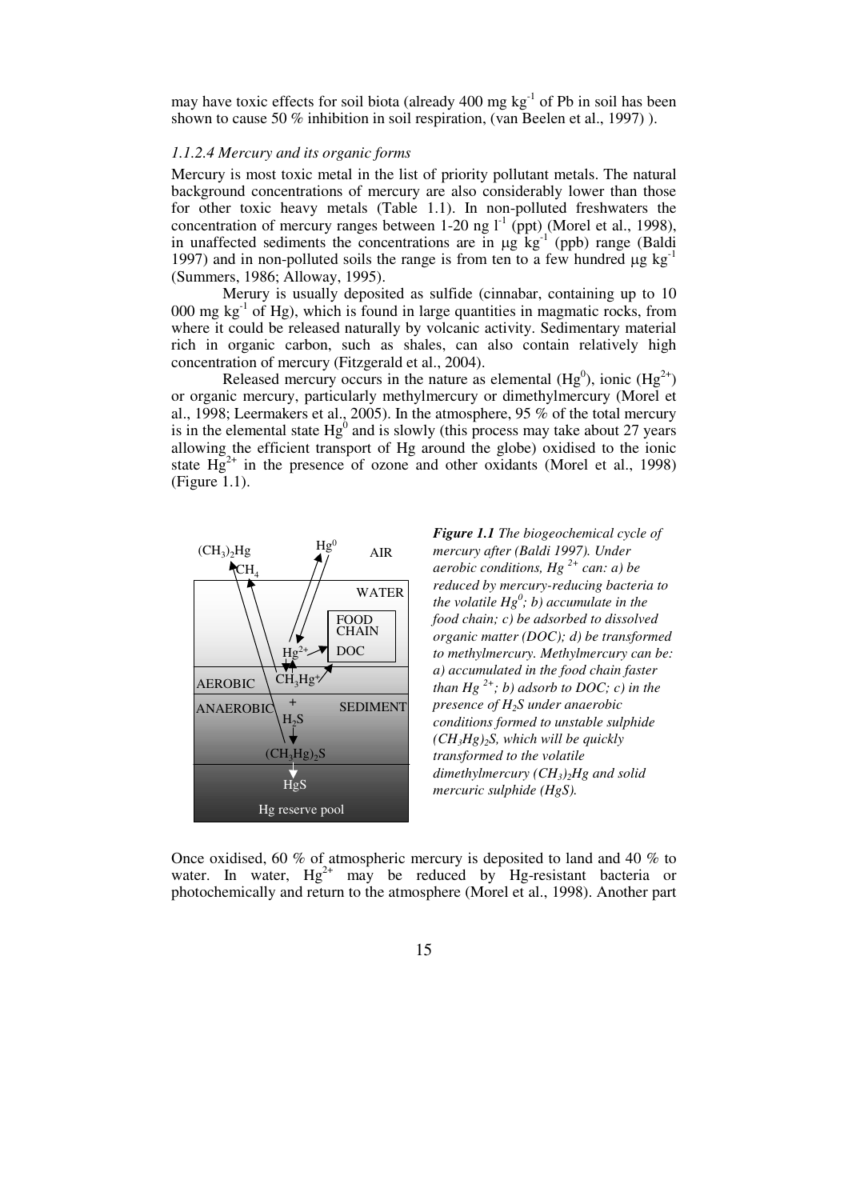may have toxic effects for soil biota (already 400 mg  $kg<sup>-1</sup>$  of Pb in soil has been shown to cause 50 % inhibition in soil respiration, (van Beelen et al., 1997) ).

#### *1.1.2.4 Mercury and its organic forms*

Mercury is most toxic metal in the list of priority pollutant metals. The natural background concentrations of mercury are also considerably lower than those for other toxic heavy metals (Table 1.1). In non-polluted freshwaters the concentration of mercury ranges between 1-20 ng  $l^{-1}$  (ppt) (Morel et al., 1998), in unaffected sediments the concentrations are in  $\mu$ g kg<sup>-1</sup> (ppb) range (Baldi 1997) and in non-polluted soils the range is from ten to a few hundred  $\mu$ g kg<sup>-1</sup> (Summers, 1986; Alloway, 1995).

Merury is usually deposited as sulfide (cinnabar, containing up to 10 000 mg  $kg^{-1}$  of Hg), which is found in large quantities in magmatic rocks, from where it could be released naturally by volcanic activity. Sedimentary material rich in organic carbon, such as shales, can also contain relatively high concentration of mercury (Fitzgerald et al., 2004).

Released mercury occurs in the nature as elemental  $(Hg^0)$ , ionic  $(Hg^{2+})$ or organic mercury, particularly methylmercury or dimethylmercury (Morel et al., 1998; Leermakers et al., 2005). In the atmosphere, 95 % of the total mercury is in the elemental state  $Hg^0$  and is slowly (this process may take about 27 years allowing the efficient transport of Hg around the globe) oxidised to the ionic state  $Hg^{2+}$  in the presence of ozone and other oxidants (Morel et al., 1998) (Figure 1.1).



*Figure 1.1 The biogeochemical cycle of mercury after (Baldi 1997). Under aerobic conditions, Hg 2+ can: a) be reduced by mercury-reducing bacteria to the volatile Hg<sup>0</sup> ; b) accumulate in the food chain; c) be adsorbed to dissolved organic matter (DOC); d) be transformed to methylmercury. Methylmercury can be: a) accumulated in the food chain faster than Hg*<sup> $2+$ </sup>; *b*) *adsorb to DOC*; *c*) *in the presence of H2S under anaerobic conditions formed to unstable sulphide (CH3Hg)2S, which will be quickly transformed to the volatile dimethylmercury (CH3)2Hg and solid mercuric sulphide (HgS).*

Once oxidised, 60 % of atmospheric mercury is deposited to land and 40 % to water. In water,  $Hg^{2+}$  may be reduced by Hg-resistant bacteria or photochemically and return to the atmosphere (Morel et al., 1998). Another part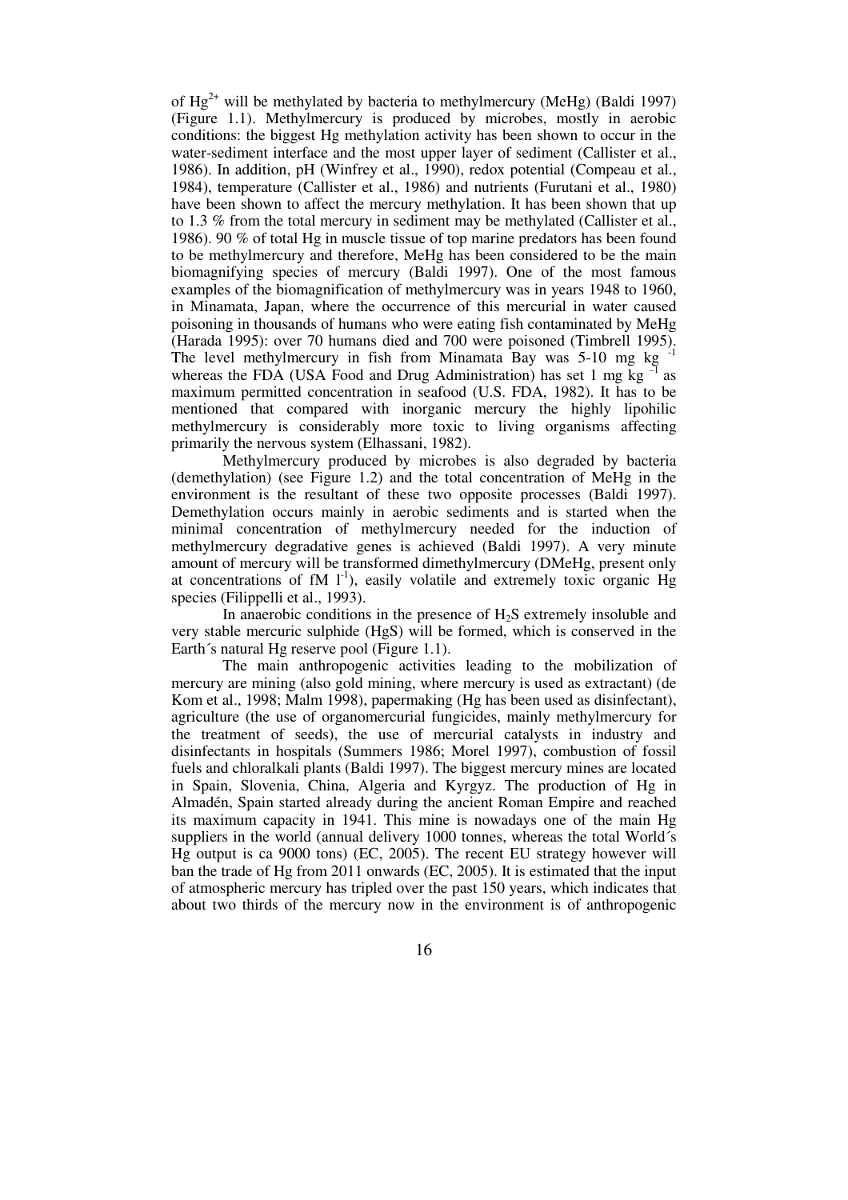of  $Hg^{2+}$  will be methylated by bacteria to methylmercury (MeHg) (Baldi 1997) (Figure 1.1). Methylmercury is produced by microbes, mostly in aerobic conditions: the biggest Hg methylation activity has been shown to occur in the water-sediment interface and the most upper layer of sediment (Callister et al., 1986). In addition, pH (Winfrey et al., 1990), redox potential (Compeau et al., 1984), temperature (Callister et al., 1986) and nutrients (Furutani et al., 1980) have been shown to affect the mercury methylation. It has been shown that up to 1.3 % from the total mercury in sediment may be methylated (Callister et al., 1986). 90 % of total Hg in muscle tissue of top marine predators has been found to be methylmercury and therefore, MeHg has been considered to be the main biomagnifying species of mercury (Baldi 1997). One of the most famous examples of the biomagnification of methylmercury was in years 1948 to 1960, in Minamata, Japan, where the occurrence of this mercurial in water caused poisoning in thousands of humans who were eating fish contaminated by MeHg (Harada 1995): over 70 humans died and 700 were poisoned (Timbrell 1995). The level methylmercury in fish from Minamata Bay was  $5-10$  mg kg<sup>-1</sup> whereas the FDA (USA Food and Drug Administration) has set 1 mg kg  $^{-1}$  as maximum permitted concentration in seafood (U.S. FDA, 1982). It has to be mentioned that compared with inorganic mercury the highly lipohilic methylmercury is considerably more toxic to living organisms affecting primarily the nervous system (Elhassani, 1982).

Methylmercury produced by microbes is also degraded by bacteria (demethylation) (see Figure 1.2) and the total concentration of MeHg in the environment is the resultant of these two opposite processes (Baldi 1997). Demethylation occurs mainly in aerobic sediments and is started when the minimal concentration of methylmercury needed for the induction of methylmercury degradative genes is achieved (Baldi 1997). A very minute amount of mercury will be transformed dimethylmercury (DMeHg, present only at concentrations of  $[M]$ <sup>1</sup>), easily volatile and extremely toxic organic Hg species (Filippelli et al., 1993).

In anaerobic conditions in the presence of  $H_2S$  extremely insoluble and very stable mercuric sulphide (HgS) will be formed, which is conserved in the Earth´s natural Hg reserve pool (Figure 1.1).

The main anthropogenic activities leading to the mobilization of mercury are mining (also gold mining, where mercury is used as extractant) (de Kom et al., 1998; Malm 1998), papermaking (Hg has been used as disinfectant), agriculture (the use of organomercurial fungicides, mainly methylmercury for the treatment of seeds), the use of mercurial catalysts in industry and disinfectants in hospitals (Summers 1986; Morel 1997), combustion of fossil fuels and chloralkali plants (Baldi 1997). The biggest mercury mines are located in Spain, Slovenia, China, Algeria and Kyrgyz. The production of Hg in Almadén, Spain started already during the ancient Roman Empire and reached its maximum capacity in 1941. This mine is nowadays one of the main Hg suppliers in the world (annual delivery 1000 tonnes, whereas the total World´s Hg output is ca 9000 tons) (EC, 2005). The recent EU strategy however will ban the trade of Hg from 2011 onwards (EC, 2005). It is estimated that the input of atmospheric mercury has tripled over the past 150 years, which indicates that about two thirds of the mercury now in the environment is of anthropogenic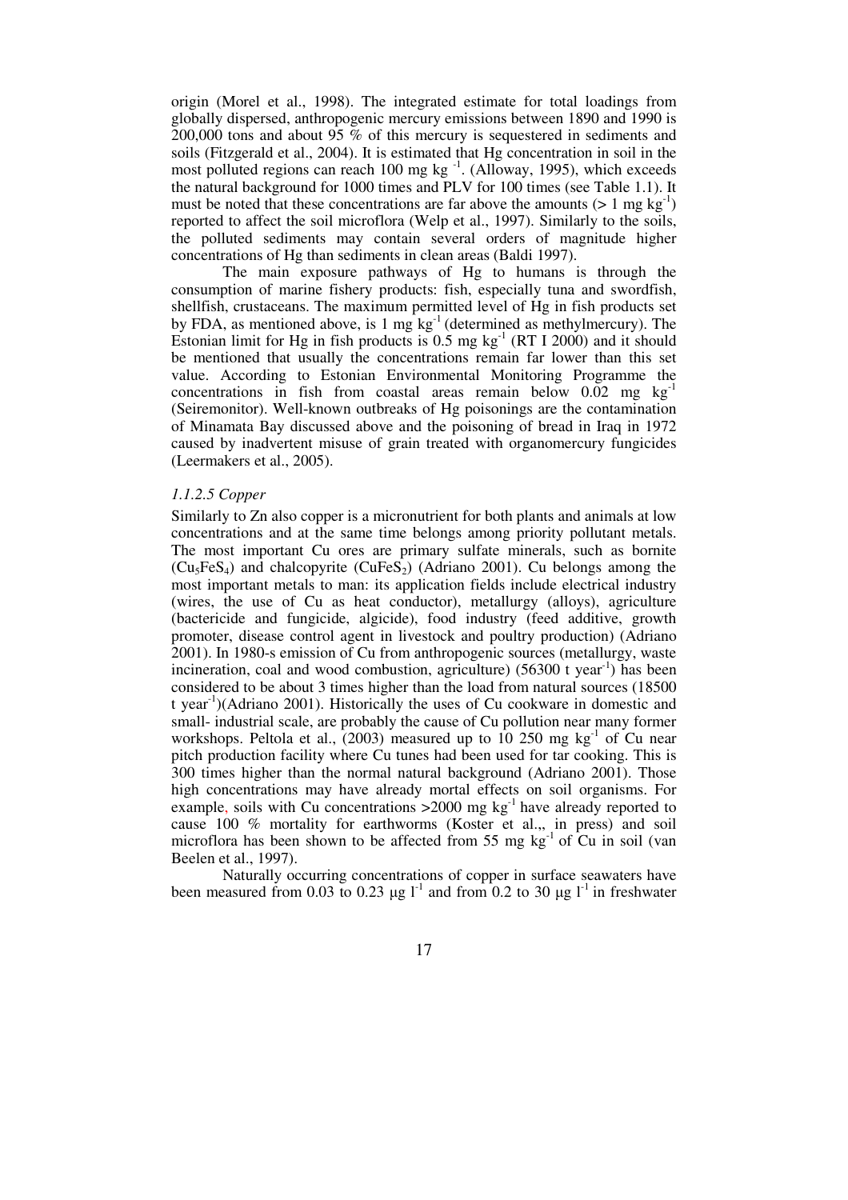origin (Morel et al., 1998). The integrated estimate for total loadings from globally dispersed, anthropogenic mercury emissions between 1890 and 1990 is 200,000 tons and about 95 % of this mercury is sequestered in sediments and soils (Fitzgerald et al., 2004). It is estimated that Hg concentration in soil in the most polluted regions can reach 100 mg kg $^{-1}$ . (Alloway, 1995), which exceeds the natural background for 1000 times and PLV for 100 times (see Table 1.1). It must be noted that these concentrations are far above the amounts ( $> 1$  mg kg<sup>-1</sup>) reported to affect the soil microflora (Welp et al., 1997). Similarly to the soils, the polluted sediments may contain several orders of magnitude higher concentrations of Hg than sediments in clean areas (Baldi 1997).

The main exposure pathways of Hg to humans is through the consumption of marine fishery products: fish, especially tuna and swordfish, shellfish, crustaceans. The maximum permitted level of Hg in fish products set by FDA, as mentioned above, is 1 mg  $kg^{-1}$  (determined as methylmercury). The Estonian limit for Hg in fish products is  $0.5 \text{ mg kg}^{-1}$  (RT I 2000) and it should be mentioned that usually the concentrations remain far lower than this set value. According to Estonian Environmental Monitoring Programme the concentrations in fish from coastal areas remain below  $0.02$  mg  $\text{kg}^{-1}$ (Seiremonitor). Well-known outbreaks of Hg poisonings are the contamination of Minamata Bay discussed above and the poisoning of bread in Iraq in 1972 caused by inadvertent misuse of grain treated with organomercury fungicides (Leermakers et al., 2005).

#### *1.1.2.5 Copper*

Similarly to Zn also copper is a micronutrient for both plants and animals at low concentrations and at the same time belongs among priority pollutant metals. The most important Cu ores are primary sulfate minerals, such as bornite  $(Cu_5FeS_4)$  and chalcopyrite  $(CuFeS_2)$  (Adriano 2001). Cu belongs among the most important metals to man: its application fields include electrical industry (wires, the use of Cu as heat conductor), metallurgy (alloys), agriculture (bactericide and fungicide, algicide), food industry (feed additive, growth promoter, disease control agent in livestock and poultry production) (Adriano 2001). In 1980-s emission of Cu from anthropogenic sources (metallurgy, waste incineration, coal and wood combustion, agriculture) (56300 t year<sup>-1</sup>) has been considered to be about 3 times higher than the load from natural sources (18500 t year-1)(Adriano 2001). Historically the uses of Cu cookware in domestic and small- industrial scale, are probably the cause of Cu pollution near many former workshops. Peltola et al., (2003) measured up to 10 250 mg  $kg^{-1}$  of Cu near pitch production facility where Cu tunes had been used for tar cooking. This is 300 times higher than the normal natural background (Adriano 2001). Those high concentrations may have already mortal effects on soil organisms. For example, soils with Cu concentrations >2000 mg kg<sup>-1</sup> have already reported to cause 100 % mortality for earthworms (Koster et al.,, in press) and soil microflora has been shown to be affected from 55 mg  $kg^{-1}$  of Cu in soil (van Beelen et al., 1997).

Naturally occurring concentrations of copper in surface seawaters have been measured from 0.03 to 0.23  $\mu$ g l<sup>-1</sup> and from 0.2 to 30  $\mu$ g l<sup>-1</sup> in freshwater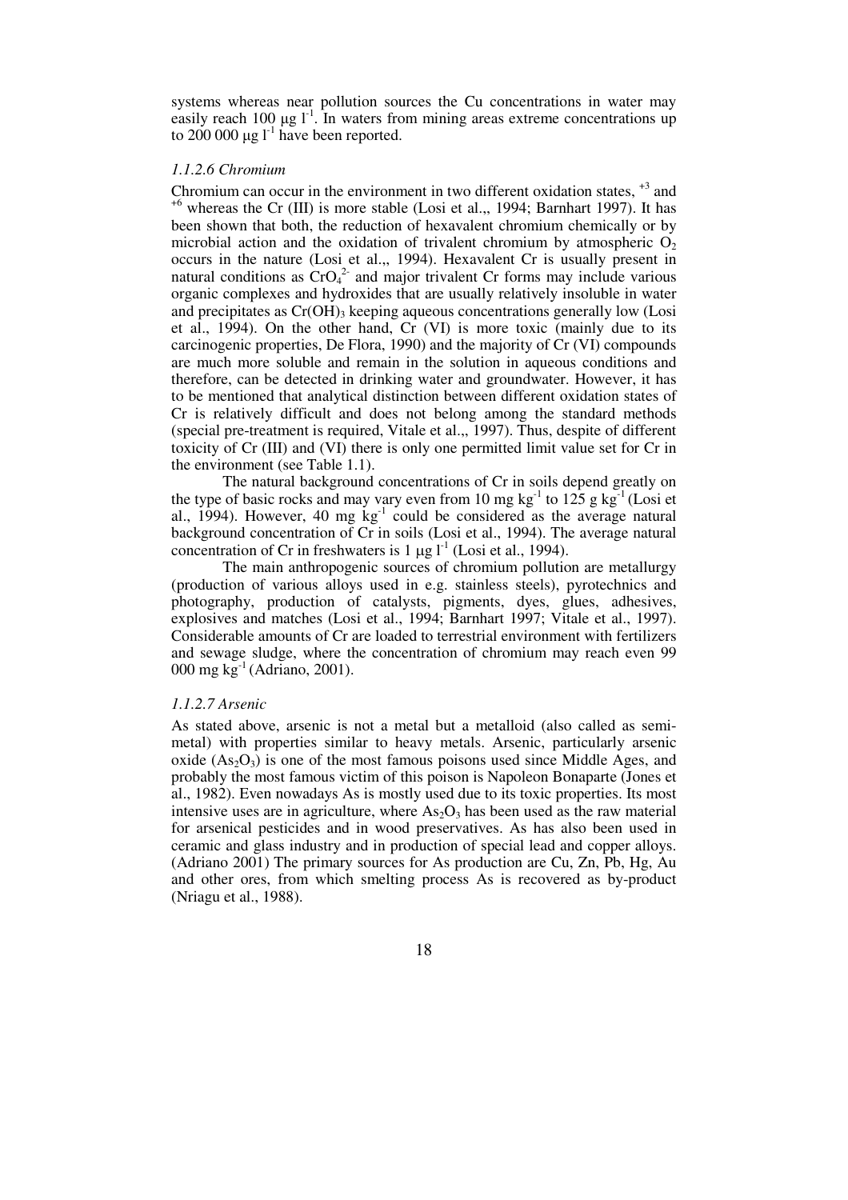systems whereas near pollution sources the Cu concentrations in water may easily reach 100  $\mu$ g l<sup>-1</sup>. In waters from mining areas extreme concentrations up to  $200\,000\,\mu g\,l^{-1}$  have been reported.

#### *1.1.2.6 Chromium*

Chromium can occur in the environment in two different oxidation states, +3 and  $+6$  whereas the Cr (III) is more stable (Losi et al.,, 1994; Barnhart 1997). It has been shown that both, the reduction of hexavalent chromium chemically or by microbial action and the oxidation of trivalent chromium by atmospheric  $O<sub>2</sub>$ occurs in the nature (Losi et al.,, 1994). Hexavalent Cr is usually present in natural conditions as  $CrO<sub>4</sub><sup>2</sup>$  and major trivalent Cr forms may include various organic complexes and hydroxides that are usually relatively insoluble in water and precipitates as  $Cr(OH)$ <sub>3</sub> keeping aqueous concentrations generally low (Losi et al., 1994). On the other hand, Cr (VI) is more toxic (mainly due to its carcinogenic properties, De Flora, 1990) and the majority of Cr (VI) compounds are much more soluble and remain in the solution in aqueous conditions and therefore, can be detected in drinking water and groundwater. However, it has to be mentioned that analytical distinction between different oxidation states of Cr is relatively difficult and does not belong among the standard methods (special pre-treatment is required, Vitale et al.,, 1997). Thus, despite of different toxicity of Cr (III) and (VI) there is only one permitted limit value set for Cr in the environment (see Table 1.1).

The natural background concentrations of Cr in soils depend greatly on the type of basic rocks and may vary even from 10 mg kg<sup>-1</sup> to 125 g kg<sup>-1</sup> (Losi et al., 1994). However, 40 mg  $kg^{-1}$  could be considered as the average natural background concentration of Cr in soils (Losi et al., 1994). The average natural concentration of Cr in freshwaters is 1  $\mu$ g l<sup>-1</sup> (Losi et al., 1994).

The main anthropogenic sources of chromium pollution are metallurgy (production of various alloys used in e.g. stainless steels), pyrotechnics and photography, production of catalysts, pigments, dyes, glues, adhesives, explosives and matches (Losi et al., 1994; Barnhart 1997; Vitale et al., 1997). Considerable amounts of Cr are loaded to terrestrial environment with fertilizers and sewage sludge, where the concentration of chromium may reach even 99 000 mg kg-1 (Adriano, 2001).

### *1.1.2.7 Arsenic*

As stated above, arsenic is not a metal but a metalloid (also called as semimetal) with properties similar to heavy metals. Arsenic, particularly arsenic oxide  $(As_2O_3)$  is one of the most famous poisons used since Middle Ages, and probably the most famous victim of this poison is Napoleon Bonaparte (Jones et al., 1982). Even nowadays As is mostly used due to its toxic properties. Its most intensive uses are in agriculture, where  $As<sub>2</sub>O<sub>3</sub>$  has been used as the raw material for arsenical pesticides and in wood preservatives. As has also been used in ceramic and glass industry and in production of special lead and copper alloys. (Adriano 2001) The primary sources for As production are Cu, Zn, Pb, Hg, Au and other ores, from which smelting process As is recovered as by-product (Nriagu et al., 1988).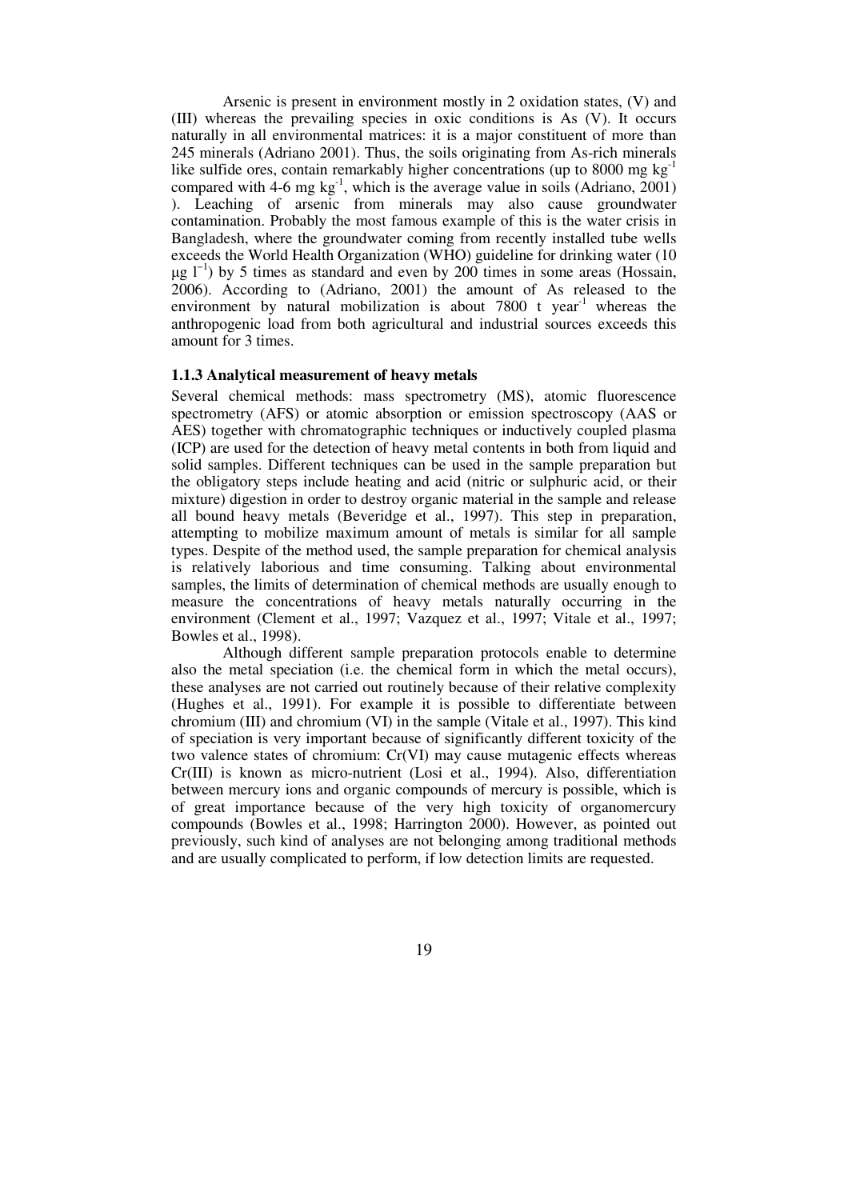Arsenic is present in environment mostly in 2 oxidation states, (V) and (III) whereas the prevailing species in oxic conditions is As (V). It occurs naturally in all environmental matrices: it is a major constituent of more than 245 minerals (Adriano 2001). Thus, the soils originating from As-rich minerals like sulfide ores, contain remarkably higher concentrations (up to 8000 mg kg<sup>-1</sup> compared with 4-6 mg  $kg^{-1}$ , which is the average value in soils (Adriano, 2001) ). Leaching of arsenic from minerals may also cause groundwater contamination. Probably the most famous example of this is the water crisis in Bangladesh, where the groundwater coming from recently installed tube wells exceeds the World Health Organization (WHO) guideline for drinking water (10  $\mu$ g l<sup>-1</sup>) by 5 times as standard and even by 200 times in some areas (Hossain, 2006). According to (Adriano, 2001) the amount of As released to the environment by natural mobilization is about  $7800$  t year<sup>-1</sup> whereas the anthropogenic load from both agricultural and industrial sources exceeds this amount for 3 times.

### **1.1.3 Analytical measurement of heavy metals**

Several chemical methods: mass spectrometry (MS), atomic fluorescence spectrometry (AFS) or atomic absorption or emission spectroscopy (AAS or AES) together with chromatographic techniques or inductively coupled plasma (ICP) are used for the detection of heavy metal contents in both from liquid and solid samples. Different techniques can be used in the sample preparation but the obligatory steps include heating and acid (nitric or sulphuric acid, or their mixture) digestion in order to destroy organic material in the sample and release all bound heavy metals (Beveridge et al., 1997). This step in preparation, attempting to mobilize maximum amount of metals is similar for all sample types. Despite of the method used, the sample preparation for chemical analysis is relatively laborious and time consuming. Talking about environmental samples, the limits of determination of chemical methods are usually enough to measure the concentrations of heavy metals naturally occurring in the environment (Clement et al., 1997; Vazquez et al., 1997; Vitale et al., 1997; Bowles et al., 1998).

Although different sample preparation protocols enable to determine also the metal speciation (i.e. the chemical form in which the metal occurs), these analyses are not carried out routinely because of their relative complexity (Hughes et al., 1991). For example it is possible to differentiate between chromium (III) and chromium (VI) in the sample (Vitale et al., 1997). This kind of speciation is very important because of significantly different toxicity of the two valence states of chromium: Cr(VI) may cause mutagenic effects whereas Cr(III) is known as micro-nutrient (Losi et al., 1994). Also, differentiation between mercury ions and organic compounds of mercury is possible, which is of great importance because of the very high toxicity of organomercury compounds (Bowles et al., 1998; Harrington 2000). However, as pointed out previously, such kind of analyses are not belonging among traditional methods and are usually complicated to perform, if low detection limits are requested.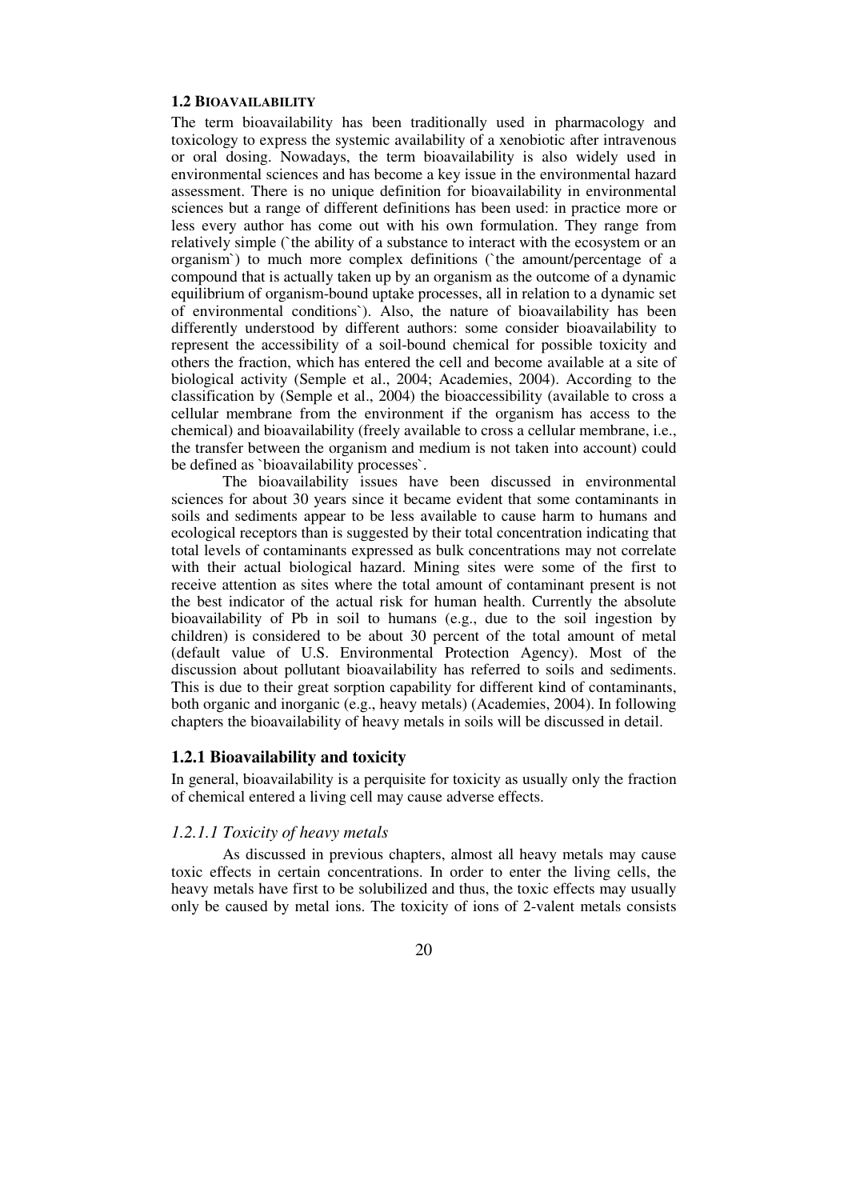### **1.2 BIOAVAILABILITY**

The term bioavailability has been traditionally used in pharmacology and toxicology to express the systemic availability of a xenobiotic after intravenous or oral dosing. Nowadays, the term bioavailability is also widely used in environmental sciences and has become a key issue in the environmental hazard assessment. There is no unique definition for bioavailability in environmental sciences but a range of different definitions has been used: in practice more or less every author has come out with his own formulation. They range from relatively simple (`the ability of a substance to interact with the ecosystem or an organism`) to much more complex definitions (`the amount/percentage of a compound that is actually taken up by an organism as the outcome of a dynamic equilibrium of organism-bound uptake processes, all in relation to a dynamic set of environmental conditions`). Also, the nature of bioavailability has been differently understood by different authors: some consider bioavailability to represent the accessibility of a soil-bound chemical for possible toxicity and others the fraction, which has entered the cell and become available at a site of biological activity (Semple et al., 2004; Academies, 2004). According to the classification by (Semple et al., 2004) the bioaccessibility (available to cross a cellular membrane from the environment if the organism has access to the chemical) and bioavailability (freely available to cross a cellular membrane, i.e., the transfer between the organism and medium is not taken into account) could be defined as `bioavailability processes`.

The bioavailability issues have been discussed in environmental sciences for about 30 years since it became evident that some contaminants in soils and sediments appear to be less available to cause harm to humans and ecological receptors than is suggested by their total concentration indicating that total levels of contaminants expressed as bulk concentrations may not correlate with their actual biological hazard. Mining sites were some of the first to receive attention as sites where the total amount of contaminant present is not the best indicator of the actual risk for human health. Currently the absolute bioavailability of Pb in soil to humans (e.g., due to the soil ingestion by children) is considered to be about 30 percent of the total amount of metal (default value of U.S. Environmental Protection Agency). Most of the discussion about pollutant bioavailability has referred to soils and sediments. This is due to their great sorption capability for different kind of contaminants, both organic and inorganic (e.g., heavy metals) (Academies, 2004). In following chapters the bioavailability of heavy metals in soils will be discussed in detail.

### **1.2.1 Bioavailability and toxicity**

In general, bioavailability is a perquisite for toxicity as usually only the fraction of chemical entered a living cell may cause adverse effects.

## *1.2.1.1 Toxicity of heavy metals*

As discussed in previous chapters, almost all heavy metals may cause toxic effects in certain concentrations. In order to enter the living cells, the heavy metals have first to be solubilized and thus, the toxic effects may usually only be caused by metal ions. The toxicity of ions of 2-valent metals consists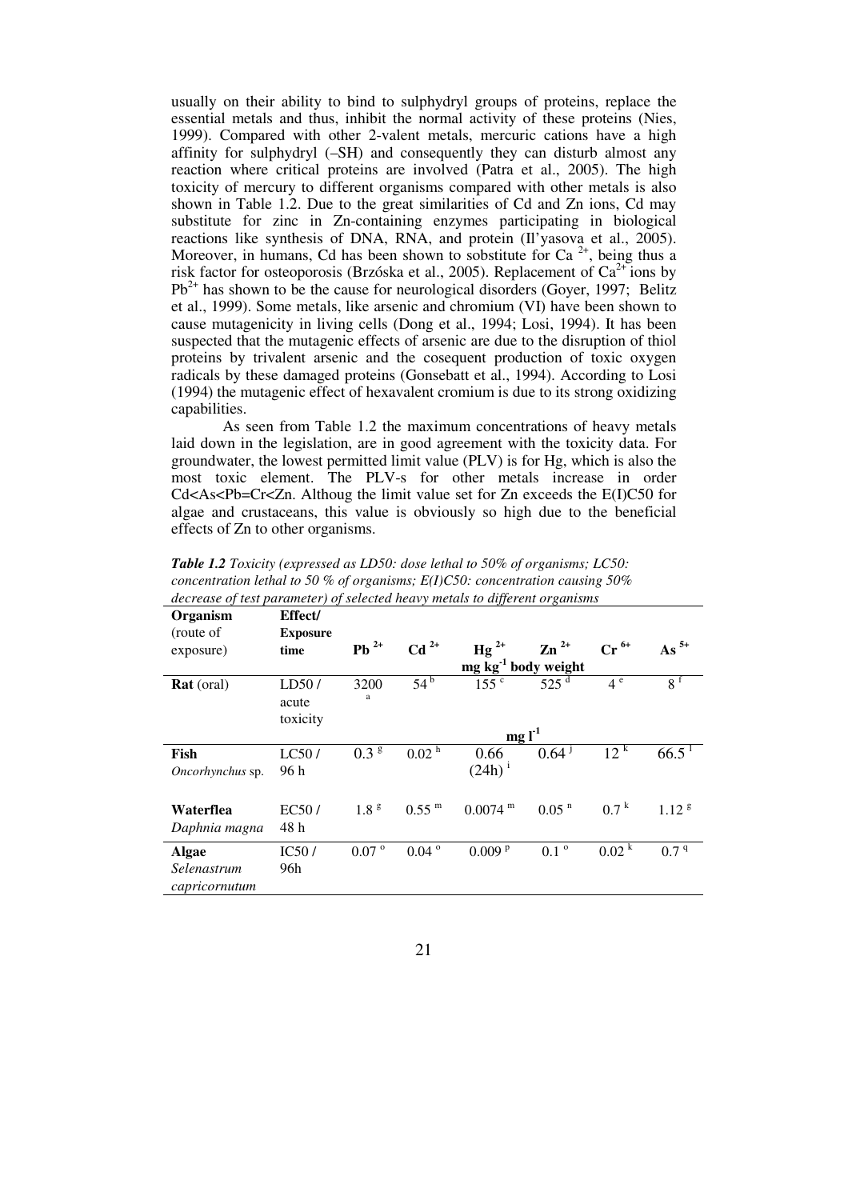usually on their ability to bind to sulphydryl groups of proteins, replace the essential metals and thus, inhibit the normal activity of these proteins (Nies, 1999). Compared with other 2-valent metals, mercuric cations have a high affinity for sulphydryl (–SH) and consequently they can disturb almost any reaction where critical proteins are involved (Patra et al., 2005). The high toxicity of mercury to different organisms compared with other metals is also shown in Table 1.2. Due to the great similarities of Cd and Zn ions, Cd may substitute for zinc in Zn-containing enzymes participating in biological reactions like synthesis of DNA, RNA, and protein (Il'yasova et al., 2005). Moreover, in humans, Cd has been shown to sobstitute for Ca<sup>2+</sup>, being thus a risk factor for osteoporosis (Brzóska et al., 2005). Replacement of  $Ca^{2+}$  ions by  $Pb^{2+}$  has shown to be the cause for neurological disorders (Goyer, 1997; Belitz et al., 1999). Some metals, like arsenic and chromium (VI) have been shown to cause mutagenicity in living cells (Dong et al., 1994; Losi, 1994). It has been suspected that the mutagenic effects of arsenic are due to the disruption of thiol proteins by trivalent arsenic and the cosequent production of toxic oxygen radicals by these damaged proteins (Gonsebatt et al., 1994). According to Losi (1994) the mutagenic effect of hexavalent cromium is due to its strong oxidizing capabilities.

As seen from Table 1.2 the maximum concentrations of heavy metals laid down in the legislation, are in good agreement with the toxicity data. For groundwater, the lowest permitted limit value (PLV) is for Hg, which is also the most toxic element. The PLV-s for other metals increase in order Cd<As<Pb=Cr<Zn. Althoug the limit value set for Zn exceeds the E(I)C50 for algae and crustaceans, this value is obviously so high due to the beneficial effects of Zn to other organisms.

| Organism<br>(route of | Effect/<br><b>Exposure</b> |                     |                       |                             |                      |                    |                   |
|-----------------------|----------------------------|---------------------|-----------------------|-----------------------------|----------------------|--------------------|-------------------|
| exposure)             | time                       | $Pb^{2+}$           | $Cd2+$                | $Hg^{2+}$                   | $\mathbb{Z}n^{2+}$   | $Cr^{6+}$          | As $5+$           |
|                       |                            |                     |                       | $mg \, kg^{-1}$ body weight |                      |                    |                   |
| <b>Rat</b> (oral)     | LD50/                      | 3200                | $54^{\mathrm{b}}$     | 155 <sup>c</sup>            | $525^{\overline{d}}$ | 4 <sup>e</sup>     | 8 <sup>f</sup>    |
|                       | acute                      | a                   |                       |                             |                      |                    |                   |
|                       | toxicity                   |                     |                       |                             |                      |                    |                   |
|                       |                            |                     |                       | $mgI^1$                     |                      |                    |                   |
| Fish                  | LC50/                      | $0.3^{\frac{2}{g}}$ | $0.02^{\overline{h}}$ | 0.66                        | 0.64 <sup>3</sup>    | 12 <sup>k</sup>    | $66.5^{\circ}$    |
| Oncorhynchus sp.      | 96 h                       |                     |                       | $(24h)^{1}$                 |                      |                    |                   |
|                       |                            |                     |                       |                             |                      |                    |                   |
| Waterflea             | EC50/                      | 1.8 <sup>g</sup>    | $0.55$ <sup>m</sup>   | $0.0074$ <sup>m</sup>       | $0.05$ <sup>n</sup>  | $0.7^{\mathrm{k}}$ | 1.12 <sup>g</sup> |
| Daphnia magna         | 48 h                       |                     |                       |                             |                      |                    |                   |
| <b>Algae</b>          | IC50/                      | $0.07$ $^{\circ}$   | $0.04$ $^{\rm o}$     | 0.009P                      | $0.1^{\circ}$        | 0.02 <sup>k</sup>  | 0.7 <sup>q</sup>  |
| Selenastrum           | 96h                        |                     |                       |                             |                      |                    |                   |
| capricornutum         |                            |                     |                       |                             |                      |                    |                   |

*Table 1.2 Toxicity (expressed as LD50: dose lethal to 50% of organisms; LC50: concentration lethal to 50 % of organisms; E(I)C50: concentration causing 50% decrease of test parameter) of selected heavy metals to different organisms*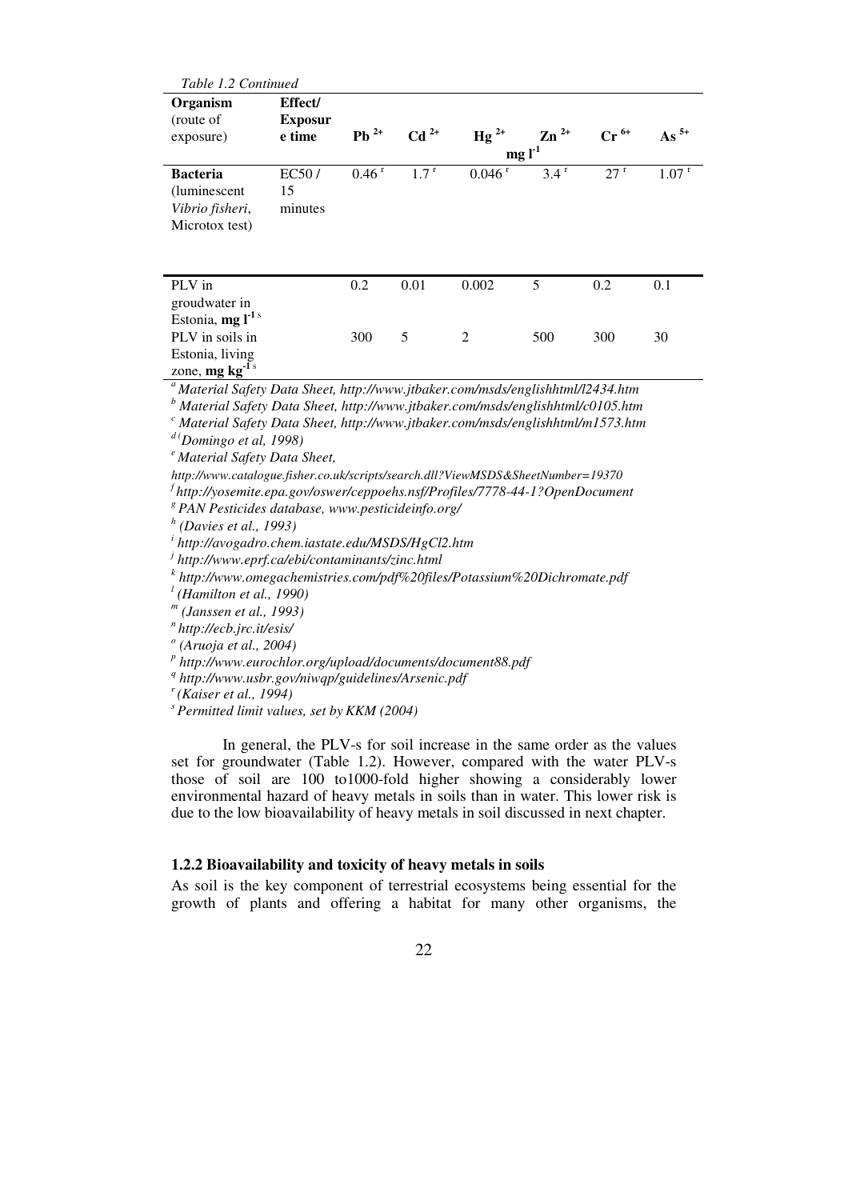| Table 1.2 Continued                                                                        |                |                     |                    |                      |           |           |                     |  |
|--------------------------------------------------------------------------------------------|----------------|---------------------|--------------------|----------------------|-----------|-----------|---------------------|--|
| Organism                                                                                   | Effect/        |                     |                    |                      |           |           |                     |  |
| (route of                                                                                  | <b>Exposur</b> |                     |                    |                      |           |           |                     |  |
| exposure)                                                                                  | e time         | $Pb^{2+}$           | $Cd2+$             | $Hg^{2+}$            | $Zn^{2+}$ | $Cr^{6+}$ | As $5+$             |  |
|                                                                                            |                | $mg l-1$            |                    |                      |           |           |                     |  |
| <b>Bacteria</b>                                                                            | EC50/          | $0.46$ <sup>r</sup> | $1.7$ <sup>r</sup> | $0.046$ <sup>r</sup> | $3.4^{T}$ | $27^{r}$  | $1.07$ <sup>r</sup> |  |
| (luminescent                                                                               | 15             |                     |                    |                      |           |           |                     |  |
| Vibrio fisheri,                                                                            | minutes        |                     |                    |                      |           |           |                     |  |
| Microtox test)                                                                             |                |                     |                    |                      |           |           |                     |  |
|                                                                                            |                |                     |                    |                      |           |           |                     |  |
|                                                                                            |                |                     |                    |                      |           |           |                     |  |
| PLV in                                                                                     |                | 0.2                 | 0.01               | 0.002                | 5         | 0.2       | 0.1                 |  |
| groudwater in                                                                              |                |                     |                    |                      |           |           |                     |  |
| Estonia, $mgI^{1s}$                                                                        |                |                     |                    |                      |           |           |                     |  |
| PLV in soils in                                                                            |                | 300                 | 5                  | $\overline{2}$       | 500       | 300       | 30                  |  |
| Estonia, living                                                                            |                |                     |                    |                      |           |           |                     |  |
| zone, mg kg                                                                                |                |                     |                    |                      |           |           |                     |  |
| <sup>a</sup> Material Safety Data Sheet, http://www.jtbaker.com/msds/englishhtml/l2434.htm |                |                     |                    |                      |           |           |                     |  |
| <sup>b</sup> Material Safety Data Sheet, http://www.jtbaker.com/msds/englishhtml/c0105.htm |                |                     |                    |                      |           |           |                     |  |
| $\epsilon$ Material Safety Data Sheet, http://www.jtbaker.com/msds/englishhtml/m1573.htm   |                |                     |                    |                      |           |           |                     |  |
| $\mu^{d}$ (Domingo et al, 1998)                                                            |                |                     |                    |                      |           |           |                     |  |
| <sup>e</sup> Material Safety Data Sheet,                                                   |                |                     |                    |                      |           |           |                     |  |
| http://www.catalogue.fisher.co.uk/scripts/search.dll?ViewMSDS&SheetNumber=19370            |                |                     |                    |                      |           |           |                     |  |
| <sup>f</sup> http://yosemite.epa.gov/oswer/ceppoehs.nsf/Profiles/7778-44-1?OpenDocument    |                |                     |                    |                      |           |           |                     |  |
| <sup>8</sup> PAN Pesticides database, www.pesticideinfo.org/                               |                |                     |                    |                      |           |           |                     |  |
| $h$ (Davies et al., 1993)                                                                  |                |                     |                    |                      |           |           |                     |  |
| <sup>i</sup> http://avogadro.chem.iastate.edu/MSDS/HgCl2.htm                               |                |                     |                    |                      |           |           |                     |  |
| <sup>j</sup> http://www.eprf.ca/ebi/contaminants/zinc.html                                 |                |                     |                    |                      |           |           |                     |  |
| $^k$ http://www.omegachemistries.com/pdf%20files/Potassium%20Dichromate.pdf                |                |                     |                    |                      |           |           |                     |  |
| $l$ (Hamilton et al., 1990)                                                                |                |                     |                    |                      |           |           |                     |  |
| $m$ (Janssen et al., 1993)                                                                 |                |                     |                    |                      |           |           |                     |  |
| " http://ecb.jrc.it/esis/                                                                  |                |                     |                    |                      |           |           |                     |  |
| $^{\circ}$ (Aruoja et al., 2004)                                                           |                |                     |                    |                      |           |           |                     |  |
| <sup>p</sup> http://www.eurochlor.org/upload/documents/document88.pdf                      |                |                     |                    |                      |           |           |                     |  |
| <sup>q</sup> http://www.usbr.gov/niwqp/guidelines/Arsenic.pdf                              |                |                     |                    |                      |           |           |                     |  |
| $r$ (Kaiser et al., 1994)                                                                  |                |                     |                    |                      |           |           |                     |  |
| $s$ Permitted limit values, set by KKM (2004)                                              |                |                     |                    |                      |           |           |                     |  |

In general, the PLV-s for soil increase in the same order as the values set for groundwater (Table 1.2). However, compared with the water PLV-s those of soil are 100 to1000-fold higher showing a considerably lower environmental hazard of heavy metals in soils than in water. This lower risk is due to the low bioavailability of heavy metals in soil discussed in next chapter.

## **1.2.2 Bioavailability and toxicity of heavy metals in soils**

As soil is the key component of terrestrial ecosystems being essential for the growth of plants and offering a habitat for many other organisms, the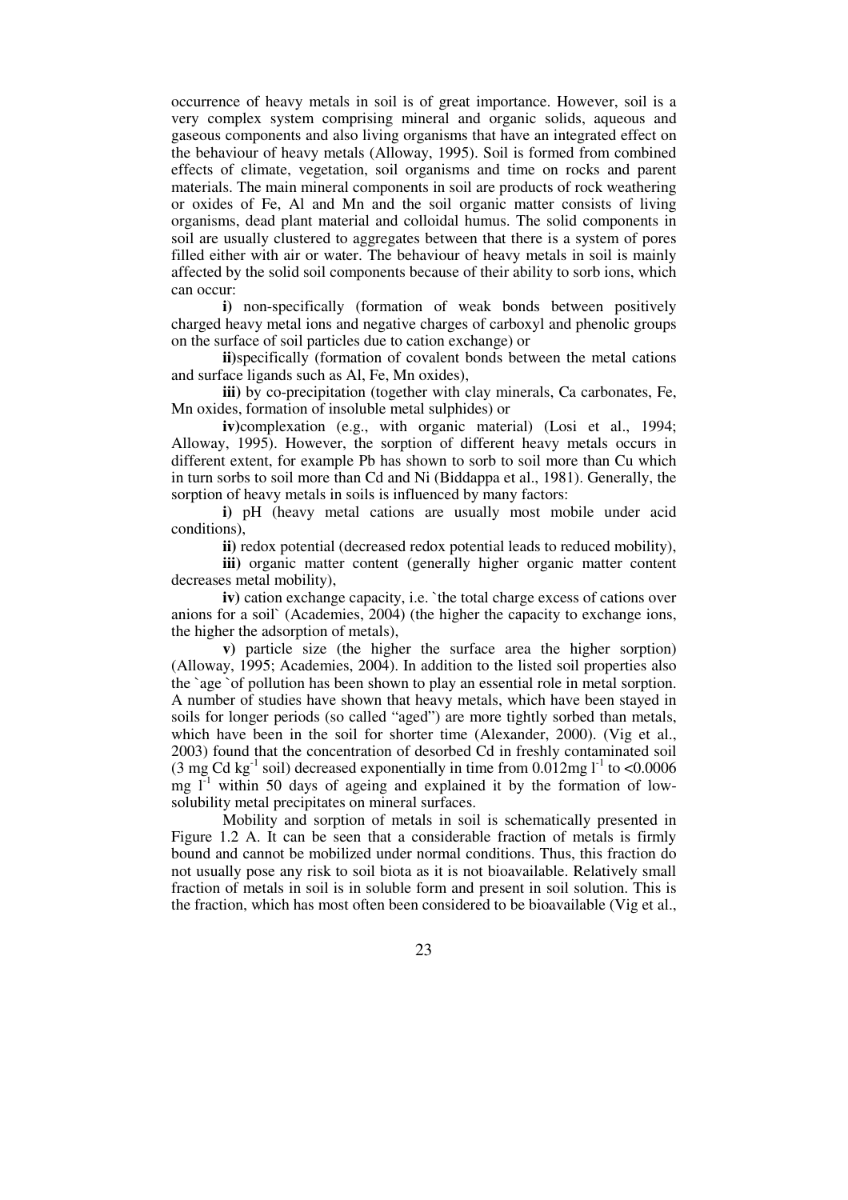occurrence of heavy metals in soil is of great importance. However, soil is a very complex system comprising mineral and organic solids, aqueous and gaseous components and also living organisms that have an integrated effect on the behaviour of heavy metals (Alloway, 1995). Soil is formed from combined effects of climate, vegetation, soil organisms and time on rocks and parent materials. The main mineral components in soil are products of rock weathering or oxides of Fe, Al and Mn and the soil organic matter consists of living organisms, dead plant material and colloidal humus. The solid components in soil are usually clustered to aggregates between that there is a system of pores filled either with air or water. The behaviour of heavy metals in soil is mainly affected by the solid soil components because of their ability to sorb ions, which can occur:

**i)** non-specifically (formation of weak bonds between positively charged heavy metal ions and negative charges of carboxyl and phenolic groups on the surface of soil particles due to cation exchange) or

**ii)**specifically (formation of covalent bonds between the metal cations and surface ligands such as Al, Fe, Mn oxides),

**iii)** by co-precipitation (together with clay minerals, Ca carbonates, Fe, Mn oxides, formation of insoluble metal sulphides) or

**iv)**complexation (e.g., with organic material) (Losi et al., 1994; Alloway, 1995). However, the sorption of different heavy metals occurs in different extent, for example Pb has shown to sorb to soil more than Cu which in turn sorbs to soil more than Cd and Ni (Biddappa et al., 1981). Generally, the sorption of heavy metals in soils is influenced by many factors:

**i)** pH (heavy metal cations are usually most mobile under acid conditions),

**ii)** redox potential (decreased redox potential leads to reduced mobility),

**iii)** organic matter content (generally higher organic matter content decreases metal mobility),

**iv)** cation exchange capacity, i.e. `the total charge excess of cations over anions for a soil` (Academies, 2004) (the higher the capacity to exchange ions, the higher the adsorption of metals),

**v)** particle size (the higher the surface area the higher sorption) (Alloway, 1995; Academies, 2004). In addition to the listed soil properties also the `age `of pollution has been shown to play an essential role in metal sorption. A number of studies have shown that heavy metals, which have been stayed in soils for longer periods (so called "aged") are more tightly sorbed than metals, which have been in the soil for shorter time (Alexander, 2000). (Vig et al., 2003) found that the concentration of desorbed Cd in freshly contaminated soil (3 mg Cd kg<sup>-1</sup> soil) decreased exponentially in time from  $0.012mg1^{-1}$  to <0.0006 mg  $I<sup>-1</sup>$  within 50 days of ageing and explained it by the formation of lowsolubility metal precipitates on mineral surfaces.

Mobility and sorption of metals in soil is schematically presented in Figure 1.2 A. It can be seen that a considerable fraction of metals is firmly bound and cannot be mobilized under normal conditions. Thus, this fraction do not usually pose any risk to soil biota as it is not bioavailable. Relatively small fraction of metals in soil is in soluble form and present in soil solution. This is the fraction, which has most often been considered to be bioavailable (Vig et al.,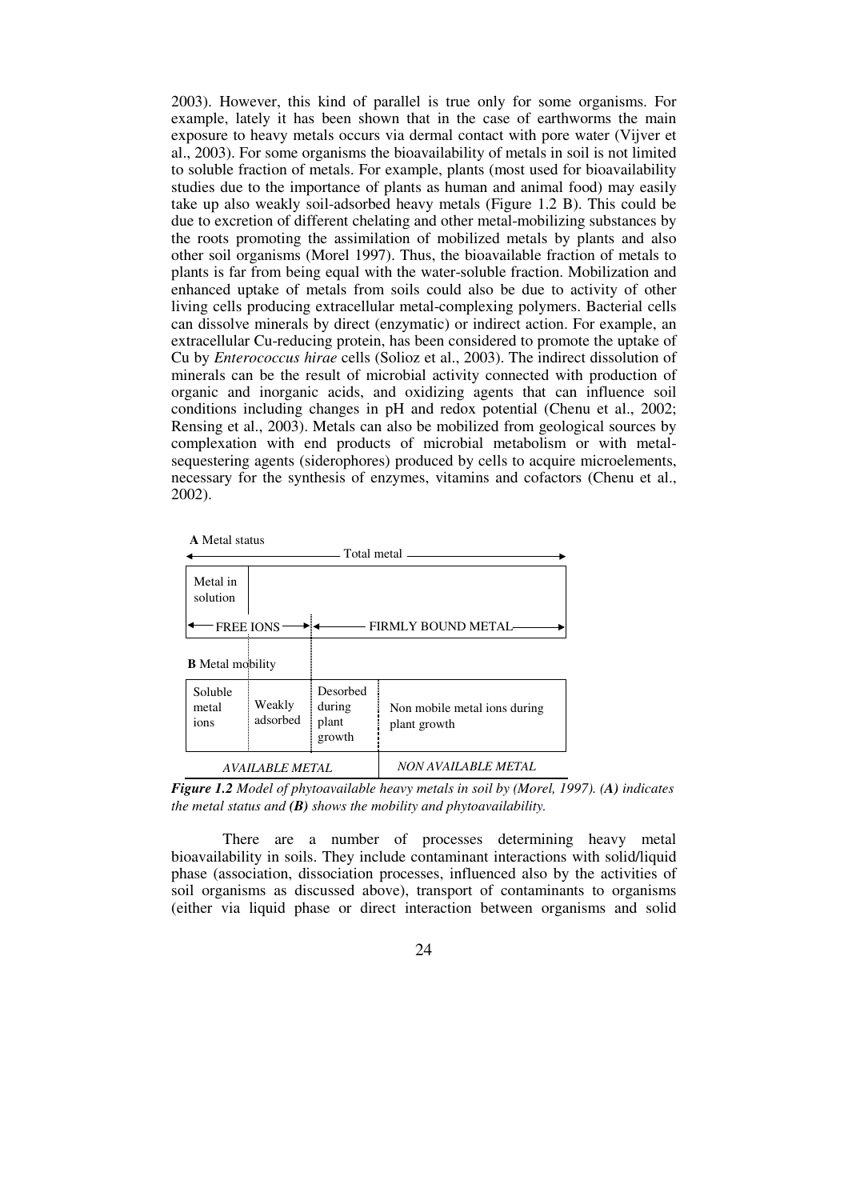2003). However, this kind of parallel is true only for some organisms. For example, lately it has been shown that in the case of earthworms the main exposure to heavy metals occurs via dermal contact with pore water (Vijver et al., 2003). For some organisms the bioavailability of metals in soil is not limited to soluble fraction of metals. For example, plants (most used for bioavailability studies due to the importance of plants as human and animal food) may easily take up also weakly soil-adsorbed heavy metals (Figure 1.2 B). This could be due to excretion of different chelating and other metal-mobilizing substances by the roots promoting the assimilation of mobilized metals by plants and also other soil organisms (Morel 1997). Thus, the bioavailable fraction of metals to plants is far from being equal with the water-soluble fraction. Mobilization and enhanced uptake of metals from soils could also be due to activity of other living cells producing extracellular metal-complexing polymers. Bacterial cells can dissolve minerals by direct (enzymatic) or indirect action. For example, an extracellular Cu-reducing protein, has been considered to promote the uptake of Cu by *Enterococcus hirae* cells (Solioz et al., 2003). The indirect dissolution of minerals can be the result of microbial activity connected with production of organic and inorganic acids, and oxidizing agents that can influence soil conditions including changes in pH and redox potential (Chenu et al., 2002; Rensing et al., 2003). Metals can also be mobilized from geological sources by complexation with end products of microbial metabolism or with metalsequestering agents (siderophores) produced by cells to acquire microelements, necessary for the synthesis of enzymes, vitamins and cofactors (Chenu et al., 2002).



*Figure 1.2 Model of phytoavailable heavy metals in soil by (Morel, 1997). (A) indicates the metal status and (B) shows the mobility and phytoavailability.*

There are a number of processes determining heavy metal bioavailability in soils. They include contaminant interactions with solid/liquid phase (association, dissociation processes, influenced also by the activities of soil organisms as discussed above), transport of contaminants to organisms (either via liquid phase or direct interaction between organisms and solid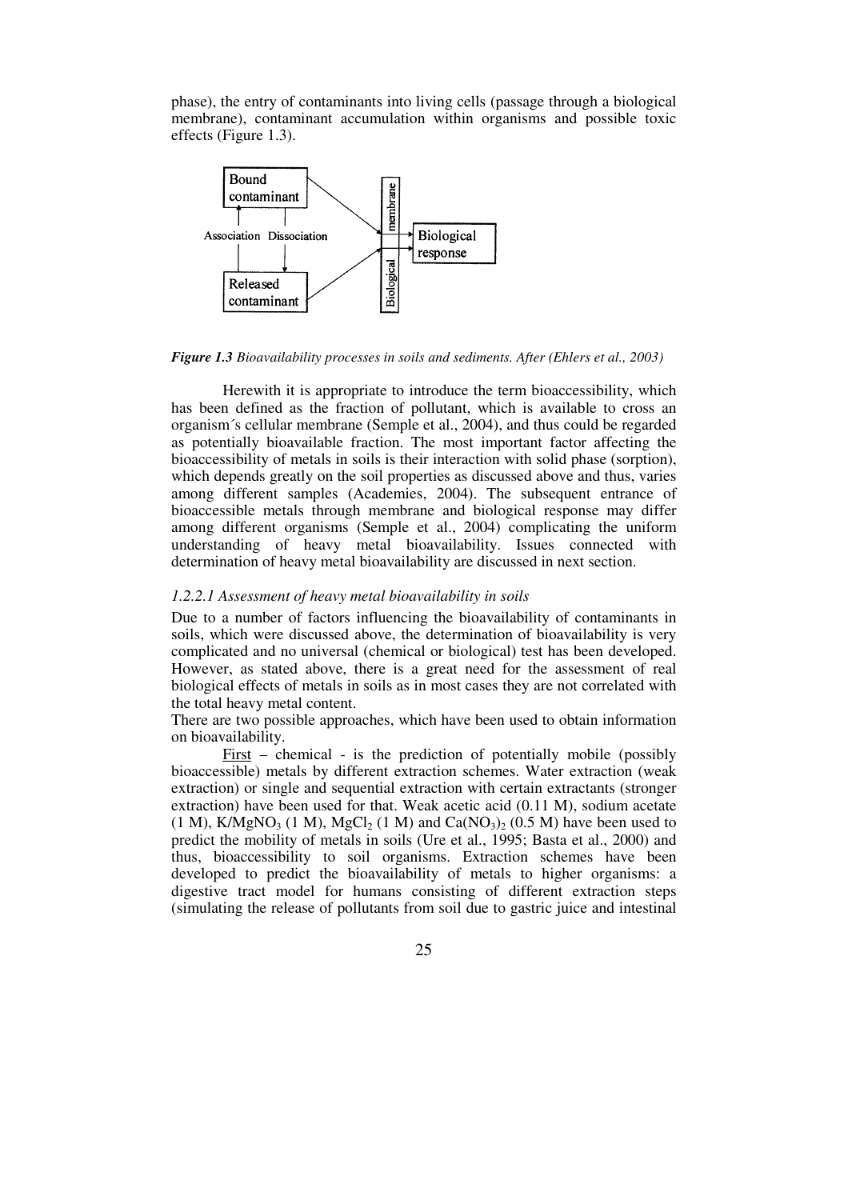phase), the entry of contaminants into living cells (passage through a biological membrane), contaminant accumulation within organisms and possible toxic effects (Figure 1.3).



*Figure 1.3 Bioavailability processes in soils and sediments. After (Ehlers et al., 2003)*

Herewith it is appropriate to introduce the term bioaccessibility, which has been defined as the fraction of pollutant, which is available to cross an organism´s cellular membrane (Semple et al., 2004), and thus could be regarded as potentially bioavailable fraction. The most important factor affecting the bioaccessibility of metals in soils is their interaction with solid phase (sorption), which depends greatly on the soil properties as discussed above and thus, varies among different samples (Academies, 2004). The subsequent entrance of bioaccessible metals through membrane and biological response may differ among different organisms (Semple et al., 2004) complicating the uniform understanding of heavy metal bioavailability. Issues connected with determination of heavy metal bioavailability are discussed in next section.

#### *1.2.2.1 Assessment of heavy metal bioavailability in soils*

Due to a number of factors influencing the bioavailability of contaminants in soils, which were discussed above, the determination of bioavailability is very complicated and no universal (chemical or biological) test has been developed. However, as stated above, there is a great need for the assessment of real biological effects of metals in soils as in most cases they are not correlated with the total heavy metal content.

There are two possible approaches, which have been used to obtain information on bioavailability.

First – chemical - is the prediction of potentially mobile (possibly bioaccessible) metals by different extraction schemes. Water extraction (weak extraction) or single and sequential extraction with certain extractants (stronger extraction) have been used for that. Weak acetic acid (0.11 M), sodium acetate (1 M),  $K/MgNO<sub>3</sub>$  (1 M),  $MgCl<sub>2</sub>$  (1 M) and  $Ca(NO<sub>3</sub>)<sub>2</sub>$  (0.5 M) have been used to predict the mobility of metals in soils (Ure et al., 1995; Basta et al., 2000) and thus, bioaccessibility to soil organisms. Extraction schemes have been developed to predict the bioavailability of metals to higher organisms: a digestive tract model for humans consisting of different extraction steps (simulating the release of pollutants from soil due to gastric juice and intestinal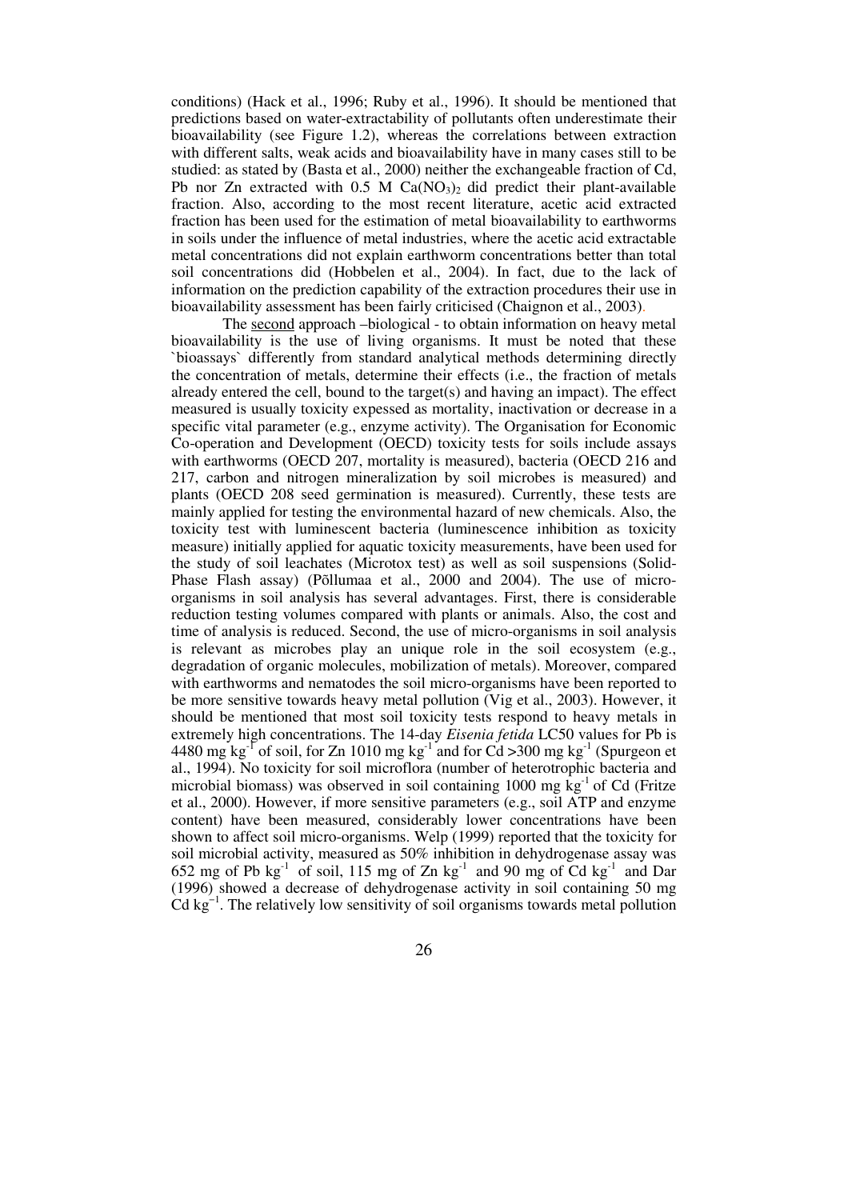conditions) (Hack et al., 1996; Ruby et al., 1996). It should be mentioned that predictions based on water-extractability of pollutants often underestimate their bioavailability (see Figure 1.2), whereas the correlations between extraction with different salts, weak acids and bioavailability have in many cases still to be studied: as stated by (Basta et al., 2000) neither the exchangeable fraction of Cd, Pb nor Zn extracted with 0.5 M  $Ca(NO<sub>3</sub>)$  did predict their plant-available fraction. Also, according to the most recent literature, acetic acid extracted fraction has been used for the estimation of metal bioavailability to earthworms in soils under the influence of metal industries, where the acetic acid extractable metal concentrations did not explain earthworm concentrations better than total soil concentrations did (Hobbelen et al., 2004). In fact, due to the lack of information on the prediction capability of the extraction procedures their use in bioavailability assessment has been fairly criticised (Chaignon et al., 2003).

The second approach –biological - to obtain information on heavy metal bioavailability is the use of living organisms. It must be noted that these `bioassays` differently from standard analytical methods determining directly the concentration of metals, determine their effects (i.e., the fraction of metals already entered the cell, bound to the target(s) and having an impact). The effect measured is usually toxicity expessed as mortality, inactivation or decrease in a specific vital parameter (e.g., enzyme activity). The Organisation for Economic Co-operation and Development (OECD) toxicity tests for soils include assays with earthworms (OECD 207, mortality is measured), bacteria (OECD 216 and 217, carbon and nitrogen mineralization by soil microbes is measured) and plants (OECD 208 seed germination is measured). Currently, these tests are mainly applied for testing the environmental hazard of new chemicals. Also, the toxicity test with luminescent bacteria (luminescence inhibition as toxicity measure) initially applied for aquatic toxicity measurements, have been used for the study of soil leachates (Microtox test) as well as soil suspensions (Solid-Phase Flash assay) (Põllumaa et al., 2000 and 2004). The use of microorganisms in soil analysis has several advantages. First, there is considerable reduction testing volumes compared with plants or animals. Also, the cost and time of analysis is reduced. Second, the use of micro-organisms in soil analysis is relevant as microbes play an unique role in the soil ecosystem (e.g., degradation of organic molecules, mobilization of metals). Moreover, compared with earthworms and nematodes the soil micro-organisms have been reported to be more sensitive towards heavy metal pollution (Vig et al., 2003). However, it should be mentioned that most soil toxicity tests respond to heavy metals in extremely high concentrations. The 14-day *Eisenia fetida* LC50 values for Pb is 4480 mg kg<sup>-1</sup> of soil, for Zn 1010 mg kg<sup>-1</sup> and for Cd >300 mg kg<sup>-1</sup> (Spurgeon et al., 1994). No toxicity for soil microflora (number of heterotrophic bacteria and microbial biomass) was observed in soil containing 1000 mg  $\rm kg^{-1}$  of Cd (Fritze et al., 2000). However, if more sensitive parameters (e.g., soil ATP and enzyme content) have been measured, considerably lower concentrations have been shown to affect soil micro-organisms. Welp (1999) reported that the toxicity for soil microbial activity, measured as 50% inhibition in dehydrogenase assay was 652 mg of Pb  $kg^{-1}$  of soil, 115 mg of Zn  $kg^{-1}$  and 90 mg of Cd  $kg^{-1}$  and Dar (1996) showed a decrease of dehydrogenase activity in soil containing 50 mg  $Cd \text{ kg}^{-1}$ . The relatively low sensitivity of soil organisms towards metal pollution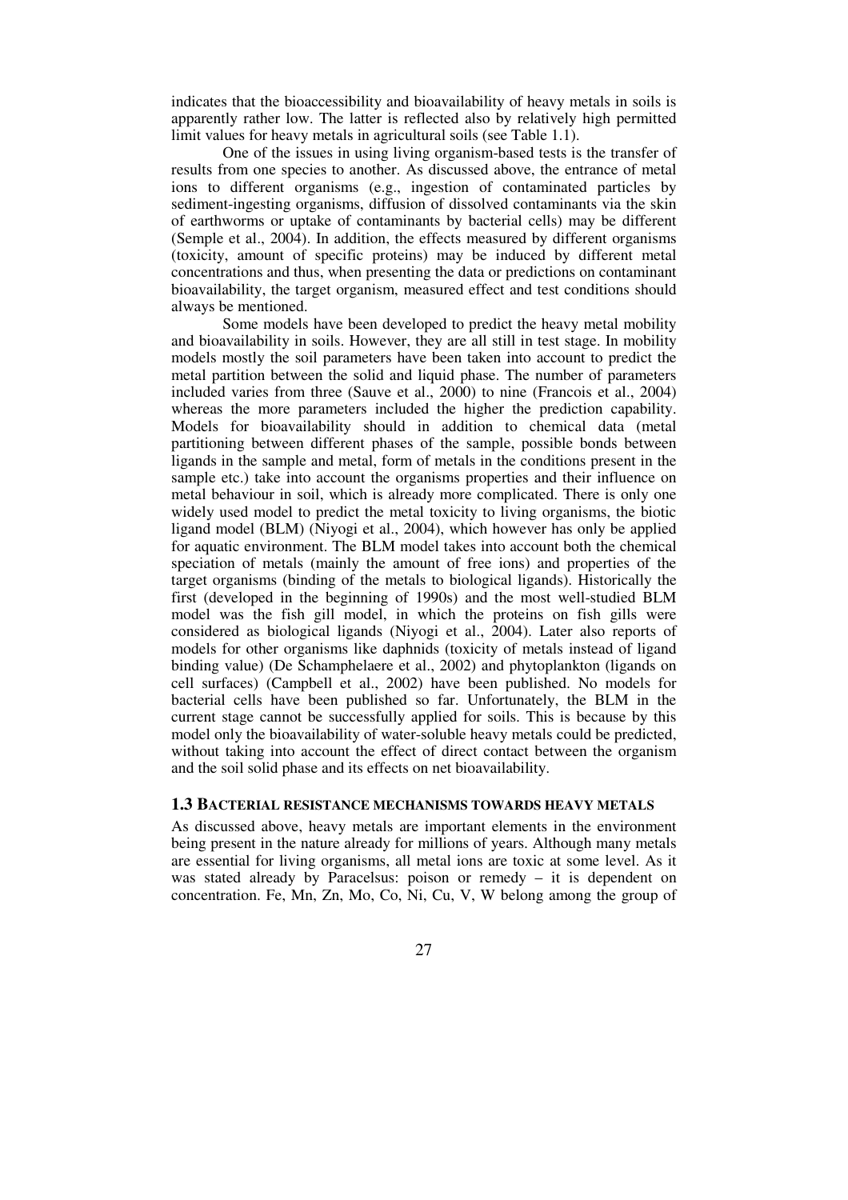indicates that the bioaccessibility and bioavailability of heavy metals in soils is apparently rather low. The latter is reflected also by relatively high permitted limit values for heavy metals in agricultural soils (see Table 1.1).

One of the issues in using living organism-based tests is the transfer of results from one species to another. As discussed above, the entrance of metal ions to different organisms (e.g., ingestion of contaminated particles by sediment-ingesting organisms, diffusion of dissolved contaminants via the skin of earthworms or uptake of contaminants by bacterial cells) may be different (Semple et al., 2004). In addition, the effects measured by different organisms (toxicity, amount of specific proteins) may be induced by different metal concentrations and thus, when presenting the data or predictions on contaminant bioavailability, the target organism, measured effect and test conditions should always be mentioned.

Some models have been developed to predict the heavy metal mobility and bioavailability in soils. However, they are all still in test stage. In mobility models mostly the soil parameters have been taken into account to predict the metal partition between the solid and liquid phase. The number of parameters included varies from three (Sauve et al., 2000) to nine (Francois et al., 2004) whereas the more parameters included the higher the prediction capability. Models for bioavailability should in addition to chemical data (metal partitioning between different phases of the sample, possible bonds between ligands in the sample and metal, form of metals in the conditions present in the sample etc.) take into account the organisms properties and their influence on metal behaviour in soil, which is already more complicated. There is only one widely used model to predict the metal toxicity to living organisms, the biotic ligand model (BLM) (Niyogi et al., 2004), which however has only be applied for aquatic environment. The BLM model takes into account both the chemical speciation of metals (mainly the amount of free ions) and properties of the target organisms (binding of the metals to biological ligands). Historically the first (developed in the beginning of 1990s) and the most well-studied BLM model was the fish gill model, in which the proteins on fish gills were considered as biological ligands (Niyogi et al., 2004). Later also reports of models for other organisms like daphnids (toxicity of metals instead of ligand binding value) (De Schamphelaere et al., 2002) and phytoplankton (ligands on cell surfaces) (Campbell et al., 2002) have been published. No models for bacterial cells have been published so far. Unfortunately, the BLM in the current stage cannot be successfully applied for soils. This is because by this model only the bioavailability of water-soluble heavy metals could be predicted, without taking into account the effect of direct contact between the organism and the soil solid phase and its effects on net bioavailability.

#### **1.3 BACTERIAL RESISTANCE MECHANISMS TOWARDS HEAVY METALS**

As discussed above, heavy metals are important elements in the environment being present in the nature already for millions of years. Although many metals are essential for living organisms, all metal ions are toxic at some level. As it was stated already by Paracelsus: poison or remedy – it is dependent on concentration. Fe, Mn, Zn, Mo, Co, Ni, Cu, V, W belong among the group of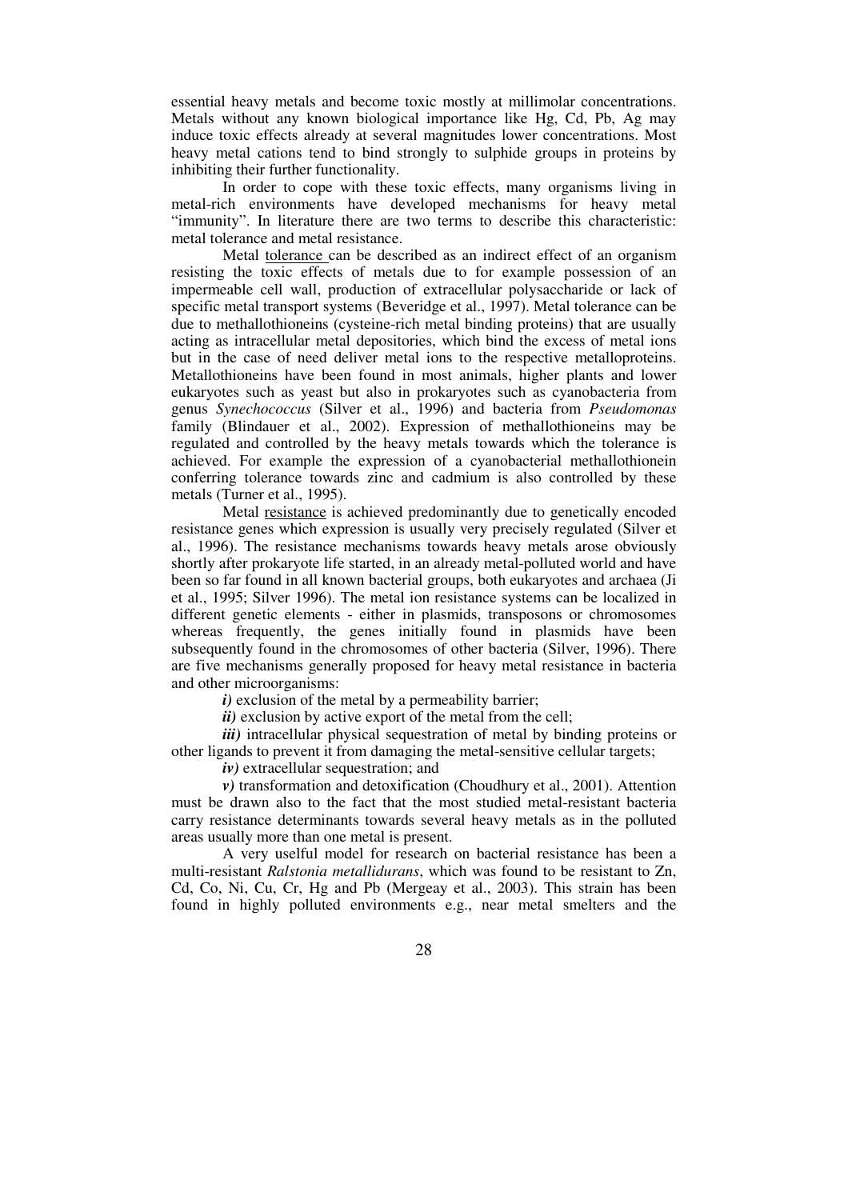essential heavy metals and become toxic mostly at millimolar concentrations. Metals without any known biological importance like Hg, Cd, Pb, Ag may induce toxic effects already at several magnitudes lower concentrations. Most heavy metal cations tend to bind strongly to sulphide groups in proteins by inhibiting their further functionality.

In order to cope with these toxic effects, many organisms living in metal-rich environments have developed mechanisms for heavy metal "immunity". In literature there are two terms to describe this characteristic: metal tolerance and metal resistance.

Metal tolerance can be described as an indirect effect of an organism resisting the toxic effects of metals due to for example possession of an impermeable cell wall, production of extracellular polysaccharide or lack of specific metal transport systems (Beveridge et al., 1997). Metal tolerance can be due to methallothioneins (cysteine-rich metal binding proteins) that are usually acting as intracellular metal depositories, which bind the excess of metal ions but in the case of need deliver metal ions to the respective metalloproteins. Metallothioneins have been found in most animals, higher plants and lower eukaryotes such as yeast but also in prokaryotes such as cyanobacteria from genus *Synechococcus* (Silver et al., 1996) and bacteria from *Pseudomonas* family (Blindauer et al., 2002). Expression of methallothioneins may be regulated and controlled by the heavy metals towards which the tolerance is achieved. For example the expression of a cyanobacterial methallothionein conferring tolerance towards zinc and cadmium is also controlled by these metals (Turner et al., 1995).

Metal resistance is achieved predominantly due to genetically encoded resistance genes which expression is usually very precisely regulated (Silver et al., 1996). The resistance mechanisms towards heavy metals arose obviously shortly after prokaryote life started, in an already metal-polluted world and have been so far found in all known bacterial groups, both eukaryotes and archaea (Ji et al., 1995; Silver 1996). The metal ion resistance systems can be localized in different genetic elements - either in plasmids, transposons or chromosomes whereas frequently, the genes initially found in plasmids have been subsequently found in the chromosomes of other bacteria (Silver, 1996). There are five mechanisms generally proposed for heavy metal resistance in bacteria and other microorganisms:

*i*) exclusion of the metal by a permeability barrier;

*ii)* exclusion by active export of the metal from the cell;

*iii*) intracellular physical sequestration of metal by binding proteins or other ligands to prevent it from damaging the metal-sensitive cellular targets;

*iv)* extracellular sequestration; and

*v)* transformation and detoxification (Choudhury et al., 2001). Attention must be drawn also to the fact that the most studied metal-resistant bacteria carry resistance determinants towards several heavy metals as in the polluted areas usually more than one metal is present.

A very uselful model for research on bacterial resistance has been a multi-resistant *Ralstonia metallidurans*, which was found to be resistant to Zn, Cd, Co, Ni, Cu, Cr, Hg and Pb (Mergeay et al., 2003). This strain has been found in highly polluted environments e.g., near metal smelters and the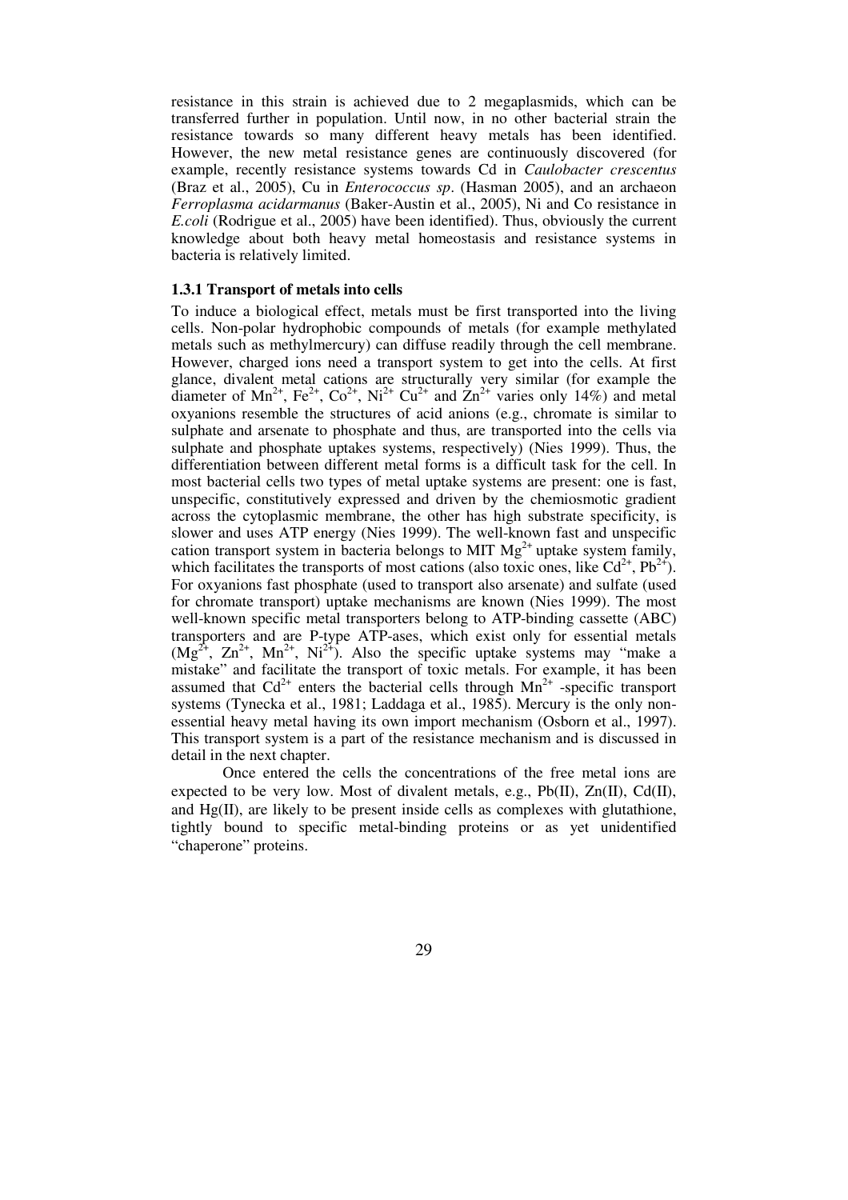resistance in this strain is achieved due to 2 megaplasmids, which can be transferred further in population. Until now, in no other bacterial strain the resistance towards so many different heavy metals has been identified. However, the new metal resistance genes are continuously discovered (for example, recently resistance systems towards Cd in *Caulobacter crescentus* (Braz et al., 2005), Cu in *Enterococcus sp*. (Hasman 2005), and an archaeon *Ferroplasma acidarmanus* (Baker-Austin et al., 2005), Ni and Co resistance in *E.coli* (Rodrigue et al., 2005) have been identified). Thus, obviously the current knowledge about both heavy metal homeostasis and resistance systems in bacteria is relatively limited.

#### **1.3.1 Transport of metals into cells**

To induce a biological effect, metals must be first transported into the living cells. Non-polar hydrophobic compounds of metals (for example methylated metals such as methylmercury) can diffuse readily through the cell membrane. However, charged ions need a transport system to get into the cells. At first glance, divalent metal cations are structurally very similar (for example the diameter of Mn<sup>2+</sup>, Fe<sup>2+</sup>, Co<sup>2+</sup>, Ni<sup>2+</sup> Cu<sup>2+</sup> and Zn<sup>2+</sup> varies only 14%) and metal oxyanions resemble the structures of acid anions (e.g., chromate is similar to sulphate and arsenate to phosphate and thus, are transported into the cells via sulphate and phosphate uptakes systems, respectively) (Nies 1999). Thus, the differentiation between different metal forms is a difficult task for the cell. In most bacterial cells two types of metal uptake systems are present: one is fast, unspecific, constitutively expressed and driven by the chemiosmotic gradient across the cytoplasmic membrane, the other has high substrate specificity, is slower and uses ATP energy (Nies 1999). The well-known fast and unspecific cation transport system in bacteria belongs to MIT  $Mg^{2+}$  uptake system family, which facilitates the transports of most cations (also toxic ones, like  $Cd^{2+}$ ,  $Pb^{2+}$ ). For oxyanions fast phosphate (used to transport also arsenate) and sulfate (used for chromate transport) uptake mechanisms are known (Nies 1999). The most well-known specific metal transporters belong to ATP-binding cassette (ABC) transporters and are P-type ATP-ases, which exist only for essential metals  $(Mg<sup>2+</sup>, Zn<sup>2+</sup>, Mn<sup>2+</sup>, Ni<sup>2+</sup>).$  Also the specific uptake systems may "make a mistake" and facilitate the transport of toxic metals. For example, it has been assumed that  $Cd^{2+}$  enters the bacterial cells through  $Mn^{2+}$  -specific transport systems (Tynecka et al., 1981; Laddaga et al., 1985). Mercury is the only nonessential heavy metal having its own import mechanism (Osborn et al., 1997). This transport system is a part of the resistance mechanism and is discussed in detail in the next chapter.

Once entered the cells the concentrations of the free metal ions are expected to be very low. Most of divalent metals, e.g., Pb(II), Zn(II), Cd(II), and Hg(II), are likely to be present inside cells as complexes with glutathione, tightly bound to specific metal-binding proteins or as yet unidentified "chaperone" proteins.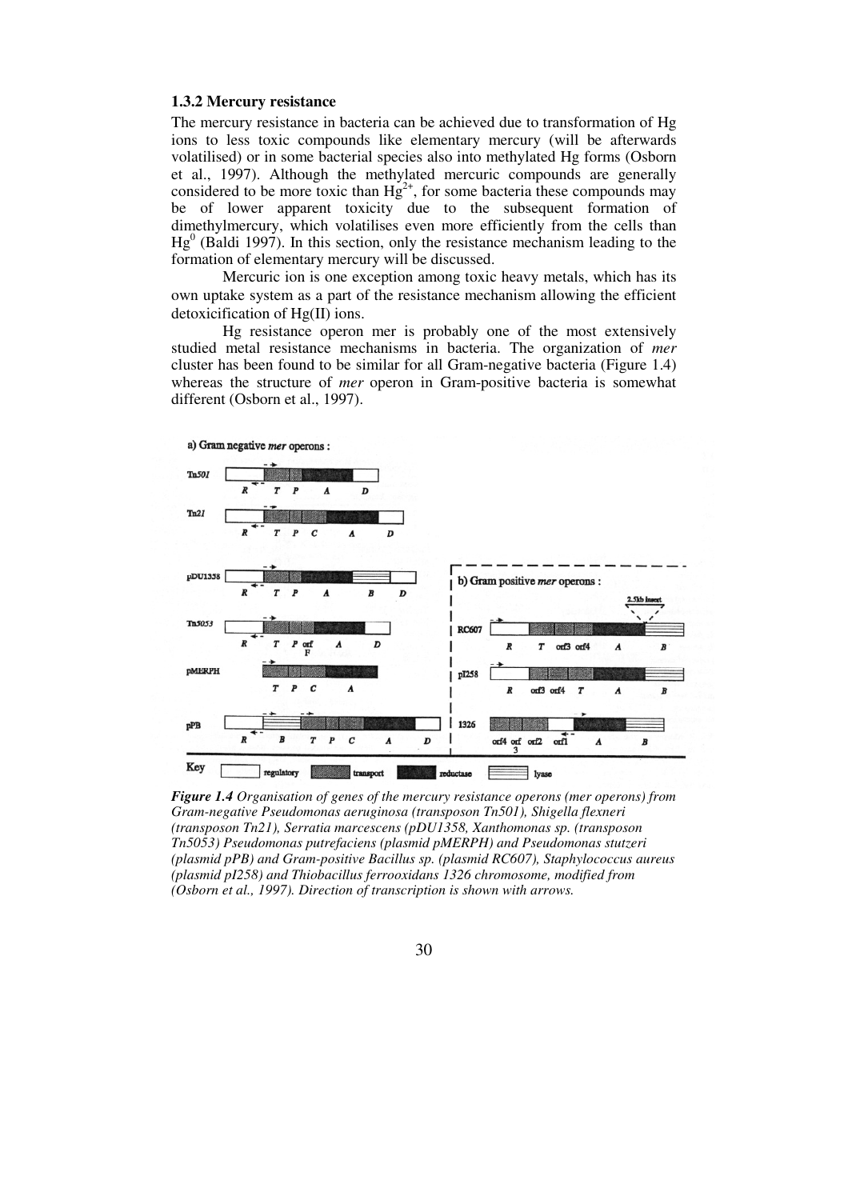#### **1.3.2 Mercury resistance**

The mercury resistance in bacteria can be achieved due to transformation of Hg ions to less toxic compounds like elementary mercury (will be afterwards volatilised) or in some bacterial species also into methylated Hg forms (Osborn et al., 1997). Although the methylated mercuric compounds are generally considered to be more toxic than  $Hg^{2+}$ , for some bacteria these compounds may be of lower apparent toxicity due to the subsequent formation of dimethylmercury, which volatilises even more efficiently from the cells than  $Hg<sup>0</sup>$  (Baldi 1997). In this section, only the resistance mechanism leading to the formation of elementary mercury will be discussed.

Mercuric ion is one exception among toxic heavy metals, which has its own uptake system as a part of the resistance mechanism allowing the efficient detoxicification of Hg(II) ions.

Hg resistance operon mer is probably one of the most extensively studied metal resistance mechanisms in bacteria. The organization of *mer* cluster has been found to be similar for all Gram-negative bacteria (Figure 1.4) whereas the structure of *mer* operon in Gram-positive bacteria is somewhat different (Osborn et al., 1997).



*Figure 1.4 Organisation of genes of the mercury resistance operons (mer operons) from Gram-negative Pseudomonas aeruginosa (transposon Tn501), Shigella flexneri (transposon Tn21), Serratia marcescens (pDU1358, Xanthomonas sp. (transposon Tn5053) Pseudomonas putrefaciens (plasmid pMERPH) and Pseudomonas stutzeri (plasmid pPB) and Gram-positive Bacillus sp. (plasmid RC607), Staphylococcus aureus (plasmid pI258) and Thiobacillus ferrooxidans 1326 chromosome, modified from (Osborn et al., 1997). Direction of transcription is shown with arrows.*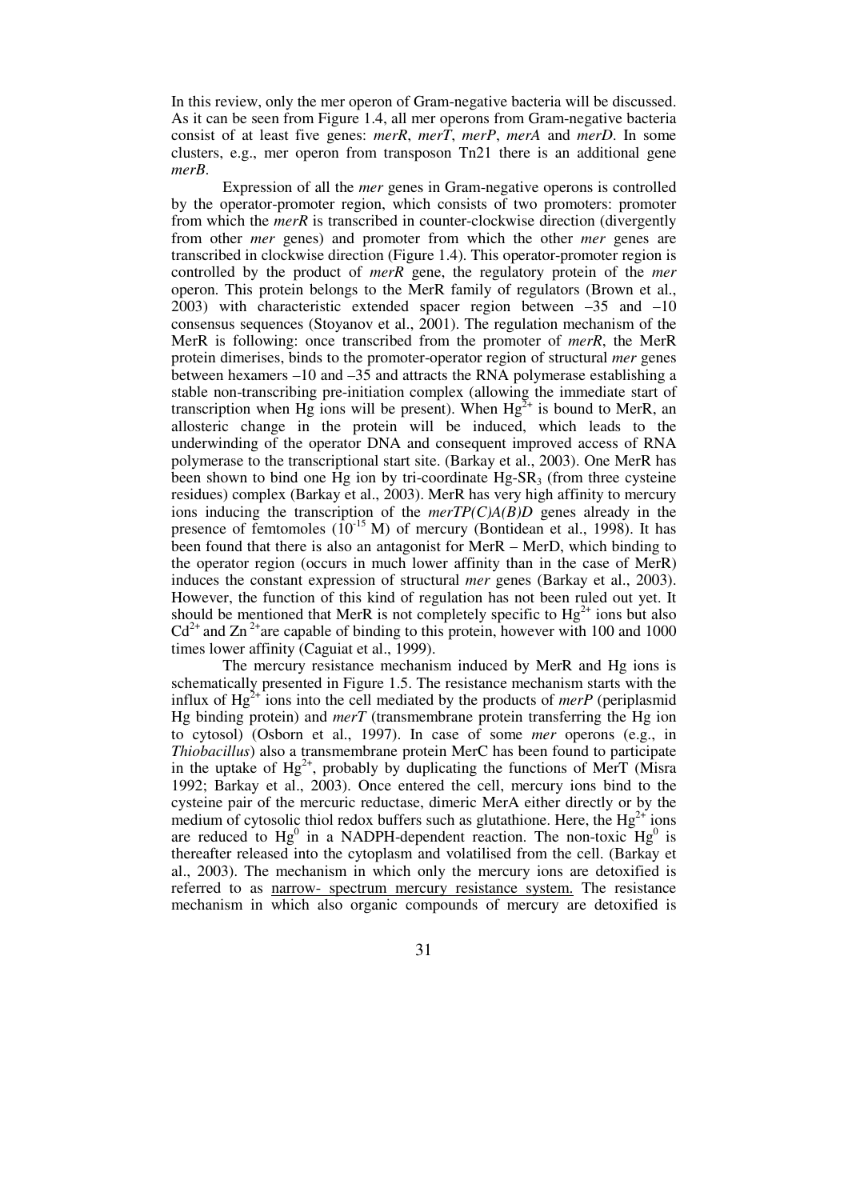In this review, only the mer operon of Gram-negative bacteria will be discussed. As it can be seen from Figure 1.4, all mer operons from Gram-negative bacteria consist of at least five genes: *merR*, *merT*, *merP*, *merA* and *merD*. In some clusters, e.g., mer operon from transposon Tn21 there is an additional gene *merB*.

Expression of all the *mer* genes in Gram-negative operons is controlled by the operator-promoter region, which consists of two promoters: promoter from which the *merR* is transcribed in counter-clockwise direction (divergently from other *mer* genes) and promoter from which the other *mer* genes are transcribed in clockwise direction (Figure 1.4). This operator-promoter region is controlled by the product of *merR* gene, the regulatory protein of the *mer* operon. This protein belongs to the MerR family of regulators (Brown et al., 2003) with characteristic extended spacer region between  $-35$  and  $-10$ consensus sequences (Stoyanov et al., 2001). The regulation mechanism of the MerR is following: once transcribed from the promoter of *merR*, the MerR protein dimerises, binds to the promoter-operator region of structural *mer* genes between hexamers –10 and –35 and attracts the RNA polymerase establishing a stable non-transcribing pre-initiation complex (allowing the immediate start of transcription when Hg ions will be present). When  $Hg^{2+}$  is bound to MerR, an allosteric change in the protein will be induced, which leads to the underwinding of the operator DNA and consequent improved access of RNA polymerase to the transcriptional start site. (Barkay et al., 2003). One MerR has been shown to bind one Hg ion by tri-coordinate  $Hg-SR<sub>3</sub>$  (from three cysteine residues) complex (Barkay et al., 2003). MerR has very high affinity to mercury ions inducing the transcription of the *merTP(C)A(B)D* genes already in the presence of femtomoles (10<sup>-15</sup> M) of mercury (Bontidean et al., 1998). It has been found that there is also an antagonist for MerR – MerD, which binding to the operator region (occurs in much lower affinity than in the case of MerR) induces the constant expression of structural *mer* genes (Barkay et al., 2003). However, the function of this kind of regulation has not been ruled out yet. It should be mentioned that MerR is not completely specific to  $Hg^{2+}$  ions but also  $Cd<sup>2+</sup>$  and  $Zn<sup>2+</sup>$  are capable of binding to this protein, however with 100 and 1000 times lower affinity (Caguiat et al., 1999).

The mercury resistance mechanism induced by MerR and Hg ions is schematically presented in Figure 1.5. The resistance mechanism starts with the influx of  $Hg^{2+}$  ions into the cell mediated by the products of *merP* (periplasmid Hg binding protein) and *merT* (transmembrane protein transferring the Hg ion to cytosol) (Osborn et al., 1997). In case of some *mer* operons (e.g., in *Thiobacillus*) also a transmembrane protein MerC has been found to participate in the uptake of  $Hg^{2+}$ , probably by duplicating the functions of MerT (Misra 1992; Barkay et al., 2003). Once entered the cell, mercury ions bind to the cysteine pair of the mercuric reductase, dimeric MerA either directly or by the medium of cytosolic thiol redox buffers such as glutathione. Here, the  $Hg^{2+}$  ions are reduced to  $Hg^0$  in a NADPH-dependent reaction. The non-toxic  $Hg^0$  is thereafter released into the cytoplasm and volatilised from the cell. (Barkay et al., 2003). The mechanism in which only the mercury ions are detoxified is referred to as narrow- spectrum mercury resistance system. The resistance mechanism in which also organic compounds of mercury are detoxified is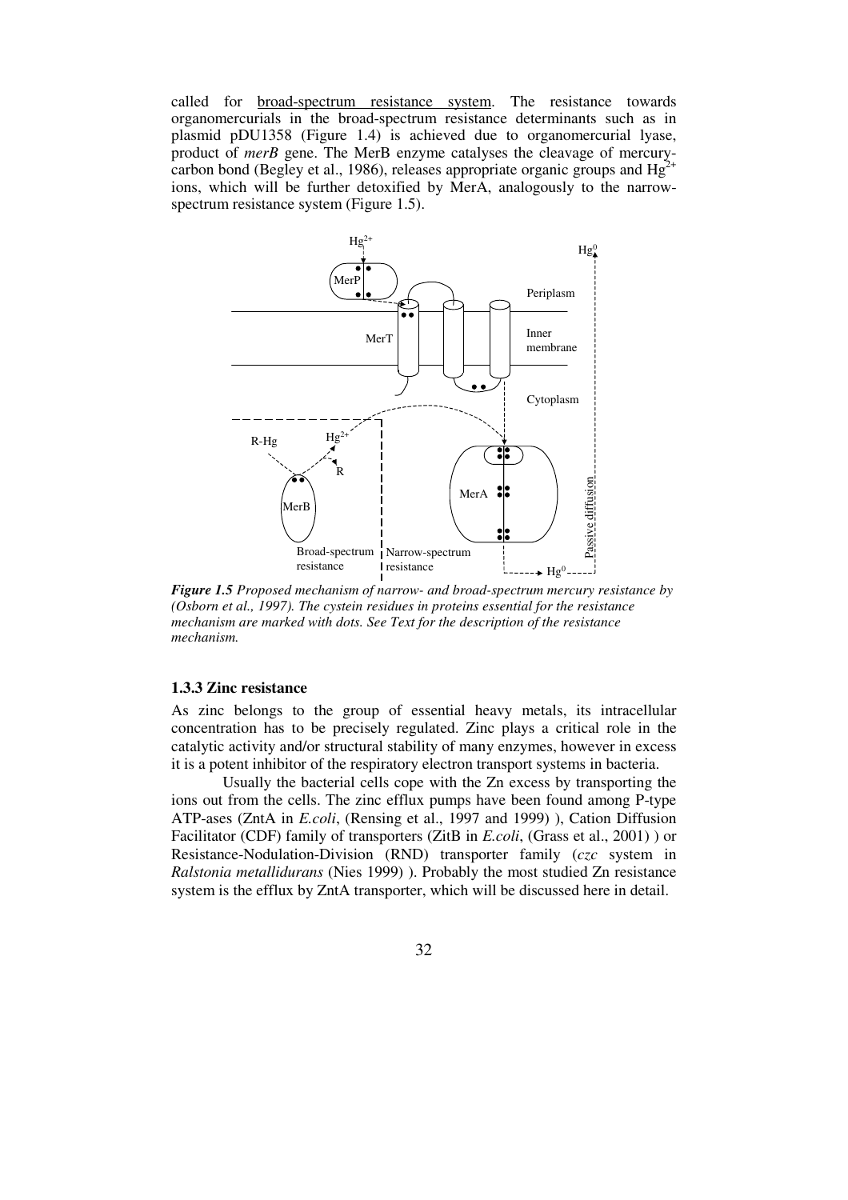called for broad-spectrum resistance system. The resistance towards organomercurials in the broad-spectrum resistance determinants such as in plasmid pDU1358 (Figure 1.4) is achieved due to organomercurial lyase, product of *merB* gene. The MerB enzyme catalyses the cleavage of mercurycarbon bond (Begley et al., 1986), releases appropriate organic groups and  $Hg<sup>2</sup>$ ions, which will be further detoxified by MerA, analogously to the narrowspectrum resistance system (Figure 1.5).



*Figure 1.5 Proposed mechanism of narrow- and broad-spectrum mercury resistance by (Osborn et al., 1997). The cystein residues in proteins essential for the resistance mechanism are marked with dots. See Text for the description of the resistance mechanism.* 

### **1.3.3 Zinc resistance**

As zinc belongs to the group of essential heavy metals, its intracellular concentration has to be precisely regulated. Zinc plays a critical role in the catalytic activity and/or structural stability of many enzymes, however in excess it is a potent inhibitor of the respiratory electron transport systems in bacteria.

Usually the bacterial cells cope with the Zn excess by transporting the ions out from the cells. The zinc efflux pumps have been found among P-type ATP-ases (ZntA in *E.coli*, (Rensing et al., 1997 and 1999) ), Cation Diffusion Facilitator (CDF) family of transporters (ZitB in *E.coli*, (Grass et al., 2001) ) or Resistance-Nodulation-Division (RND) transporter family (*czc* system in *Ralstonia metallidurans* (Nies 1999) ). Probably the most studied Zn resistance system is the efflux by ZntA transporter, which will be discussed here in detail.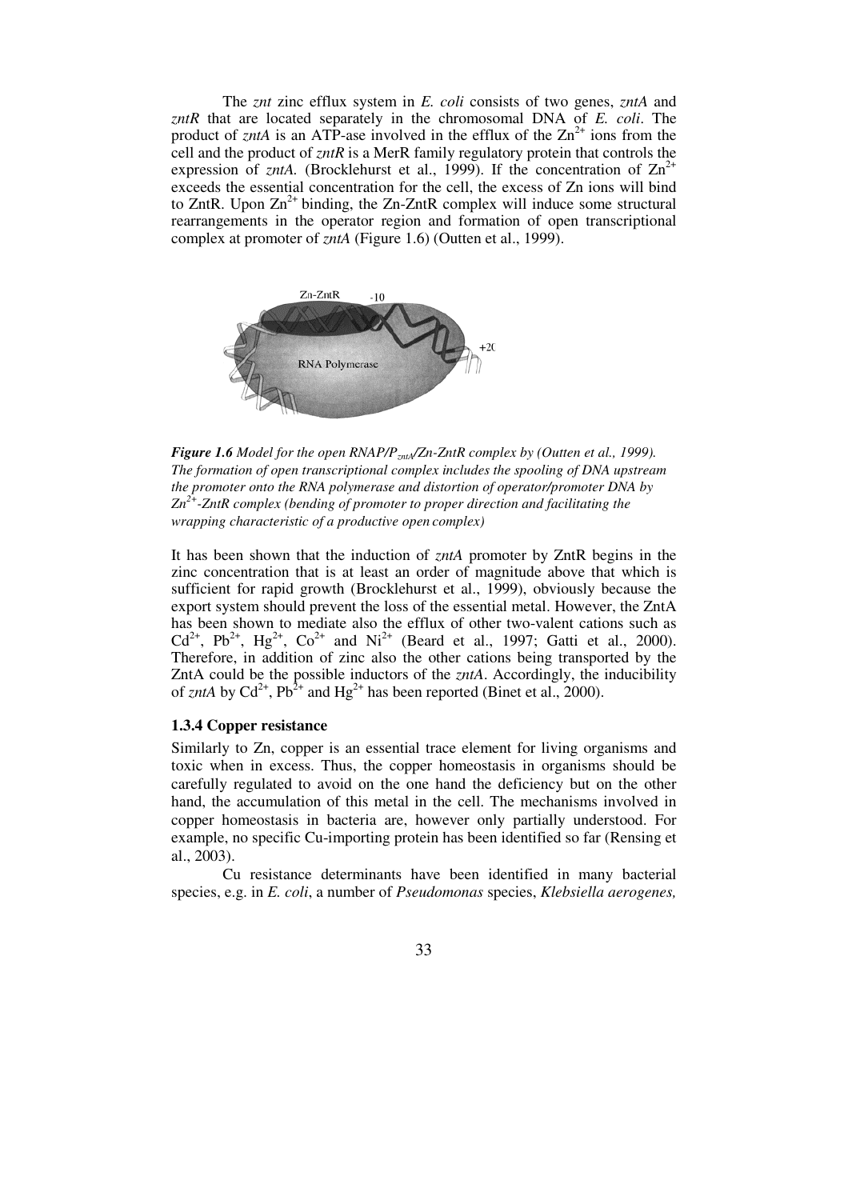The *znt* zinc efflux system in *E. coli* consists of two genes, *zntA* and *zntR* that are located separately in the chromosomal DNA of *E. coli*. The product of *zntA* is an ATP-ase involved in the efflux of the  $\text{Zn}^{2+}$  ions from the cell and the product of *zntR* is a MerR family regulatory protein that controls the expression of *zntA*. (Brocklehurst et al., 1999). If the concentration of  $Zn^{2+}$ exceeds the essential concentration for the cell, the excess of Zn ions will bind to ZntR. Upon  $\text{Zn}^{2+}$  binding, the Zn-ZntR complex will induce some structural rearrangements in the operator region and formation of open transcriptional complex at promoter of *zntA* (Figure 1.6) (Outten et al., 1999).



*Figure 1.6 Model for the open RNAP/PzntA/Zn-ZntR complex by (Outten et al., 1999). The formation of open transcriptional complex includes the spooling of DNA upstream the promoter onto the RNA polymerase and distortion of operator/promoter DNA by Zn2+-ZntR complex (bending of promoter to proper direction and facilitating the wrapping characteristic of a productive open complex)*

It has been shown that the induction of *zntA* promoter by ZntR begins in the zinc concentration that is at least an order of magnitude above that which is sufficient for rapid growth (Brocklehurst et al., 1999), obviously because the export system should prevent the loss of the essential metal. However, the ZntA has been shown to mediate also the efflux of other two-valent cations such as  $Cd^{2+}$ ,  $Pb^{2+}$ ,  $Hg^{2+}$ ,  $Co^{2+}$  and  $Ni^{2+}$  (Beard et al., 1997; Gatti et al., 2000). Therefore, in addition of zinc also the other cations being transported by the ZntA could be the possible inductors of the *zntA*. Accordingly, the inducibility of *zntA* by  $Cd^{2+}$ ,  $Pb^{2+}$  and  $Hg^{2+}$  has been reported (Binet et al., 2000).

## **1.3.4 Copper resistance**

Similarly to Zn, copper is an essential trace element for living organisms and toxic when in excess. Thus, the copper homeostasis in organisms should be carefully regulated to avoid on the one hand the deficiency but on the other hand, the accumulation of this metal in the cell. The mechanisms involved in copper homeostasis in bacteria are, however only partially understood. For example, no specific Cu-importing protein has been identified so far (Rensing et al., 2003).

Cu resistance determinants have been identified in many bacterial species, e.g. in *E. coli*, a number of *Pseudomonas* species, *Klebsiella aerogenes,*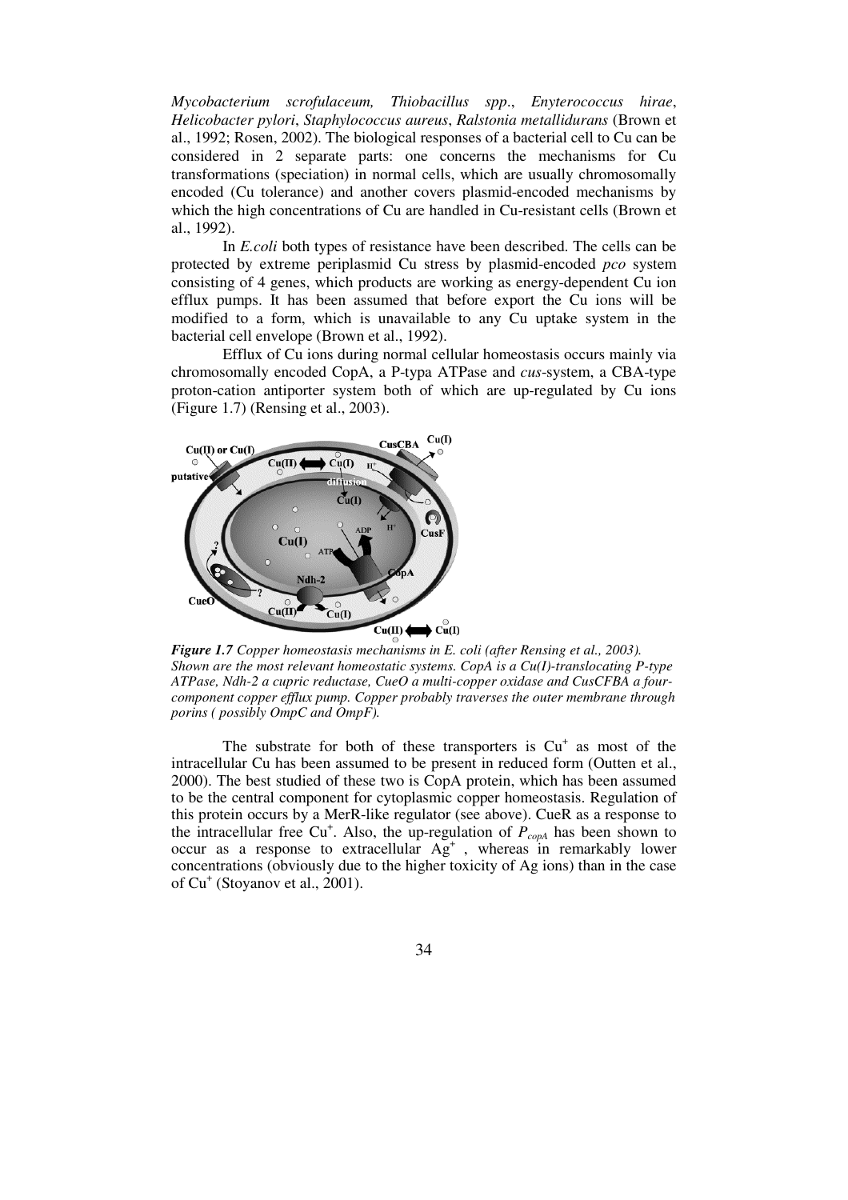*Mycobacterium scrofulaceum, Thiobacillus spp*., *Enyterococcus hirae*, *Helicobacter pylori*, *Staphylococcus aureus*, *Ralstonia metallidurans* (Brown et al., 1992; Rosen, 2002). The biological responses of a bacterial cell to Cu can be considered in 2 separate parts: one concerns the mechanisms for Cu transformations (speciation) in normal cells, which are usually chromosomally encoded (Cu tolerance) and another covers plasmid-encoded mechanisms by which the high concentrations of Cu are handled in Cu-resistant cells (Brown et al., 1992).

In *E.coli* both types of resistance have been described. The cells can be protected by extreme periplasmid Cu stress by plasmid-encoded *pco* system consisting of 4 genes, which products are working as energy-dependent Cu ion efflux pumps. It has been assumed that before export the Cu ions will be modified to a form, which is unavailable to any Cu uptake system in the bacterial cell envelope (Brown et al., 1992).

Efflux of Cu ions during normal cellular homeostasis occurs mainly via chromosomally encoded CopA, a P-typa ATPase and *cus*-system, a CBA-type proton-cation antiporter system both of which are up-regulated by Cu ions (Figure 1.7) (Rensing et al., 2003).



*Figure 1.7 Copper homeostasis mechanisms in E. coli (after Rensing et al., 2003). Shown are the most relevant homeostatic systems. CopA is a Cu(I)-translocating P-type ATPase, Ndh-2 a cupric reductase, CueO a multi-copper oxidase and CusCFBA a fourcomponent copper efflux pump. Copper probably traverses the outer membrane through porins ( possibly OmpC and OmpF).* 

The substrate for both of these transporters is  $Cu<sup>+</sup>$  as most of the intracellular Cu has been assumed to be present in reduced form (Outten et al., 2000). The best studied of these two is CopA protein, which has been assumed to be the central component for cytoplasmic copper homeostasis. Regulation of this protein occurs by a MerR-like regulator (see above). CueR as a response to the intracellular free Cu<sup>+</sup>. Also, the up-regulation of  $P_{\text{copA}}$  has been shown to occur as a response to extracellular  $\overrightarrow{Ag}^+$ , whereas in remarkably lower concentrations (obviously due to the higher toxicity of Ag ions) than in the case of Cu<sup>+</sup> (Stoyanov et al., 2001).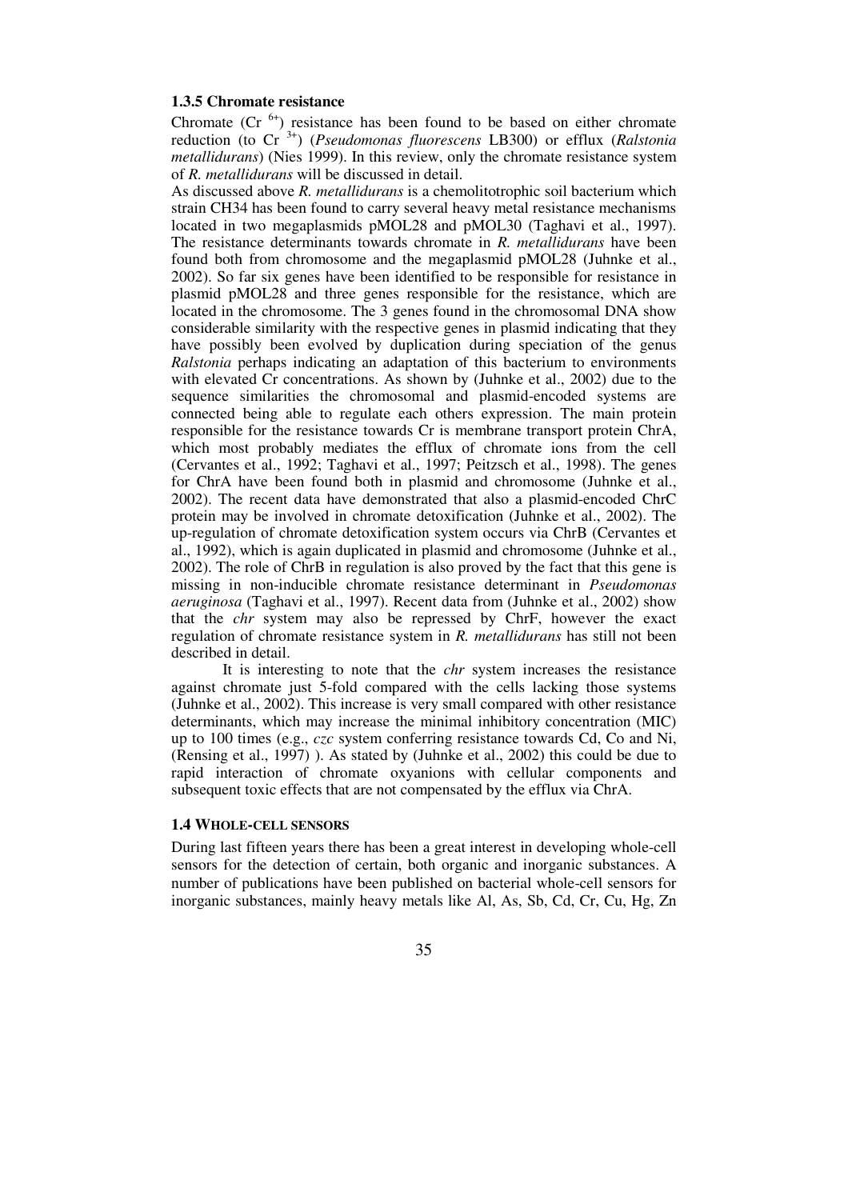### **1.3.5 Chromate resistance**

Chromate (Cr  $<sup>6+</sup>$ ) resistance has been found to be based on either chromate</sup> reduction (to Cr 3+) (*Pseudomonas fluorescens* LB300) or efflux (*Ralstonia metallidurans*) (Nies 1999). In this review, only the chromate resistance system of *R. metallidurans* will be discussed in detail.

As discussed above *R. metallidurans* is a chemolitotrophic soil bacterium which strain CH34 has been found to carry several heavy metal resistance mechanisms located in two megaplasmids pMOL28 and pMOL30 (Taghavi et al., 1997). The resistance determinants towards chromate in *R. metallidurans* have been found both from chromosome and the megaplasmid pMOL28 (Juhnke et al., 2002). So far six genes have been identified to be responsible for resistance in plasmid pMOL28 and three genes responsible for the resistance, which are located in the chromosome. The 3 genes found in the chromosomal DNA show considerable similarity with the respective genes in plasmid indicating that they have possibly been evolved by duplication during speciation of the genus *Ralstonia* perhaps indicating an adaptation of this bacterium to environments with elevated Cr concentrations. As shown by (Juhnke et al., 2002) due to the sequence similarities the chromosomal and plasmid-encoded systems are connected being able to regulate each others expression. The main protein responsible for the resistance towards Cr is membrane transport protein ChrA, which most probably mediates the efflux of chromate ions from the cell (Cervantes et al., 1992; Taghavi et al., 1997; Peitzsch et al., 1998). The genes for ChrA have been found both in plasmid and chromosome (Juhnke et al., 2002). The recent data have demonstrated that also a plasmid-encoded ChrC protein may be involved in chromate detoxification (Juhnke et al., 2002). The up-regulation of chromate detoxification system occurs via ChrB (Cervantes et al., 1992), which is again duplicated in plasmid and chromosome (Juhnke et al., 2002). The role of ChrB in regulation is also proved by the fact that this gene is missing in non-inducible chromate resistance determinant in *Pseudomonas aeruginosa* (Taghavi et al., 1997). Recent data from (Juhnke et al., 2002) show that the *chr* system may also be repressed by ChrF, however the exact regulation of chromate resistance system in *R. metallidurans* has still not been described in detail.

It is interesting to note that the *chr* system increases the resistance against chromate just 5-fold compared with the cells lacking those systems (Juhnke et al., 2002). This increase is very small compared with other resistance determinants, which may increase the minimal inhibitory concentration (MIC) up to 100 times (e.g., *czc* system conferring resistance towards Cd, Co and Ni, (Rensing et al., 1997) ). As stated by (Juhnke et al., 2002) this could be due to rapid interaction of chromate oxyanions with cellular components and subsequent toxic effects that are not compensated by the efflux via ChrA.

### **1.4 WHOLE-CELL SENSORS**

During last fifteen years there has been a great interest in developing whole-cell sensors for the detection of certain, both organic and inorganic substances. A number of publications have been published on bacterial whole-cell sensors for inorganic substances, mainly heavy metals like Al, As, Sb, Cd, Cr, Cu, Hg, Zn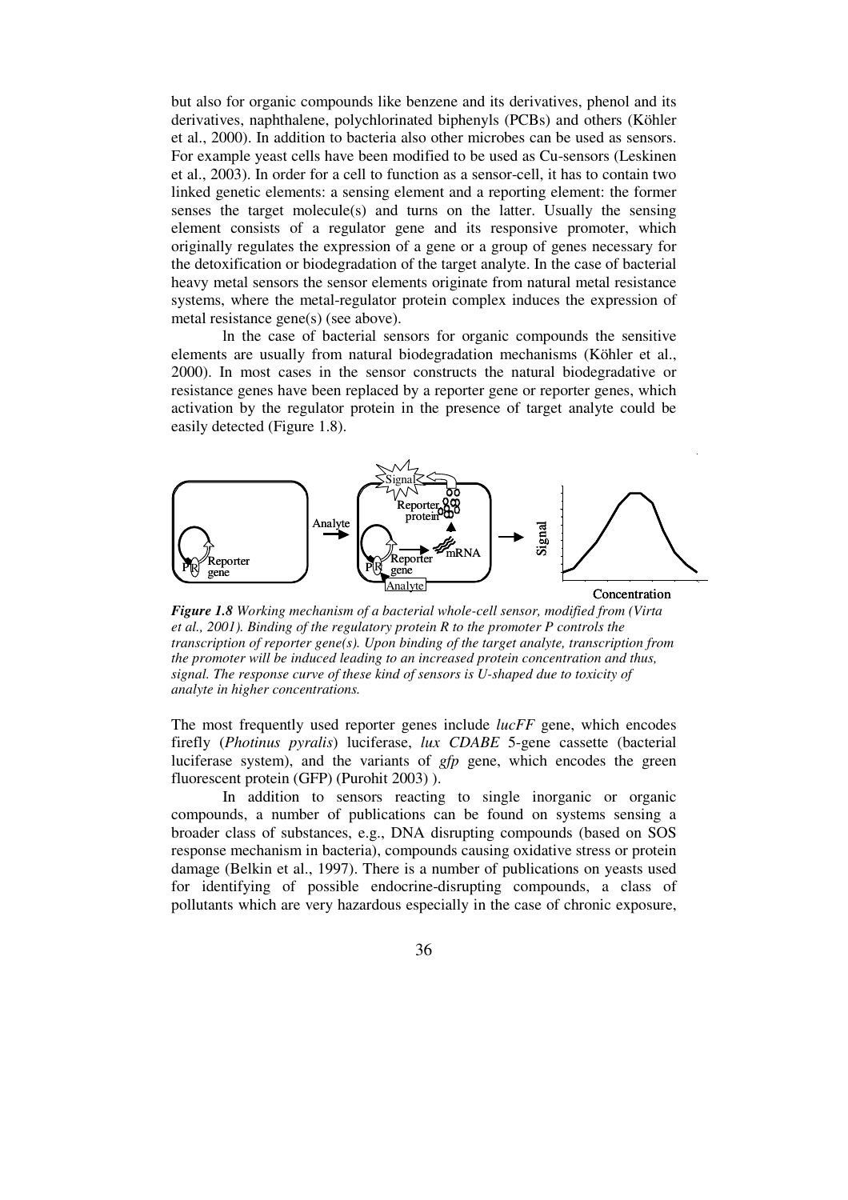but also for organic compounds like benzene and its derivatives, phenol and its derivatives, naphthalene, polychlorinated biphenyls (PCBs) and others (Köhler et al., 2000). In addition to bacteria also other microbes can be used as sensors. For example yeast cells have been modified to be used as Cu-sensors (Leskinen et al., 2003). In order for a cell to function as a sensor-cell, it has to contain two linked genetic elements: a sensing element and a reporting element: the former senses the target molecule(s) and turns on the latter. Usually the sensing element consists of a regulator gene and its responsive promoter, which originally regulates the expression of a gene or a group of genes necessary for the detoxification or biodegradation of the target analyte. In the case of bacterial heavy metal sensors the sensor elements originate from natural metal resistance systems, where the metal-regulator protein complex induces the expression of metal resistance gene(s) (see above).

ln the case of bacterial sensors for organic compounds the sensitive elements are usually from natural biodegradation mechanisms (Köhler et al., 2000). In most cases in the sensor constructs the natural biodegradative or resistance genes have been replaced by a reporter gene or reporter genes, which activation by the regulator protein in the presence of target analyte could be easily detected (Figure 1.8).



*Figure 1.8 Working mechanism of a bacterial whole-cell sensor, modified from (Virta et al., 2001). Binding of the regulatory protein R to the promoter P controls the transcription of reporter gene(s). Upon binding of the target analyte, transcription from the promoter will be induced leading to an increased protein concentration and thus, signal. The response curve of these kind of sensors is U-shaped due to toxicity of analyte in higher concentrations.* 

The most frequently used reporter genes include *lucFF* gene, which encodes firefly (*Photinus pyralis*) luciferase, *lux CDABE* 5-gene cassette (bacterial luciferase system), and the variants of *gfp* gene, which encodes the green fluorescent protein (GFP) (Purohit 2003) ).

In addition to sensors reacting to single inorganic or organic compounds, a number of publications can be found on systems sensing a broader class of substances, e.g., DNA disrupting compounds (based on SOS response mechanism in bacteria), compounds causing oxidative stress or protein damage (Belkin et al., 1997). There is a number of publications on yeasts used for identifying of possible endocrine-disrupting compounds, a class of pollutants which are very hazardous especially in the case of chronic exposure,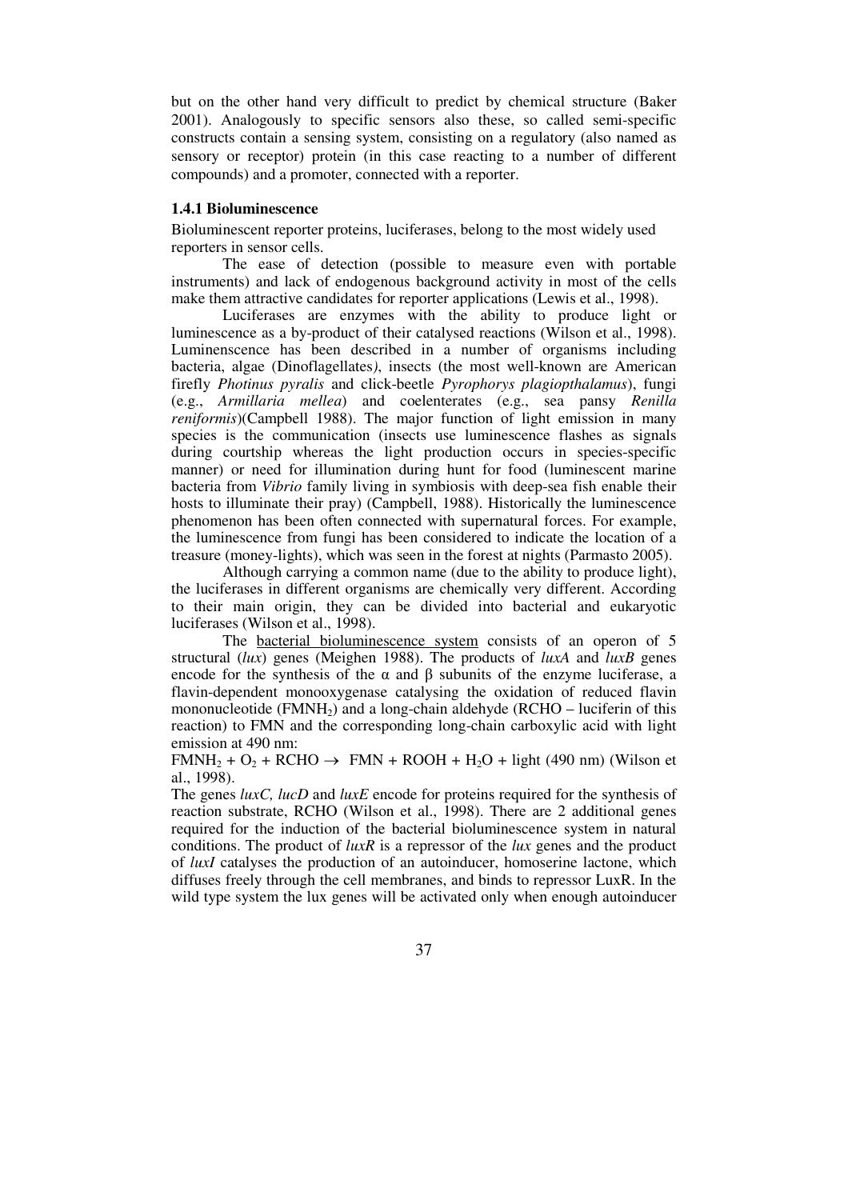but on the other hand very difficult to predict by chemical structure (Baker 2001). Analogously to specific sensors also these, so called semi-specific constructs contain a sensing system, consisting on a regulatory (also named as sensory or receptor) protein (in this case reacting to a number of different compounds) and a promoter, connected with a reporter.

### **1.4.1 Bioluminescence**

Bioluminescent reporter proteins, luciferases, belong to the most widely used reporters in sensor cells.

The ease of detection (possible to measure even with portable instruments) and lack of endogenous background activity in most of the cells make them attractive candidates for reporter applications (Lewis et al., 1998).

Luciferases are enzymes with the ability to produce light or luminescence as a by-product of their catalysed reactions (Wilson et al., 1998). Luminenscence has been described in a number of organisms including bacteria, algae (Dinoflagellates*)*, insects (the most well-known are American firefly *Photinus pyralis* and click-beetle *Pyrophorys plagiopthalamus*), fungi (e.g., *Armillaria mellea*) and coelenterates (e.g., sea pansy *Renilla reniformis*)(Campbell 1988). The major function of light emission in many species is the communication (insects use luminescence flashes as signals during courtship whereas the light production occurs in species-specific manner) or need for illumination during hunt for food (luminescent marine bacteria from *Vibrio* family living in symbiosis with deep-sea fish enable their hosts to illuminate their pray) (Campbell, 1988). Historically the luminescence phenomenon has been often connected with supernatural forces. For example, the luminescence from fungi has been considered to indicate the location of a treasure (money-lights), which was seen in the forest at nights (Parmasto 2005).

Although carrying a common name (due to the ability to produce light), the luciferases in different organisms are chemically very different. According to their main origin, they can be divided into bacterial and eukaryotic luciferases (Wilson et al., 1998).

The bacterial bioluminescence system consists of an operon of 5 structural (*lux*) genes (Meighen 1988). The products of *luxA* and *luxB* genes encode for the synthesis of the  $\alpha$  and  $\beta$  subunits of the enzyme luciferase, a flavin-dependent monooxygenase catalysing the oxidation of reduced flavin mononucleotide  $(FMNH<sub>2</sub>)$  and a long-chain aldehyde (RCHO – luciferin of this reaction) to FMN and the corresponding long-chain carboxylic acid with light emission at 490 nm:

FMNH<sub>2</sub> + O<sub>2</sub> + RCHO  $\rightarrow$  FMN + ROOH + H<sub>2</sub>O + light (490 nm) (Wilson et al., 1998).

The genes *luxC, lucD* and *luxE* encode for proteins required for the synthesis of reaction substrate, RCHO (Wilson et al., 1998). There are 2 additional genes required for the induction of the bacterial bioluminescence system in natural conditions. The product of *luxR* is a repressor of the *lux* genes and the product of *luxI* catalyses the production of an autoinducer, homoserine lactone, which diffuses freely through the cell membranes, and binds to repressor LuxR. In the wild type system the lux genes will be activated only when enough autoinducer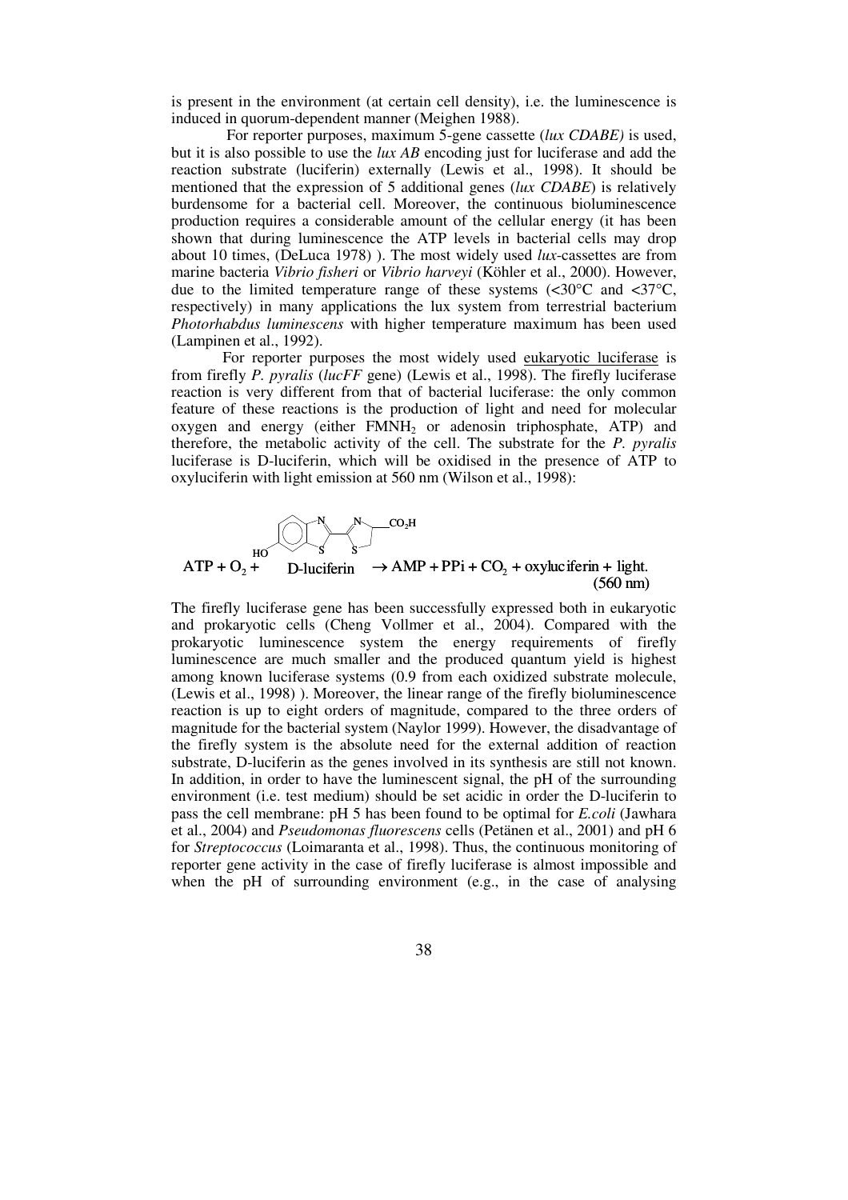is present in the environment (at certain cell density), i.e. the luminescence is induced in quorum-dependent manner (Meighen 1988).

 For reporter purposes, maximum 5-gene cassette (*lux CDABE)* is used, but it is also possible to use the *lux AB* encoding just for luciferase and add the reaction substrate (luciferin) externally (Lewis et al., 1998). It should be mentioned that the expression of 5 additional genes (*lux CDABE*) is relatively burdensome for a bacterial cell. Moreover, the continuous bioluminescence production requires a considerable amount of the cellular energy (it has been shown that during luminescence the ATP levels in bacterial cells may drop about 10 times, (DeLuca 1978) ). The most widely used *lux*-cassettes are from marine bacteria *Vibrio fisheri* or *Vibrio harveyi* (Köhler et al., 2000). However, due to the limited temperature range of these systems  $\langle 30^{\circ}$ C and  $\langle 37^{\circ}$ C, respectively) in many applications the lux system from terrestrial bacterium *Photorhabdus luminescens* with higher temperature maximum has been used (Lampinen et al., 1992).

For reporter purposes the most widely used eukaryotic luciferase is from firefly *P. pyralis* (*lucFF* gene) (Lewis et al., 1998). The firefly luciferase reaction is very different from that of bacterial luciferase: the only common feature of these reactions is the production of light and need for molecular oxygen and energy (either  $FMM_2$  or adenosin triphosphate, ATP) and therefore, the metabolic activity of the cell. The substrate for the *P. pyralis* luciferase is D-luciferin, which will be oxidised in the presence of ATP to oxyluciferin with light emission at  $560$  nm (Wilson et al., 1998):



The firefly luciferase gene has been successfully expressed both in eukaryotic and prokaryotic cells (Cheng Vollmer et al., 2004). Compared with the prokaryotic luminescence system the energy requirements of firefly luminescence are much smaller and the produced quantum yield is highest among known luciferase systems (0.9 from each oxidized substrate molecule, (Lewis et al., 1998) ). Moreover, the linear range of the firefly bioluminescence reaction is up to eight orders of magnitude, compared to the three orders of magnitude for the bacterial system (Naylor 1999). However, the disadvantage of the firefly system is the absolute need for the external addition of reaction substrate, D-luciferin as the genes involved in its synthesis are still not known. In addition, in order to have the luminescent signal, the pH of the surrounding environment (i.e. test medium) should be set acidic in order the D-luciferin to pass the cell membrane: pH 5 has been found to be optimal for *E.coli* (Jawhara et al., 2004) and *Pseudomonas fluorescens* cells (Petänen et al., 2001) and pH 6 for *Streptococcus* (Loimaranta et al., 1998). Thus, the continuous monitoring of reporter gene activity in the case of firefly luciferase is almost impossible and when the pH of surrounding environment (e.g., in the case of analysing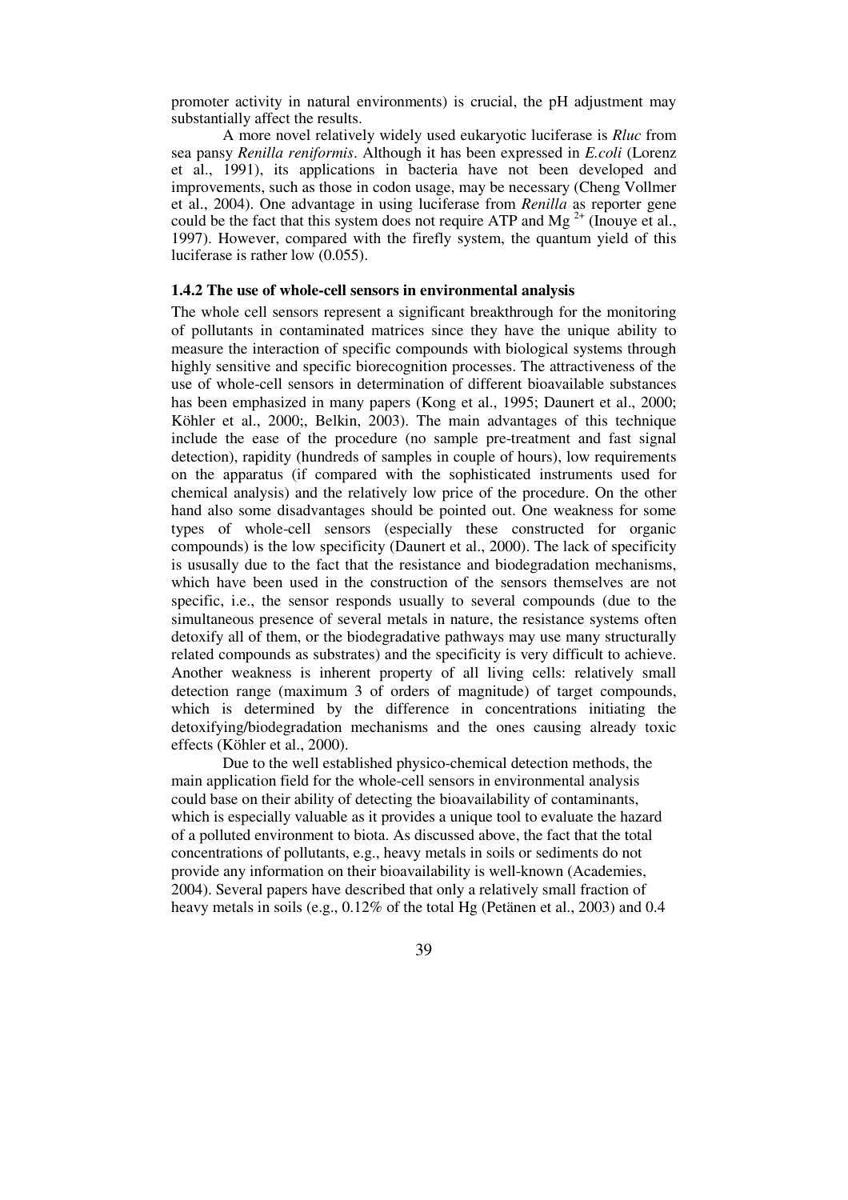promoter activity in natural environments) is crucial, the pH adjustment may substantially affect the results.

A more novel relatively widely used eukaryotic luciferase is *Rluc* from sea pansy *Renilla reniformis*. Although it has been expressed in *E.coli* (Lorenz et al., 1991), its applications in bacteria have not been developed and improvements, such as those in codon usage, may be necessary (Cheng Vollmer et al., 2004). One advantage in using luciferase from *Renilla* as reporter gene could be the fact that this system does not require ATP and  $Mg^{2+}$  (Inouye et al., 1997). However, compared with the firefly system, the quantum yield of this luciferase is rather low (0.055).

#### **1.4.2 The use of whole-cell sensors in environmental analysis**

The whole cell sensors represent a significant breakthrough for the monitoring of pollutants in contaminated matrices since they have the unique ability to measure the interaction of specific compounds with biological systems through highly sensitive and specific biorecognition processes. The attractiveness of the use of whole-cell sensors in determination of different bioavailable substances has been emphasized in many papers (Kong et al., 1995; Daunert et al., 2000; Köhler et al., 2000;, Belkin, 2003). The main advantages of this technique include the ease of the procedure (no sample pre-treatment and fast signal detection), rapidity (hundreds of samples in couple of hours), low requirements on the apparatus (if compared with the sophisticated instruments used for chemical analysis) and the relatively low price of the procedure. On the other hand also some disadvantages should be pointed out. One weakness for some types of whole-cell sensors (especially these constructed for organic compounds) is the low specificity (Daunert et al., 2000). The lack of specificity is ususally due to the fact that the resistance and biodegradation mechanisms, which have been used in the construction of the sensors themselves are not specific, i.e., the sensor responds usually to several compounds (due to the simultaneous presence of several metals in nature, the resistance systems often detoxify all of them, or the biodegradative pathways may use many structurally related compounds as substrates) and the specificity is very difficult to achieve. Another weakness is inherent property of all living cells: relatively small detection range (maximum 3 of orders of magnitude) of target compounds, which is determined by the difference in concentrations initiating the detoxifying/biodegradation mechanisms and the ones causing already toxic effects (Köhler et al., 2000).

Due to the well established physico-chemical detection methods, the main application field for the whole-cell sensors in environmental analysis could base on their ability of detecting the bioavailability of contaminants, which is especially valuable as it provides a unique tool to evaluate the hazard of a polluted environment to biota. As discussed above, the fact that the total concentrations of pollutants, e.g., heavy metals in soils or sediments do not provide any information on their bioavailability is well-known (Academies, 2004). Several papers have described that only a relatively small fraction of heavy metals in soils (e.g., 0.12% of the total Hg (Petänen et al., 2003) and 0.4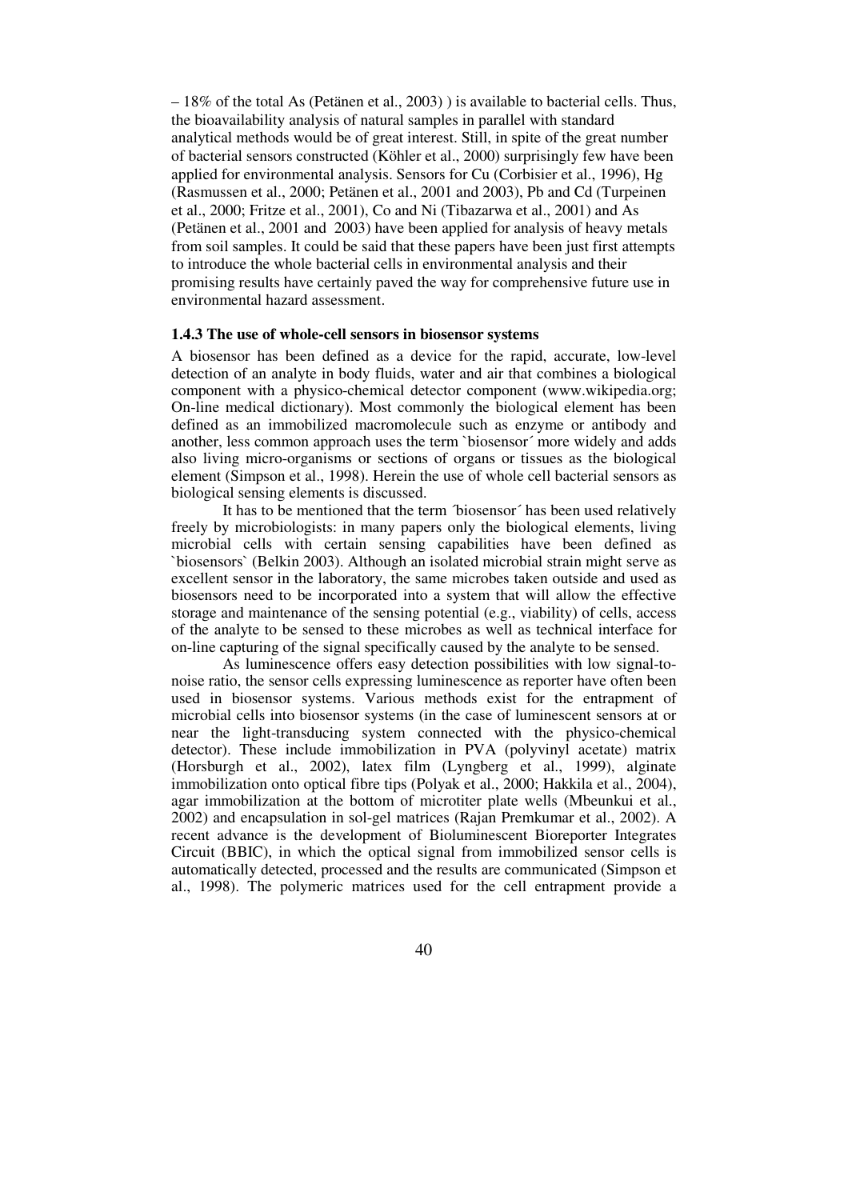– 18% of the total As (Petänen et al., 2003) ) is available to bacterial cells. Thus, the bioavailability analysis of natural samples in parallel with standard analytical methods would be of great interest. Still, in spite of the great number of bacterial sensors constructed (Köhler et al., 2000) surprisingly few have been applied for environmental analysis. Sensors for Cu (Corbisier et al., 1996), Hg (Rasmussen et al., 2000; Petänen et al., 2001 and 2003), Pb and Cd (Turpeinen et al., 2000; Fritze et al., 2001), Co and Ni (Tibazarwa et al., 2001) and As (Petänen et al., 2001 and 2003) have been applied for analysis of heavy metals from soil samples. It could be said that these papers have been just first attempts to introduce the whole bacterial cells in environmental analysis and their promising results have certainly paved the way for comprehensive future use in environmental hazard assessment.

#### **1.4.3 The use of whole-cell sensors in biosensor systems**

A biosensor has been defined as a device for the rapid, accurate, low-level detection of an analyte in body fluids, water and air that combines a biological component with a physico-chemical detector component (www.wikipedia.org; On-line medical dictionary). Most commonly the biological element has been defined as an immobilized macromolecule such as enzyme or antibody and another, less common approach uses the term `biosensor´ more widely and adds also living micro-organisms or sections of organs or tissues as the biological element (Simpson et al., 1998). Herein the use of whole cell bacterial sensors as biological sensing elements is discussed.

It has to be mentioned that the term ´biosensor´ has been used relatively freely by microbiologists: in many papers only the biological elements, living microbial cells with certain sensing capabilities have been defined as `biosensors` (Belkin 2003). Although an isolated microbial strain might serve as excellent sensor in the laboratory, the same microbes taken outside and used as biosensors need to be incorporated into a system that will allow the effective storage and maintenance of the sensing potential (e.g., viability) of cells, access of the analyte to be sensed to these microbes as well as technical interface for on-line capturing of the signal specifically caused by the analyte to be sensed.

As luminescence offers easy detection possibilities with low signal-tonoise ratio, the sensor cells expressing luminescence as reporter have often been used in biosensor systems. Various methods exist for the entrapment of microbial cells into biosensor systems (in the case of luminescent sensors at or near the light-transducing system connected with the physico-chemical detector). These include immobilization in PVA (polyvinyl acetate) matrix (Horsburgh et al., 2002), latex film (Lyngberg et al., 1999), alginate immobilization onto optical fibre tips (Polyak et al., 2000; Hakkila et al., 2004), agar immobilization at the bottom of microtiter plate wells (Mbeunkui et al., 2002) and encapsulation in sol-gel matrices (Rajan Premkumar et al., 2002). A recent advance is the development of Bioluminescent Bioreporter Integrates Circuit (BBIC), in which the optical signal from immobilized sensor cells is automatically detected, processed and the results are communicated (Simpson et al., 1998). The polymeric matrices used for the cell entrapment provide a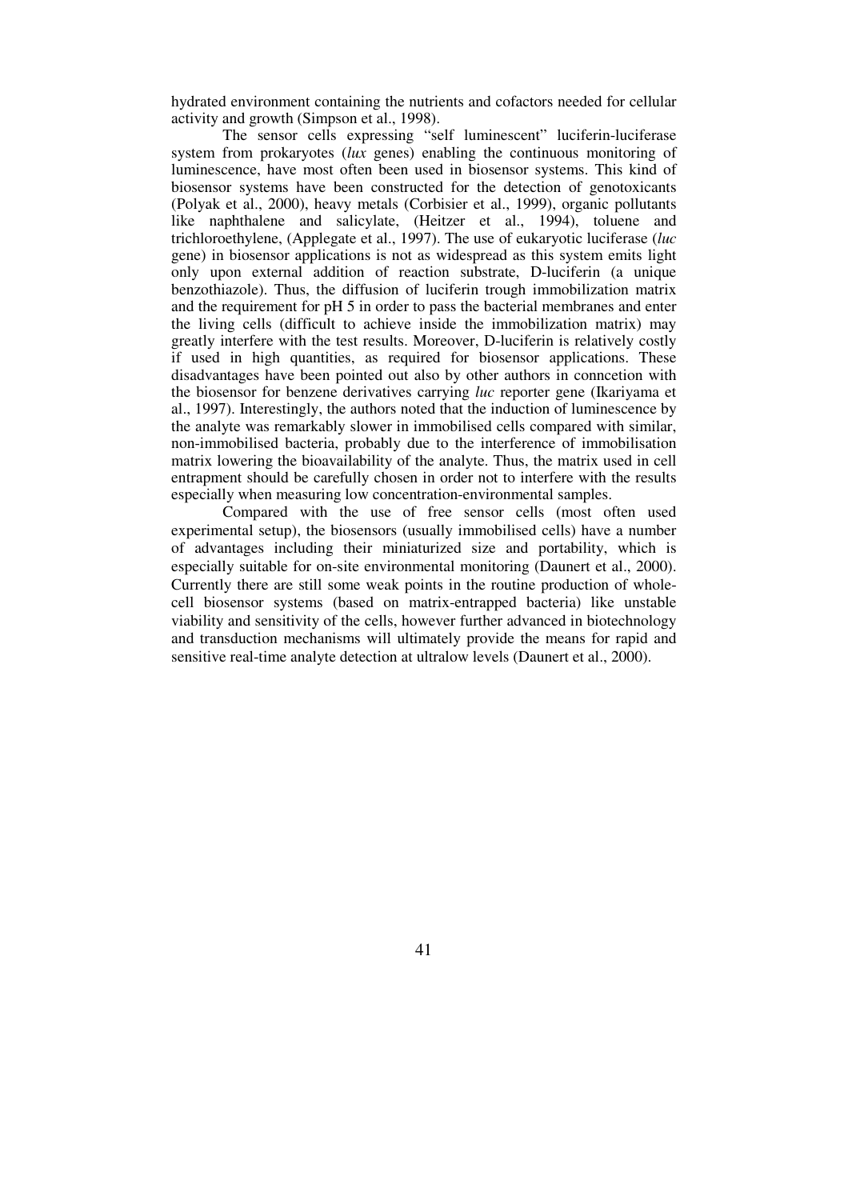hydrated environment containing the nutrients and cofactors needed for cellular activity and growth (Simpson et al., 1998).

The sensor cells expressing "self luminescent" luciferin-luciferase system from prokaryotes (*lux* genes) enabling the continuous monitoring of luminescence, have most often been used in biosensor systems. This kind of biosensor systems have been constructed for the detection of genotoxicants (Polyak et al., 2000), heavy metals (Corbisier et al., 1999), organic pollutants like naphthalene and salicylate, (Heitzer et al., 1994), toluene and trichloroethylene, (Applegate et al., 1997). The use of eukaryotic luciferase (*luc* gene) in biosensor applications is not as widespread as this system emits light only upon external addition of reaction substrate, D-luciferin (a unique benzothiazole). Thus, the diffusion of luciferin trough immobilization matrix and the requirement for pH 5 in order to pass the bacterial membranes and enter the living cells (difficult to achieve inside the immobilization matrix) may greatly interfere with the test results. Moreover, D-luciferin is relatively costly if used in high quantities, as required for biosensor applications. These disadvantages have been pointed out also by other authors in conncetion with the biosensor for benzene derivatives carrying *luc* reporter gene (Ikariyama et al., 1997). Interestingly, the authors noted that the induction of luminescence by the analyte was remarkably slower in immobilised cells compared with similar, non-immobilised bacteria, probably due to the interference of immobilisation matrix lowering the bioavailability of the analyte. Thus, the matrix used in cell entrapment should be carefully chosen in order not to interfere with the results especially when measuring low concentration-environmental samples.

Compared with the use of free sensor cells (most often used experimental setup), the biosensors (usually immobilised cells) have a number of advantages including their miniaturized size and portability, which is especially suitable for on-site environmental monitoring (Daunert et al., 2000). Currently there are still some weak points in the routine production of wholecell biosensor systems (based on matrix-entrapped bacteria) like unstable viability and sensitivity of the cells, however further advanced in biotechnology and transduction mechanisms will ultimately provide the means for rapid and sensitive real-time analyte detection at ultralow levels (Daunert et al., 2000).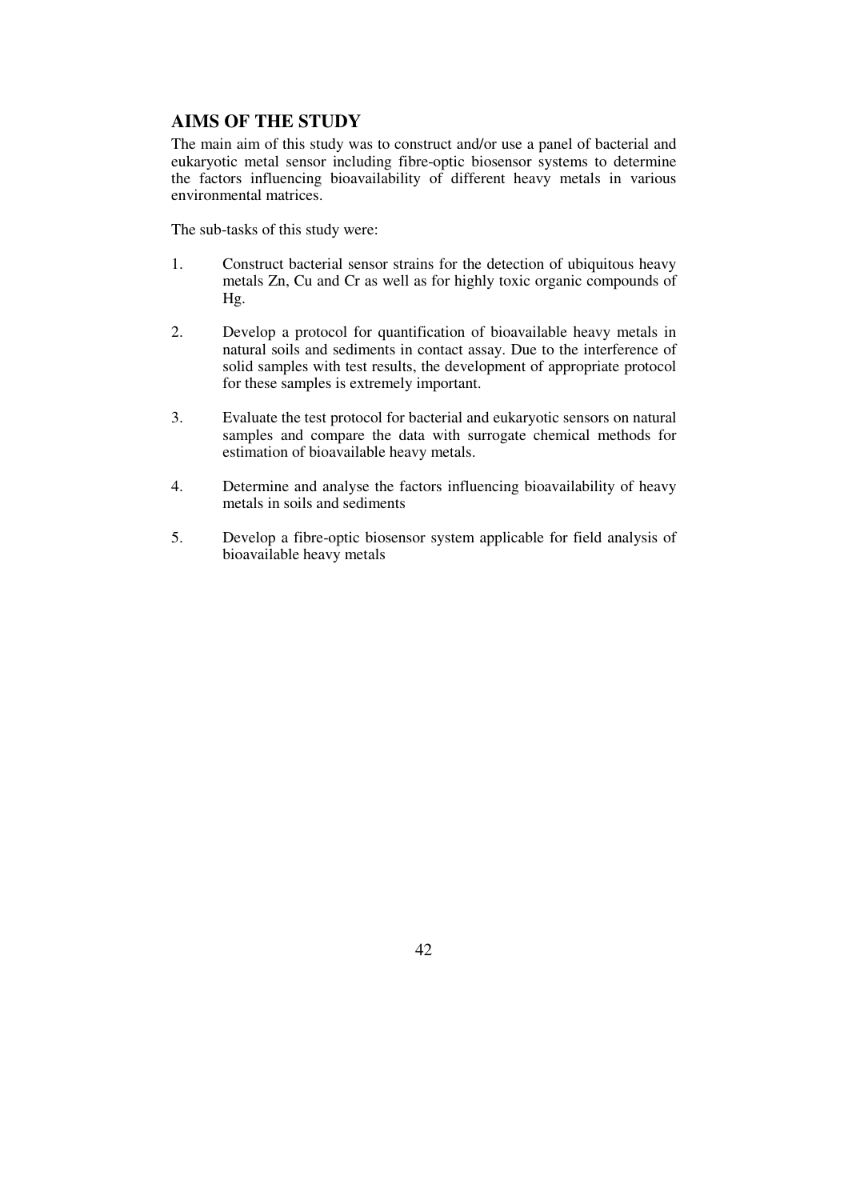# **AIMS OF THE STUDY**

The main aim of this study was to construct and/or use a panel of bacterial and eukaryotic metal sensor including fibre-optic biosensor systems to determine the factors influencing bioavailability of different heavy metals in various environmental matrices.

The sub-tasks of this study were:

- 1. Construct bacterial sensor strains for the detection of ubiquitous heavy metals Zn, Cu and Cr as well as for highly toxic organic compounds of Hg.
- 2. Develop a protocol for quantification of bioavailable heavy metals in natural soils and sediments in contact assay. Due to the interference of solid samples with test results, the development of appropriate protocol for these samples is extremely important.
- 3. Evaluate the test protocol for bacterial and eukaryotic sensors on natural samples and compare the data with surrogate chemical methods for estimation of bioavailable heavy metals.
- 4. Determine and analyse the factors influencing bioavailability of heavy metals in soils and sediments
- 5. Develop a fibre-optic biosensor system applicable for field analysis of bioavailable heavy metals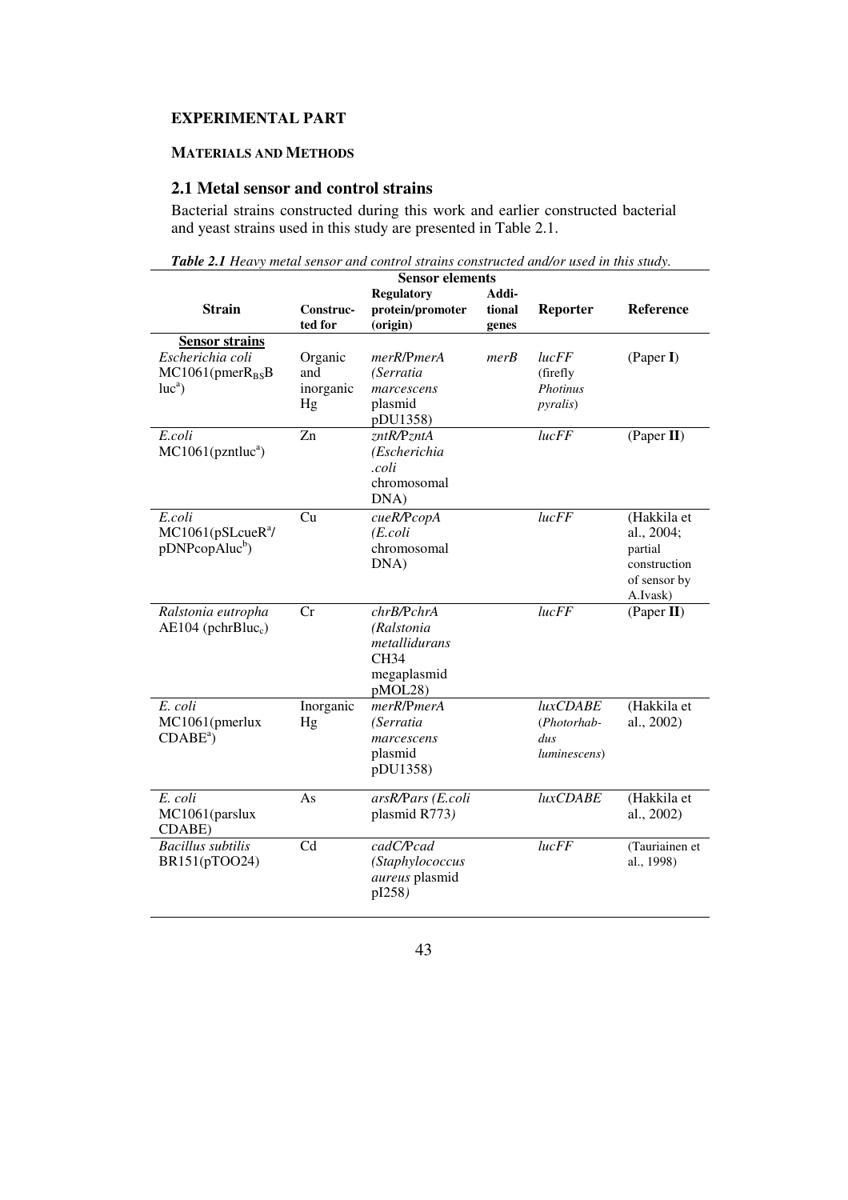# **EXPERIMENTAL PART**

# **MATERIALS AND METHODS**

# **2.1 Metal sensor and control strains**

Bacterial strains constructed during this work and earlier constructed bacterial and yeast strains used in this study are presented in Table 2.1.

| <b>Table 2.1</b> Heavy metal sensor and control strains constructed and/or used in this study.<br><b>Sensor elements</b> |                                   |                                                                                         |                          |                                                   |                                                                                  |
|--------------------------------------------------------------------------------------------------------------------------|-----------------------------------|-----------------------------------------------------------------------------------------|--------------------------|---------------------------------------------------|----------------------------------------------------------------------------------|
| <b>Strain</b>                                                                                                            | Construc-<br>ted for              | <b>Regulatory</b><br>protein/promoter<br>(origin)                                       | Addi-<br>tional<br>genes | Reporter                                          | Reference                                                                        |
| <b>Sensor strains</b><br>Escherichia coli<br>MC1061(pmerR <sub>BS</sub> B)<br>$luca$ )                                   | Organic<br>and<br>inorganic<br>Hg | merR/PmerA<br>(Serratia<br>marcescens<br>plasmid<br>pDU1358)                            | merB                     | lucFF<br>(firefly<br>Photinus<br><i>pyralis</i> ) | (Paper I)                                                                        |
| E.coli<br>MC1061(pzntluc <sup>a</sup> )                                                                                  | $\overline{Zn}$                   | zntR/PzntA<br>(Escherichia<br>.coli<br>chromosomal<br>DNA)                              |                          | lucFF                                             | (Paper II)                                                                       |
| E.coli<br>MC1061(pSLevelR <sup>a</sup> /<br>pDNPcopAluc <sup>b</sup> )                                                   | Cu                                | cueR/PcopA<br>(E. coli)<br>chromosomal<br>DNA)                                          |                          | $luc\overline{FF}$                                | (Hakkila et<br>al., 2004;<br>partial<br>construction<br>of sensor by<br>A.Ivask) |
| Ralstonia eutropha<br>$AE104$ (pchr $Blue_c$ )                                                                           | Cr                                | chrB/PchrA<br>(Ralstonia<br>metallidurans<br>CH <sub>34</sub><br>megaplasmid<br>pMOL28) |                          | lucFF                                             | (Paper II)                                                                       |
| E. coli<br>MC1061(pmerlux<br>$CDABEa$ )                                                                                  | Inorganic<br>Hg                   | merR/PmerA<br>(Serratia<br>marcescens<br>plasmid<br>pDU1358)                            |                          | luxCDABE<br>(Photorhab-<br>dus<br>luminescens)    | (Hakkila et<br>al., 2002)                                                        |
| E. coli<br>MC1061(parslux<br>CDABE)                                                                                      | As                                | arsR/Pars (E.coli<br>plasmid R773)                                                      |                          | luxCDABE                                          | (Hakkila et<br>al., 2002)                                                        |
| <b>Bacillus</b> subtilis<br>BR151(pTOO24)                                                                                | Cd                                | cadC/Pcad<br>(Staphylococcus<br><i>aureus</i> plasmid<br>pI258)                         |                          | lucFF                                             | (Tauriainen et<br>al., 1998)                                                     |

*Table 2.1 Heavy metal sensor and control strains constructed and/or used in this study.*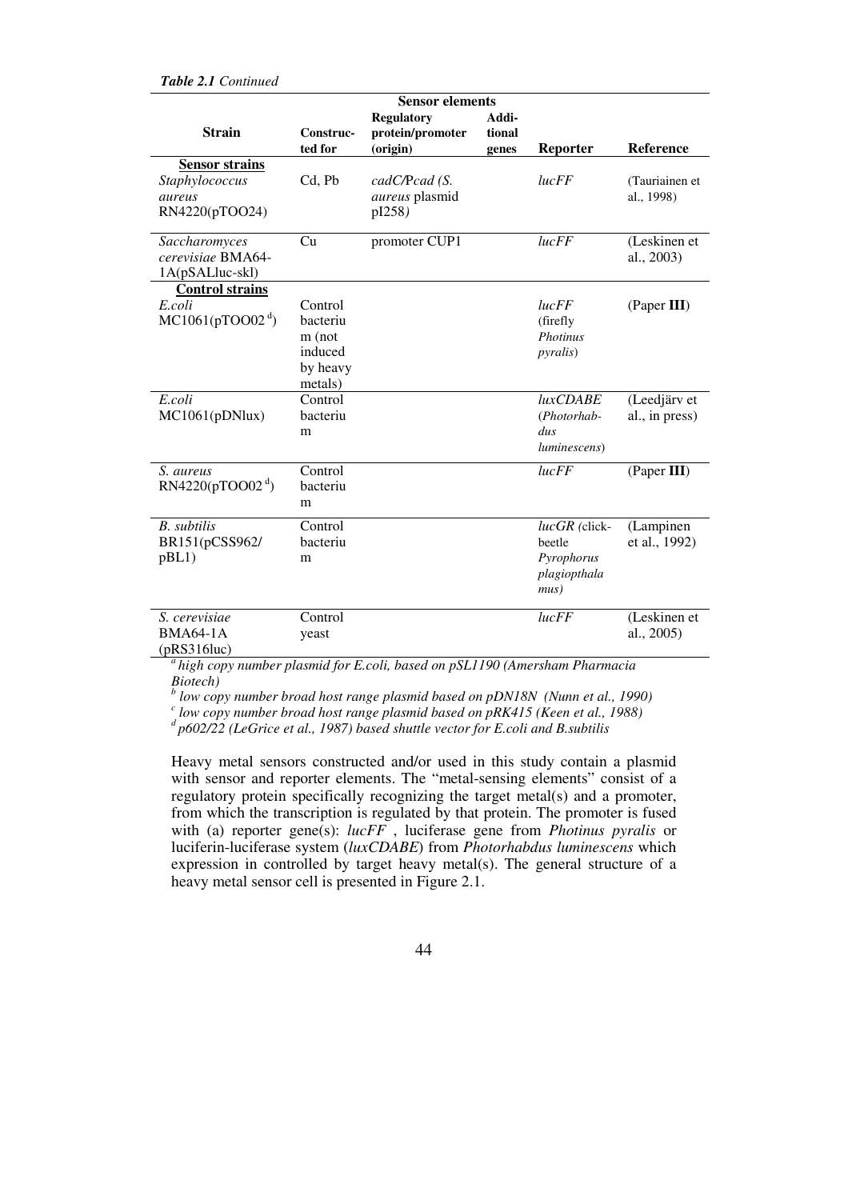| <b>Sensor elements</b>       |           |                   |        |                  |                |
|------------------------------|-----------|-------------------|--------|------------------|----------------|
|                              |           | <b>Regulatory</b> | Addi-  |                  |                |
| <b>Strain</b>                | Construc- | protein/promoter  | tional |                  |                |
|                              | ted for   | (origin)          | genes  | Reporter         | Reference      |
| <b>Sensor strains</b>        |           |                   |        |                  |                |
| Staphylococcus               | Cd, Pb    | cadC/Pcad (S.     |        | lucFF            | (Tauriainen et |
| aureus                       |           | aureus plasmid    |        |                  | al., 1998)     |
| RN4220(pTOO24)               |           | pI258)            |        |                  |                |
|                              |           |                   |        |                  |                |
| Saccharomyces                | Cu        | promoter CUP1     |        | lucFF            | (Leskinen et   |
| cerevisiae BMA64-            |           |                   |        |                  | al., 2003)     |
| 1A(pSALluc-skl)              |           |                   |        |                  |                |
| <b>Control strains</b>       |           |                   |        |                  |                |
| E.coli                       | Control   |                   |        | lucFF            | (Paper III)    |
| MC1061(pTOO02 <sup>d</sup> ) | bacteriu  |                   |        | (firefly)        |                |
|                              | $m$ (not  |                   |        | Photinus         |                |
|                              | induced   |                   |        | <i>pyralis</i> ) |                |
|                              | by heavy  |                   |        |                  |                |
|                              | metals)   |                   |        |                  |                |
| E.coli                       | Control   |                   |        | luxCDABE         | (Leedjärv et   |
| MC1061(pDNlux)               | bacteriu  |                   |        | (Photorhab-      | al., in press) |
|                              | m         |                   |        | dus              |                |
|                              |           |                   |        | luminescens)     |                |
| S. aureus                    | Control   |                   |        | lucFF            | (Paper III)    |
| RN4220(pTOO02 $^d$ )         | bacteriu  |                   |        |                  |                |
|                              | m         |                   |        |                  |                |
| <b>B.</b> subtilis           | Control   |                   |        | $lucGR$ (click-  | (Lampinen      |
| BR151(pCSS962/               | bacteriu  |                   |        | beetle           | et al., 1992)  |
| pBL1)                        | m         |                   |        | Pyrophorus       |                |
|                              |           |                   |        | plagiopthala     |                |
|                              |           |                   |        | mus)             |                |
| S. cerevisiae                | Control   |                   |        | lucFF            | (Leskinen et   |
| <b>BMA64-1A</b>              | yeast     |                   |        |                  | al., 2005)     |
| $(pRS316$ luc $)$            |           |                   |        |                  |                |
|                              |           |                   |        |                  |                |

*<sup>a</sup>high copy number plasmid for E.coli, based on pSL1190 (Amersham Pharmacia Biotech) b low copy number broad host range plasmid based on pDN18N (Nunn et al., 1990)* 

*c low copy number broad host range plasmid based on pRK415 (Keen et al., 1988)* 

*<sup>d</sup>p602/22 (LeGrice et al., 1987) based shuttle vector for E.coli and B.subtilis*

Heavy metal sensors constructed and/or used in this study contain a plasmid with sensor and reporter elements. The "metal-sensing elements" consist of a regulatory protein specifically recognizing the target metal(s) and a promoter, from which the transcription is regulated by that protein. The promoter is fused with (a) reporter gene(s): *lucFF* , luciferase gene from *Photinus pyralis* or luciferin-luciferase system (*luxCDABE*) from *Photorhabdus luminescens* which expression in controlled by target heavy metal(s). The general structure of a heavy metal sensor cell is presented in Figure 2.1.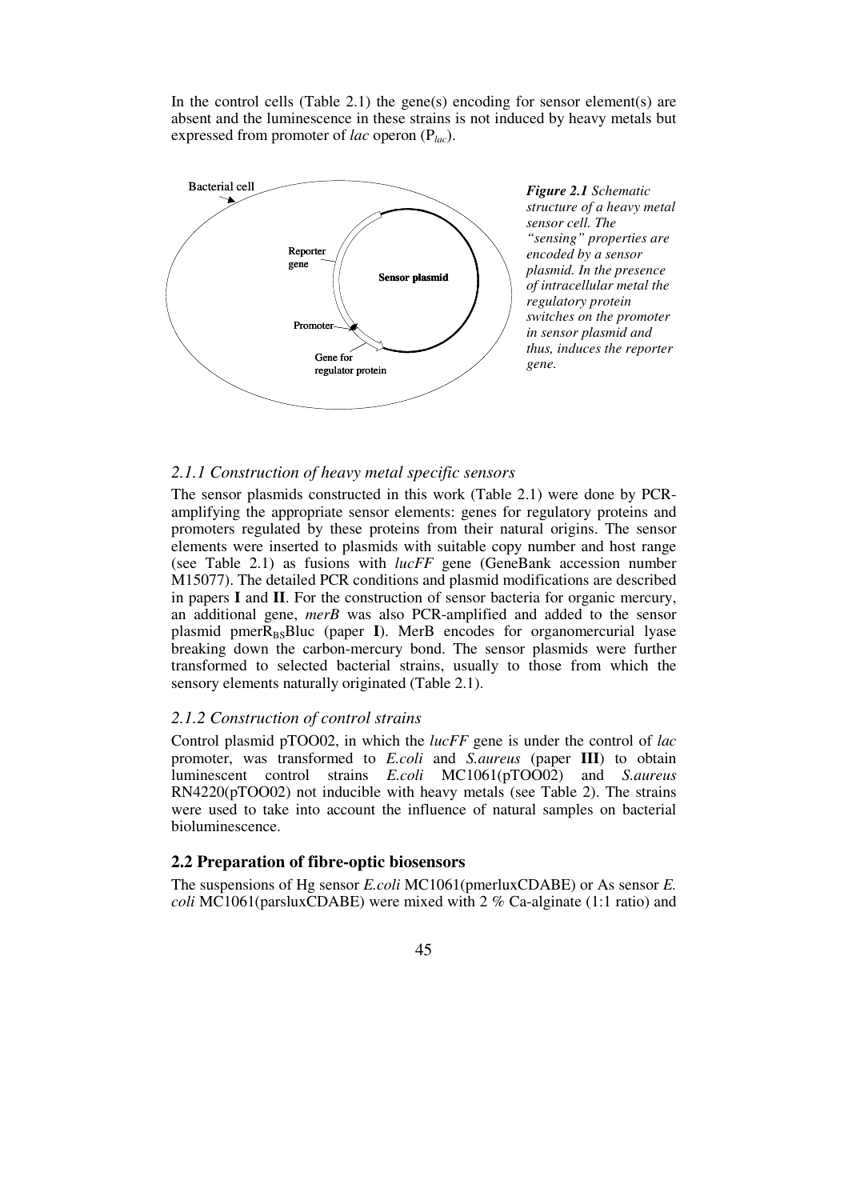In the control cells (Table 2.1) the gene(s) encoding for sensor element(s) are absent and the luminescence in these strains is not induced by heavy metals but expressed from promoter of *lac* operon (P*lac*).



# *2.1.1 Construction of heavy metal specific sensors*

The sensor plasmids constructed in this work (Table 2.1) were done by PCRamplifying the appropriate sensor elements: genes for regulatory proteins and promoters regulated by these proteins from their natural origins. The sensor elements were inserted to plasmids with suitable copy number and host range (see Table 2.1) as fusions with *lucFF* gene (GeneBank accession number M15077). The detailed PCR conditions and plasmid modifications are described in papers **I** and **II**. For the construction of sensor bacteria for organic mercury, an additional gene, *merB* was also PCR-amplified and added to the sensor plasmid pmer $R_{BS}$ Bluc (paper **I**). MerB encodes for organomercurial lyase breaking down the carbon-mercury bond. The sensor plasmids were further transformed to selected bacterial strains, usually to those from which the sensory elements naturally originated (Table 2.1).

### *2.1.2 Construction of control strains*

Control plasmid pTOO02, in which the *lucFF* gene is under the control of *lac* promoter, was transformed to *E.coli* and *S.aureus* (paper **III**) to obtain luminescent control strains *E.coli* MC1061(pTOO02) and *S.aureus*  $RN4220(pTOO02)$  not inducible with heavy metals (see Table 2). The strains were used to take into account the influence of natural samples on bacterial bioluminescence.

#### **2.2 Preparation of fibre-optic biosensors**

The suspensions of Hg sensor *E.coli* MC1061(pmerluxCDABE) or As sensor *E. coli* MC1061(parsluxCDABE) were mixed with 2 % Ca-alginate (1:1 ratio) and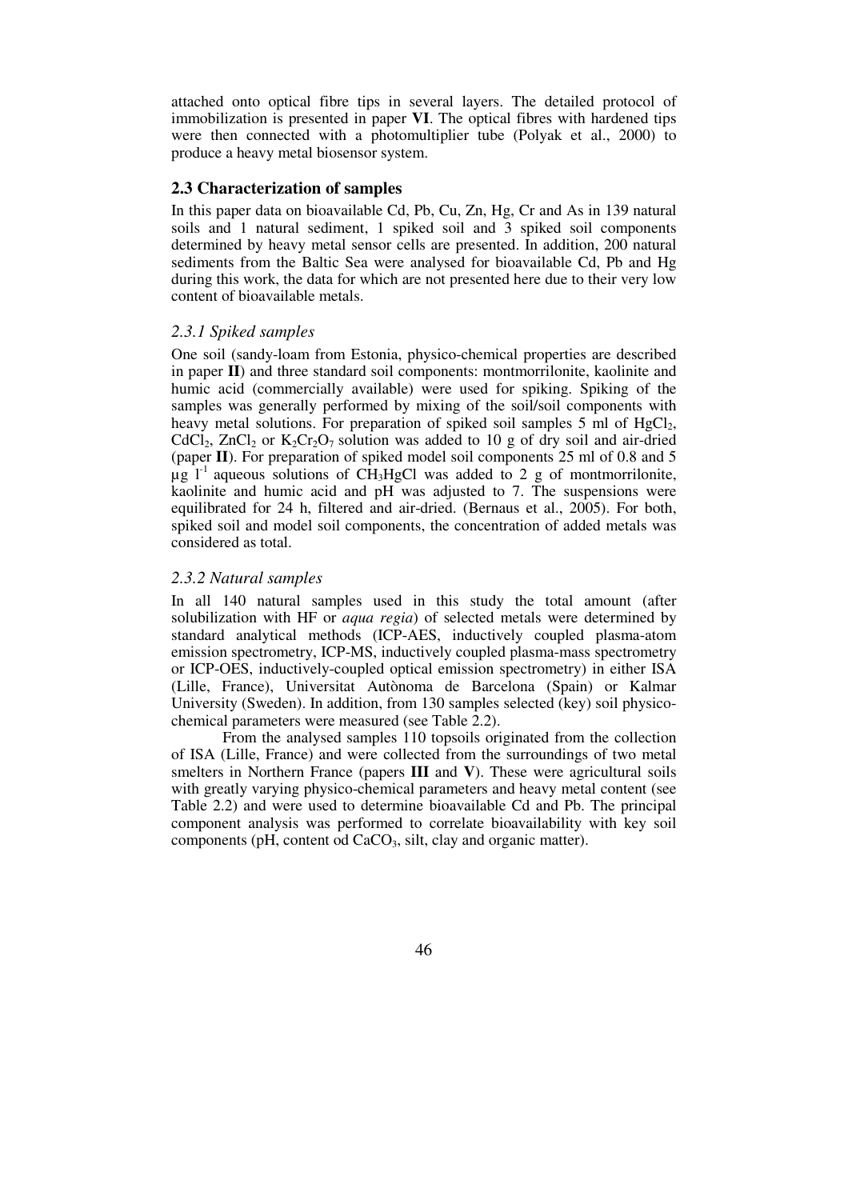attached onto optical fibre tips in several layers. The detailed protocol of immobilization is presented in paper **VI**. The optical fibres with hardened tips were then connected with a photomultiplier tube (Polyak et al., 2000) to produce a heavy metal biosensor system.

### **2.3 Characterization of samples**

In this paper data on bioavailable Cd, Pb, Cu, Zn, Hg, Cr and As in 139 natural soils and 1 natural sediment, 1 spiked soil and 3 spiked soil components determined by heavy metal sensor cells are presented. In addition, 200 natural sediments from the Baltic Sea were analysed for bioavailable Cd, Pb and Hg during this work, the data for which are not presented here due to their very low content of bioavailable metals.

#### *2.3.1 Spiked samples*

One soil (sandy-loam from Estonia, physico-chemical properties are described in paper **II**) and three standard soil components: montmorrilonite, kaolinite and humic acid (commercially available) were used for spiking. Spiking of the samples was generally performed by mixing of the soil/soil components with heavy metal solutions. For preparation of spiked soil samples 5 ml of  $HgCl<sub>2</sub>$ , CdCl<sub>2</sub>, ZnCl<sub>2</sub> or  $K_2Cr_2O_7$  solution was added to 10 g of dry soil and air-dried (paper **II**). For preparation of spiked model soil components 25 ml of 0.8 and 5  $\mu$ g l<sup>-1</sup> aqueous solutions of CH<sub>3</sub>HgCl was added to 2 g of montmorrilonite, kaolinite and humic acid and pH was adjusted to 7. The suspensions were equilibrated for 24 h, filtered and air-dried. (Bernaus et al., 2005). For both, spiked soil and model soil components, the concentration of added metals was considered as total.

#### *2.3.2 Natural samples*

In all 140 natural samples used in this study the total amount (after solubilization with HF or *aqua regia*) of selected metals were determined by standard analytical methods (ICP-AES, inductively coupled plasma-atom emission spectrometry, ICP-MS, inductively coupled plasma-mass spectrometry or ICP-OES, inductively-coupled optical emission spectrometry) in either ISA (Lille, France), Universitat Autònoma de Barcelona (Spain) or Kalmar University (Sweden). In addition, from 130 samples selected (key) soil physicochemical parameters were measured (see Table 2.2).

From the analysed samples 110 topsoils originated from the collection of ISA (Lille, France) and were collected from the surroundings of two metal smelters in Northern France (papers **III** and **V**). These were agricultural soils with greatly varying physico-chemical parameters and heavy metal content (see Table 2.2) and were used to determine bioavailable Cd and Pb. The principal component analysis was performed to correlate bioavailability with key soil components (pH, content od  $CaCO<sub>3</sub>$ , silt, clay and organic matter).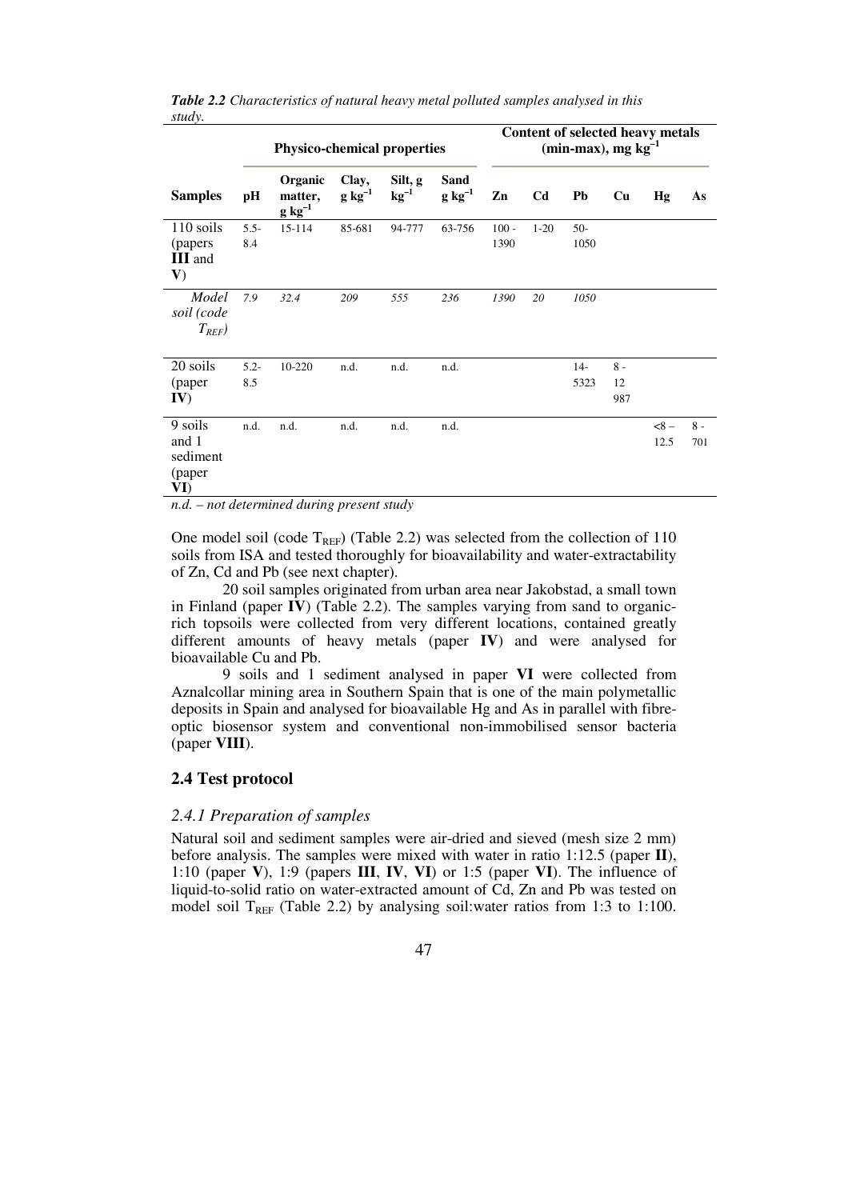| sıua y.                                       | <b>Physico-chemical properties</b> |                                   |                      | Content of selected heavy metals<br>(min-max), mg $kg^{-1}$ |                            |                 |                |               |                    |               |              |
|-----------------------------------------------|------------------------------------|-----------------------------------|----------------------|-------------------------------------------------------------|----------------------------|-----------------|----------------|---------------|--------------------|---------------|--------------|
| <b>Samples</b>                                | рH                                 | Organic<br>matter,<br>$g kg^{-1}$ | Clay,<br>$g kg^{-1}$ | Silt, g<br>$kg^{-1}$                                        | <b>Sand</b><br>$g kg^{-1}$ | Zn              | C <sub>d</sub> | Pb            | Cu                 | Hg            | As           |
| 110 soils<br>(papers)<br><b>III</b> and<br>V) | $5.5 -$<br>8.4                     | 15-114                            | 85-681               | 94-777                                                      | 63-756                     | $100 -$<br>1390 | $1 - 20$       | $50-$<br>1050 |                    |               |              |
| Model<br>soil (code<br>$T_{REF}$ )            | 7.9                                | 32.4                              | 209                  | 555                                                         | 236                        | 1390            | 20             | 1050          |                    |               |              |
| 20 soils<br>(paper<br>IV)                     | $5.2 -$<br>8.5                     | 10-220                            | n.d.                 | n.d.                                                        | n.d.                       |                 |                | $14-$<br>5323 | $8 -$<br>12<br>987 |               |              |
| 9 soils<br>and 1<br>sediment<br>(paper<br>VI) | n.d.                               | n.d.                              | n.d.                 | n.d.                                                        | n.d.                       |                 |                |               |                    | $<8-$<br>12.5 | $8 -$<br>701 |

*Table 2.2 Characteristics of natural heavy metal polluted samples analysed in this study.* 

*n.d. – not determined during present study* 

One model soil (code  $T_{REF}$ ) (Table 2.2) was selected from the collection of 110 soils from ISA and tested thoroughly for bioavailability and water-extractability of Zn, Cd and Pb (see next chapter).

20 soil samples originated from urban area near Jakobstad, a small town in Finland (paper  $\hat{IV}$ ) (Table 2.2). The samples varying from sand to organicrich topsoils were collected from very different locations, contained greatly different amounts of heavy metals (paper **IV**) and were analysed for bioavailable Cu and Pb.

9 soils and 1 sediment analysed in paper **VI** were collected from Aznalcollar mining area in Southern Spain that is one of the main polymetallic deposits in Spain and analysed for bioavailable Hg and As in parallel with fibreoptic biosensor system and conventional non-immobilised sensor bacteria (paper **VIII**).

# **2.4 Test protocol**

#### *2.4.1 Preparation of samples*

Natural soil and sediment samples were air-dried and sieved (mesh size 2 mm) before analysis. The samples were mixed with water in ratio  $1:12.5$  (paper **),** 1:10 (paper **V**), 1:9 (papers **III**, **IV**, **VI**) or 1:5 (paper **VI**). The influence of liquid-to-solid ratio on water-extracted amount of Cd, Zn and Pb was tested on model soil  $T_{REF}$  (Table 2.2) by analysing soil:water ratios from 1:3 to 1:100.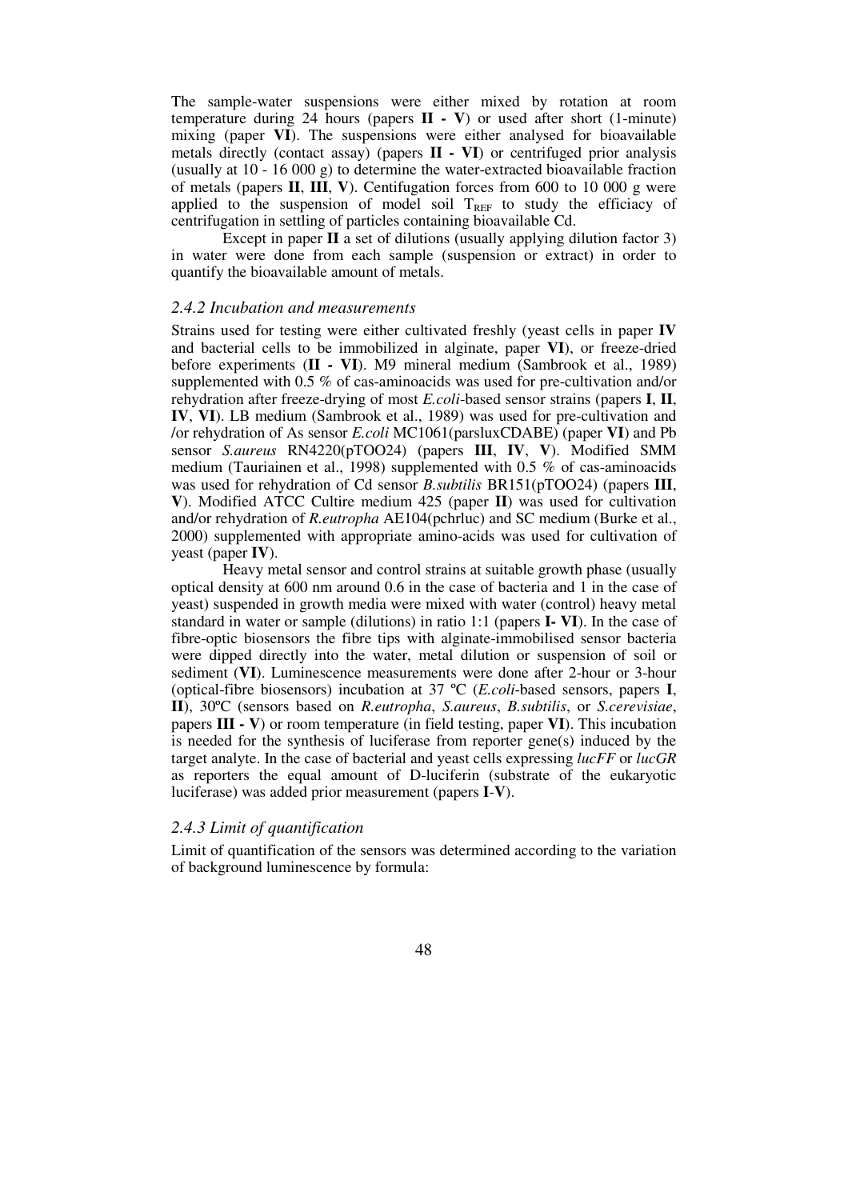The sample-water suspensions were either mixed by rotation at room temperature during 24 hours (papers **II - V**) or used after short (1-minute) mixing (paper **VI**). The suspensions were either analysed for bioavailable metals directly (contact assay) (papers **II - VI**) or centrifuged prior analysis (usually at 10 - 16 000 g) to determine the water-extracted bioavailable fraction of metals (papers **II**, **III**, **V**). Centifugation forces from 600 to 10 000 g were applied to the suspension of model soil  $T_{REF}$  to study the efficiacy of centrifugation in settling of particles containing bioavailable Cd.

Except in paper **II** a set of dilutions (usually applying dilution factor 3) in water were done from each sample (suspension or extract) in order to quantify the bioavailable amount of metals.

#### *2.4.2 Incubation and measurements*

Strains used for testing were either cultivated freshly (yeast cells in paper **IV**  and bacterial cells to be immobilized in alginate, paper **VI**), or freeze-dried before experiments (**II - VI**). M9 mineral medium (Sambrook et al., 1989) supplemented with 0.5 % of cas-aminoacids was used for pre-cultivation and/or rehydration after freeze-drying of most *E.coli*-based sensor strains (papers **I**, **II**, **IV**, **VI**). LB medium (Sambrook et al., 1989) was used for pre-cultivation and /or rehydration of As sensor *E.coli* MC1061(parsluxCDABE) (paper **VI**) and Pb sensor *S.aureus* RN4220(pTOO24) (papers **III**, **IV**, **V**). Modified SMM medium (Tauriainen et al., 1998) supplemented with 0.5 % of cas-aminoacids was used for rehydration of Cd sensor *B.subtilis* BR151(pTOO24) (papers **III**, **V**). Modified ATCC Cultire medium 425 (paper **II**) was used for cultivation and/or rehydration of *R.eutropha* AE104(pchrluc) and SC medium (Burke et al., 2000) supplemented with appropriate amino-acids was used for cultivation of yeast (paper **IV**).

Heavy metal sensor and control strains at suitable growth phase (usually optical density at 600 nm around 0.6 in the case of bacteria and 1 in the case of yeast) suspended in growth media were mixed with water (control) heavy metal standard in water or sample (dilutions) in ratio 1:1 (papers **I- VI**). In the case of fibre-optic biosensors the fibre tips with alginate-immobilised sensor bacteria were dipped directly into the water, metal dilution or suspension of soil or sediment (**VI**). Luminescence measurements were done after 2-hour or 3-hour (optical-fibre biosensors) incubation at 37 ºC (*E.coli*-based sensors, papers **I**, **II**), 30ºC (sensors based on *R.eutropha*, *S.aureus*, *B.subtilis*, or *S.cerevisiae*, papers **III - V**) or room temperature (in field testing, paper **VI**). This incubation is needed for the synthesis of luciferase from reporter gene(s) induced by the target analyte. In the case of bacterial and yeast cells expressing *lucFF* or *lucGR* as reporters the equal amount of D-luciferin (substrate of the eukaryotic luciferase) was added prior measurement (papers **I**-**V**).

### *2.4.3 Limit of quantification*

Limit of quantification of the sensors was determined according to the variation of background luminescence by formula: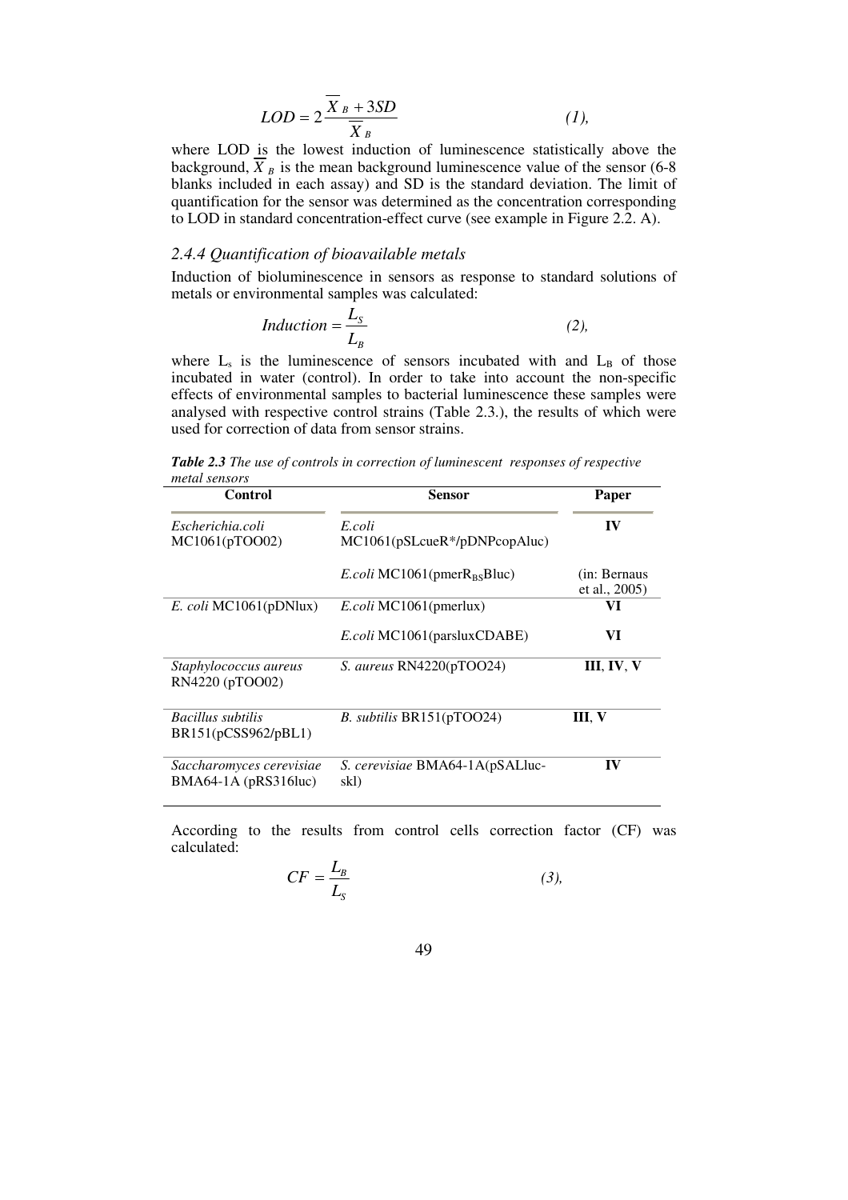$$
LOD = 2\frac{\overline{X}_{B} + 3SD}{\overline{X}_{B}}
$$
 (1),

where LOD is the lowest induction of luminescence statistically above the background,  $\overline{X}_B$  is the mean background luminescence value of the sensor (6-8) blanks included in each assay) and SD is the standard deviation. The limit of quantification for the sensor was determined as the concentration corresponding to LOD in standard concentration-effect curve (see example in Figure 2.2. A).

#### *2.4.4 Quantification of bioavailable metals*

Induction of bioluminescence in sensors as response to standard solutions of metals or environmental samples was calculated:

$$
Induction = \frac{L_S}{L_B} \tag{2}
$$

where  $L<sub>s</sub>$  is the luminescence of sensors incubated with and  $L<sub>B</sub>$  of those incubated in water (control). In order to take into account the non-specific effects of environmental samples to bacterial luminescence these samples were analysed with respective control strains (Table 2.3.), the results of which were used for correction of data from sensor strains.

*Table 2.3 The use of controls in correction of luminescent responses of respective metal sensors* 

| Control                                          | Sensor                                         | Paper                          |
|--------------------------------------------------|------------------------------------------------|--------------------------------|
| Escherichia.coli<br>MC1061(pTOO02)               | E.coli<br>$MC1061(pSLevel*/pDNPcopAluc)$       | IV                             |
|                                                  | <i>E.coli</i> MC1061(pmer $R_{BS}$ Bluc)       | (in: Bernaus)<br>et al., 2005) |
| E. coli MC1061(pDNlux)                           | <i>E.coli</i> MC1061(pmerlux)                  | VI                             |
|                                                  | E.coli MC1061(parsluxCDABE)                    | VI                             |
| Staphylococcus aureus<br>RN4220 (pTOO02)         | S. aureus $RN4220(pTOO24)$                     | III, IV, V                     |
| Bacillus subtilis<br>BR151(pCSS962/pBL1)         | <i>B. subtilis</i> $BR151(pTOO24)$             | III. V                         |
| Saccharomyces cerevisiae<br>BMA64-1A (pRS316luc) | <i>S. cerevisiae</i> BMA64-1A(pSALluc-<br>skl) | IV                             |

According to the results from control cells correction factor (CF) was calculated:

$$
CF = \frac{L_B}{L_S} \tag{3}
$$

$$
49 \quad \textcolor{white}{000}
$$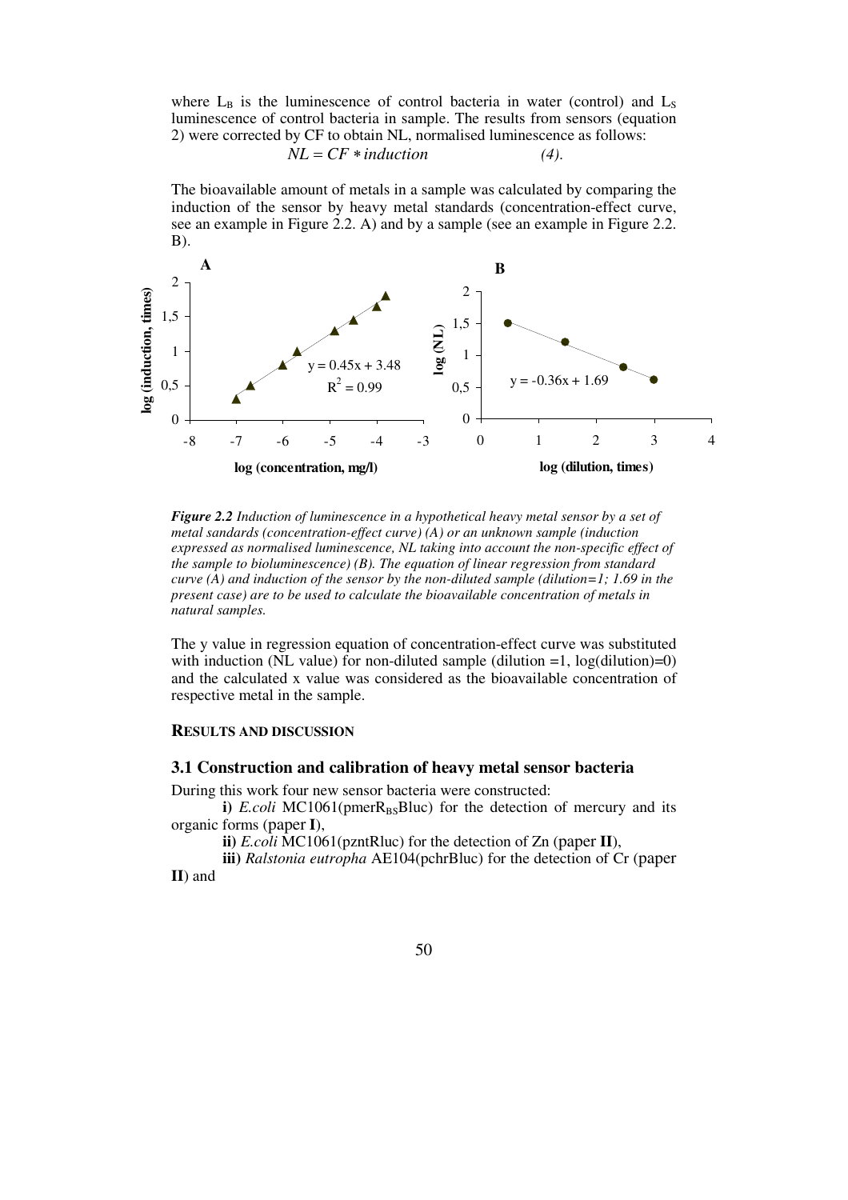where  $L_B$  is the luminescence of control bacteria in water (control) and  $L_S$ luminescence of control bacteria in sample. The results from sensors (equation 2) were corrected by CF to obtain NL, normalised luminescence as follows:  $\overline{NL} = \overline{CF} * induction$  (4).

The bioavailable amount of metals in a sample was calculated by comparing the induction of the sensor by heavy metal standards (concentration-effect curve, see an example in Figure 2.2. A) and by a sample (see an example in Figure 2.2. B).



*Figure 2.2 Induction of luminescence in a hypothetical heavy metal sensor by a set of metal sandards (concentration-effect curve) (A) or an unknown sample (induction expressed as normalised luminescence, NL taking into account the non-specific effect of the sample to bioluminescence) (B). The equation of linear regression from standard curve (A) and induction of the sensor by the non-diluted sample (dilution=1; 1.69 in the present case) are to be used to calculate the bioavailable concentration of metals in natural samples.* 

The y value in regression equation of concentration-effect curve was substituted with induction (NL value) for non-diluted sample (dilution  $=1$ , log(dilution) $=0$ ) and the calculated x value was considered as the bioavailable concentration of respective metal in the sample.

#### **RESULTS AND DISCUSSION**

#### **3.1 Construction and calibration of heavy metal sensor bacteria**

During this work four new sensor bacteria were constructed:

**i)** *E.coli* MC1061(pmer $R_{BS}$ Bluc) for the detection of mercury and its organic forms (paper **I**),

**ii)** *E.coli* MC1061(pzntRluc) for the detection of Zn (paper **II**),

**iii)** *Ralstonia eutropha* AE104(pchrBluc) for the detection of Cr (paper **II**) and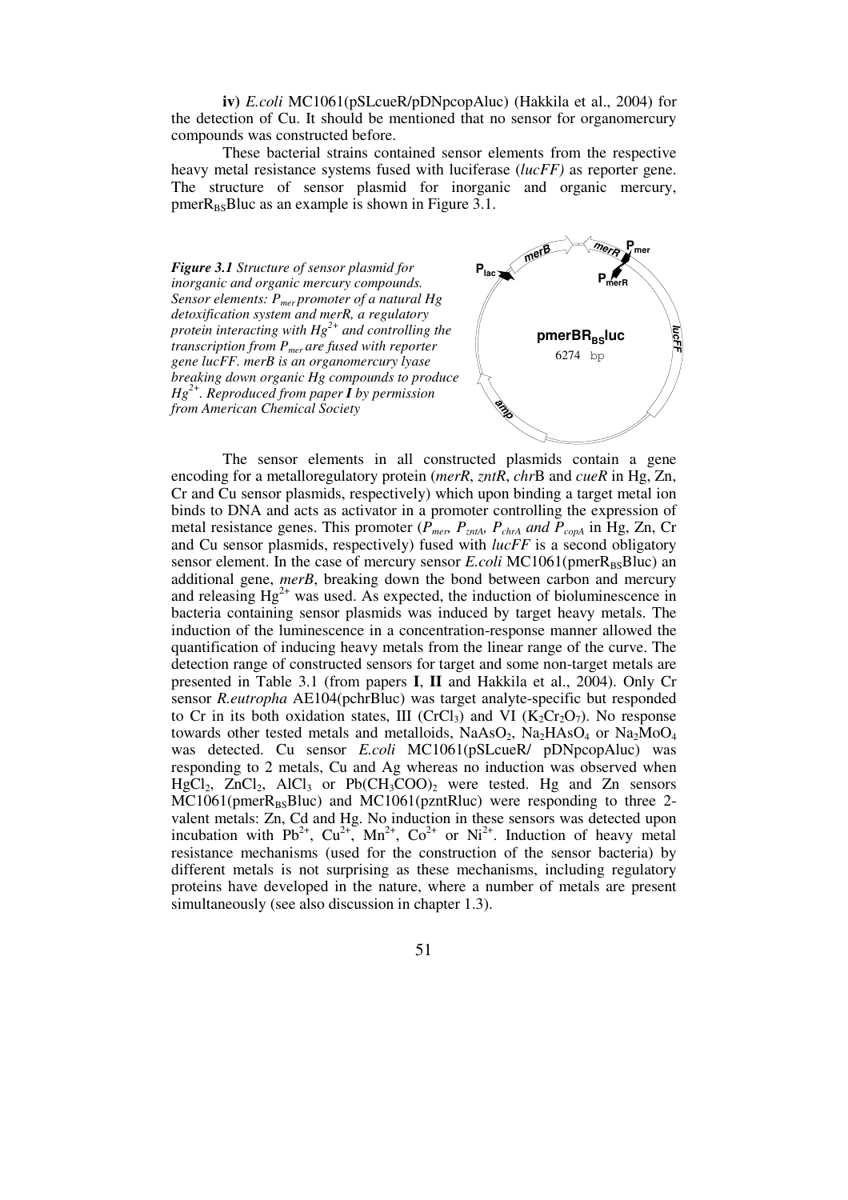**iv)** *E.coli* MC1061(pSLcueR/pDNpcopAluc) (Hakkila et al., 2004) for the detection of Cu. It should be mentioned that no sensor for organomercury compounds was constructed before.

These bacterial strains contained sensor elements from the respective heavy metal resistance systems fused with luciferase (*lucFF)* as reporter gene. The structure of sensor plasmid for inorganic and organic mercury,  $pmerR<sub>BS</sub>Blue$  as an example is shown in Figure 3.1.





The sensor elements in all constructed plasmids contain a gene encoding for a metalloregulatory protein (*merR*, *zntR*, *chr*B and *cueR* in Hg, Zn, Cr and Cu sensor plasmids, respectively) which upon binding a target metal ion binds to DNA and acts as activator in a promoter controlling the expression of metal resistance genes. This promoter (*Pmer, PzntA, PchrA and PcopA* in Hg, Zn, Cr and Cu sensor plasmids, respectively) fused with *lucFF* is a second obligatory sensor element. In the case of mercury sensor *E.coli* MC1061(pmerR<sub>BS</sub>Bluc) an additional gene, *merB*, breaking down the bond between carbon and mercury and releasing  $Hg^{2+}$  was used. As expected, the induction of bioluminescence in bacteria containing sensor plasmids was induced by target heavy metals. The induction of the luminescence in a concentration-response manner allowed the quantification of inducing heavy metals from the linear range of the curve. The detection range of constructed sensors for target and some non-target metals are presented in Table 3.1 (from papers **I**, **II** and Hakkila et al., 2004). Only Cr sensor *R.eutropha* AE104(pchrBluc) was target analyte-specific but responded to Cr in its both oxidation states, III (CrCl<sub>3</sub>) and VI ( $K_2Cr_2O_7$ ). No response towards other tested metals and metalloids,  $NaAsO<sub>2</sub>$ ,  $Na<sub>2</sub>HAsO<sub>4</sub>$  or  $Na<sub>2</sub>MoO<sub>4</sub>$ was detected. Cu sensor *E.coli* MC1061(pSLcueR/ pDNpcopAluc) was responding to 2 metals, Cu and Ag whereas no induction was observed when  $HgCl<sub>2</sub>$ ,  $ZnCl<sub>2</sub>$ ,  $AlCl<sub>3</sub>$  or  $Pb(CH<sub>3</sub>COO)<sub>2</sub>$  were tested. Hg and  $Zn$  sensors MC1061(pmerR<sub>BS</sub>Bluc) and MC1061(pzntRluc) were responding to three 2valent metals: Zn, Cd and Hg. No induction in these sensors was detected upon incubation with Pb<sup>2+</sup>, Cu<sup>2+</sup>, Mn<sup>2+</sup>, Co<sup>2+</sup> or Ni<sup>2+</sup>. Induction of heavy metal resistance mechanisms (used for the construction of the sensor bacteria) by different metals is not surprising as these mechanisms, including regulatory proteins have developed in the nature, where a number of metals are present simultaneously (see also discussion in chapter 1.3).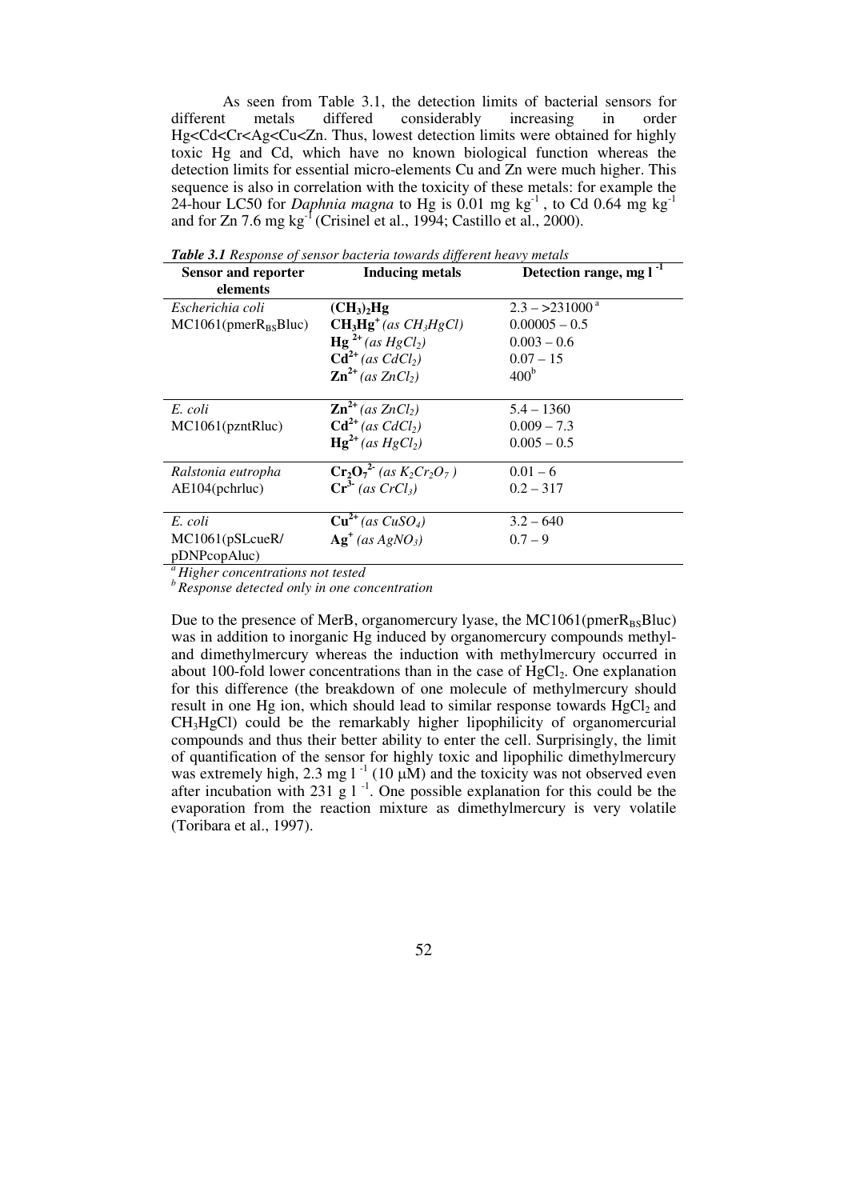As seen from Table 3.1, the detection limits of bacterial sensors for different metals differed considerably increasing in order Hg<Cd<Cr<Ag<Cu<Zn. Thus, lowest detection limits were obtained for highly toxic Hg and Cd, which have no known biological function whereas the detection limits for essential micro-elements Cu and Zn were much higher. This sequence is also in correlation with the toxicity of these metals: for example the 24-hour LC50 for *Daphnia magna* to Hg is 0.01 mg kg<sup>-1</sup>, to Cd 0.64 mg kg<sup>-1</sup> and for  $Zn$  7.6 mg kg<sup>-1</sup> (Crisinel et al., 1994; Castillo et al., 2000).

**Sensor and reporter elements Inducing metals Detection range, mg l -1 (CH<sub>3</sub>)<sub>2</sub>Hg**  $2.3 - >231000^{\circ}$ <br>**CH<sub>2</sub>Hg<sup>+</sup>** (as CH<sub>2</sub>HgCl)  $0.00005 - 0.5$ **CH<sub>3</sub>Hg<sup>+</sup>** (as CH<sub>3</sub>HgCl) 0.00005 – 0.5 <br> **Hg**<sup>2+</sup> (as HgCl<sub>2</sub>) 0.003 – 0.6 **Hg**<sup>2+</sup>  $(as HgCl<sub>2</sub>)$  0.003 – 0.004<sup>2+</sup>  $(ds GCl<sub>2</sub>)$  0.07 – 15 **Cd**<sup>2+</sup> *(as CdCl<sub>2</sub>)* 0.07<br> **Cd**<sup>2+</sup> *(as ZnCl<sub>2</sub>)* 0.07<br> **Zn**<sup>2+</sup> *(as ZnCl<sub>2</sub>)* 400<sup>b</sup> *Escherichia coli*   $MC1061(pmerR<sub>BS</sub>Blue)$  $\sum n^{2+}$  *(as*  $ZnCl_2$ *)* **Zn**<sup>2+</sup> (as ZnCl<sub>2</sub>) 5.4 – 1360 **Cd**<sup>2+</sup> (as CdCl<sub>2</sub>) 0.009 – 7.3 *E. coli*  MC1061(pzntRluc) **Hg**<sup>2+</sup> (as HgCl<sub>2</sub>) 0.005 – 0.5 *Cr***<sub>2</sub>** $O_7^2$ **<sup>2</sup>** (as K<sub>2</sub>*Cr*<sub>2</sub> $O_7$ ) 0.01 – 6 AE104(pchrluc) **Cr3-** *(as CrCl3)* 0.2 – 317 **E.** coli  $Cu^{2+}$   $(as \, CuSO_4)$  3.2 – 640 MC1061(pSLcueR/ pDNPcopAluc) **Ag**<sup> $+$ </sup> (as AgNO<sub>3</sub>) 0.7 – 9

*Table 3.1 Response of sensor bacteria towards different heavy metals* 

*<sup>a</sup>Higher concentrations not tested* 

*<sup>b</sup>Response detected only in one concentration* 

Due to the presence of MerB, organomercury lyase, the MC1061(pmer $R_{BS}B$ luc) was in addition to inorganic Hg induced by organomercury compounds methyland dimethylmercury whereas the induction with methylmercury occurred in about 100-fold lower concentrations than in the case of  $HgCl<sub>2</sub>$ . One explanation for this difference (the breakdown of one molecule of methylmercury should result in one Hg ion, which should lead to similar response towards  $HgCl<sub>2</sub>$  and CH3HgCl) could be the remarkably higher lipophilicity of organomercurial compounds and thus their better ability to enter the cell. Surprisingly, the limit of quantification of the sensor for highly toxic and lipophilic dimethylmercury was extremely high, 2.3 mg  $1^{-1}$  (10  $\mu$ M) and the toxicity was not observed even after incubation with 231 g  $1^{-1}$ . One possible explanation for this could be the evaporation from the reaction mixture as dimethylmercury is very volatile (Toribara et al., 1997).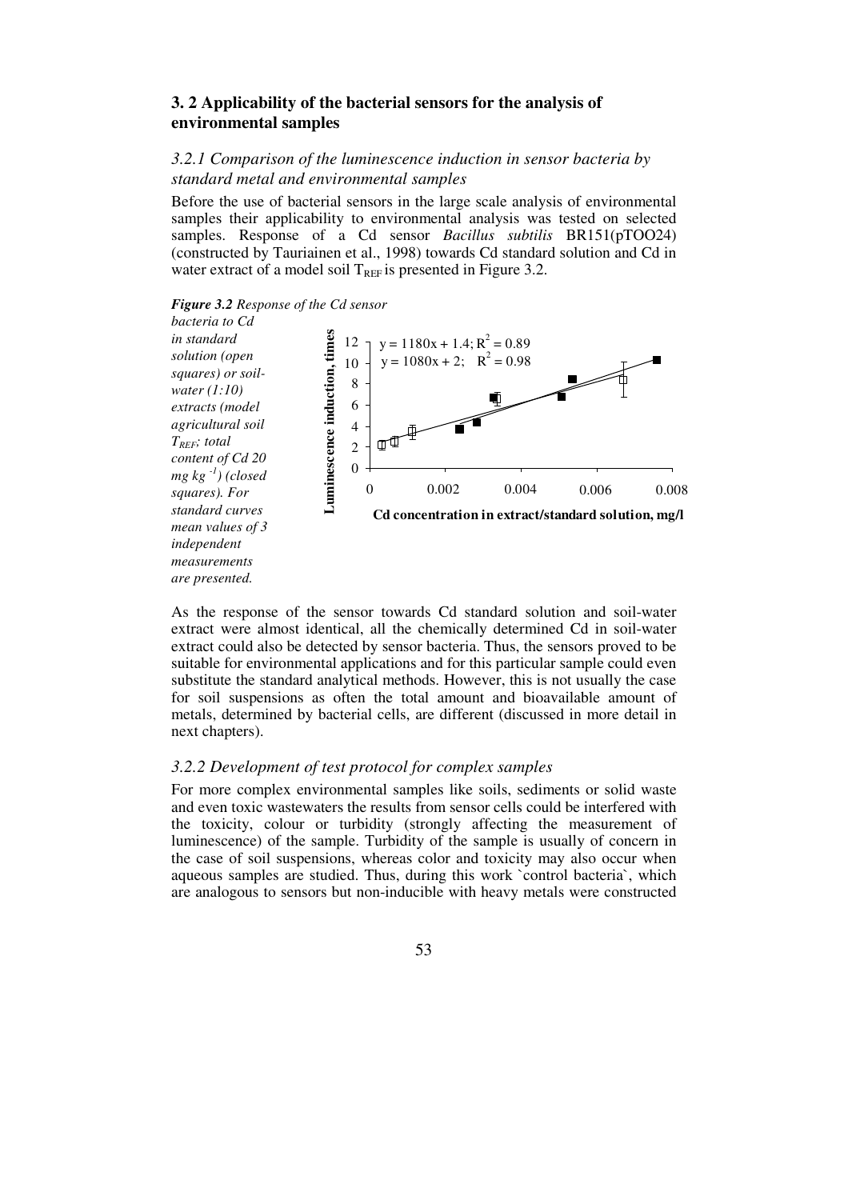# **3. 2 Applicability of the bacterial sensors for the analysis of environmental samples**

*3.2.1 Comparison of the luminescence induction in sensor bacteria by standard metal and environmental samples* 

Before the use of bacterial sensors in the large scale analysis of environmental samples their applicability to environmental analysis was tested on selected samples. Response of a Cd sensor *Bacillus subtilis* BR151(pTOO24) (constructed by Tauriainen et al., 1998) towards Cd standard solution and Cd in water extract of a model soil  $T_{REF}$  is presented in Figure 3.2.



*bacteria to Cd in standard solution (open squares) or soilwater (1:10) extracts (model agricultural soil TREF; total content of Cd 20 mg kg -1) (closed squares). For standard curves mean values of 3 independent measurements are presented.* 



As the response of the sensor towards Cd standard solution and soil-water extract were almost identical, all the chemically determined Cd in soil-water extract could also be detected by sensor bacteria. Thus, the sensors proved to be suitable for environmental applications and for this particular sample could even substitute the standard analytical methods. However, this is not usually the case for soil suspensions as often the total amount and bioavailable amount of metals, determined by bacterial cells, are different (discussed in more detail in next chapters).

## *3.2.2 Development of test protocol for complex samples*

For more complex environmental samples like soils, sediments or solid waste and even toxic wastewaters the results from sensor cells could be interfered with the toxicity, colour or turbidity (strongly affecting the measurement of luminescence) of the sample. Turbidity of the sample is usually of concern in the case of soil suspensions, whereas color and toxicity may also occur when aqueous samples are studied. Thus, during this work `control bacteria`, which are analogous to sensors but non-inducible with heavy metals were constructed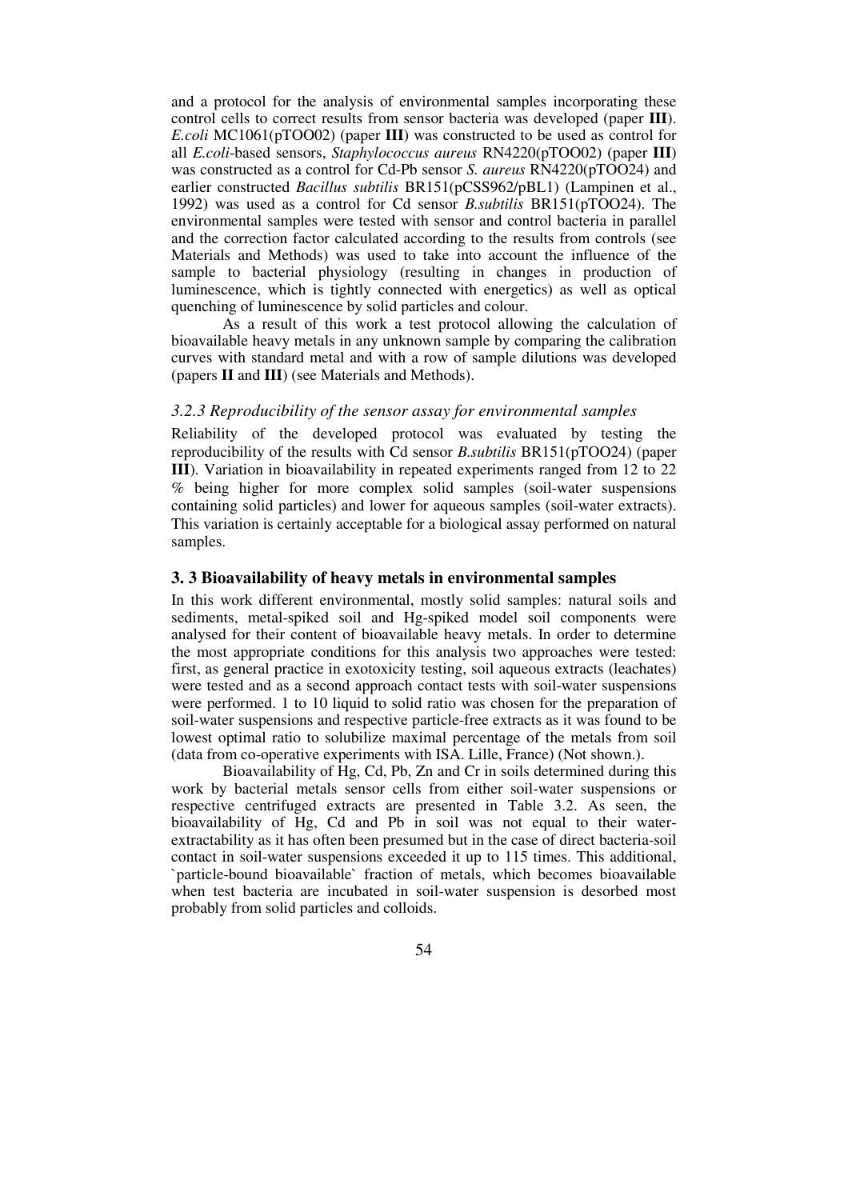and a protocol for the analysis of environmental samples incorporating these control cells to correct results from sensor bacteria was developed (paper **III**). *E.coli* MC1061(pTOO02) (paper **III**) was constructed to be used as control for all *E.coli*-based sensors, *Staphylococcus aureus* RN4220(pTOO02) (paper **III**) was constructed as a control for Cd-Pb sensor *S. aureus* RN4220(pTOO24) and earlier constructed *Bacillus subtilis* BR151(pCSS962/pBL1) (Lampinen et al., 1992) was used as a control for Cd sensor *B.subtilis* BR151(pTOO24). The environmental samples were tested with sensor and control bacteria in parallel and the correction factor calculated according to the results from controls (see Materials and Methods) was used to take into account the influence of the sample to bacterial physiology (resulting in changes in production of luminescence, which is tightly connected with energetics) as well as optical quenching of luminescence by solid particles and colour.

As a result of this work a test protocol allowing the calculation of bioavailable heavy metals in any unknown sample by comparing the calibration curves with standard metal and with a row of sample dilutions was developed (papers **II** and **III**) (see Materials and Methods).

# *3.2.3 Reproducibility of the sensor assay for environmental samples*

Reliability of the developed protocol was evaluated by testing the reproducibility of the results with Cd sensor *B.subtilis* BR151(pTOO24) (paper **III**). Variation in bioavailability in repeated experiments ranged from 12 to 22 % being higher for more complex solid samples (soil-water suspensions containing solid particles) and lower for aqueous samples (soil-water extracts). This variation is certainly acceptable for a biological assay performed on natural samples.

# **3. 3 Bioavailability of heavy metals in environmental samples**

In this work different environmental, mostly solid samples: natural soils and sediments, metal-spiked soil and Hg-spiked model soil components were analysed for their content of bioavailable heavy metals. In order to determine the most appropriate conditions for this analysis two approaches were tested: first, as general practice in exotoxicity testing, soil aqueous extracts (leachates) were tested and as a second approach contact tests with soil-water suspensions were performed. 1 to 10 liquid to solid ratio was chosen for the preparation of soil-water suspensions and respective particle-free extracts as it was found to be lowest optimal ratio to solubilize maximal percentage of the metals from soil (data from co-operative experiments with ISA. Lille, France) (Not shown.).

Bioavailability of Hg, Cd, Pb, Zn and Cr in soils determined during this work by bacterial metals sensor cells from either soil-water suspensions or respective centrifuged extracts are presented in Table 3.2. As seen, the bioavailability of Hg, Cd and Pb in soil was not equal to their waterextractability as it has often been presumed but in the case of direct bacteria-soil contact in soil-water suspensions exceeded it up to 115 times. This additional, `particle-bound bioavailable` fraction of metals, which becomes bioavailable when test bacteria are incubated in soil-water suspension is desorbed most probably from solid particles and colloids.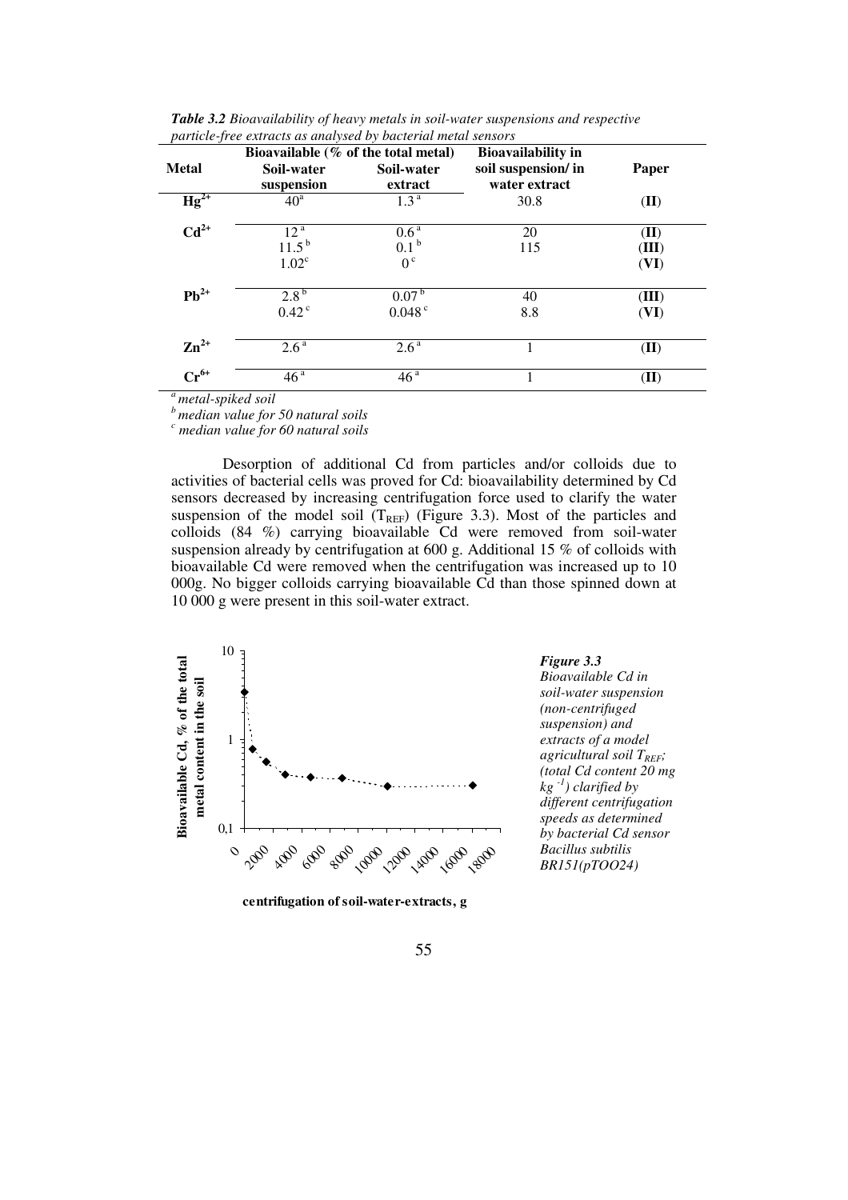|                    | Bioavailable $(\%$ of the total metal) |                            | <b>Bioavailability in</b> |       |
|--------------------|----------------------------------------|----------------------------|---------------------------|-------|
| <b>Metal</b>       | Soil-water                             | Soil-water                 | soil suspension/ in       | Paper |
|                    | suspension                             | extract                    | water extract             |       |
| $Hg^{2+}$          | 40 <sup>a</sup>                        | 1.3 <sup>a</sup>           | 30.8                      | (II)  |
| $Cd^{2+}$          | 12 <sup>a</sup>                        | 0.6 <sup>a</sup>           | 20                        | (II)  |
|                    | $11.5^{b}$                             | 0.1 <sup>b</sup>           | 115                       | (III) |
|                    | 1.02 <sup>c</sup>                      | 0 <sup>c</sup>             |                           | (VI)  |
| $Pb^{2+}$          | $2.8^{b}$                              | 0.07 <sup>b</sup>          | 40                        | (III) |
|                    | $0.42$ <sup>c</sup>                    | $0.048$ <sup>c</sup>       | 8.8                       | (VI)  |
| $\mathbf{Zn}^{2+}$ | 2.6 <sup>a</sup>                       | 2.6 <sup>a</sup>           |                           | (II)  |
| $Cr^{6+}$          | 46 <sup>a</sup>                        | $\overline{46}^{\text{a}}$ |                           | (II)  |

*Table 3.2 Bioavailability of heavy metals in soil-water suspensions and respective particle-free extracts as analysed by bacterial metal sensors* 

*<sup>a</sup>metal-spiked soil* 

*<sup>b</sup>median value for 50 natural soils* 

*c median value for 60 natural soils*

Desorption of additional Cd from particles and/or colloids due to activities of bacterial cells was proved for Cd: bioavailability determined by Cd sensors decreased by increasing centrifugation force used to clarify the water suspension of the model soil ( $T_{REF}$ ) (Figure 3.3). Most of the particles and colloids (84 %) carrying bioavailable Cd were removed from soil-water suspension already by centrifugation at 600 g. Additional 15 % of colloids with bioavailable Cd were removed when the centrifugation was increased up to 10 000g. No bigger colloids carrying bioavailable Cd than those spinned down at 10 000 g were present in this soil-water extract.



**centrifugation of soil-water-extracts, g**

*Figure 3.3* 

*Bioavailable Cd in soil-water suspension (non-centrifuged suspension) and extracts of a model agricultural soil TREF; (total Cd content 20 mg kg -1) clarified by different centrifugation speeds as determined by bacterial Cd sensor Bacillus subtilis BR151(pTOO24)*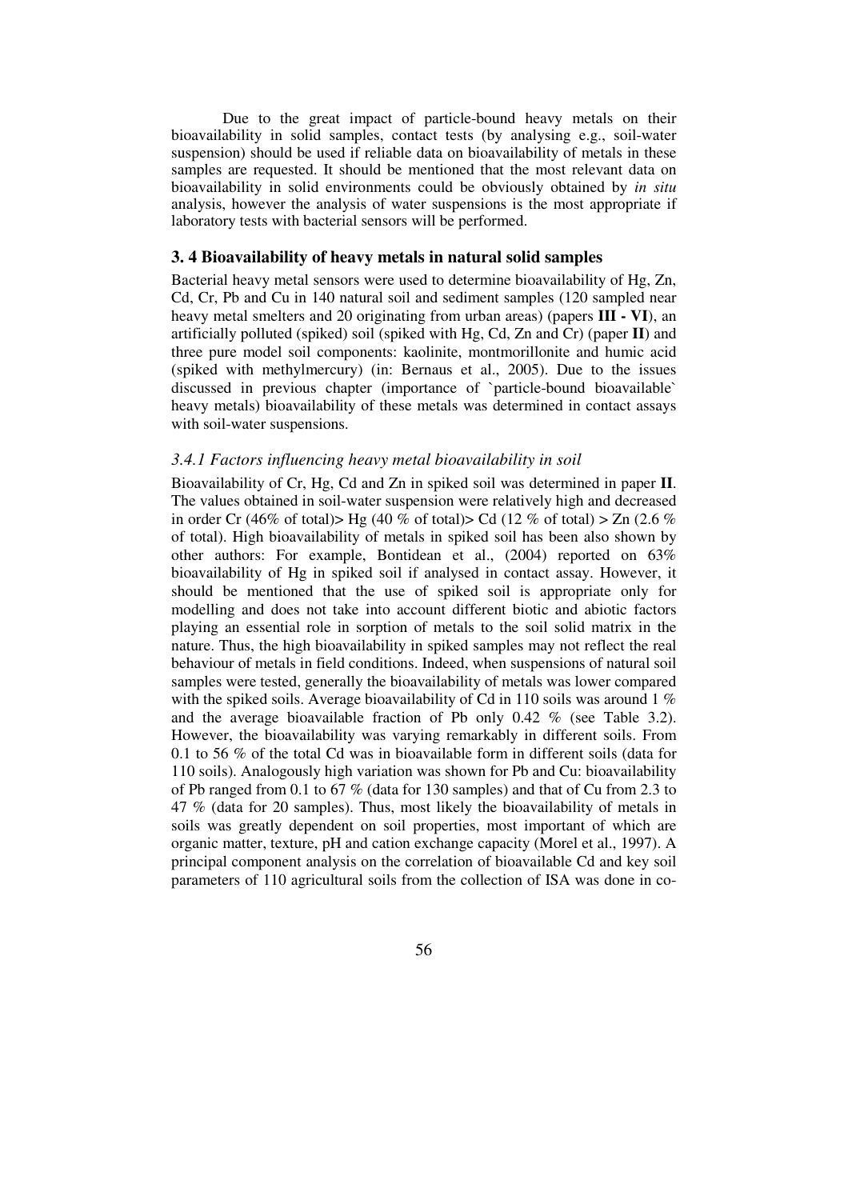Due to the great impact of particle-bound heavy metals on their bioavailability in solid samples, contact tests (by analysing e.g., soil-water suspension) should be used if reliable data on bioavailability of metals in these samples are requested. It should be mentioned that the most relevant data on bioavailability in solid environments could be obviously obtained by *in situ* analysis, however the analysis of water suspensions is the most appropriate if laboratory tests with bacterial sensors will be performed.

# **3. 4 Bioavailability of heavy metals in natural solid samples**

Bacterial heavy metal sensors were used to determine bioavailability of Hg, Zn, Cd, Cr, Pb and Cu in 140 natural soil and sediment samples (120 sampled near heavy metal smelters and 20 originating from urban areas) (papers **III - VI**), an artificially polluted (spiked) soil (spiked with Hg, Cd, Zn and Cr) (paper **II**) and three pure model soil components: kaolinite, montmorillonite and humic acid (spiked with methylmercury) (in: Bernaus et al., 2005). Due to the issues discussed in previous chapter (importance of `particle-bound bioavailable` heavy metals) bioavailability of these metals was determined in contact assays with soil-water suspensions.

# *3.4.1 Factors influencing heavy metal bioavailability in soil*

Bioavailability of Cr, Hg, Cd and Zn in spiked soil was determined in paper **II**. The values obtained in soil-water suspension were relatively high and decreased in order Cr (46% of total)> Hg (40 % of total)> Cd (12 % of total) > Zn (2.6 % of total). High bioavailability of metals in spiked soil has been also shown by other authors: For example, Bontidean et al., (2004) reported on 63% bioavailability of Hg in spiked soil if analysed in contact assay. However, it should be mentioned that the use of spiked soil is appropriate only for modelling and does not take into account different biotic and abiotic factors playing an essential role in sorption of metals to the soil solid matrix in the nature. Thus, the high bioavailability in spiked samples may not reflect the real behaviour of metals in field conditions. Indeed, when suspensions of natural soil samples were tested, generally the bioavailability of metals was lower compared with the spiked soils. Average bioavailability of Cd in 110 soils was around 1  $\%$ and the average bioavailable fraction of Pb only 0.42 % (see Table 3.2). However, the bioavailability was varying remarkably in different soils. From 0.1 to 56 % of the total Cd was in bioavailable form in different soils (data for 110 soils). Analogously high variation was shown for Pb and Cu: bioavailability of Pb ranged from 0.1 to 67 % (data for 130 samples) and that of Cu from 2.3 to 47 % (data for 20 samples). Thus, most likely the bioavailability of metals in soils was greatly dependent on soil properties, most important of which are organic matter, texture, pH and cation exchange capacity (Morel et al., 1997). A principal component analysis on the correlation of bioavailable Cd and key soil parameters of 110 agricultural soils from the collection of ISA was done in co-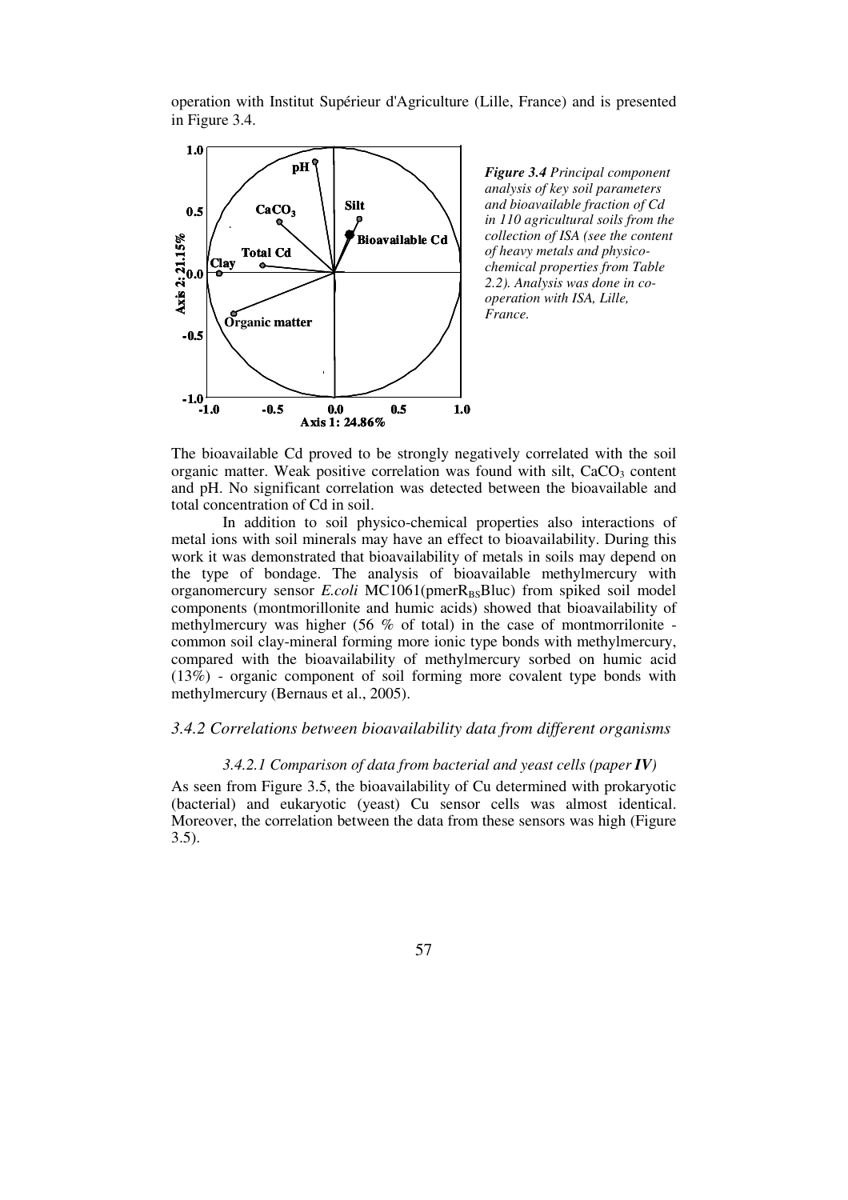operation with Institut Supérieur d'Agriculture (Lille, France) and is presented in Figure 3.4.



*Figure 3.4 Principal component analysis of key soil parameters and bioavailable fraction of Cd in 110 agricultural soils from the collection of ISA (see the content of heavy metals and physicochemical properties from Table 2.2). Analysis was done in cooperation with ISA, Lille, France.*

The bioavailable Cd proved to be strongly negatively correlated with the soil organic matter. Weak positive correlation was found with silt,  $CaCO<sub>3</sub>$  content and pH. No significant correlation was detected between the bioavailable and total concentration of Cd in soil.

In addition to soil physico-chemical properties also interactions of metal ions with soil minerals may have an effect to bioavailability. During this work it was demonstrated that bioavailability of metals in soils may depend on the type of bondage. The analysis of bioavailable methylmercury with organomercury sensor *E.coli* MC1061(pmerR<sub>BS</sub>Bluc) from spiked soil model components (montmorillonite and humic acids) showed that bioavailability of methylmercury was higher (56 % of total) in the case of montmorrilonite common soil clay-mineral forming more ionic type bonds with methylmercury, compared with the bioavailability of methylmercury sorbed on humic acid (13%) - organic component of soil forming more covalent type bonds with methylmercury (Bernaus et al., 2005).

### *3.4.2 Correlations between bioavailability data from different organisms*

### *3.4.2.1 Comparison of data from bacterial and yeast cells (paper IV)*

As seen from Figure 3.5, the bioavailability of Cu determined with prokaryotic (bacterial) and eukaryotic (yeast) Cu sensor cells was almost identical. Moreover, the correlation between the data from these sensors was high (Figure 3.5).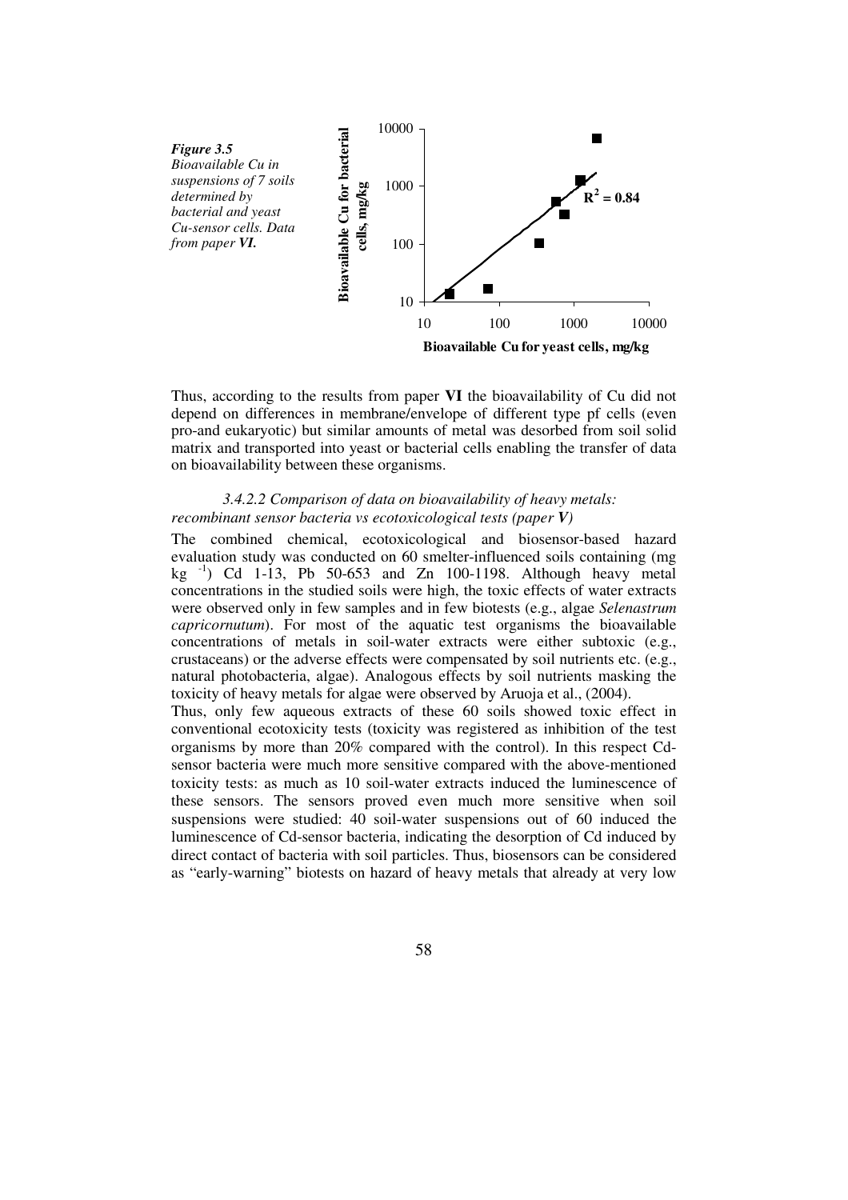

Thus, according to the results from paper **VI** the bioavailability of Cu did not depend on differences in membrane/envelope of different type pf cells (even pro-and eukaryotic) but similar amounts of metal was desorbed from soil solid matrix and transported into yeast or bacterial cells enabling the transfer of data on bioavailability between these organisms.

### *3.4.2.2 Comparison of data on bioavailability of heavy metals: recombinant sensor bacteria vs ecotoxicological tests (paper V)*

The combined chemical, ecotoxicological and biosensor-based hazard evaluation study was conducted on 60 smelter-influenced soils containing (mg kg  $^{-1}$ ) Cd 1-13, Pb 50-653 and Zn 100-1198. Although heavy metal concentrations in the studied soils were high, the toxic effects of water extracts were observed only in few samples and in few biotests (e.g., algae *Selenastrum capricornutum*). For most of the aquatic test organisms the bioavailable concentrations of metals in soil-water extracts were either subtoxic (e.g., crustaceans) or the adverse effects were compensated by soil nutrients etc. (e.g., natural photobacteria, algae). Analogous effects by soil nutrients masking the toxicity of heavy metals for algae were observed by Aruoja et al., (2004).

Thus, only few aqueous extracts of these 60 soils showed toxic effect in conventional ecotoxicity tests (toxicity was registered as inhibition of the test organisms by more than 20% compared with the control). In this respect Cdsensor bacteria were much more sensitive compared with the above-mentioned toxicity tests: as much as 10 soil-water extracts induced the luminescence of these sensors. The sensors proved even much more sensitive when soil suspensions were studied: 40 soil-water suspensions out of 60 induced the luminescence of Cd-sensor bacteria, indicating the desorption of Cd induced by direct contact of bacteria with soil particles. Thus, biosensors can be considered as "early-warning" biotests on hazard of heavy metals that already at very low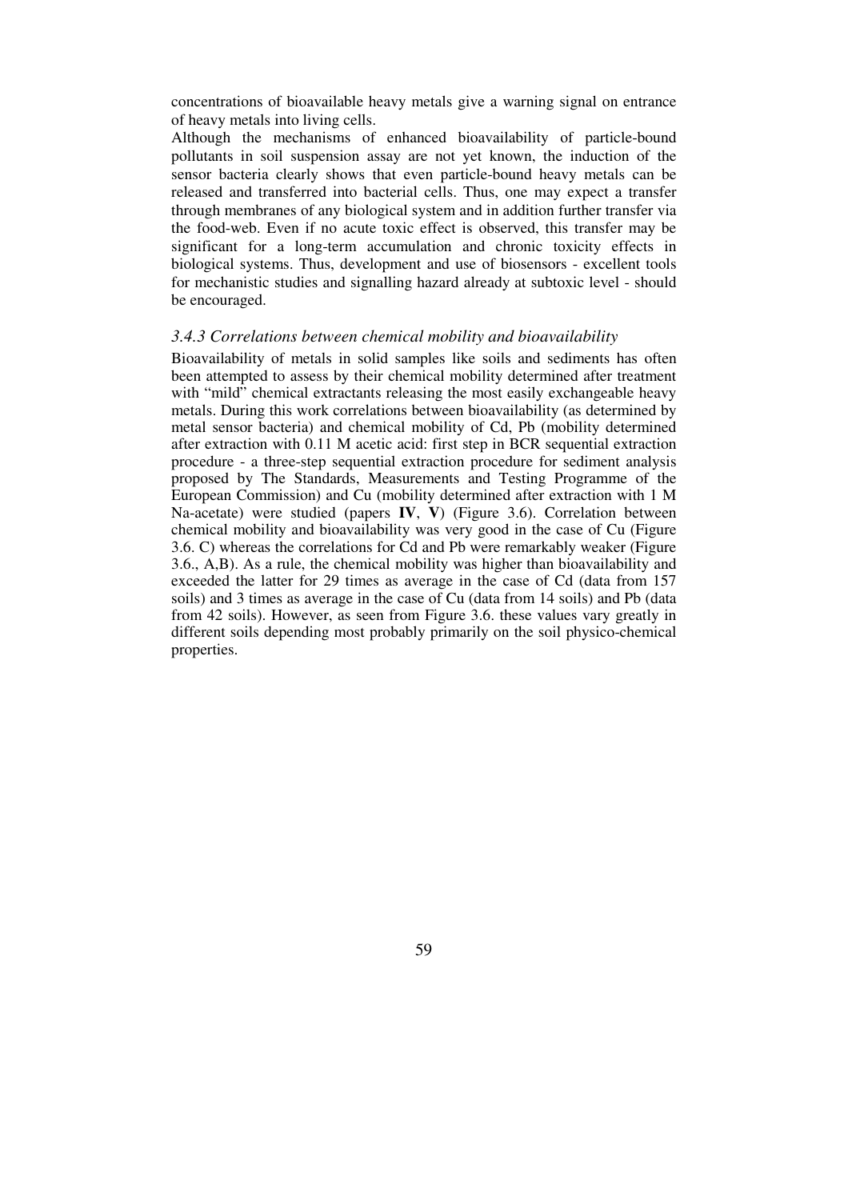concentrations of bioavailable heavy metals give a warning signal on entrance of heavy metals into living cells.

Although the mechanisms of enhanced bioavailability of particle-bound pollutants in soil suspension assay are not yet known, the induction of the sensor bacteria clearly shows that even particle-bound heavy metals can be released and transferred into bacterial cells. Thus, one may expect a transfer through membranes of any biological system and in addition further transfer via the food-web. Even if no acute toxic effect is observed, this transfer may be significant for a long-term accumulation and chronic toxicity effects in biological systems. Thus, development and use of biosensors - excellent tools for mechanistic studies and signalling hazard already at subtoxic level - should be encouraged.

### *3.4.3 Correlations between chemical mobility and bioavailability*

Bioavailability of metals in solid samples like soils and sediments has often been attempted to assess by their chemical mobility determined after treatment with "mild" chemical extractants releasing the most easily exchangeable heavy metals. During this work correlations between bioavailability (as determined by metal sensor bacteria) and chemical mobility of Cd, Pb (mobility determined after extraction with 0.11 M acetic acid: first step in BCR sequential extraction procedure - a three-step sequential extraction procedure for sediment analysis proposed by The Standards, Measurements and Testing Programme of the European Commission) and Cu (mobility determined after extraction with 1 M Na-acetate) were studied (papers **IV**, **V**) (Figure 3.6). Correlation between chemical mobility and bioavailability was very good in the case of Cu (Figure 3.6. C) whereas the correlations for Cd and Pb were remarkably weaker (Figure 3.6., A,B). As a rule, the chemical mobility was higher than bioavailability and exceeded the latter for 29 times as average in the case of Cd (data from 157 soils) and 3 times as average in the case of Cu (data from 14 soils) and Pb (data from 42 soils). However, as seen from Figure 3.6. these values vary greatly in different soils depending most probably primarily on the soil physico-chemical properties.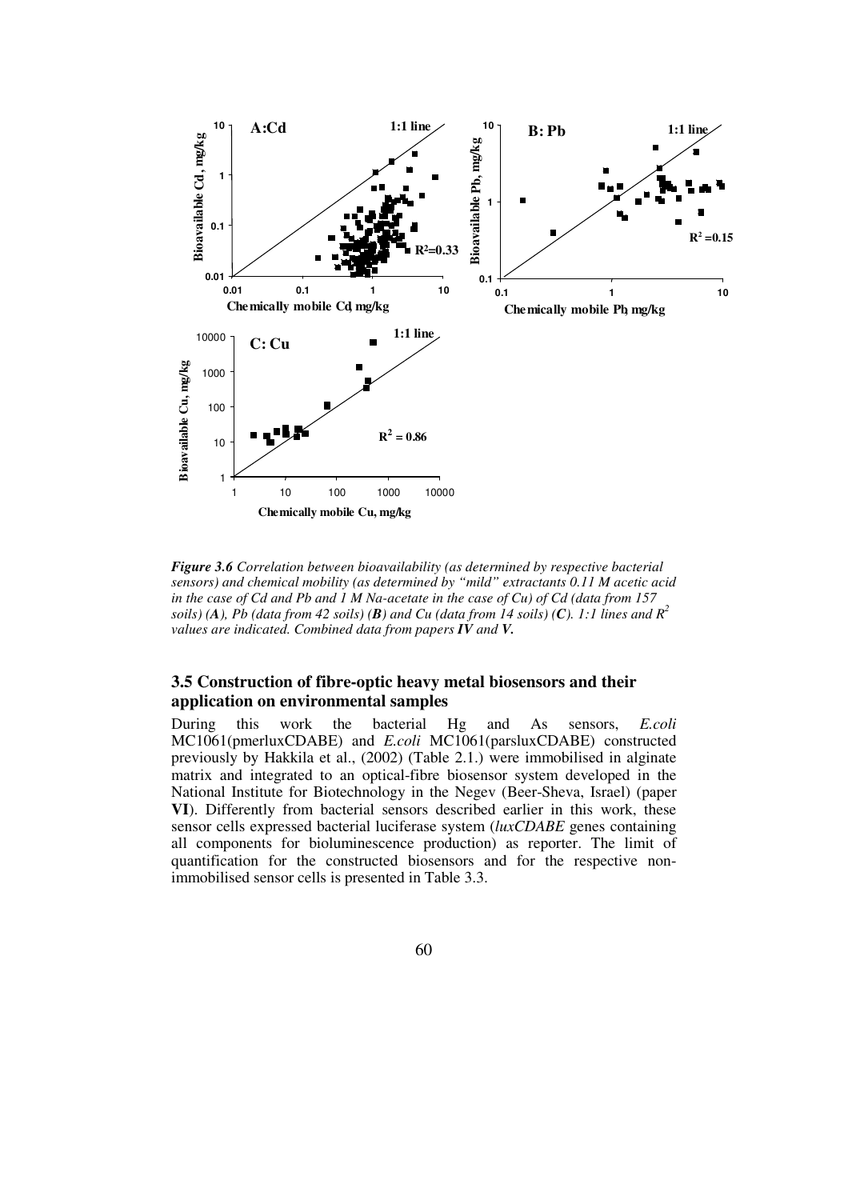

*Figure 3.6 Correlation between bioavailability (as determined by respective bacterial sensors) and chemical mobility (as determined by "mild" extractants 0.11 M acetic acid in the case of Cd and Pb and 1 M Na-acetate in the case of Cu) of Cd (data from 157 soils)* (*A*), Pb (data from 42 soils) (*B*) and Cu (data from 14 soils) (*C*). 1:1 lines and  $R^2$ *values are indicated. Combined data from papers IV and V.*

# **3.5 Construction of fibre-optic heavy metal biosensors and their application on environmental samples**

During this work the bacterial Hg and As sensors, *E.coli* MC1061(pmerluxCDABE) and *E.coli* MC1061(parsluxCDABE) constructed previously by Hakkila et al., (2002) (Table 2.1.) were immobilised in alginate matrix and integrated to an optical-fibre biosensor system developed in the National Institute for Biotechnology in the Negev (Beer-Sheva, Israel) (paper **VI**). Differently from bacterial sensors described earlier in this work, these sensor cells expressed bacterial luciferase system (*luxCDABE* genes containing all components for bioluminescence production) as reporter. The limit of quantification for the constructed biosensors and for the respective nonimmobilised sensor cells is presented in Table 3.3.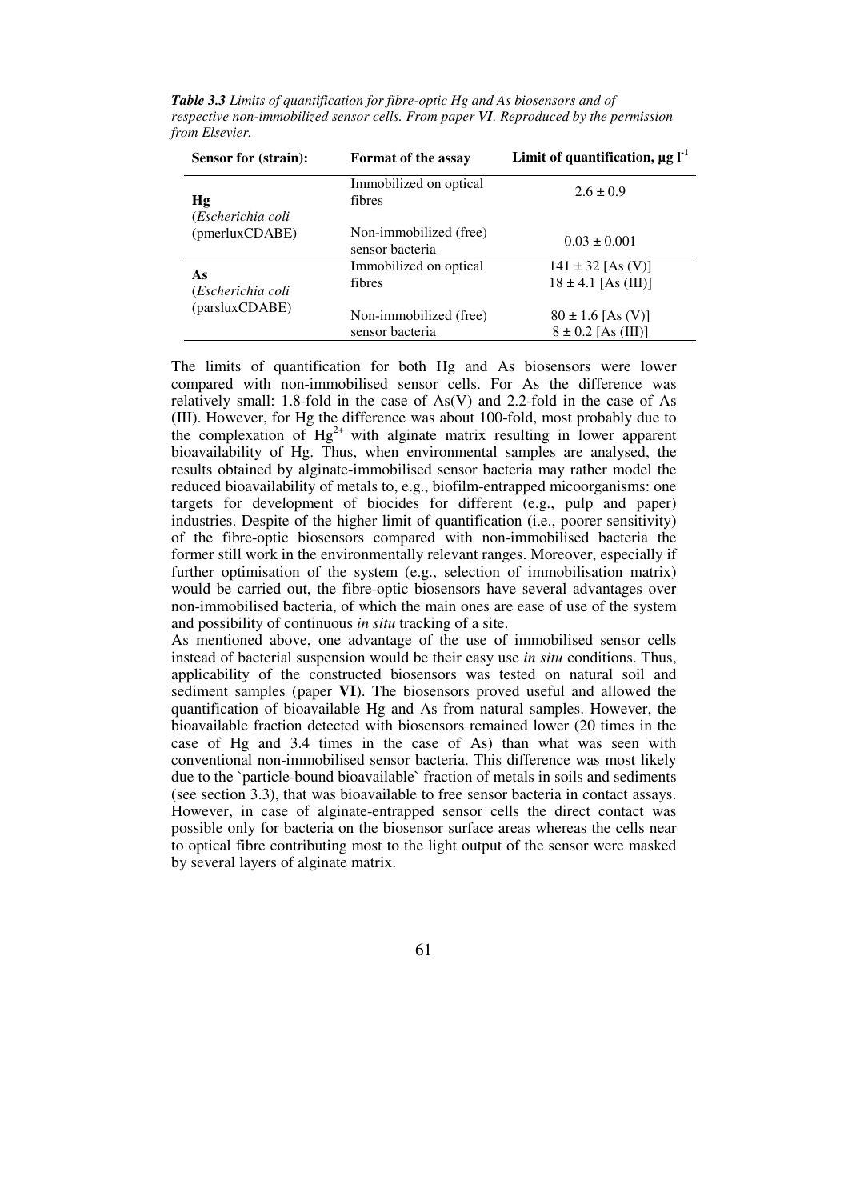| <b>Sensor for (strain):</b> | Format of the assay                       | Limit of quantification, $\mu$ g l <sup>-1</sup> |
|-----------------------------|-------------------------------------------|--------------------------------------------------|
| Hg                          | Immobilized on optical<br>fibres          | $2.6 \pm 0.9$                                    |
| (Escherichia coli           |                                           |                                                  |
| (pmerluxCDABE)              | Non-immobilized (free)<br>sensor bacteria | $0.03 \pm 0.001$                                 |
|                             | Immobilized on optical                    | $141 \pm 32$ [As (V)]                            |
| As<br>(Escherichia coli     | fibres                                    | $18 \pm 4.1$ [As (III)]                          |
| (parsluxCDABE)              | Non-immobilized (free)<br>sensor bacteria | $80 \pm 1.6$ [As (V)]<br>$8 \pm 0.2$ [As (III)]  |

*Table 3.3 Limits of quantification for fibre-optic Hg and As biosensors and of respective non-immobilized sensor cells. From paper VI. Reproduced by the permission from Elsevier.* 

The limits of quantification for both Hg and As biosensors were lower compared with non-immobilised sensor cells. For As the difference was relatively small: 1.8-fold in the case of As(V) and 2.2-fold in the case of As (III). However, for Hg the difference was about 100-fold, most probably due to the complexation of  $Hg^{2+}$  with alginate matrix resulting in lower apparent bioavailability of Hg. Thus, when environmental samples are analysed, the results obtained by alginate-immobilised sensor bacteria may rather model the reduced bioavailability of metals to, e.g., biofilm-entrapped micoorganisms: one targets for development of biocides for different (e.g., pulp and paper) industries. Despite of the higher limit of quantification (i.e., poorer sensitivity) of the fibre-optic biosensors compared with non-immobilised bacteria the former still work in the environmentally relevant ranges. Moreover, especially if further optimisation of the system (e.g., selection of immobilisation matrix) would be carried out, the fibre-optic biosensors have several advantages over non-immobilised bacteria, of which the main ones are ease of use of the system and possibility of continuous *in situ* tracking of a site.

As mentioned above, one advantage of the use of immobilised sensor cells instead of bacterial suspension would be their easy use *in situ* conditions. Thus, applicability of the constructed biosensors was tested on natural soil and sediment samples (paper **VI**). The biosensors proved useful and allowed the quantification of bioavailable Hg and As from natural samples. However, the bioavailable fraction detected with biosensors remained lower (20 times in the case of Hg and 3.4 times in the case of As) than what was seen with conventional non-immobilised sensor bacteria. This difference was most likely due to the `particle-bound bioavailable` fraction of metals in soils and sediments (see section 3.3), that was bioavailable to free sensor bacteria in contact assays. However, in case of alginate-entrapped sensor cells the direct contact was possible only for bacteria on the biosensor surface areas whereas the cells near to optical fibre contributing most to the light output of the sensor were masked by several layers of alginate matrix.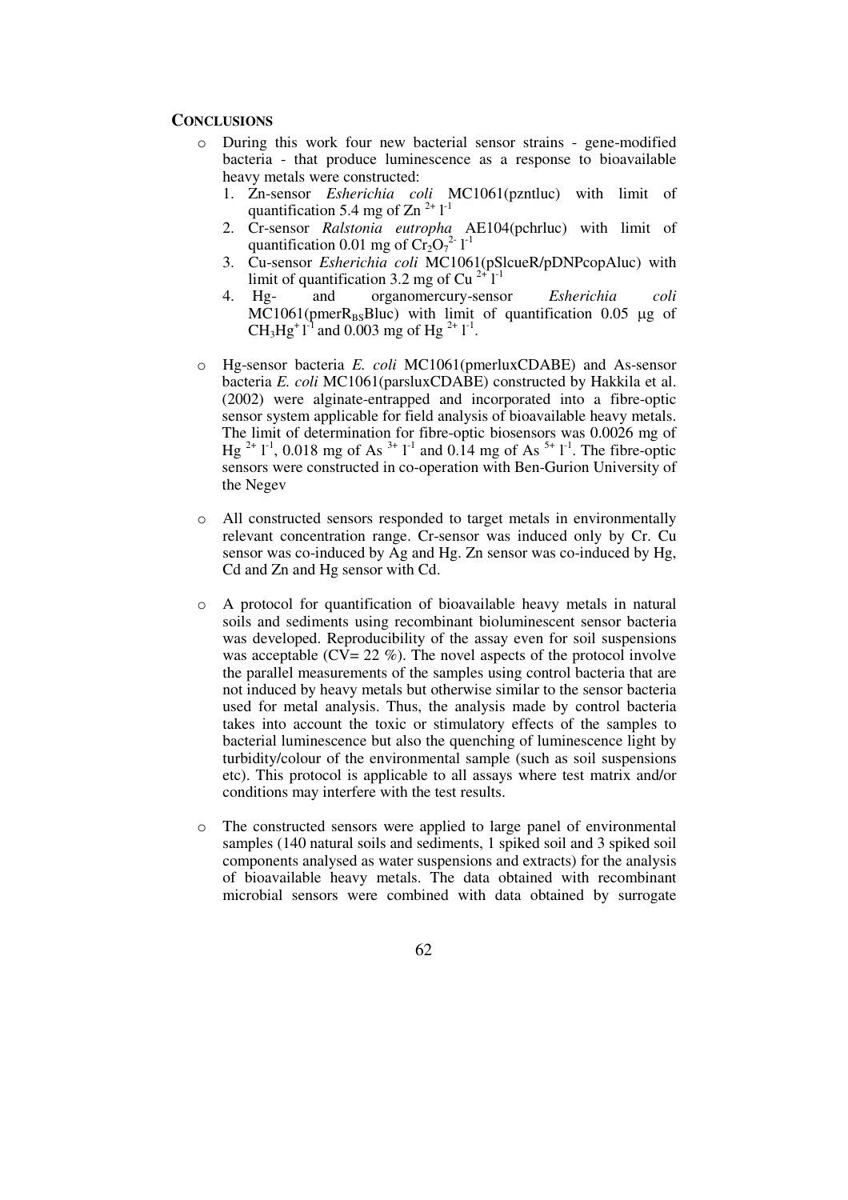### **CONCLUSIONS**

- o During this work four new bacterial sensor strains gene-modified bacteria - that produce luminescence as a response to bioavailable heavy metals were constructed:
	- 1. Zn-sensor *Esherichia coli* MC1061(pzntluc) with limit of quantification 5.4 mg of Zn<sup>2+</sup>  $l^{-1}$
	- 2. Cr-sensor *Ralstonia eutropha* AE104(pchrluc) with limit of quantification 0.01 mg of  $Cr_2O_7^{2-}1^{-1}$
	- 3. Cu-sensor *Esherichia coli* MC1061(pSlcueR/pDNPcopAluc) with limit of quantification 3.2 mg of Cu  $2+1$ <sup>-1</sup>
	- 4. Hg- and organomercury-sensor *Esherichia coli*  $MC1061(pmerR_B\nBluc)$  with limit of quantification 0.05 µg of CH<sub>3</sub>Hg<sup>+</sup>1<sup>-1</sup> and 0.003 mg of Hg<sup>2+</sup>1<sup>-1</sup>.
- o Hg-sensor bacteria *E. coli* MC1061(pmerluxCDABE) and As-sensor bacteria *E. coli* MC1061(parsluxCDABE) constructed by Hakkila et al. (2002) were alginate-entrapped and incorporated into a fibre-optic sensor system applicable for field analysis of bioavailable heavy metals. The limit of determination for fibre-optic biosensors was 0.0026 mg of Hg <sup>2+</sup> 1<sup>-1</sup>, 0.018 mg of As<sup>3+</sup> 1<sup>-1</sup> and 0.14 mg of As<sup>5+</sup> 1<sup>-1</sup>. The fibre-optic sensors were constructed in co-operation with Ben-Gurion University of the Negev
- o All constructed sensors responded to target metals in environmentally relevant concentration range. Cr-sensor was induced only by Cr. Cu sensor was co-induced by Ag and Hg. Zn sensor was co-induced by Hg, Cd and Zn and Hg sensor with Cd.
- o A protocol for quantification of bioavailable heavy metals in natural soils and sediments using recombinant bioluminescent sensor bacteria was developed. Reproducibility of the assay even for soil suspensions was acceptable ( $CV = 22 \%$ ). The novel aspects of the protocol involve the parallel measurements of the samples using control bacteria that are not induced by heavy metals but otherwise similar to the sensor bacteria used for metal analysis. Thus, the analysis made by control bacteria takes into account the toxic or stimulatory effects of the samples to bacterial luminescence but also the quenching of luminescence light by turbidity/colour of the environmental sample (such as soil suspensions etc). This protocol is applicable to all assays where test matrix and/or conditions may interfere with the test results.
- o The constructed sensors were applied to large panel of environmental samples (140 natural soils and sediments, 1 spiked soil and 3 spiked soil components analysed as water suspensions and extracts) for the analysis of bioavailable heavy metals. The data obtained with recombinant microbial sensors were combined with data obtained by surrogate
	- 62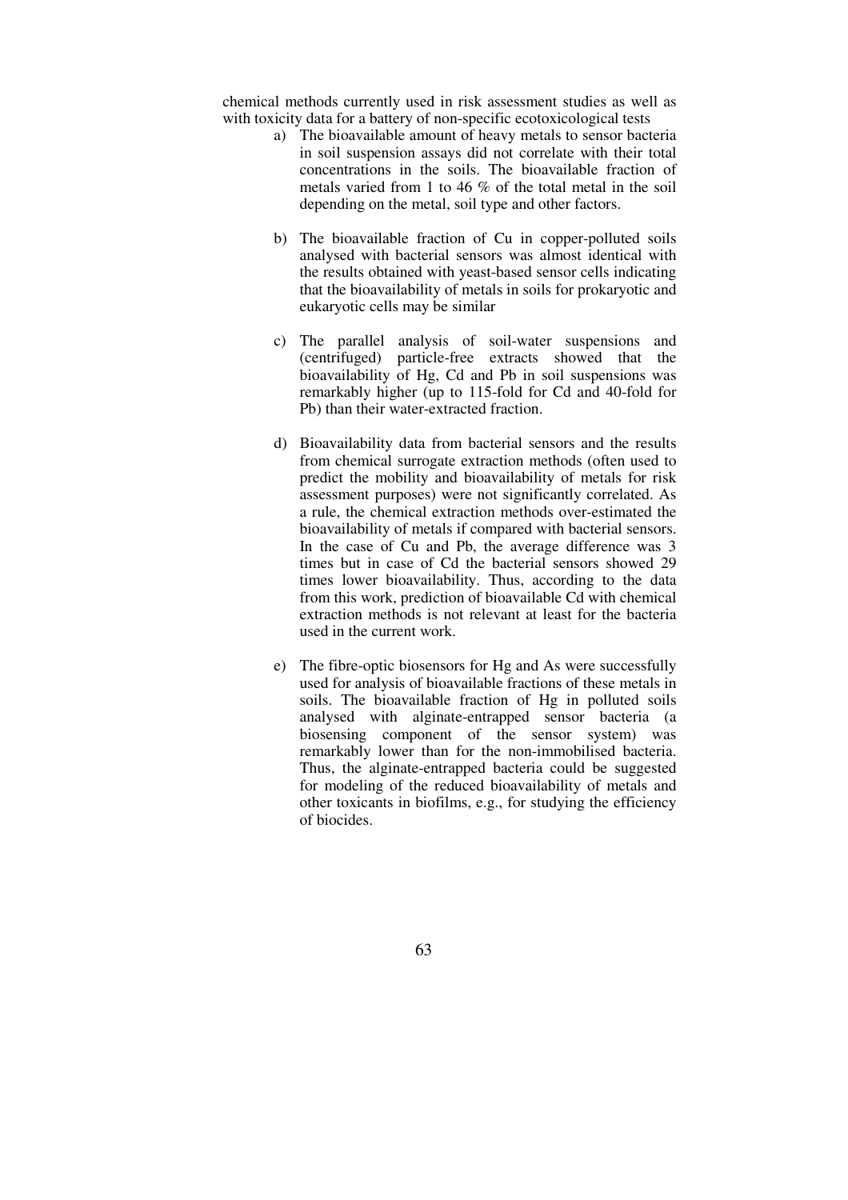chemical methods currently used in risk assessment studies as well as with toxicity data for a battery of non-specific ecotoxicological tests

- a) The bioavailable amount of heavy metals to sensor bacteria in soil suspension assays did not correlate with their total concentrations in the soils. The bioavailable fraction of metals varied from 1 to 46 % of the total metal in the soil depending on the metal, soil type and other factors.
- b) The bioavailable fraction of Cu in copper-polluted soils analysed with bacterial sensors was almost identical with the results obtained with yeast-based sensor cells indicating that the bioavailability of metals in soils for prokaryotic and eukaryotic cells may be similar
- c) The parallel analysis of soil-water suspensions and (centrifuged) particle-free extracts showed that the bioavailability of Hg, Cd and Pb in soil suspensions was remarkably higher (up to 115-fold for Cd and 40-fold for Pb) than their water-extracted fraction.
- d) Bioavailability data from bacterial sensors and the results from chemical surrogate extraction methods (often used to predict the mobility and bioavailability of metals for risk assessment purposes) were not significantly correlated. As a rule, the chemical extraction methods over-estimated the bioavailability of metals if compared with bacterial sensors. In the case of Cu and Pb, the average difference was 3 times but in case of Cd the bacterial sensors showed 29 times lower bioavailability. Thus, according to the data from this work, prediction of bioavailable Cd with chemical extraction methods is not relevant at least for the bacteria used in the current work.
- e) The fibre-optic biosensors for Hg and As were successfully used for analysis of bioavailable fractions of these metals in soils. The bioavailable fraction of Hg in polluted soils analysed with alginate-entrapped sensor bacteria (a biosensing component of the sensor system) was remarkably lower than for the non-immobilised bacteria. Thus, the alginate-entrapped bacteria could be suggested for modeling of the reduced bioavailability of metals and other toxicants in biofilms, e.g., for studying the efficiency of biocides.
	- 63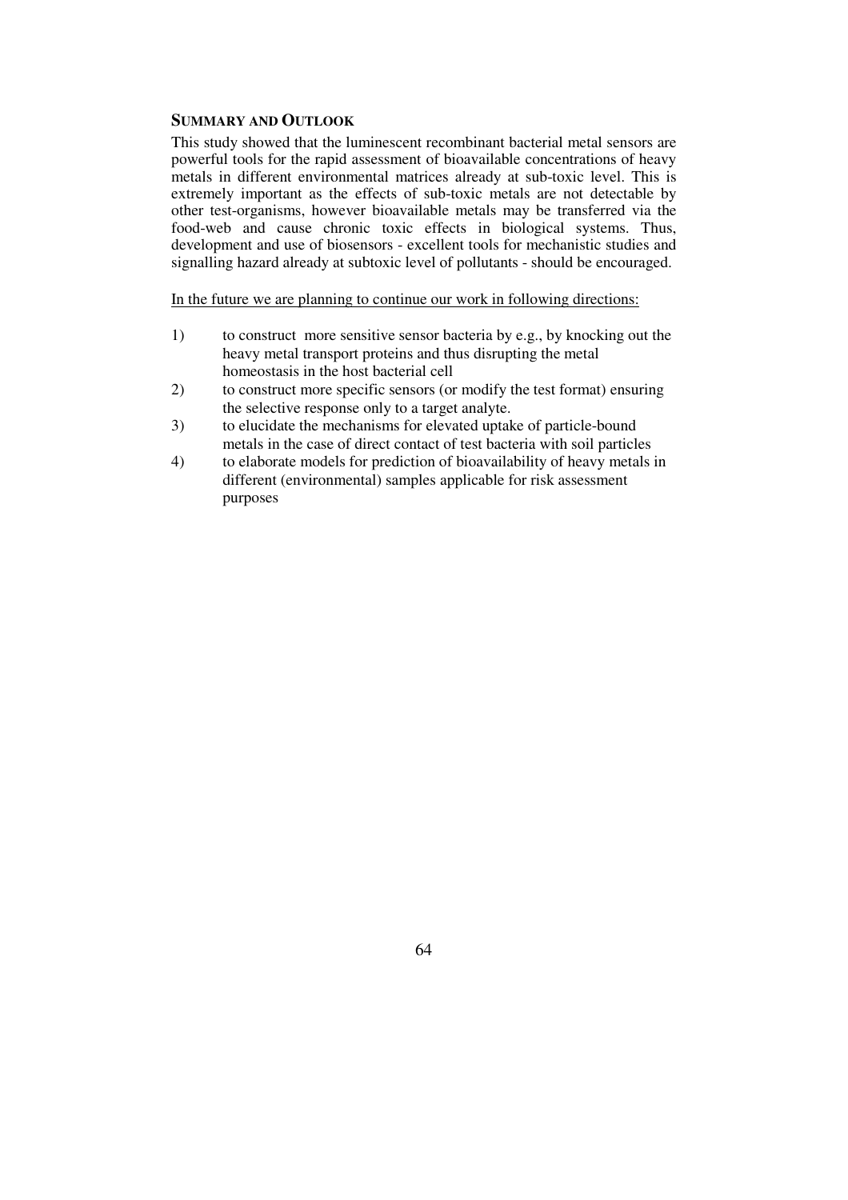# **SUMMARY AND OUTLOOK**

This study showed that the luminescent recombinant bacterial metal sensors are powerful tools for the rapid assessment of bioavailable concentrations of heavy metals in different environmental matrices already at sub-toxic level. This is extremely important as the effects of sub-toxic metals are not detectable by other test-organisms, however bioavailable metals may be transferred via the food-web and cause chronic toxic effects in biological systems. Thus, development and use of biosensors - excellent tools for mechanistic studies and signalling hazard already at subtoxic level of pollutants - should be encouraged.

In the future we are planning to continue our work in following directions:

- 1) to construct more sensitive sensor bacteria by e.g., by knocking out the heavy metal transport proteins and thus disrupting the metal homeostasis in the host bacterial cell
- 2) to construct more specific sensors (or modify the test format) ensuring the selective response only to a target analyte.
- 3) to elucidate the mechanisms for elevated uptake of particle-bound metals in the case of direct contact of test bacteria with soil particles
- 4) to elaborate models for prediction of bioavailability of heavy metals in different (environmental) samples applicable for risk assessment purposes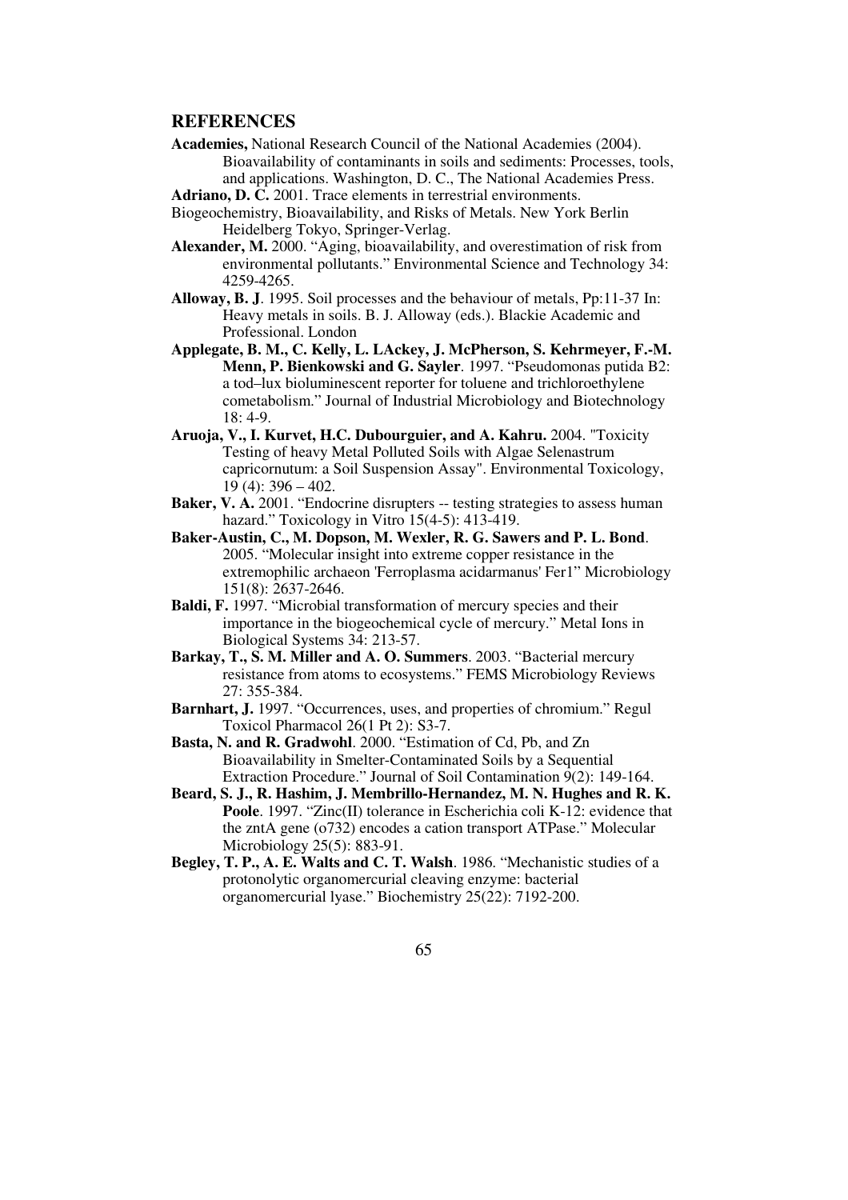# **REFERENCES**

**Academies,** National Research Council of the National Academies (2004). Bioavailability of contaminants in soils and sediments: Processes, tools, and applications. Washington, D. C., The National Academies Press.

**Adriano, D. C.** 2001. Trace elements in terrestrial environments.

- Biogeochemistry, Bioavailability, and Risks of Metals. New York Berlin Heidelberg Tokyo, Springer-Verlag.
- **Alexander, M.** 2000. "Aging, bioavailability, and overestimation of risk from environmental pollutants." Environmental Science and Technology 34: 4259-4265.
- **Alloway, B. J**. 1995. Soil processes and the behaviour of metals, Pp:11-37 In: Heavy metals in soils. B. J. Alloway (eds.). Blackie Academic and Professional. London
- **Applegate, B. M., C. Kelly, L. LAckey, J. McPherson, S. Kehrmeyer, F.-M. Menn, P. Bienkowski and G. Sayler**. 1997. "Pseudomonas putida B2: a tod–lux bioluminescent reporter for toluene and trichloroethylene cometabolism." Journal of Industrial Microbiology and Biotechnology 18: 4-9.
- **Aruoja, V., I. Kurvet, H.C. Dubourguier, and A. Kahru.** 2004. "Toxicity Testing of heavy Metal Polluted Soils with Algae Selenastrum capricornutum: a Soil Suspension Assay". Environmental Toxicology, 19 (4): 396 – 402.
- **Baker, V. A.** 2001. "Endocrine disrupters -- testing strategies to assess human hazard." Toxicology in Vitro 15(4-5): 413-419.
- **Baker-Austin, C., M. Dopson, M. Wexler, R. G. Sawers and P. L. Bond**. 2005. "Molecular insight into extreme copper resistance in the extremophilic archaeon 'Ferroplasma acidarmanus' Fer1" Microbiology 151(8): 2637-2646.
- **Baldi, F.** 1997. "Microbial transformation of mercury species and their importance in the biogeochemical cycle of mercury." Metal Ions in Biological Systems 34: 213-57.
- **Barkay, T., S. M. Miller and A. O. Summers**. 2003. "Bacterial mercury resistance from atoms to ecosystems." FEMS Microbiology Reviews 27: 355-384.
- **Barnhart, J.** 1997. "Occurrences, uses, and properties of chromium." Regul Toxicol Pharmacol 26(1 Pt 2): S3-7.
- **Basta, N. and R. Gradwohl**. 2000. "Estimation of Cd, Pb, and Zn Bioavailability in Smelter-Contaminated Soils by a Sequential Extraction Procedure." Journal of Soil Contamination 9(2): 149-164.
- **Beard, S. J., R. Hashim, J. Membrillo-Hernandez, M. N. Hughes and R. K. Poole**. 1997. "Zinc(II) tolerance in Escherichia coli K-12: evidence that the zntA gene (o732) encodes a cation transport ATPase." Molecular Microbiology 25(5): 883-91.
- **Begley, T. P., A. E. Walts and C. T. Walsh**. 1986. "Mechanistic studies of a protonolytic organomercurial cleaving enzyme: bacterial organomercurial lyase." Biochemistry 25(22): 7192-200.
	- 65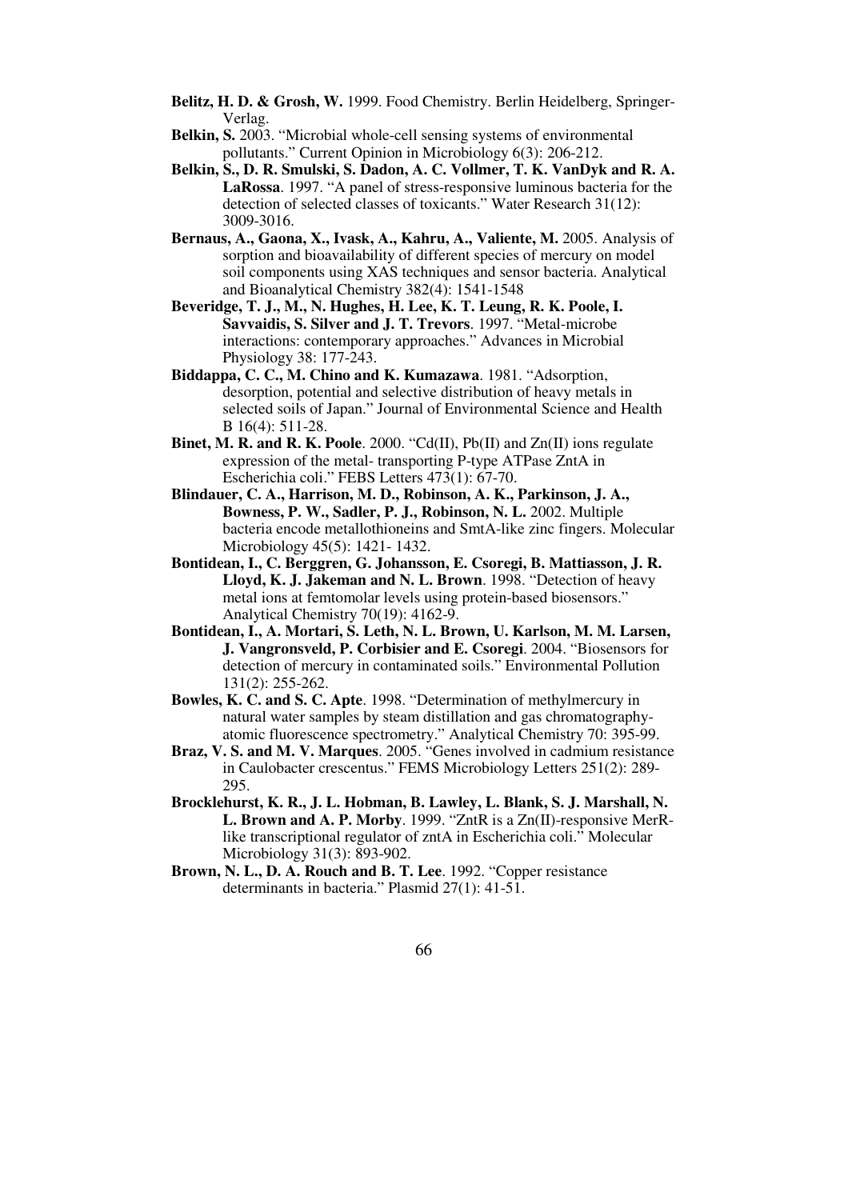- **Belitz, H. D. & Grosh, W.** 1999. Food Chemistry. Berlin Heidelberg, Springer-Verlag.
- **Belkin, S.** 2003. "Microbial whole-cell sensing systems of environmental pollutants." Current Opinion in Microbiology 6(3): 206-212.
- **Belkin, S., D. R. Smulski, S. Dadon, A. C. Vollmer, T. K. VanDyk and R. A. LaRossa**. 1997. "A panel of stress-responsive luminous bacteria for the detection of selected classes of toxicants." Water Research 31(12): 3009-3016.
- **Bernaus, A., Gaona, X., Ivask, A., Kahru, A., Valiente, M.** 2005. Analysis of sorption and bioavailability of different species of mercury on model soil components using XAS techniques and sensor bacteria. Analytical and Bioanalytical Chemistry 382(4): 1541-1548
- **Beveridge, T. J., M., N. Hughes, H. Lee, K. T. Leung, R. K. Poole, I. Savvaidis, S. Silver and J. T. Trevors**. 1997. "Metal-microbe interactions: contemporary approaches." Advances in Microbial Physiology 38: 177-243.
- **Biddappa, C. C., M. Chino and K. Kumazawa**. 1981. "Adsorption, desorption, potential and selective distribution of heavy metals in selected soils of Japan." Journal of Environmental Science and Health B 16(4): 511-28.
- **Binet, M. R. and R. K. Poole**. 2000. "Cd(II), Pb(II) and Zn(II) ions regulate expression of the metal- transporting P-type ATPase ZntA in Escherichia coli." FEBS Letters 473(1): 67-70.
- **Blindauer, C. A., Harrison, M. D., Robinson, A. K., Parkinson, J. A., Bowness, P. W., Sadler, P. J., Robinson, N. L.** 2002. Multiple bacteria encode metallothioneins and SmtA-like zinc fingers. Molecular Microbiology 45(5): 1421- 1432.
- **Bontidean, I., C. Berggren, G. Johansson, E. Csoregi, B. Mattiasson, J. R. Lloyd, K. J. Jakeman and N. L. Brown**. 1998. "Detection of heavy metal ions at femtomolar levels using protein-based biosensors." Analytical Chemistry 70(19): 4162-9.
- **Bontidean, I., A. Mortari, S. Leth, N. L. Brown, U. Karlson, M. M. Larsen, J. Vangronsveld, P. Corbisier and E. Csoregi**. 2004. "Biosensors for detection of mercury in contaminated soils." Environmental Pollution 131(2): 255-262.
- **Bowles, K. C. and S. C. Apte**. 1998. "Determination of methylmercury in natural water samples by steam distillation and gas chromatographyatomic fluorescence spectrometry." Analytical Chemistry 70: 395-99.
- **Braz, V. S. and M. V. Marques**. 2005. "Genes involved in cadmium resistance in Caulobacter crescentus." FEMS Microbiology Letters 251(2): 289- 295.
- **Brocklehurst, K. R., J. L. Hobman, B. Lawley, L. Blank, S. J. Marshall, N. L. Brown and A. P. Morby**. 1999. "ZntR is a Zn(II)-responsive MerRlike transcriptional regulator of zntA in Escherichia coli." Molecular Microbiology 31(3): 893-902.
- **Brown, N. L., D. A. Rouch and B. T. Lee**. 1992. "Copper resistance determinants in bacteria." Plasmid 27(1): 41-51.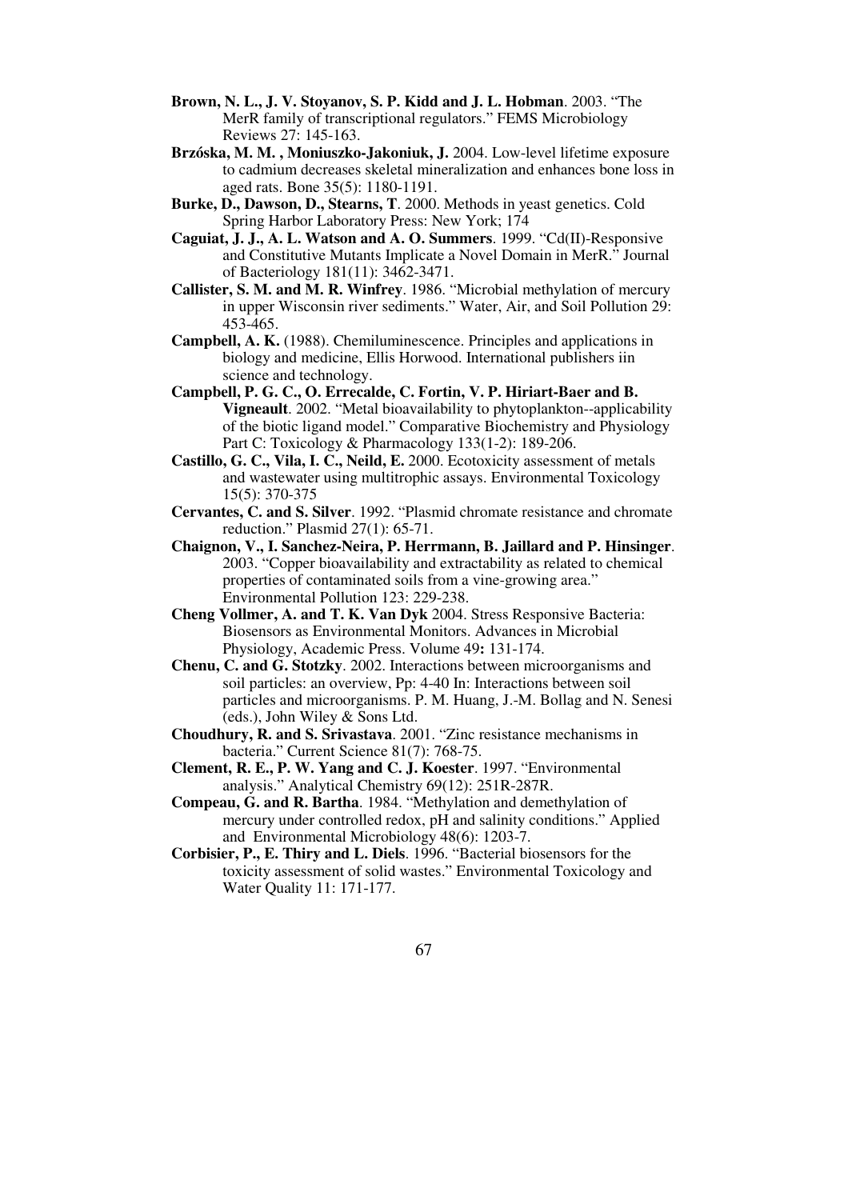- **Brown, N. L., J. V. Stoyanov, S. P. Kidd and J. L. Hobman**. 2003. "The MerR family of transcriptional regulators." FEMS Microbiology Reviews 27: 145-163.
- **Brzóska, M. M. , Moniuszko-Jakoniuk, J.** 2004. Low-level lifetime exposure to cadmium decreases skeletal mineralization and enhances bone loss in aged rats. Bone 35(5): 1180-1191.
- **Burke, D., Dawson, D., Stearns, T**. 2000. Methods in yeast genetics. Cold Spring Harbor Laboratory Press: New York; 174
- **Caguiat, J. J., A. L. Watson and A. O. Summers**. 1999. "Cd(II)-Responsive and Constitutive Mutants Implicate a Novel Domain in MerR." Journal of Bacteriology 181(11): 3462-3471.
- **Callister, S. M. and M. R. Winfrey**. 1986. "Microbial methylation of mercury in upper Wisconsin river sediments." Water, Air, and Soil Pollution 29: 453-465.
- **Campbell, A. K.** (1988). Chemiluminescence. Principles and applications in biology and medicine, Ellis Horwood. International publishers iin science and technology.
- **Campbell, P. G. C., O. Errecalde, C. Fortin, V. P. Hiriart-Baer and B. Vigneault**. 2002. "Metal bioavailability to phytoplankton--applicability of the biotic ligand model." Comparative Biochemistry and Physiology Part C: Toxicology & Pharmacology 133(1-2): 189-206.
- **Castillo, G. C., Vila, I. C., Neild, E.** 2000. Ecotoxicity assessment of metals and wastewater using multitrophic assays. Environmental Toxicology 15(5): 370-375
- **Cervantes, C. and S. Silver**. 1992. "Plasmid chromate resistance and chromate reduction." Plasmid 27(1): 65-71.
- **Chaignon, V., I. Sanchez-Neira, P. Herrmann, B. Jaillard and P. Hinsinger**. 2003. "Copper bioavailability and extractability as related to chemical properties of contaminated soils from a vine-growing area." Environmental Pollution 123: 229-238.
- **Cheng Vollmer, A. and T. K. Van Dyk** 2004. Stress Responsive Bacteria: Biosensors as Environmental Monitors. Advances in Microbial Physiology, Academic Press. Volume 49**:** 131-174.
- **Chenu, C. and G. Stotzky**. 2002. Interactions between microorganisms and soil particles: an overview, Pp: 4-40 In: Interactions between soil particles and microorganisms. P. M. Huang, J.-M. Bollag and N. Senesi (eds.), John Wiley & Sons Ltd.
- **Choudhury, R. and S. Srivastava**. 2001. "Zinc resistance mechanisms in bacteria." Current Science 81(7): 768-75.
- **Clement, R. E., P. W. Yang and C. J. Koester**. 1997. "Environmental analysis." Analytical Chemistry 69(12): 251R-287R.
- **Compeau, G. and R. Bartha**. 1984. "Methylation and demethylation of mercury under controlled redox, pH and salinity conditions." Applied and Environmental Microbiology 48(6): 1203-7.
- **Corbisier, P., E. Thiry and L. Diels**. 1996. "Bacterial biosensors for the toxicity assessment of solid wastes." Environmental Toxicology and Water Quality 11: 171-177.
	- 67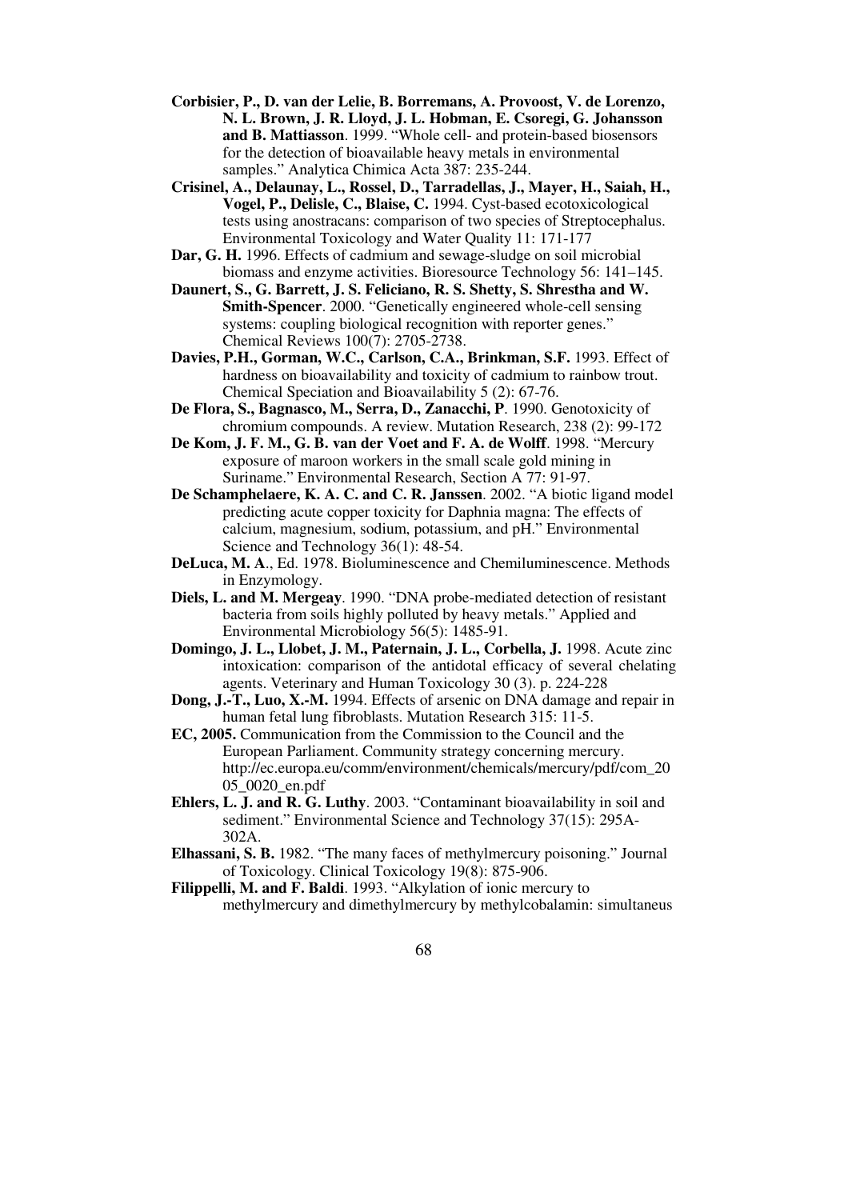- **Corbisier, P., D. van der Lelie, B. Borremans, A. Provoost, V. de Lorenzo, N. L. Brown, J. R. Lloyd, J. L. Hobman, E. Csoregi, G. Johansson and B. Mattiasson**. 1999. "Whole cell- and protein-based biosensors for the detection of bioavailable heavy metals in environmental samples." Analytica Chimica Acta 387: 235-244.
- **Crisinel, A., Delaunay, L., Rossel, D., Tarradellas, J., Mayer, H., Saiah, H., Vogel, P., Delisle, C., Blaise, C.** 1994. Cyst-based ecotoxicological tests using anostracans: comparison of two species of Streptocephalus. Environmental Toxicology and Water Quality 11: 171-177
- **Dar, G. H.** 1996. Effects of cadmium and sewage-sludge on soil microbial biomass and enzyme activities. Bioresource Technology 56: 141–145.
- **Daunert, S., G. Barrett, J. S. Feliciano, R. S. Shetty, S. Shrestha and W. Smith-Spencer**. 2000. "Genetically engineered whole-cell sensing systems: coupling biological recognition with reporter genes." Chemical Reviews 100(7): 2705-2738.
- **Davies, P.H., Gorman, W.C., Carlson, C.A., Brinkman, S.F.** 1993. Effect of hardness on bioavailability and toxicity of cadmium to rainbow trout. Chemical Speciation and Bioavailability 5 (2): 67-76.
- **De Flora, S., Bagnasco, M., Serra, D., Zanacchi, P**. 1990. Genotoxicity of chromium compounds. A review. Mutation Research, 238 (2): 99-172
- **De Kom, J. F. M., G. B. van der Voet and F. A. de Wolff**. 1998. "Mercury exposure of maroon workers in the small scale gold mining in Suriname." Environmental Research, Section A 77: 91-97.
- **De Schamphelaere, K. A. C. and C. R. Janssen**. 2002. "A biotic ligand model predicting acute copper toxicity for Daphnia magna: The effects of calcium, magnesium, sodium, potassium, and pH." Environmental Science and Technology 36(1): 48-54.
- **DeLuca, M. A**., Ed. 1978. Bioluminescence and Chemiluminescence. Methods in Enzymology.
- **Diels, L. and M. Mergeay**. 1990. "DNA probe-mediated detection of resistant bacteria from soils highly polluted by heavy metals." Applied and Environmental Microbiology 56(5): 1485-91.
- **Domingo, J. L., Llobet, J. M., Paternain, J. L., Corbella, J.** 1998. Acute zinc intoxication: comparison of the antidotal efficacy of several chelating agents. Veterinary and Human Toxicology 30 (3). p. 224-228
- **Dong, J.-T., Luo, X.-M.** 1994. Effects of arsenic on DNA damage and repair in human fetal lung fibroblasts. Mutation Research 315: 11-5.
- **EC, 2005.** Communication from the Commission to the Council and the European Parliament. Community strategy concerning mercury. http://ec.europa.eu/comm/environment/chemicals/mercury/pdf/com\_20 05\_0020\_en.pdf
- **Ehlers, L. J. and R. G. Luthy**. 2003. "Contaminant bioavailability in soil and sediment." Environmental Science and Technology 37(15): 295A-302A.
- **Elhassani, S. B.** 1982. "The many faces of methylmercury poisoning." Journal of Toxicology. Clinical Toxicology 19(8): 875-906.

**Filippelli, M. and F. Baldi**. 1993. "Alkylation of ionic mercury to methylmercury and dimethylmercury by methylcobalamin: simultaneus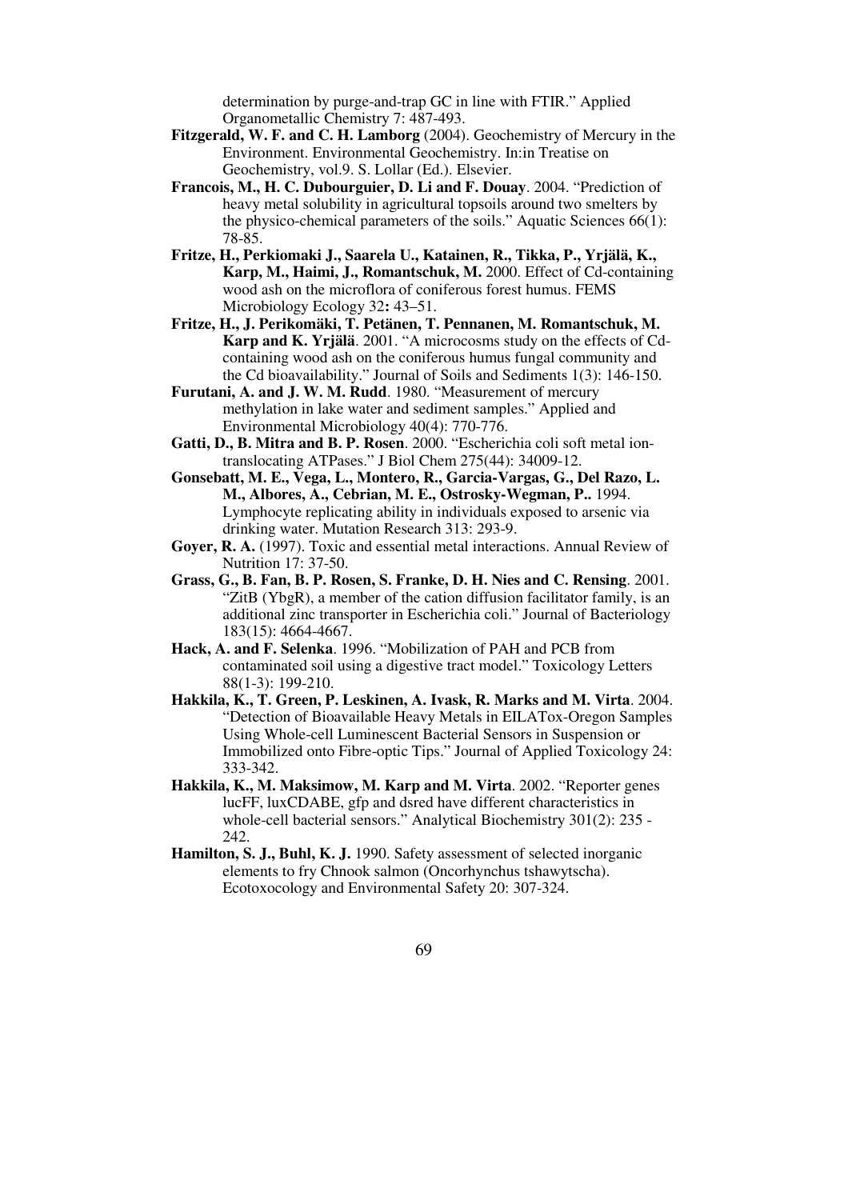determination by purge-and-trap GC in line with FTIR." Applied Organometallic Chemistry 7: 487-493.

- **Fitzgerald, W. F. and C. H. Lamborg** (2004). Geochemistry of Mercury in the Environment. Environmental Geochemistry. In:in Treatise on Geochemistry, vol.9. S. Lollar (Ed.). Elsevier.
- **Francois, M., H. C. Dubourguier, D. Li and F. Douay**. 2004. "Prediction of heavy metal solubility in agricultural topsoils around two smelters by the physico-chemical parameters of the soils." Aquatic Sciences 66(1): 78-85.
- **Fritze, H., Perkiomaki J., Saarela U., Katainen, R., Tikka, P., Yrjälä, K., Karp, M., Haimi, J., Romantschuk, M.** 2000. Effect of Cd-containing wood ash on the microflora of coniferous forest humus. FEMS Microbiology Ecology 32**:** 43–51.
- **Fritze, H., J. Perikomäki, T. Petänen, T. Pennanen, M. Romantschuk, M. Karp and K. Yrjälä**. 2001. "A microcosms study on the effects of Cdcontaining wood ash on the coniferous humus fungal community and the Cd bioavailability." Journal of Soils and Sediments 1(3): 146-150.
- **Furutani, A. and J. W. M. Rudd**. 1980. "Measurement of mercury methylation in lake water and sediment samples." Applied and Environmental Microbiology 40(4): 770-776.
- **Gatti, D., B. Mitra and B. P. Rosen**. 2000. "Escherichia coli soft metal iontranslocating ATPases." J Biol Chem 275(44): 34009-12.
- **Gonsebatt, M. E., Vega, L., Montero, R., Garcia-Vargas, G., Del Razo, L. M., Albores, A., Cebrian, M. E., Ostrosky-Wegman, P..** 1994. Lymphocyte replicating ability in individuals exposed to arsenic via drinking water. Mutation Research 313: 293-9.
- **Goyer, R. A.** (1997). Toxic and essential metal interactions. Annual Review of Nutrition 17: 37-50.
- **Grass, G., B. Fan, B. P. Rosen, S. Franke, D. H. Nies and C. Rensing**. 2001. "ZitB (YbgR), a member of the cation diffusion facilitator family, is an additional zinc transporter in Escherichia coli." Journal of Bacteriology 183(15): 4664-4667.
- **Hack, A. and F. Selenka**. 1996. "Mobilization of PAH and PCB from contaminated soil using a digestive tract model." Toxicology Letters 88(1-3): 199-210.
- **Hakkila, K., T. Green, P. Leskinen, A. Ivask, R. Marks and M. Virta**. 2004. "Detection of Bioavailable Heavy Metals in EILATox-Oregon Samples Using Whole-cell Luminescent Bacterial Sensors in Suspension or Immobilized onto Fibre-optic Tips." Journal of Applied Toxicology 24: 333-342.
- **Hakkila, K., M. Maksimow, M. Karp and M. Virta**. 2002. "Reporter genes lucFF, luxCDABE, gfp and dsred have different characteristics in whole-cell bacterial sensors." Analytical Biochemistry 301(2): 235 - 242.
- **Hamilton, S. J., Buhl, K. J.** 1990. Safety assessment of selected inorganic elements to fry Chnook salmon (Oncorhynchus tshawytscha). Ecotoxocology and Environmental Safety 20: 307-324.
	- 69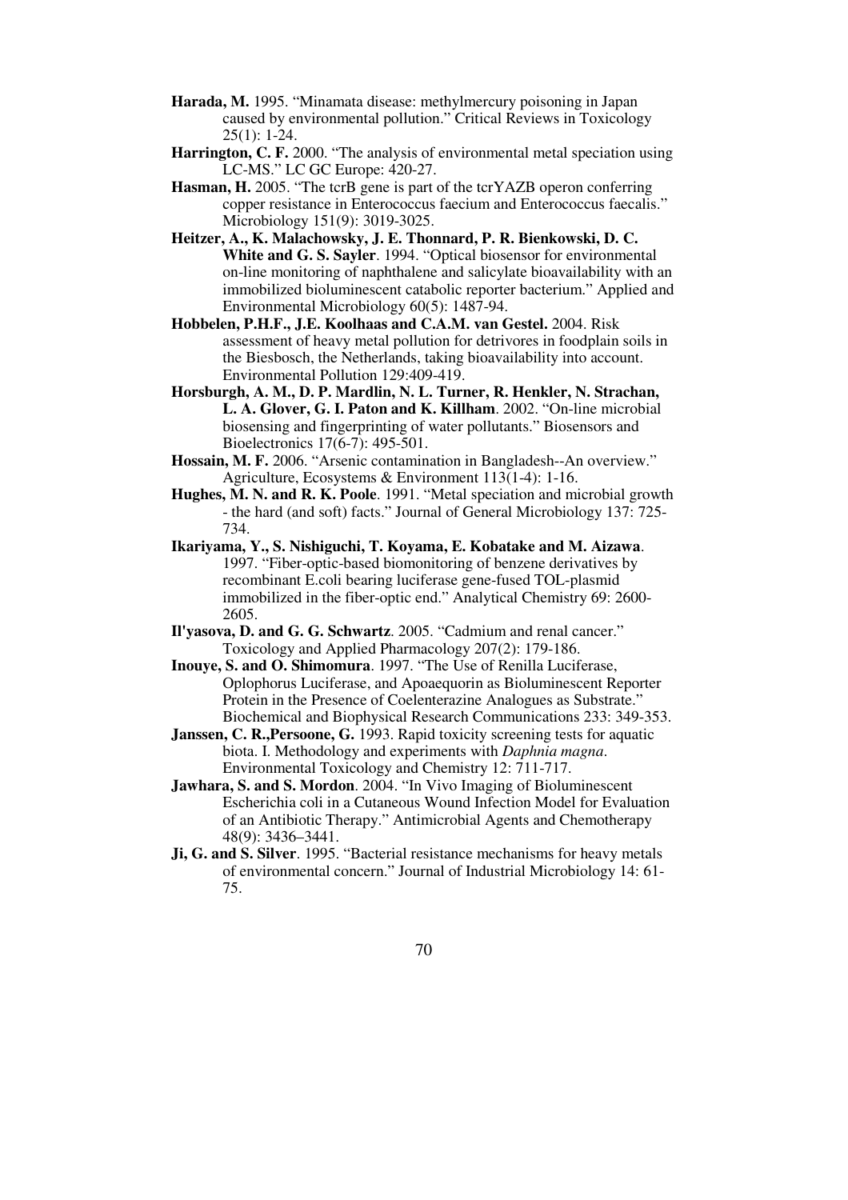- **Harada, M.** 1995. "Minamata disease: methylmercury poisoning in Japan caused by environmental pollution." Critical Reviews in Toxicology 25(1): 1-24.
- **Harrington, C. F.** 2000. "The analysis of environmental metal speciation using LC-MS." LC GC Europe: 420-27.
- **Hasman, H.** 2005. "The tcrB gene is part of the tcrYAZB operon conferring copper resistance in Enterococcus faecium and Enterococcus faecalis." Microbiology 151(9): 3019-3025.
- **Heitzer, A., K. Malachowsky, J. E. Thonnard, P. R. Bienkowski, D. C. White and G. S. Sayler**. 1994. "Optical biosensor for environmental on-line monitoring of naphthalene and salicylate bioavailability with an immobilized bioluminescent catabolic reporter bacterium." Applied and Environmental Microbiology 60(5): 1487-94.
- **Hobbelen, P.H.F., J.E. Koolhaas and C.A.M. van Gestel.** 2004. Risk assessment of heavy metal pollution for detrivores in foodplain soils in the Biesbosch, the Netherlands, taking bioavailability into account. Environmental Pollution 129:409-419.
- **Horsburgh, A. M., D. P. Mardlin, N. L. Turner, R. Henkler, N. Strachan, L. A. Glover, G. I. Paton and K. Killham**. 2002. "On-line microbial biosensing and fingerprinting of water pollutants." Biosensors and Bioelectronics 17(6-7): 495-501.
- **Hossain, M. F.** 2006. "Arsenic contamination in Bangladesh--An overview." Agriculture, Ecosystems & Environment 113(1-4): 1-16.
- **Hughes, M. N. and R. K. Poole**. 1991. "Metal speciation and microbial growth - the hard (and soft) facts." Journal of General Microbiology 137: 725- 734.
- **Ikariyama, Y., S. Nishiguchi, T. Koyama, E. Kobatake and M. Aizawa**. 1997. "Fiber-optic-based biomonitoring of benzene derivatives by recombinant E.coli bearing luciferase gene-fused TOL-plasmid immobilized in the fiber-optic end." Analytical Chemistry 69: 2600- 2605.
- **Il'yasova, D. and G. G. Schwartz**. 2005. "Cadmium and renal cancer." Toxicology and Applied Pharmacology 207(2): 179-186.
- **Inouye, S. and O. Shimomura**. 1997. "The Use of Renilla Luciferase, Oplophorus Luciferase, and Apoaequorin as Bioluminescent Reporter Protein in the Presence of Coelenterazine Analogues as Substrate." Biochemical and Biophysical Research Communications 233: 349-353.
- **Janssen, C. R.,Persoone, G.** 1993. Rapid toxicity screening tests for aquatic biota. I. Methodology and experiments with *Daphnia magna*. Environmental Toxicology and Chemistry 12: 711-717.
- **Jawhara, S. and S. Mordon**. 2004. "In Vivo Imaging of Bioluminescent Escherichia coli in a Cutaneous Wound Infection Model for Evaluation of an Antibiotic Therapy." Antimicrobial Agents and Chemotherapy 48(9): 3436–3441.
- **Ji, G. and S. Silver**. 1995. "Bacterial resistance mechanisms for heavy metals of environmental concern." Journal of Industrial Microbiology 14: 61- 75.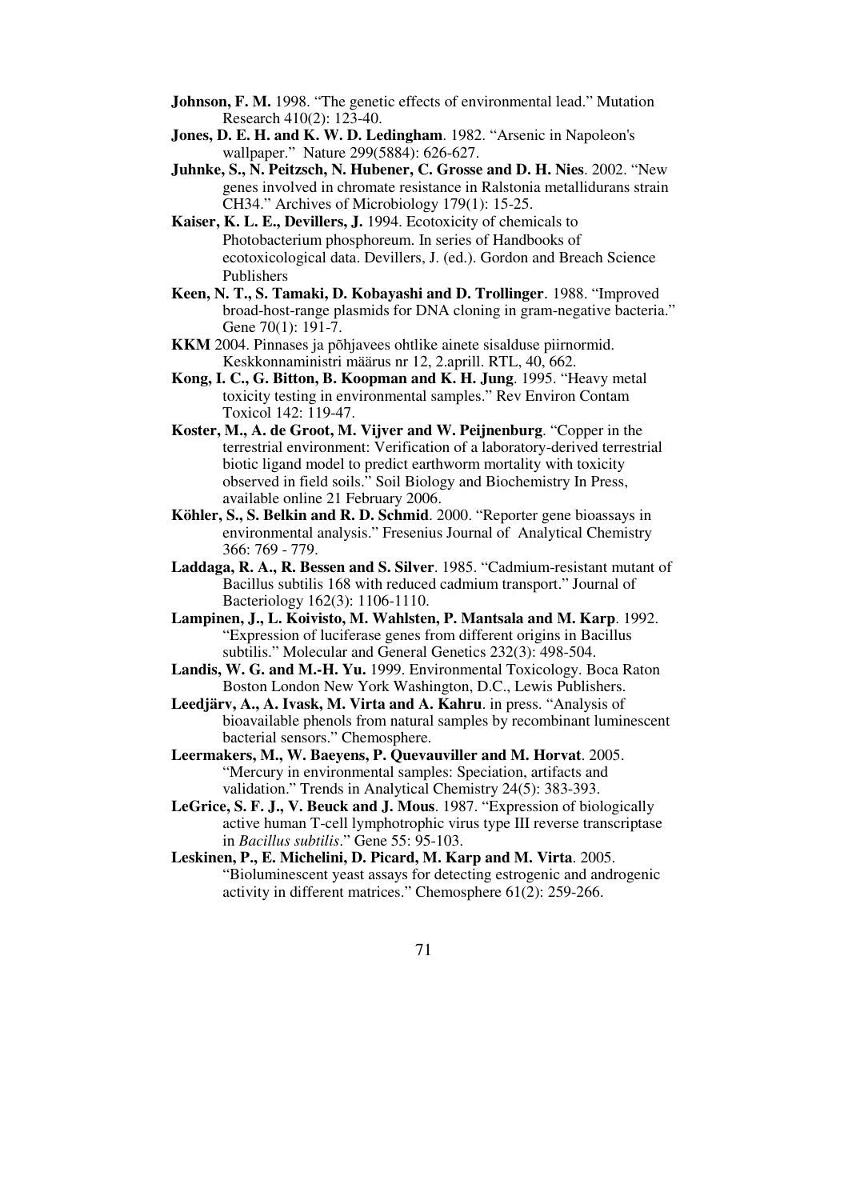- **Johnson, F. M.** 1998. "The genetic effects of environmental lead." Mutation Research 410(2): 123-40.
- **Jones, D. E. H. and K. W. D. Ledingham**. 1982. "Arsenic in Napoleon's wallpaper." Nature 299(5884): 626-627.
- **Juhnke, S., N. Peitzsch, N. Hubener, C. Grosse and D. H. Nies**. 2002. "New genes involved in chromate resistance in Ralstonia metallidurans strain CH34." Archives of Microbiology 179(1): 15-25.
- **Kaiser, K. L. E., Devillers, J.** 1994. Ecotoxicity of chemicals to Photobacterium phosphoreum. In series of Handbooks of ecotoxicological data. Devillers, J. (ed.). Gordon and Breach Science Publishers
- **Keen, N. T., S. Tamaki, D. Kobayashi and D. Trollinger**. 1988. "Improved broad-host-range plasmids for DNA cloning in gram-negative bacteria." Gene  $70(1)$ :  $19\overline{1}$ -7.
- **KKM** 2004. Pinnases ja põhjavees ohtlike ainete sisalduse piirnormid. Keskkonnaministri määrus nr 12, 2.aprill. RTL, 40, 662.
- **Kong, I. C., G. Bitton, B. Koopman and K. H. Jung**. 1995. "Heavy metal toxicity testing in environmental samples." Rev Environ Contam Toxicol 142: 119-47.
- **Koster, M., A. de Groot, M. Vijver and W. Peijnenburg**. "Copper in the terrestrial environment: Verification of a laboratory-derived terrestrial biotic ligand model to predict earthworm mortality with toxicity observed in field soils." Soil Biology and Biochemistry In Press, available online 21 February 2006.
- **Köhler, S., S. Belkin and R. D. Schmid**. 2000. "Reporter gene bioassays in environmental analysis." Fresenius Journal of Analytical Chemistry 366: 769 - 779.
- **Laddaga, R. A., R. Bessen and S. Silver**. 1985. "Cadmium-resistant mutant of Bacillus subtilis 168 with reduced cadmium transport." Journal of Bacteriology 162(3): 1106-1110.
- **Lampinen, J., L. Koivisto, M. Wahlsten, P. Mantsala and M. Karp**. 1992. "Expression of luciferase genes from different origins in Bacillus subtilis." Molecular and General Genetics 232(3): 498-504.
- **Landis, W. G. and M.-H. Yu.** 1999. Environmental Toxicology. Boca Raton Boston London New York Washington, D.C., Lewis Publishers.
- **Leedjärv, A., A. Ivask, M. Virta and A. Kahru**. in press. "Analysis of bioavailable phenols from natural samples by recombinant luminescent bacterial sensors." Chemosphere.
- **Leermakers, M., W. Baeyens, P. Quevauviller and M. Horvat**. 2005. "Mercury in environmental samples: Speciation, artifacts and validation." Trends in Analytical Chemistry 24(5): 383-393.
- **LeGrice, S. F. J., V. Beuck and J. Mous**. 1987. "Expression of biologically active human T-cell lymphotrophic virus type III reverse transcriptase in *Bacillus subtilis*." Gene 55: 95-103.
- **Leskinen, P., E. Michelini, D. Picard, M. Karp and M. Virta**. 2005. "Bioluminescent yeast assays for detecting estrogenic and androgenic activity in different matrices." Chemosphere 61(2): 259-266.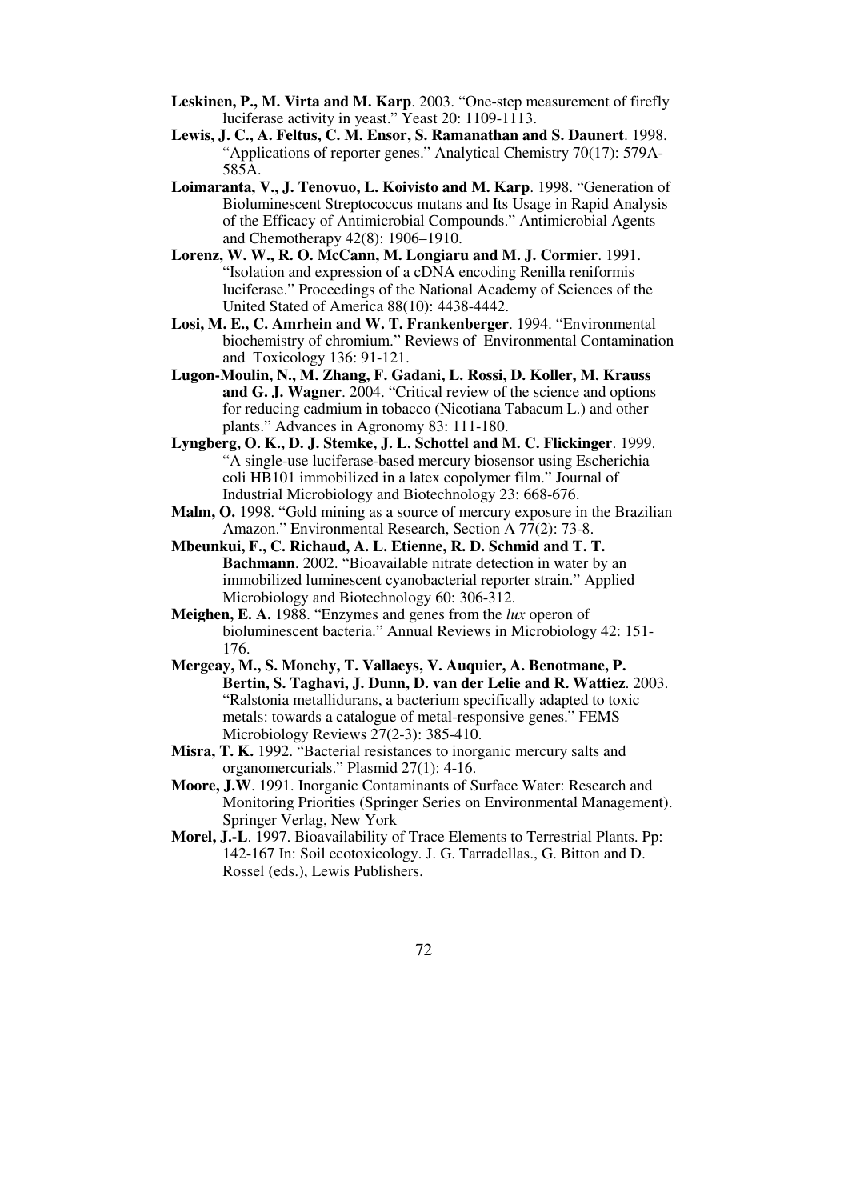- **Leskinen, P., M. Virta and M. Karp**. 2003. "One-step measurement of firefly luciferase activity in yeast." Yeast 20: 1109-1113.
- **Lewis, J. C., A. Feltus, C. M. Ensor, S. Ramanathan and S. Daunert**. 1998. "Applications of reporter genes." Analytical Chemistry 70(17): 579A-585A.
- **Loimaranta, V., J. Tenovuo, L. Koivisto and M. Karp**. 1998. "Generation of Bioluminescent Streptococcus mutans and Its Usage in Rapid Analysis of the Efficacy of Antimicrobial Compounds." Antimicrobial Agents and Chemotherapy 42(8): 1906–1910.
- **Lorenz, W. W., R. O. McCann, M. Longiaru and M. J. Cormier**. 1991. "Isolation and expression of a cDNA encoding Renilla reniformis luciferase." Proceedings of the National Academy of Sciences of the United Stated of America 88(10): 4438-4442.
- **Losi, M. E., C. Amrhein and W. T. Frankenberger**. 1994. "Environmental biochemistry of chromium." Reviews of Environmental Contamination and Toxicology 136: 91-121.
- **Lugon-Moulin, N., M. Zhang, F. Gadani, L. Rossi, D. Koller, M. Krauss and G. J. Wagner**. 2004. "Critical review of the science and options for reducing cadmium in tobacco (Nicotiana Tabacum L.) and other plants." Advances in Agronomy 83: 111-180.
- **Lyngberg, O. K., D. J. Stemke, J. L. Schottel and M. C. Flickinger**. 1999. "A single-use luciferase-based mercury biosensor using Escherichia coli HB101 immobilized in a latex copolymer film." Journal of Industrial Microbiology and Biotechnology 23: 668-676.
- **Malm, O.** 1998. "Gold mining as a source of mercury exposure in the Brazilian Amazon." Environmental Research, Section A 77(2): 73-8.
- **Mbeunkui, F., C. Richaud, A. L. Etienne, R. D. Schmid and T. T. Bachmann**. 2002. "Bioavailable nitrate detection in water by an immobilized luminescent cyanobacterial reporter strain." Applied Microbiology and Biotechnology 60: 306-312.
- **Meighen, E. A.** 1988. "Enzymes and genes from the *lux* operon of bioluminescent bacteria." Annual Reviews in Microbiology 42: 151- 176.
- **Mergeay, M., S. Monchy, T. Vallaeys, V. Auquier, A. Benotmane, P. Bertin, S. Taghavi, J. Dunn, D. van der Lelie and R. Wattiez**. 2003. "Ralstonia metallidurans, a bacterium specifically adapted to toxic metals: towards a catalogue of metal-responsive genes." FEMS Microbiology Reviews 27(2-3): 385-410.
- **Misra, T. K.** 1992. "Bacterial resistances to inorganic mercury salts and organomercurials." Plasmid 27(1): 4-16.
- **Moore, J.W**. 1991. Inorganic Contaminants of Surface Water: Research and Monitoring Priorities (Springer Series on Environmental Management). Springer Verlag, New York
- **Morel, J.-L**. 1997. Bioavailability of Trace Elements to Terrestrial Plants. Pp: 142-167 In: Soil ecotoxicology. J. G. Tarradellas., G. Bitton and D. Rossel (eds.), Lewis Publishers.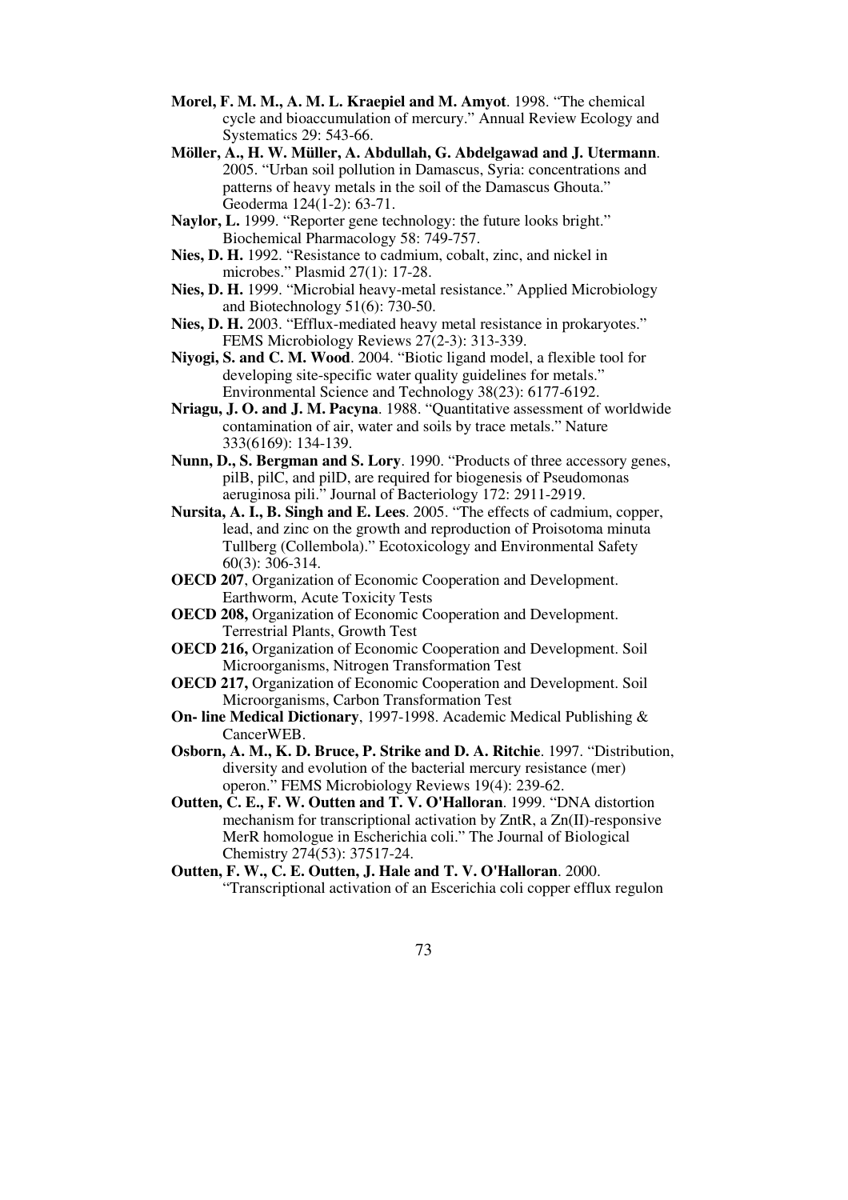- **Morel, F. M. M., A. M. L. Kraepiel and M. Amyot**. 1998. "The chemical cycle and bioaccumulation of mercury." Annual Review Ecology and Systematics 29: 543-66.
- **Möller, A., H. W. Müller, A. Abdullah, G. Abdelgawad and J. Utermann**. 2005. "Urban soil pollution in Damascus, Syria: concentrations and patterns of heavy metals in the soil of the Damascus Ghouta." Geoderma 124(1-2): 63-71.
- **Naylor, L.** 1999. "Reporter gene technology: the future looks bright." Biochemical Pharmacology 58: 749-757.
- **Nies, D. H.** 1992. "Resistance to cadmium, cobalt, zinc, and nickel in microbes." Plasmid 27(1): 17-28.
- **Nies, D. H.** 1999. "Microbial heavy-metal resistance." Applied Microbiology and Biotechnology 51(6): 730-50.
- **Nies, D. H.** 2003. "Efflux-mediated heavy metal resistance in prokaryotes." FEMS Microbiology Reviews 27(2-3): 313-339.
- **Niyogi, S. and C. M. Wood**. 2004. "Biotic ligand model, a flexible tool for developing site-specific water quality guidelines for metals." Environmental Science and Technology 38(23): 6177-6192.
- **Nriagu, J. O. and J. M. Pacyna**. 1988. "Quantitative assessment of worldwide contamination of air, water and soils by trace metals." Nature 333(6169): 134-139.
- **Nunn, D., S. Bergman and S. Lory**. 1990. "Products of three accessory genes, pilB, pilC, and pilD, are required for biogenesis of Pseudomonas aeruginosa pili." Journal of Bacteriology 172: 2911-2919.
- **Nursita, A. I., B. Singh and E. Lees**. 2005. "The effects of cadmium, copper, lead, and zinc on the growth and reproduction of Proisotoma minuta Tullberg (Collembola)." Ecotoxicology and Environmental Safety 60(3): 306-314.
- **OECD 207**, Organization of Economic Cooperation and Development. Earthworm, Acute Toxicity Tests
- **OECD 208,** Organization of Economic Cooperation and Development. Terrestrial Plants, Growth Test
- **OECD 216,** Organization of Economic Cooperation and Development. Soil Microorganisms, Nitrogen Transformation Test
- **OECD 217,** Organization of Economic Cooperation and Development. Soil Microorganisms, Carbon Transformation Test
- **On- line Medical Dictionary**, 1997-1998. Academic Medical Publishing & CancerWEB.
- **Osborn, A. M., K. D. Bruce, P. Strike and D. A. Ritchie**. 1997. "Distribution, diversity and evolution of the bacterial mercury resistance (mer) operon." FEMS Microbiology Reviews 19(4): 239-62.
- **Outten, C. E., F. W. Outten and T. V. O'Halloran**. 1999. "DNA distortion mechanism for transcriptional activation by ZntR, a Zn(II)-responsive MerR homologue in Escherichia coli." The Journal of Biological Chemistry 274(53): 37517-24.
- **Outten, F. W., C. E. Outten, J. Hale and T. V. O'Halloran**. 2000. "Transcriptional activation of an Escerichia coli copper efflux regulon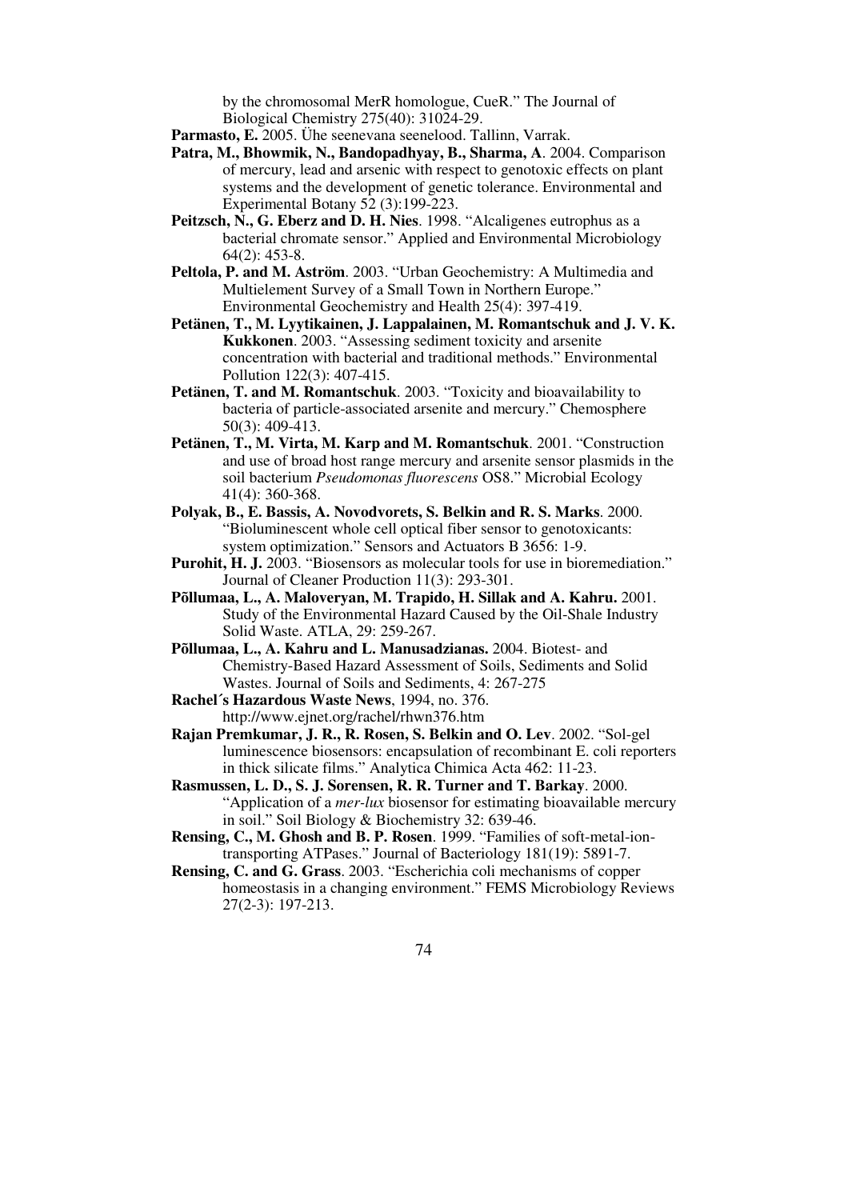by the chromosomal MerR homologue, CueR." The Journal of Biological Chemistry 275(40): 31024-29.

**Parmasto, E.** 2005. Ühe seenevana seenelood. Tallinn, Varrak.

- **Patra, M., Bhowmik, N., Bandopadhyay, B., Sharma, A**. 2004. Comparison of mercury, lead and arsenic with respect to genotoxic effects on plant systems and the development of genetic tolerance. Environmental and Experimental Botany 52 (3):199-223.
- **Peitzsch, N., G. Eberz and D. H. Nies**. 1998. "Alcaligenes eutrophus as a bacterial chromate sensor." Applied and Environmental Microbiology 64(2): 453-8.
- **Peltola, P. and M. Aström**. 2003. "Urban Geochemistry: A Multimedia and Multielement Survey of a Small Town in Northern Europe." Environmental Geochemistry and Health 25(4): 397-419.
- **Petänen, T., M. Lyytikainen, J. Lappalainen, M. Romantschuk and J. V. K. Kukkonen**. 2003. "Assessing sediment toxicity and arsenite concentration with bacterial and traditional methods." Environmental Pollution 122(3): 407-415.
- **Petänen, T. and M. Romantschuk**. 2003. "Toxicity and bioavailability to bacteria of particle-associated arsenite and mercury." Chemosphere 50(3): 409-413.
- **Petänen, T., M. Virta, M. Karp and M. Romantschuk**. 2001. "Construction and use of broad host range mercury and arsenite sensor plasmids in the soil bacterium *Pseudomonas fluorescens* OS8." Microbial Ecology 41(4): 360-368.
- **Polyak, B., E. Bassis, A. Novodvorets, S. Belkin and R. S. Marks**. 2000. "Bioluminescent whole cell optical fiber sensor to genotoxicants: system optimization." Sensors and Actuators B 3656: 1-9.
- **Purohit, H. J.** 2003. "Biosensors as molecular tools for use in bioremediation." Journal of Cleaner Production 11(3): 293-301.
- **Põllumaa, L., A. Maloveryan, M. Trapido, H. Sillak and A. Kahru.** 2001. Study of the Environmental Hazard Caused by the Oil-Shale Industry Solid Waste. ATLA, 29: 259-267.
- **Põllumaa, L., A. Kahru and L. Manusadzianas.** 2004. Biotest- and Chemistry-Based Hazard Assessment of Soils, Sediments and Solid Wastes. Journal of Soils and Sediments, 4: 267-275
- **Rachel´s Hazardous Waste News**, 1994, no. 376. http://www.ejnet.org/rachel/rhwn376.htm
- **Rajan Premkumar, J. R., R. Rosen, S. Belkin and O. Lev**. 2002. "Sol-gel luminescence biosensors: encapsulation of recombinant E. coli reporters in thick silicate films." Analytica Chimica Acta 462: 11-23.
- **Rasmussen, L. D., S. J. Sorensen, R. R. Turner and T. Barkay**. 2000. "Application of a *mer-lux* biosensor for estimating bioavailable mercury in soil." Soil Biology & Biochemistry 32: 639-46.
- **Rensing, C., M. Ghosh and B. P. Rosen**. 1999. "Families of soft-metal-iontransporting ATPases." Journal of Bacteriology 181(19): 5891-7.
- **Rensing, C. and G. Grass**. 2003. "Escherichia coli mechanisms of copper homeostasis in a changing environment." FEMS Microbiology Reviews 27(2-3): 197-213.
	- 74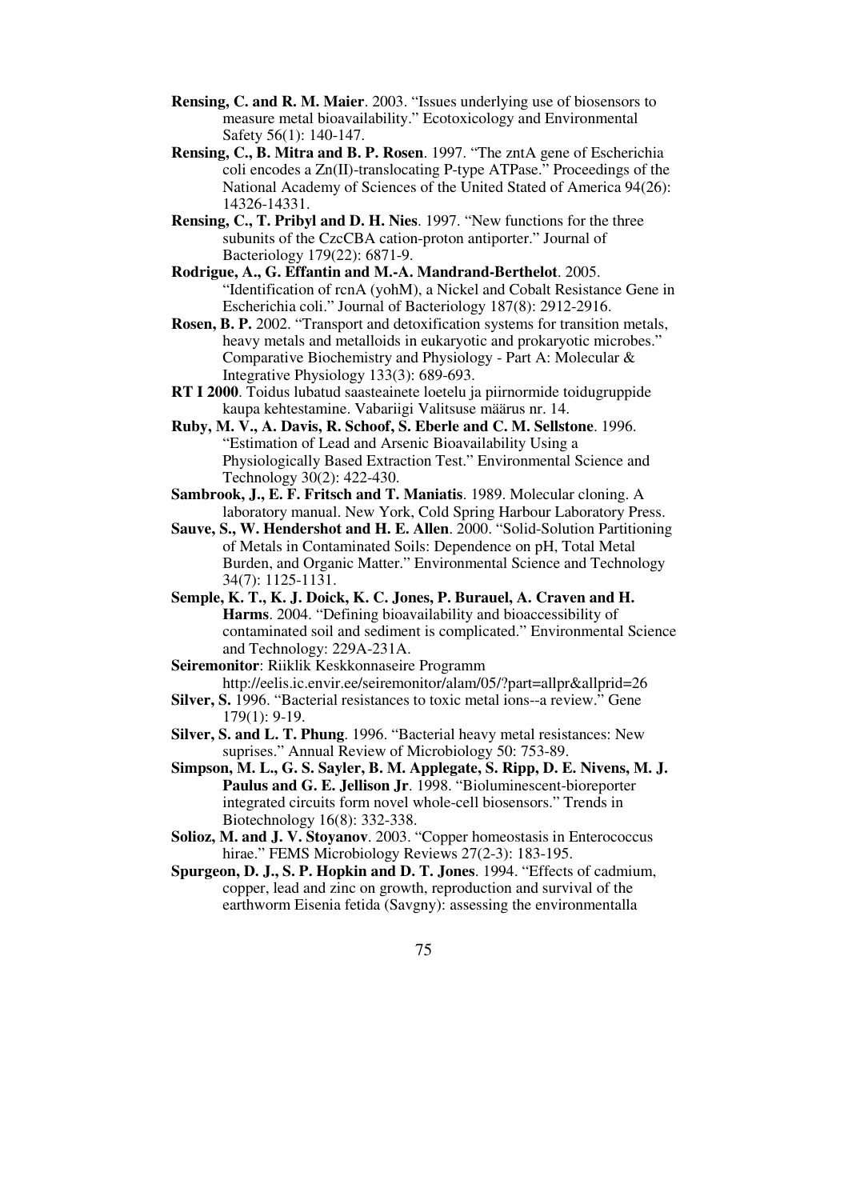- **Rensing, C. and R. M. Maier**. 2003. "Issues underlying use of biosensors to measure metal bioavailability." Ecotoxicology and Environmental Safety 56(1): 140-147.
- **Rensing, C., B. Mitra and B. P. Rosen**. 1997. "The zntA gene of Escherichia coli encodes a Zn(II)-translocating P-type ATPase." Proceedings of the National Academy of Sciences of the United Stated of America 94(26): 14326-14331.
- **Rensing, C., T. Pribyl and D. H. Nies**. 1997. "New functions for the three subunits of the CzcCBA cation-proton antiporter." Journal of Bacteriology 179(22): 6871-9.
- **Rodrigue, A., G. Effantin and M.-A. Mandrand-Berthelot**. 2005. "Identification of rcnA (yohM), a Nickel and Cobalt Resistance Gene in Escherichia coli." Journal of Bacteriology 187(8): 2912-2916.
- **Rosen, B. P.** 2002. "Transport and detoxification systems for transition metals, heavy metals and metalloids in eukaryotic and prokaryotic microbes." Comparative Biochemistry and Physiology - Part A: Molecular & Integrative Physiology 133(3): 689-693.
- **RT I 2000**. Toidus lubatud saasteainete loetelu ja piirnormide toidugruppide kaupa kehtestamine. Vabariigi Valitsuse määrus nr. 14.
- **Ruby, M. V., A. Davis, R. Schoof, S. Eberle and C. M. Sellstone**. 1996. "Estimation of Lead and Arsenic Bioavailability Using a Physiologically Based Extraction Test." Environmental Science and Technology 30(2): 422-430.
- **Sambrook, J., E. F. Fritsch and T. Maniatis**. 1989. Molecular cloning. A laboratory manual. New York, Cold Spring Harbour Laboratory Press.
- **Sauve, S., W. Hendershot and H. E. Allen**. 2000. "Solid-Solution Partitioning of Metals in Contaminated Soils: Dependence on pH, Total Metal Burden, and Organic Matter." Environmental Science and Technology 34(7): 1125-1131.
- **Semple, K. T., K. J. Doick, K. C. Jones, P. Burauel, A. Craven and H. Harms**. 2004. "Defining bioavailability and bioaccessibility of contaminated soil and sediment is complicated." Environmental Science and Technology: 229A-231A.
- **Seiremonitor**: Riiklik Keskkonnaseire Programm http://eelis.ic.envir.ee/seiremonitor/alam/05/?part=allpr&allprid=26
- **Silver, S.** 1996. "Bacterial resistances to toxic metal ions--a review." Gene 179(1): 9-19.
- **Silver, S. and L. T. Phung**. 1996. "Bacterial heavy metal resistances: New suprises." Annual Review of Microbiology 50: 753-89.
- **Simpson, M. L., G. S. Sayler, B. M. Applegate, S. Ripp, D. E. Nivens, M. J. Paulus and G. E. Jellison Jr**. 1998. "Bioluminescent-bioreporter integrated circuits form novel whole-cell biosensors." Trends in Biotechnology 16(8): 332-338.
- **Solioz, M. and J. V. Stoyanov**. 2003. "Copper homeostasis in Enterococcus hirae." FEMS Microbiology Reviews 27(2-3): 183-195.
- **Spurgeon, D. J., S. P. Hopkin and D. T. Jones**. 1994. "Effects of cadmium, copper, lead and zinc on growth, reproduction and survival of the earthworm Eisenia fetida (Savgny): assessing the environmentalla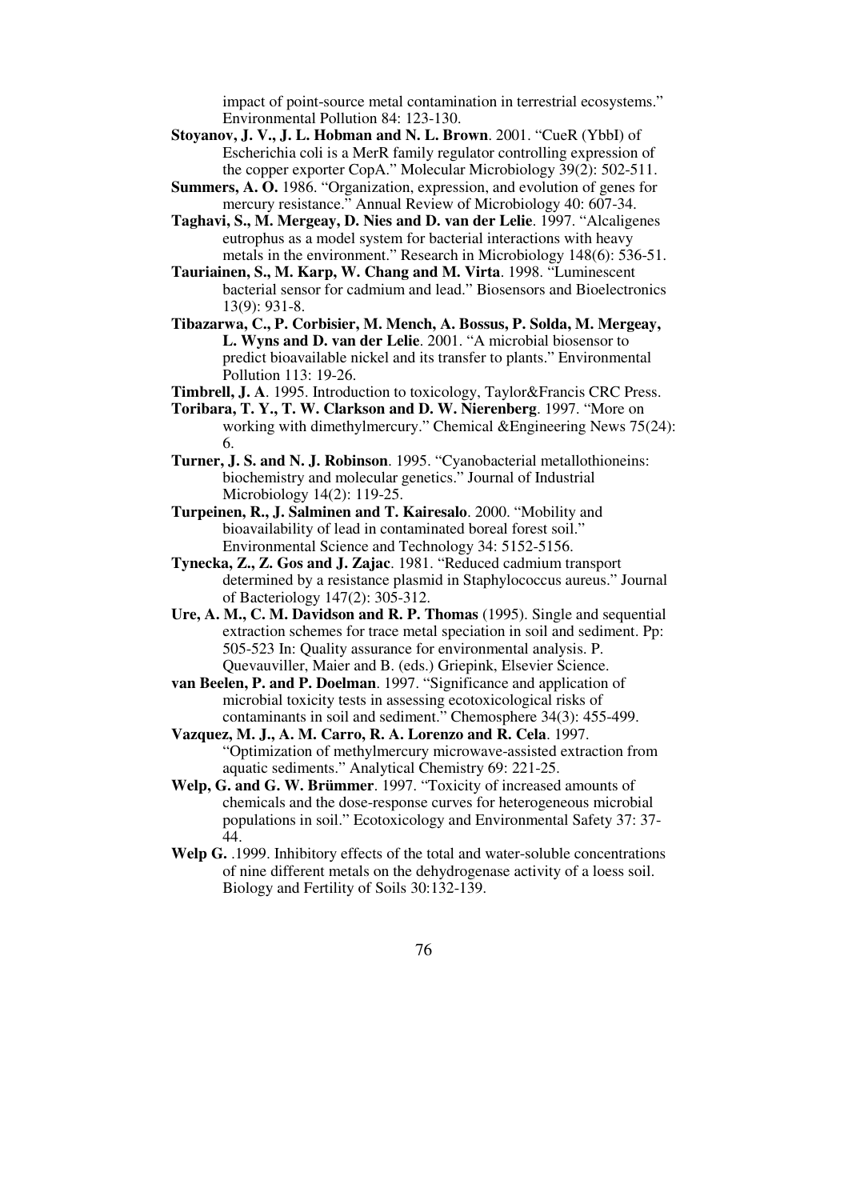impact of point-source metal contamination in terrestrial ecosystems." Environmental Pollution 84: 123-130.

- **Stoyanov, J. V., J. L. Hobman and N. L. Brown**. 2001. "CueR (YbbI) of Escherichia coli is a MerR family regulator controlling expression of the copper exporter CopA." Molecular Microbiology 39(2): 502-511.
- **Summers, A. O.** 1986. "Organization, expression, and evolution of genes for mercury resistance." Annual Review of Microbiology 40: 607-34.
- **Taghavi, S., M. Mergeay, D. Nies and D. van der Lelie**. 1997. "Alcaligenes eutrophus as a model system for bacterial interactions with heavy metals in the environment." Research in Microbiology 148(6): 536-51.
- **Tauriainen, S., M. Karp, W. Chang and M. Virta**. 1998. "Luminescent bacterial sensor for cadmium and lead." Biosensors and Bioelectronics 13(9): 931-8.
- **Tibazarwa, C., P. Corbisier, M. Mench, A. Bossus, P. Solda, M. Mergeay, L. Wyns and D. van der Lelie**. 2001. "A microbial biosensor to predict bioavailable nickel and its transfer to plants." Environmental Pollution 113: 19-26.
- **Timbrell, J. A**. 1995. Introduction to toxicology, Taylor&Francis CRC Press.
- **Toribara, T. Y., T. W. Clarkson and D. W. Nierenberg**. 1997. "More on working with dimethylmercury." Chemical &Engineering News 75(24): 6.
- **Turner, J. S. and N. J. Robinson**. 1995. "Cyanobacterial metallothioneins: biochemistry and molecular genetics." Journal of Industrial Microbiology 14(2): 119-25.
- **Turpeinen, R., J. Salminen and T. Kairesalo**. 2000. "Mobility and bioavailability of lead in contaminated boreal forest soil." Environmental Science and Technology 34: 5152-5156.
- **Tynecka, Z., Z. Gos and J. Zajac**. 1981. "Reduced cadmium transport determined by a resistance plasmid in Staphylococcus aureus." Journal of Bacteriology 147(2): 305-312.
- **Ure, A. M., C. M. Davidson and R. P. Thomas** (1995). Single and sequential extraction schemes for trace metal speciation in soil and sediment. Pp: 505-523 In: Quality assurance for environmental analysis. P. Quevauviller, Maier and B. (eds.) Griepink, Elsevier Science.
- **van Beelen, P. and P. Doelman**. 1997. "Significance and application of microbial toxicity tests in assessing ecotoxicological risks of contaminants in soil and sediment." Chemosphere 34(3): 455-499.
- **Vazquez, M. J., A. M. Carro, R. A. Lorenzo and R. Cela**. 1997. "Optimization of methylmercury microwave-assisted extraction from aquatic sediments." Analytical Chemistry 69: 221-25.
- **Welp, G. and G. W. Brümmer**. 1997. "Toxicity of increased amounts of chemicals and the dose-response curves for heterogeneous microbial populations in soil." Ecotoxicology and Environmental Safety 37: 37- 44.
- **Welp G.** .1999. Inhibitory effects of the total and water-soluble concentrations of nine different metals on the dehydrogenase activity of a loess soil. Biology and Fertility of Soils 30:132-139.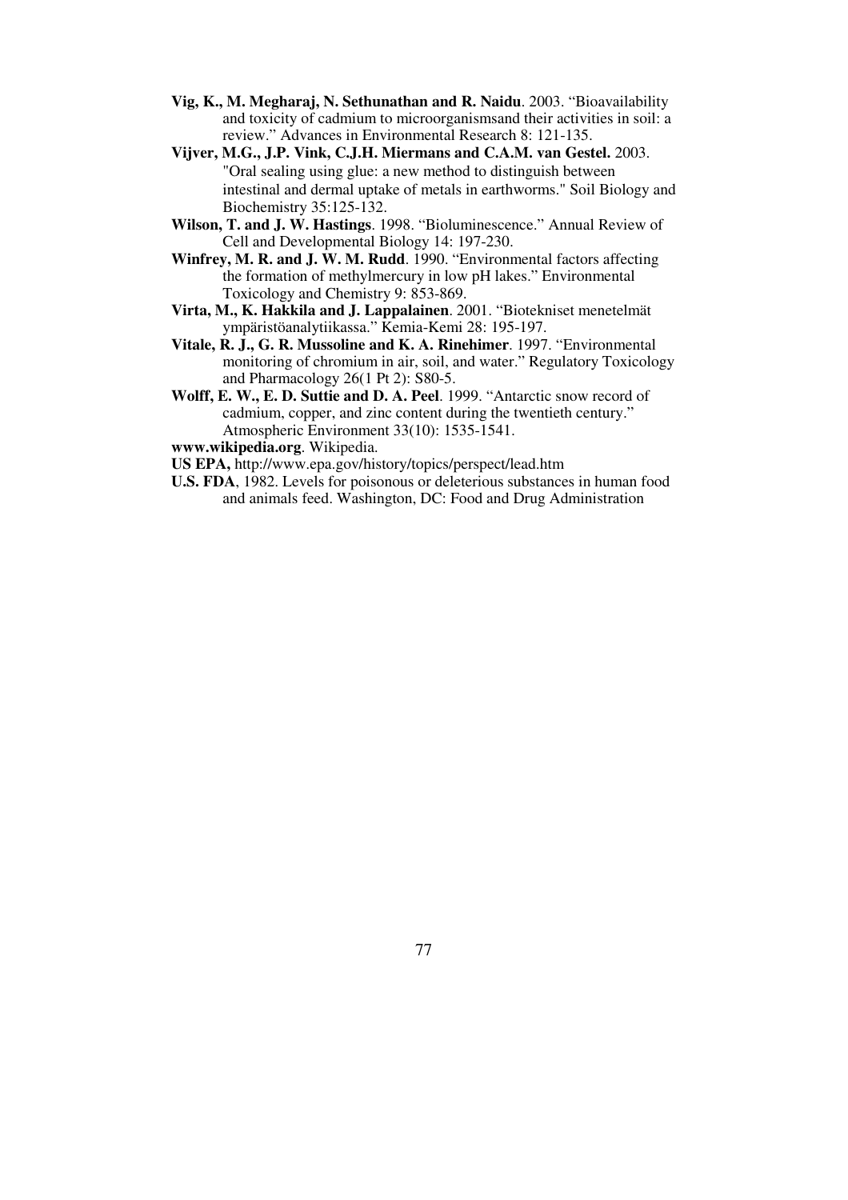- **Vig, K., M. Megharaj, N. Sethunathan and R. Naidu**. 2003. "Bioavailability and toxicity of cadmium to microorganismsand their activities in soil: a review." Advances in Environmental Research 8: 121-135.
- **Vijver, M.G., J.P. Vink, C.J.H. Miermans and C.A.M. van Gestel.** 2003. "Oral sealing using glue: a new method to distinguish between intestinal and dermal uptake of metals in earthworms." Soil Biology and Biochemistry 35:125-132.
- **Wilson, T. and J. W. Hastings**. 1998. "Bioluminescence." Annual Review of Cell and Developmental Biology 14: 197-230.
- **Winfrey, M. R. and J. W. M. Rudd**. 1990. "Environmental factors affecting the formation of methylmercury in low pH lakes." Environmental Toxicology and Chemistry 9: 853-869.
- **Virta, M., K. Hakkila and J. Lappalainen**. 2001. "Biotekniset menetelmät ympäristöanalytiikassa." Kemia-Kemi 28: 195-197.
- **Vitale, R. J., G. R. Mussoline and K. A. Rinehimer**. 1997. "Environmental monitoring of chromium in air, soil, and water." Regulatory Toxicology and Pharmacology 26(1 Pt 2): S80-5.
- **Wolff, E. W., E. D. Suttie and D. A. Peel**. 1999. "Antarctic snow record of cadmium, copper, and zinc content during the twentieth century." Atmospheric Environment 33(10): 1535-1541.
- **www.wikipedia.org**. Wikipedia.
- **US EPA,** http://www.epa.gov/history/topics/perspect/lead.htm
- **U.S. FDA**, 1982. Levels for poisonous or deleterious substances in human food and animals feed. Washington, DC: Food and Drug Administration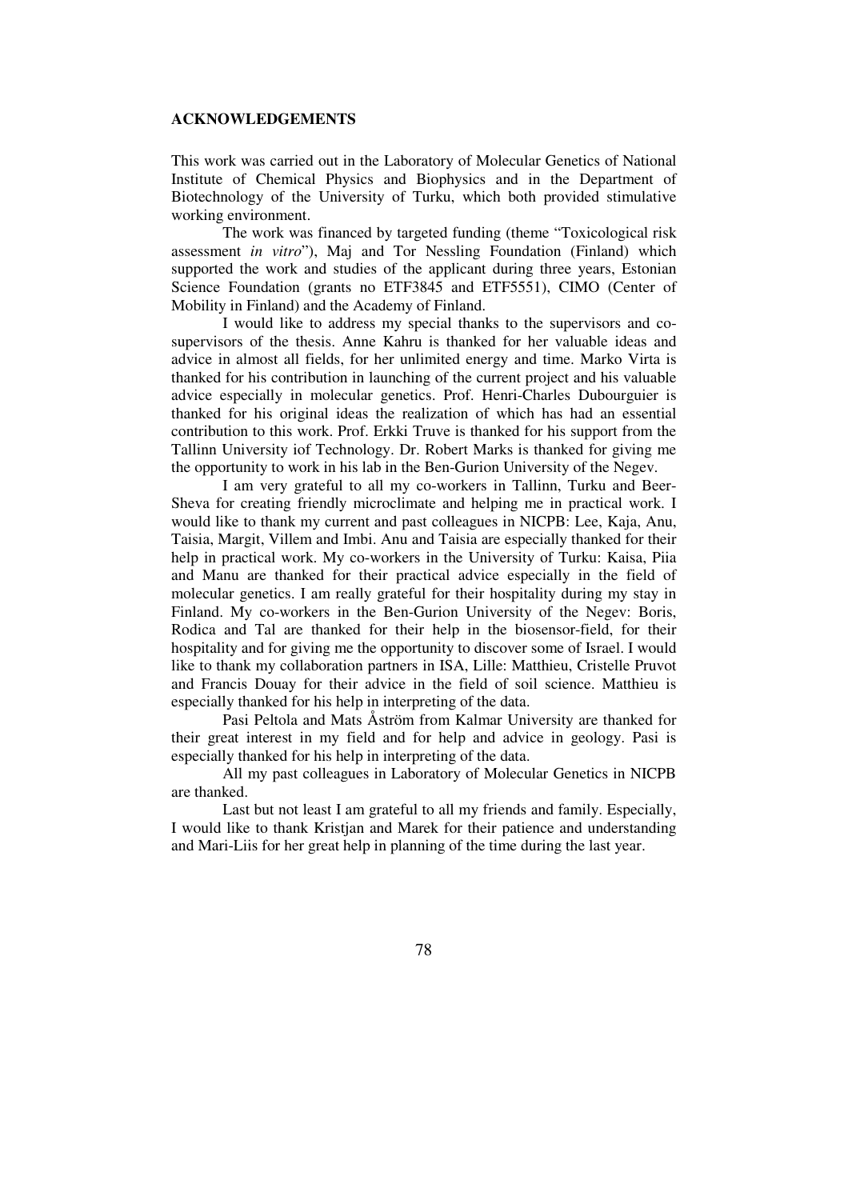#### **ACKNOWLEDGEMENTS**

This work was carried out in the Laboratory of Molecular Genetics of National Institute of Chemical Physics and Biophysics and in the Department of Biotechnology of the University of Turku, which both provided stimulative working environment.

The work was financed by targeted funding (theme "Toxicological risk assessment *in vitro*"), Maj and Tor Nessling Foundation (Finland) which supported the work and studies of the applicant during three years, Estonian Science Foundation (grants no ETF3845 and ETF5551), CIMO (Center of Mobility in Finland) and the Academy of Finland.

I would like to address my special thanks to the supervisors and cosupervisors of the thesis. Anne Kahru is thanked for her valuable ideas and advice in almost all fields, for her unlimited energy and time. Marko Virta is thanked for his contribution in launching of the current project and his valuable advice especially in molecular genetics. Prof. Henri-Charles Dubourguier is thanked for his original ideas the realization of which has had an essential contribution to this work. Prof. Erkki Truve is thanked for his support from the Tallinn University iof Technology. Dr. Robert Marks is thanked for giving me the opportunity to work in his lab in the Ben-Gurion University of the Negev.

I am very grateful to all my co-workers in Tallinn, Turku and Beer-Sheva for creating friendly microclimate and helping me in practical work. I would like to thank my current and past colleagues in NICPB: Lee, Kaja, Anu, Taisia, Margit, Villem and Imbi. Anu and Taisia are especially thanked for their help in practical work. My co-workers in the University of Turku: Kaisa, Piia and Manu are thanked for their practical advice especially in the field of molecular genetics. I am really grateful for their hospitality during my stay in Finland. My co-workers in the Ben-Gurion University of the Negev: Boris, Rodica and Tal are thanked for their help in the biosensor-field, for their hospitality and for giving me the opportunity to discover some of Israel. I would like to thank my collaboration partners in ISA, Lille: Matthieu, Cristelle Pruvot and Francis Douay for their advice in the field of soil science. Matthieu is especially thanked for his help in interpreting of the data.

Pasi Peltola and Mats Åström from Kalmar University are thanked for their great interest in my field and for help and advice in geology. Pasi is especially thanked for his help in interpreting of the data.

All my past colleagues in Laboratory of Molecular Genetics in NICPB are thanked.

Last but not least I am grateful to all my friends and family. Especially, I would like to thank Kristjan and Marek for their patience and understanding and Mari-Liis for her great help in planning of the time during the last year.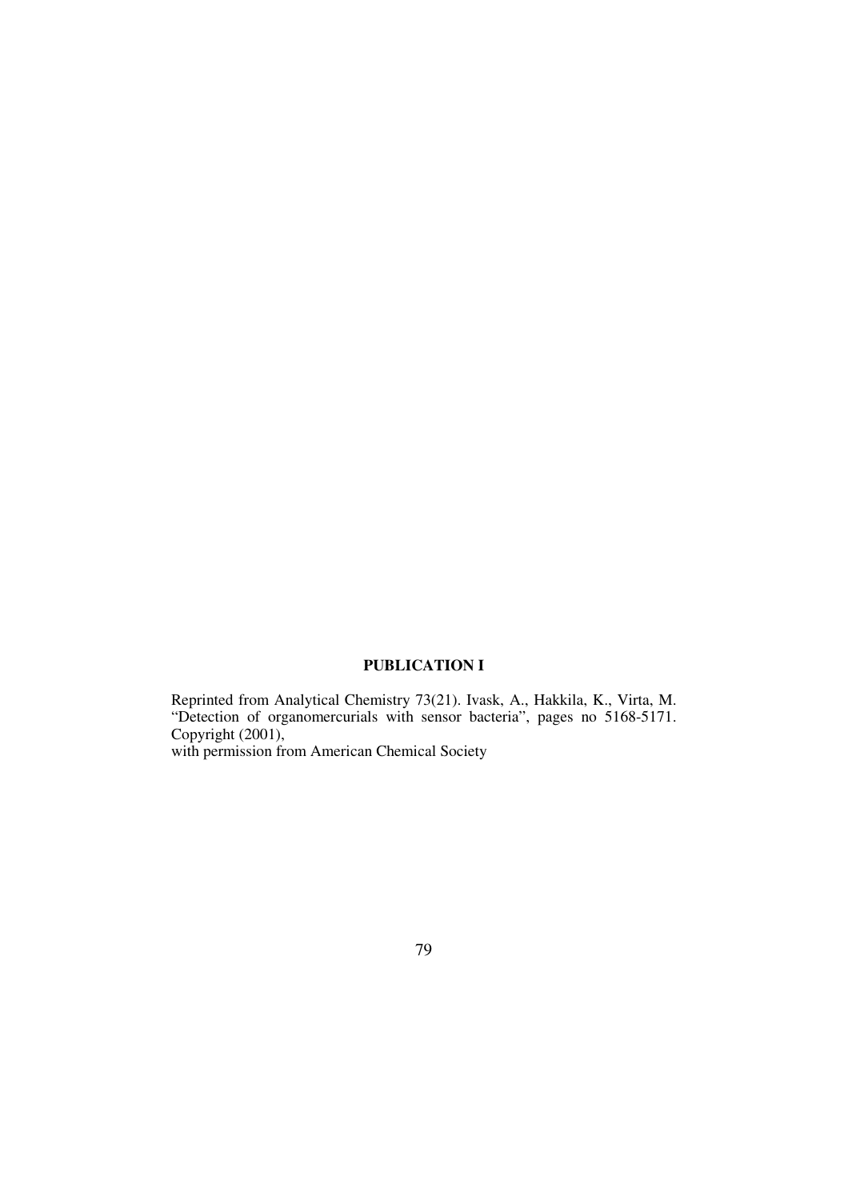# **PUBLICATION I**

Reprinted from Analytical Chemistry 73(21). Ivask, A., Hakkila, K., Virta, M. "Detection of organomercurials with sensor bacteria", pages no 5168-5171. Copyright (2001), with permission from American Chemical Society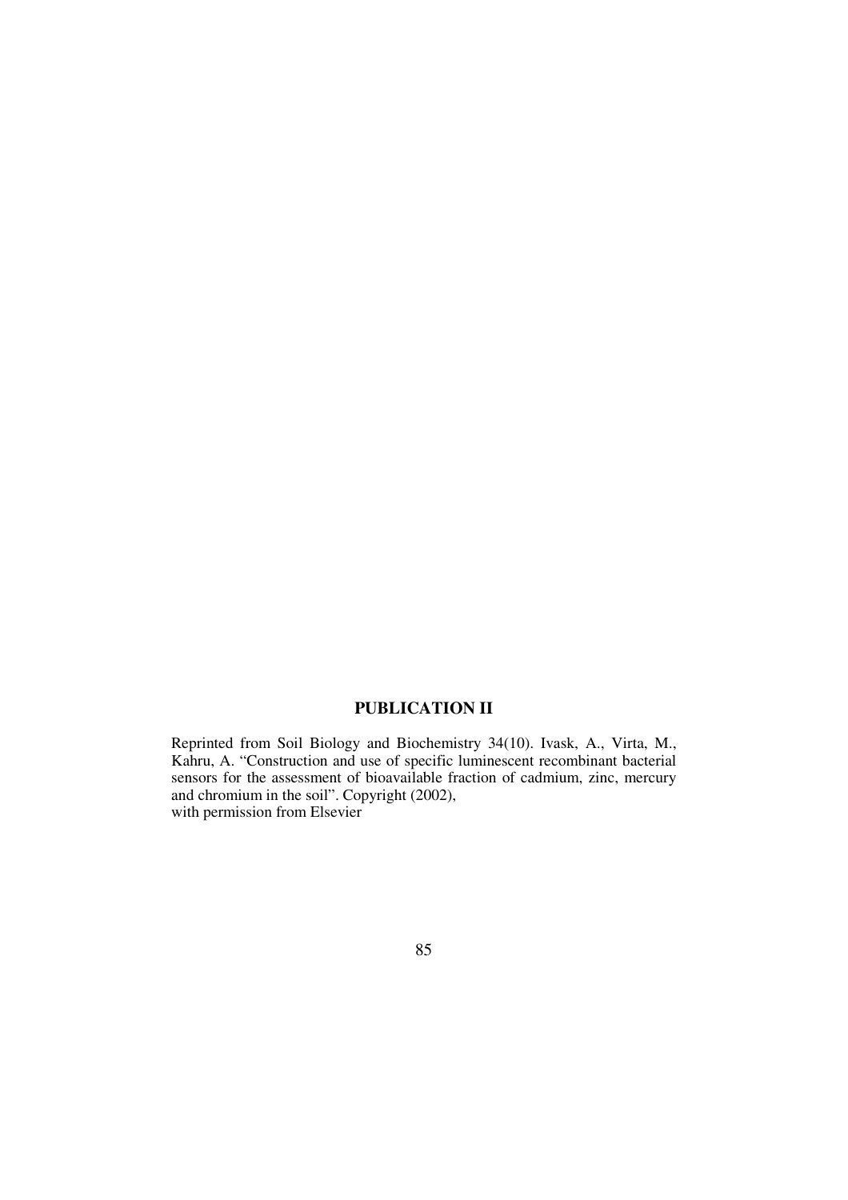### **PUBLICATION II**

Reprinted from Soil Biology and Biochemistry 34(10). Ivask, A., Virta, M., Kahru, A. "Construction and use of specific luminescent recombinant bacterial sensors for the assessment of bioavailable fraction of cadmium, zinc, mercury and chromium in the soil". Copyright (2002), with permission from Elsevier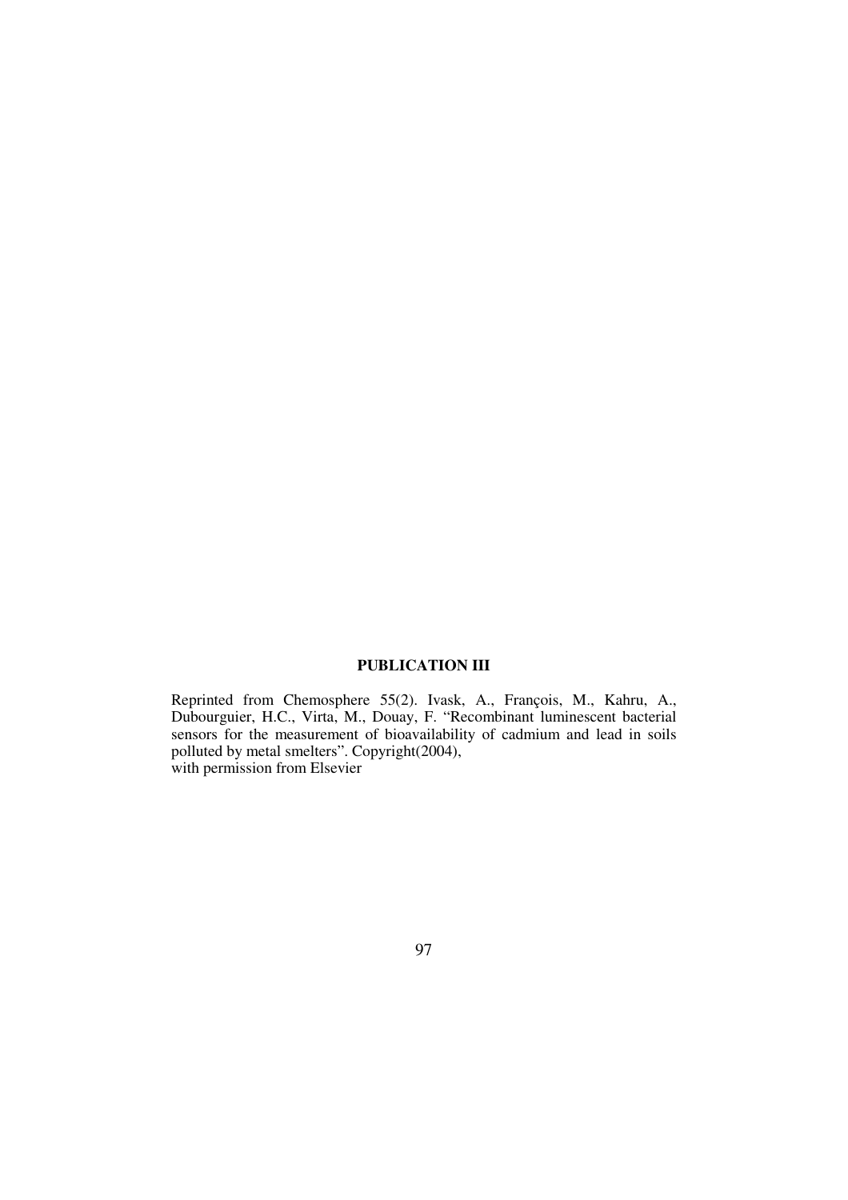### **PUBLICATION III**

Reprinted from Chemosphere 55(2). Ivask, A., François, M., Kahru, A., Dubourguier, H.C., Virta, M., Douay, F. "Recombinant luminescent bacterial sensors for the measurement of bioavailability of cadmium and lead in soils polluted by metal smelters". Copyright(2004), with permission from Elsevier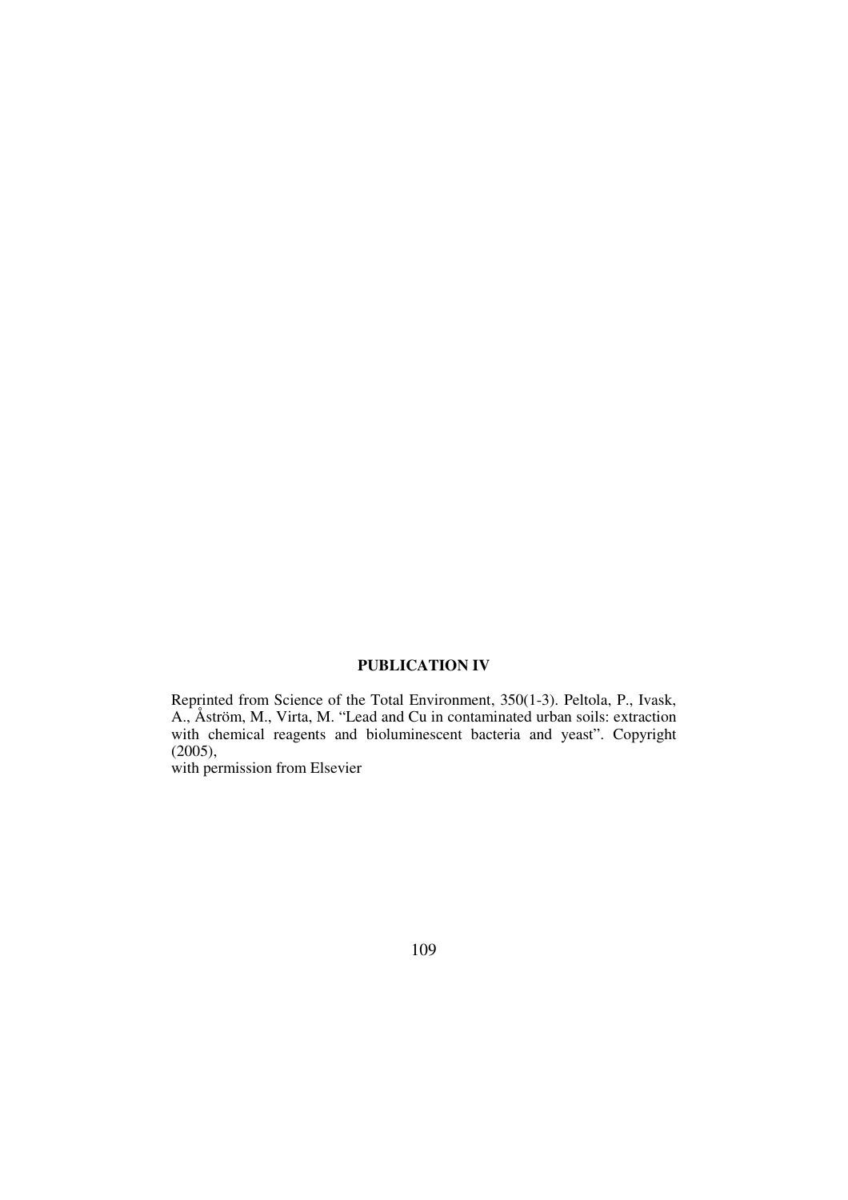### **PUBLICATION IV**

Reprinted from Science of the Total Environment, 350(1-3). Peltola, P., Ivask, A., Åström, M., Virta, M. "Lead and Cu in contaminated urban soils: extraction with chemical reagents and bioluminescent bacteria and yeast". Copyright (2005),

with permission from Elsevier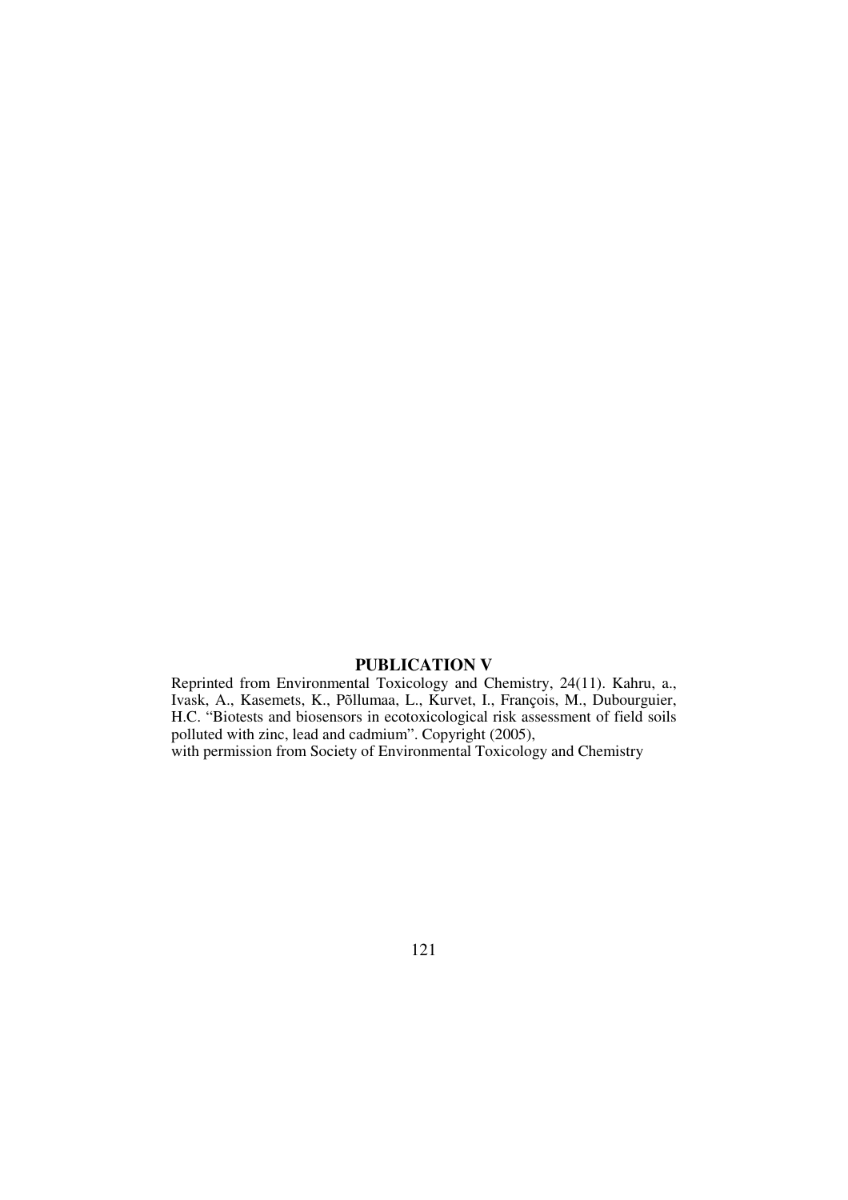# **PUBLICATION V**

Reprinted from Environmental Toxicology and Chemistry, 24(11). Kahru, a., Ivask, A., Kasemets, K., Põllumaa, L., Kurvet, I., François, M., Dubourguier, H.C. "Biotests and biosensors in ecotoxicological risk assessment of field soils polluted with zinc, lead and cadmium". Copyright (2005),

with permission from Society of Environmental Toxicology and Chemistry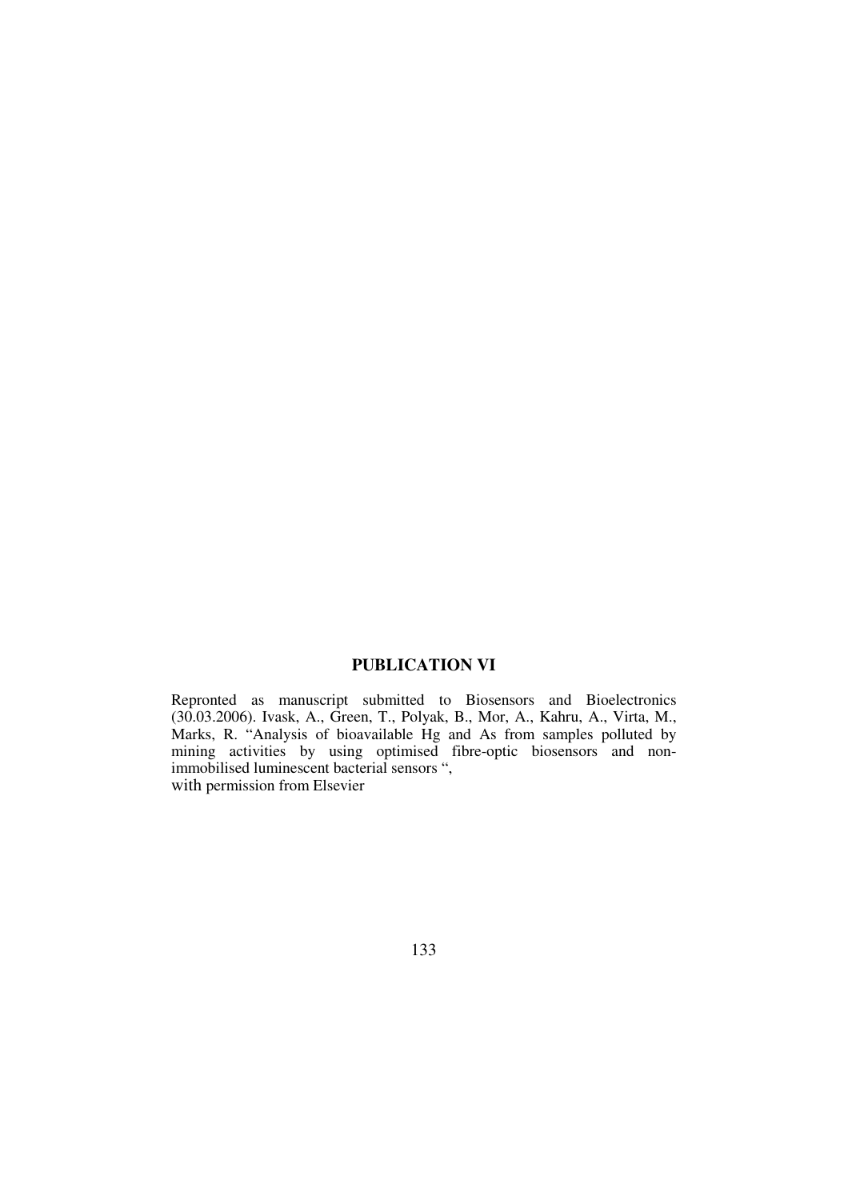# **PUBLICATION VI**

Repronted as manuscript submitted to Biosensors and Bioelectronics (30.03.2006). Ivask, A., Green, T., Polyak, B., Mor, A., Kahru, A., Virta, M., Marks, R. "Analysis of bioavailable Hg and As from samples polluted by mining activities by using optimised fibre-optic biosensors and nonimmobilised luminescent bacterial sensors ", with permission from Elsevier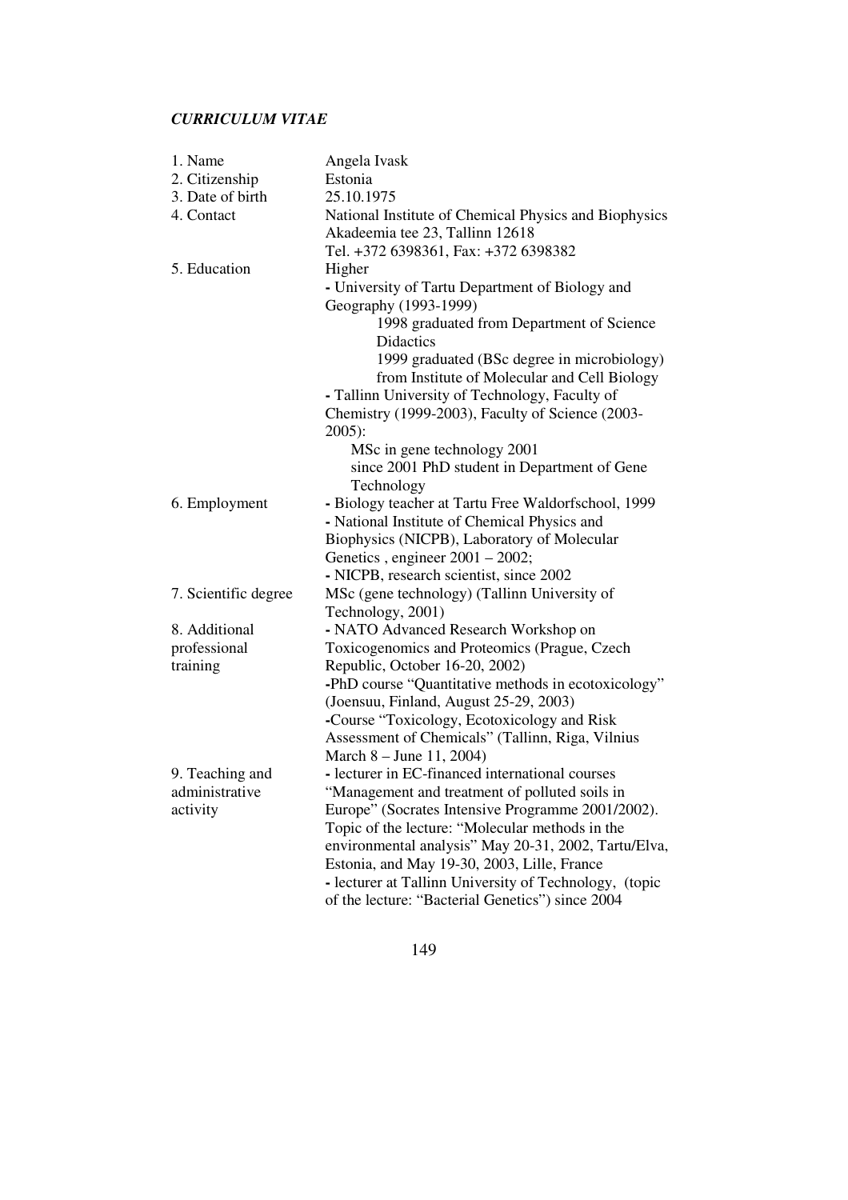# *CURRICULUM VITAE*

| 1. Name              | Angela Ivask                                                             |
|----------------------|--------------------------------------------------------------------------|
| 2. Citizenship       | Estonia                                                                  |
| 3. Date of birth     | 25.10.1975                                                               |
| 4. Contact           | National Institute of Chemical Physics and Biophysics                    |
|                      | Akadeemia tee 23, Tallinn 12618                                          |
|                      | Tel. +372 6398361, Fax: +372 6398382                                     |
| 5. Education         | Higher                                                                   |
|                      | - University of Tartu Department of Biology and<br>Geography (1993-1999) |
|                      | 1998 graduated from Department of Science<br><b>Didactics</b>            |
|                      | 1999 graduated (BSc degree in microbiology)                              |
|                      | from Institute of Molecular and Cell Biology                             |
|                      | - Tallinn University of Technology, Faculty of                           |
|                      | Chemistry (1999-2003), Faculty of Science (2003-                         |
|                      | $2005$ :                                                                 |
|                      | MSc in gene technology 2001                                              |
|                      | since 2001 PhD student in Department of Gene                             |
|                      | Technology                                                               |
| 6. Employment        | - Biology teacher at Tartu Free Waldorfschool, 1999                      |
|                      | - National Institute of Chemical Physics and                             |
|                      | Biophysics (NICPB), Laboratory of Molecular                              |
|                      | Genetics , engineer $2001 - 2002$ ;                                      |
|                      | - NICPB, research scientist, since 2002                                  |
| 7. Scientific degree | MSc (gene technology) (Tallinn University of                             |
|                      | Technology, 2001)                                                        |
| 8. Additional        | - NATO Advanced Research Workshop on                                     |
| professional         | Toxicogenomics and Proteomics (Prague, Czech                             |
| training             | Republic, October 16-20, 2002)                                           |
|                      | -PhD course "Quantitative methods in ecotoxicology"                      |
|                      | (Joensuu, Finland, August 25-29, 2003)                                   |
|                      | -Course "Toxicology, Ecotoxicology and Risk                              |
|                      | Assessment of Chemicals" (Tallinn, Riga, Vilnius                         |
|                      | March 8 – June 11, 2004)                                                 |
| 9. Teaching and      | - lecturer in EC-financed international courses                          |
| administrative       | "Management and treatment of polluted soils in                           |
| activity             | Europe" (Socrates Intensive Programme 2001/2002).                        |
|                      | Topic of the lecture: "Molecular methods in the                          |
|                      | environmental analysis" May 20-31, 2002, Tartu/Elva,                     |
|                      | Estonia, and May 19-30, 2003, Lille, France                              |
|                      | - lecturer at Tallinn University of Technology, (topic                   |
|                      | of the lecture: "Bacterial Genetics") since 2004                         |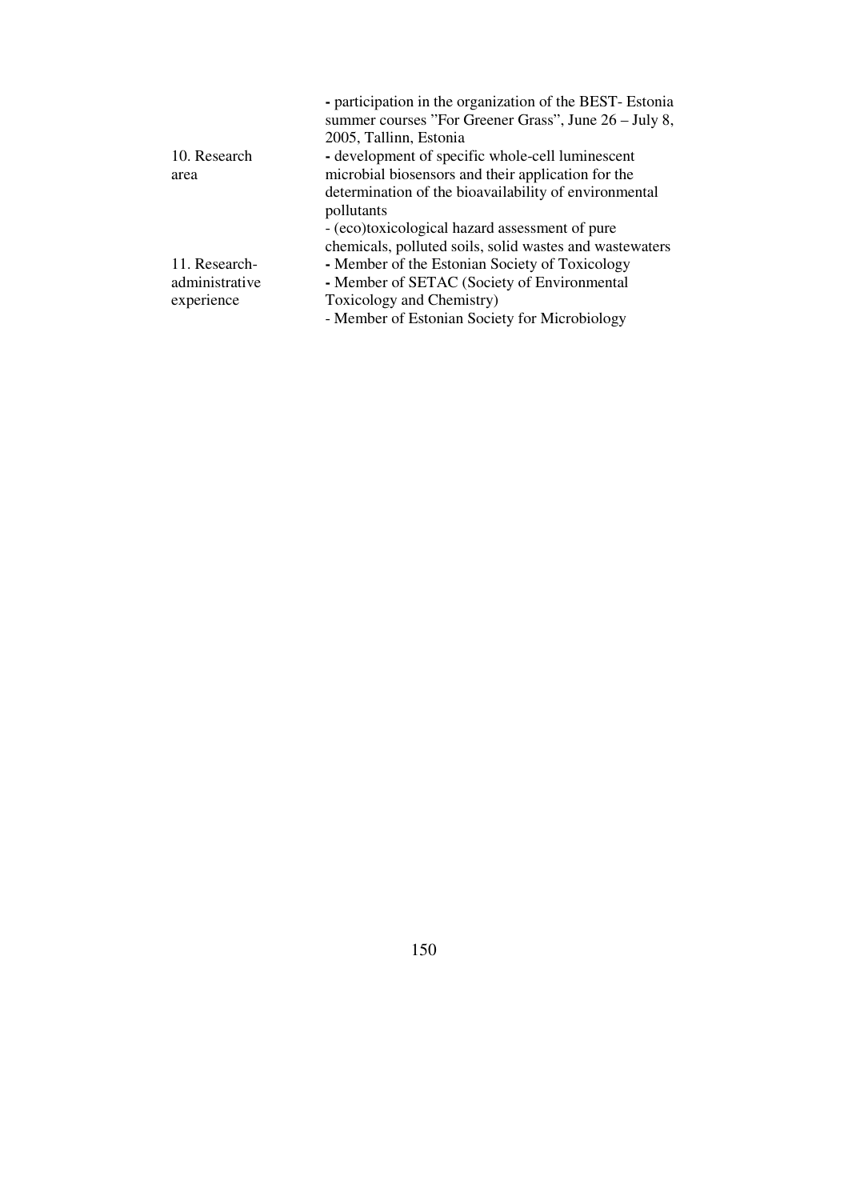| 2005, Tallinn, Estonia<br>- development of specific whole-cell luminescent<br>microbial biosensors and their application for the<br>determination of the bioavailability of environmental<br>pollutants<br>- (eco)toxicological hazard assessment of pure<br>chemicals, polluted soils, solid wastes and wastewaters<br>- Member of the Estonian Society of Toxicology<br>- Member of SETAC (Society of Environmental |                | - participation in the organization of the BEST-Estonia |
|-----------------------------------------------------------------------------------------------------------------------------------------------------------------------------------------------------------------------------------------------------------------------------------------------------------------------------------------------------------------------------------------------------------------------|----------------|---------------------------------------------------------|
|                                                                                                                                                                                                                                                                                                                                                                                                                       |                | summer courses "For Greener Grass", June 26 – July 8,   |
|                                                                                                                                                                                                                                                                                                                                                                                                                       |                |                                                         |
|                                                                                                                                                                                                                                                                                                                                                                                                                       | 10. Research   |                                                         |
|                                                                                                                                                                                                                                                                                                                                                                                                                       | area           |                                                         |
|                                                                                                                                                                                                                                                                                                                                                                                                                       |                |                                                         |
|                                                                                                                                                                                                                                                                                                                                                                                                                       |                |                                                         |
|                                                                                                                                                                                                                                                                                                                                                                                                                       |                |                                                         |
|                                                                                                                                                                                                                                                                                                                                                                                                                       |                |                                                         |
|                                                                                                                                                                                                                                                                                                                                                                                                                       | 11. Research-  |                                                         |
|                                                                                                                                                                                                                                                                                                                                                                                                                       | administrative |                                                         |
|                                                                                                                                                                                                                                                                                                                                                                                                                       | experience     | Toxicology and Chemistry)                               |
| - Member of Estonian Society for Microbiology                                                                                                                                                                                                                                                                                                                                                                         |                |                                                         |
|                                                                                                                                                                                                                                                                                                                                                                                                                       |                |                                                         |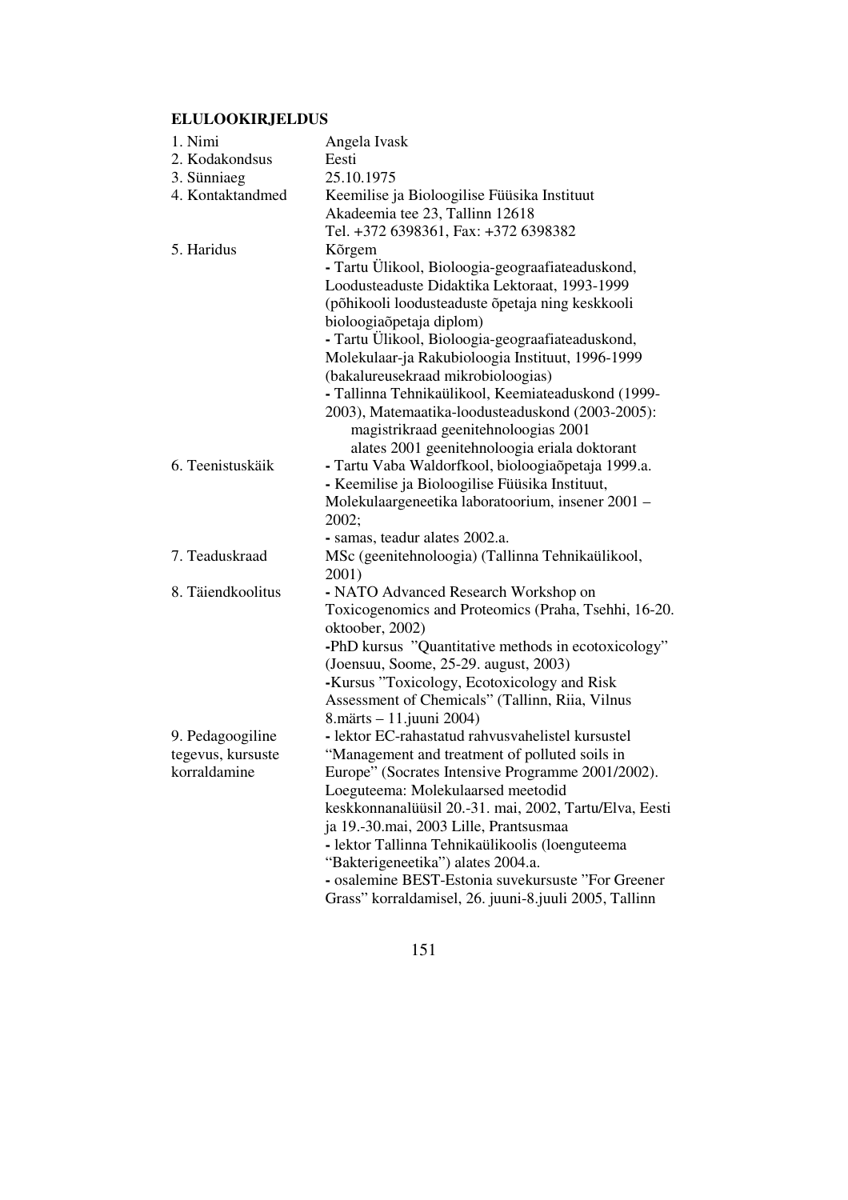# **ELULOOKIRJELDUS**

| 1. Nimi           | Angela Ivask                                                            |
|-------------------|-------------------------------------------------------------------------|
| 2. Kodakondsus    | Eesti                                                                   |
| 3. Sünniaeg       | 25.10.1975                                                              |
| 4. Kontaktandmed  | Keemilise ja Bioloogilise Füüsika Instituut                             |
|                   | Akadeemia tee 23, Tallinn 12618                                         |
|                   | Tel. +372 6398361, Fax: +372 6398382                                    |
| 5. Haridus        | Kõrgem                                                                  |
|                   | - Tartu Ülikool, Bioloogia-geograafiateaduskond,                        |
|                   | Loodusteaduste Didaktika Lektoraat, 1993-1999                           |
|                   | (põhikooli loodusteaduste õpetaja ning keskkooli                        |
|                   | bioloogiaõpetaja diplom)                                                |
|                   | - Tartu Ülikool, Bioloogia-geograafiateaduskond,                        |
|                   | Molekulaar-ja Rakubioloogia Instituut, 1996-1999                        |
|                   | (bakalureusekraad mikrobioloogias)                                      |
|                   | - Tallinna Tehnikaülikool, Keemiateaduskond (1999-                      |
|                   | 2003), Matemaatika-loodusteaduskond (2003-2005):                        |
|                   | magistrikraad geenitehnoloogias 2001                                    |
|                   | alates 2001 geenitehnoloogia eriala doktorant                           |
| 6. Teenistuskäik  | - Tartu Vaba Waldorfkool, bioloogiaõpetaja 1999.a.                      |
|                   | - Keemilise ja Bioloogilise Füüsika Instituut,                          |
|                   | Molekulaargeneetika laboratoorium, insener 2001 –                       |
|                   | 2002:                                                                   |
|                   | - samas, teadur alates 2002.a.                                          |
| 7. Teaduskraad    | MSc (geenitehnoloogia) (Tallinna Tehnikaülikool,                        |
|                   | 2001)                                                                   |
| 8. Täiendkoolitus | - NATO Advanced Research Workshop on                                    |
|                   | Toxicogenomics and Proteomics (Praha, Tsehhi, 16-20.<br>oktoober, 2002) |
|                   | -PhD kursus "Quantitative methods in ecotoxicology"                     |
|                   | (Joensuu, Soome, 25-29. august, 2003)                                   |
|                   | -Kursus "Toxicology, Ecotoxicology and Risk                             |
|                   | Assessment of Chemicals" (Tallinn, Riia, Vilnus                         |
|                   | 8. märts – 11. juuni 2004)                                              |
| 9. Pedagoogiline  | - lektor EC-rahastatud rahvusvahelistel kursustel                       |
| tegevus, kursuste | "Management and treatment of polluted soils in                          |
| korraldamine      | Europe" (Socrates Intensive Programme 2001/2002).                       |
|                   | Loeguteema: Molekulaarsed meetodid                                      |
|                   | keskkonnanalüüsil 20.-31. mai, 2002, Tartu/Elva, Eesti                  |
|                   | ja 19.-30.mai, 2003 Lille, Prantsusmaa                                  |
|                   | - lektor Tallinna Tehnikaülikoolis (loenguteema                         |
|                   | "Bakterigeneetika") alates 2004.a.                                      |
|                   | - osalemine BEST-Estonia suvekursuste "For Greener                      |
|                   | Grass" korraldamisel, 26. juuni-8. juuli 2005, Tallinn                  |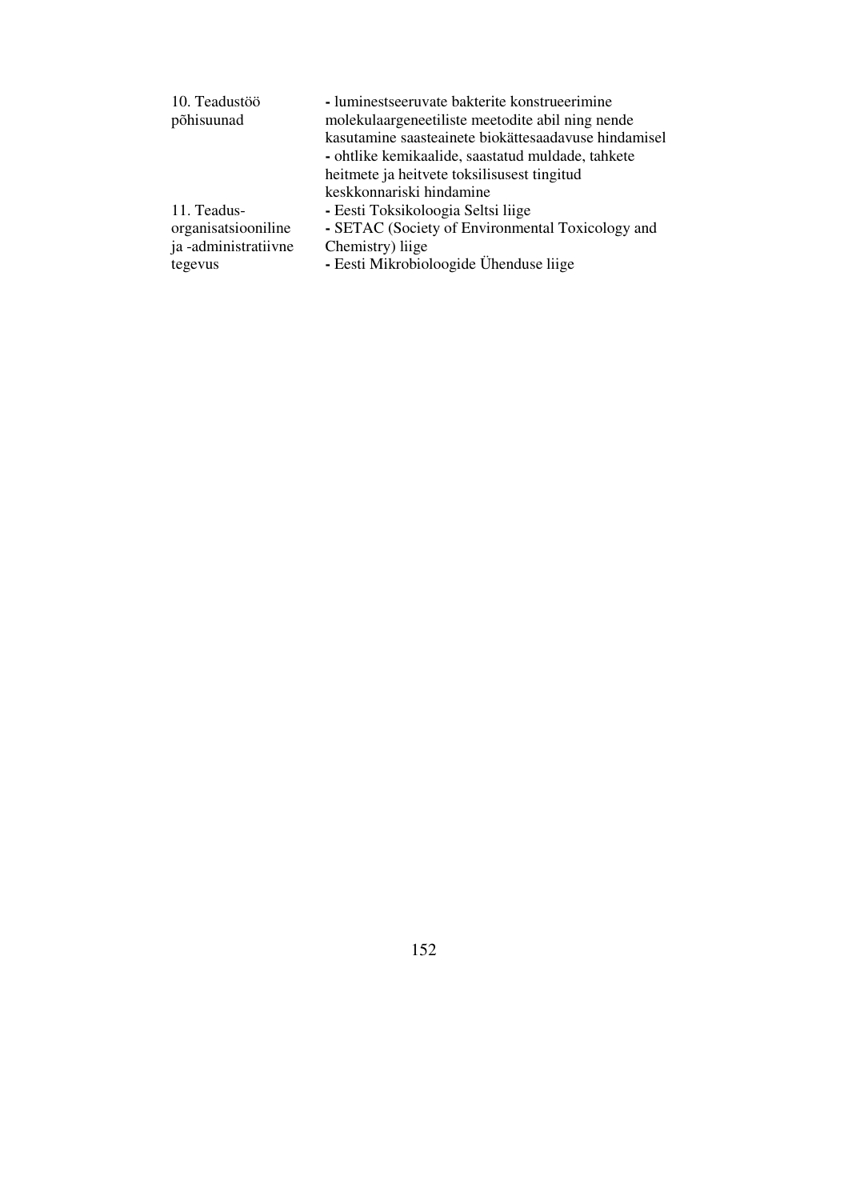| 10. Teadustöö        | - luminestseeruvate bakterite konstrueerimine        |
|----------------------|------------------------------------------------------|
| põhisuunad           | molekulaargeneetiliste meetodite abil ning nende     |
|                      | kasutamine saasteainete biokättesaadavuse hindamisel |
|                      | - ohtlike kemikaalide, saastatud muldade, tahkete    |
|                      | heitmete ja heitvete toksilisusest tingitud          |
|                      | keskkonnariski hindamine                             |
| 11. Teadus-          | - Eesti Toksikoloogia Seltsi liige                   |
| organisatsiooniline  | - SETAC (Society of Environmental Toxicology and     |
| ja -administratiivne | Chemistry) liige                                     |
| tegevus              | - Eesti Mikrobioloogide Ühenduse liige               |